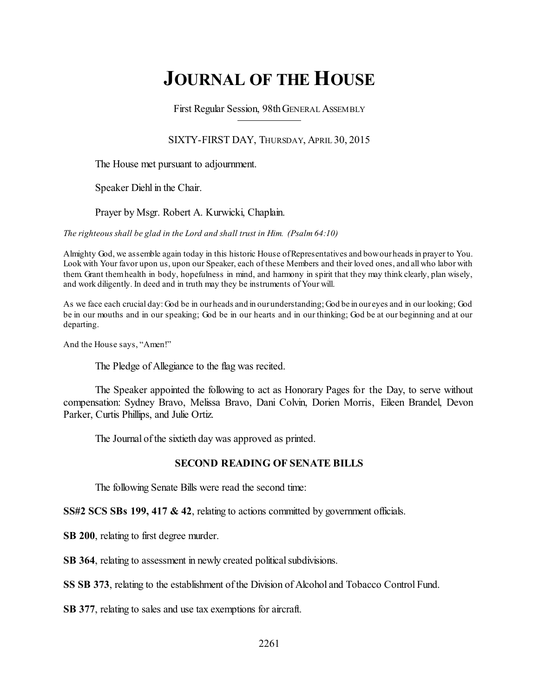# **JOURNAL OF THE HOUSE**

First Regular Session, 98thGENERAL ASSEMBLY

SIXTY-FIRST DAY, THURSDAY, APRIL 30, 2015

The House met pursuant to adjournment.

Speaker Diehl in the Chair.

Prayer by Msgr. Robert A. Kurwicki, Chaplain.

*The righteous shall be glad in the Lord and shall trust in Him. (Psalm 64:10)*

Almighty God, we assemble again today in this historic House ofRepresentatives and bowourheads in prayer to You. Look with Your favor upon us, upon our Speaker, each of these Members and their loved ones, and all who labor with them. Grant themhealth in body, hopefulness in mind, and harmony in spirit that they may think clearly, plan wisely, and work diligently. In deed and in truth may they be instruments of Your will.

As we face each crucial day: God be in ourheads and in ourunderstanding; God be in our eyes and in our looking; God be in our mouths and in our speaking; God be in our hearts and in our thinking; God be at our beginning and at our departing.

And the House says, "Amen!"

The Pledge of Allegiance to the flag was recited.

The Speaker appointed the following to act as Honorary Pages for the Day, to serve without compensation: Sydney Bravo, Melissa Bravo, Dani Colvin, Dorien Morris, Eileen Brandel, Devon Parker, Curtis Phillips, and Julie Ortiz.

The Journal of the sixtieth day was approved as printed.

# **SECOND READING OF SENATE BILLS**

The following Senate Bills were read the second time:

**SS#2 SCS SBs 199, 417 & 42**, relating to actions committed by government officials.

**SB 200**, relating to first degree murder.

**SB 364**, relating to assessment in newly created political subdivisions.

**SS SB 373**, relating to the establishment of the Division of Alcohol and Tobacco Control Fund.

**SB 377**, relating to sales and use tax exemptions for aircraft.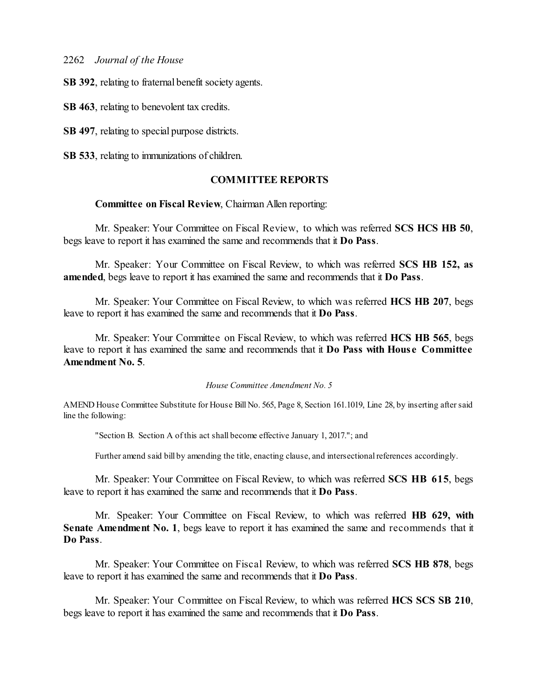**SB 392**, relating to fraternal benefit society agents.

**SB 463**, relating to benevolent tax credits.

**SB 497**, relating to special purpose districts.

**SB 533**, relating to immunizations of children.

# **COMMITTEE REPORTS**

# **Committee on Fiscal Review**, Chairman Allen reporting:

Mr. Speaker: Your Committee on Fiscal Review, to which was referred **SCS HCS HB 50**, begs leave to report it has examined the same and recommends that it **Do Pass**.

Mr. Speaker: Your Committee on Fiscal Review, to which was referred **SCS HB 152, as amended**, begs leave to report it has examined the same and recommends that it **Do Pass**.

Mr. Speaker: Your Committee on Fiscal Review, to which was referred **HCS HB 207**, begs leave to report it has examined the same and recommends that it **Do Pass**.

Mr. Speaker: Your Committee on Fiscal Review, to which was referred **HCS HB 565**, begs leave to report it has examined the same and recommends that it **Do Pass with Hous e Committee Amendment No. 5**.

#### *House Committee Amendment No. 5*

AMEND House Committee Substitute for House Bill No. 565, Page 8, Section 161.1019, Line 28, by inserting aftersaid line the following:

"Section B. Section A of this act shall become effective January 1, 2017."; and

Further amend said bill by amending the title, enacting clause, and intersectional references accordingly.

Mr. Speaker: Your Committee on Fiscal Review, to which was referred **SCS HB 615**, begs leave to report it has examined the same and recommends that it **Do Pass**.

Mr. Speaker: Your Committee on Fiscal Review, to which was referred **HB 629, with Senate Amendment No. 1**, begs leave to report it has examined the same and recommends that it **Do Pass**.

Mr. Speaker: Your Committee on Fiscal Review, to which was referred **SCS HB 878**, begs leave to report it has examined the same and recommends that it **Do Pass**.

Mr. Speaker: Your Committee on Fiscal Review, to which was referred **HCS SCS SB 210**, begs leave to report it has examined the same and recommends that it **Do Pass**.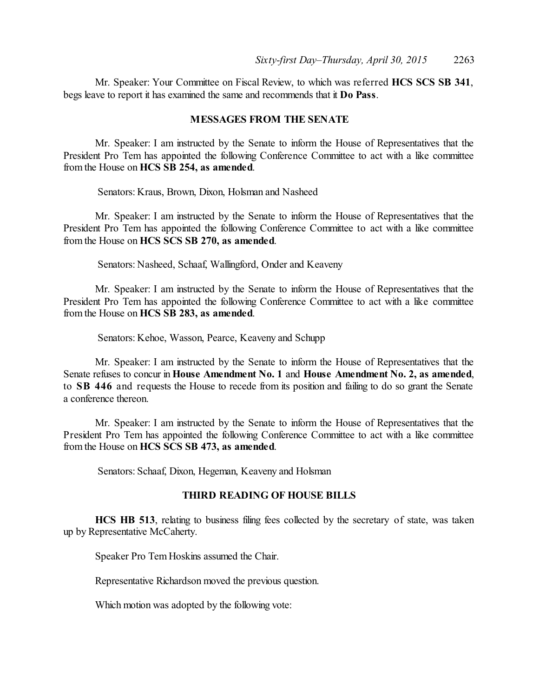Mr. Speaker: Your Committee on Fiscal Review, to which was referred **HCS SCS SB 341**, begs leave to report it has examined the same and recommends that it **Do Pass**.

# **MESSAGES FROM THE SENATE**

Mr. Speaker: I am instructed by the Senate to inform the House of Representatives that the President Pro Tem has appointed the following Conference Committee to act with a like committee from the House on **HCS SB 254, as amended**.

Senators: Kraus, Brown, Dixon, Holsman and Nasheed

Mr. Speaker: I am instructed by the Senate to inform the House of Representatives that the President Pro Tem has appointed the following Conference Committee to act with a like committee from the House on **HCS SCS SB 270, as amended**.

Senators: Nasheed, Schaaf, Wallingford, Onder and Keaveny

Mr. Speaker: I am instructed by the Senate to inform the House of Representatives that the President Pro Tem has appointed the following Conference Committee to act with a like committee from the House on **HCS SB 283, as amended**.

Senators: Kehoe, Wasson, Pearce, Keaveny and Schupp

Mr. Speaker: I am instructed by the Senate to inform the House of Representatives that the Senate refuses to concur in **House Amendment No. 1** and **House Amendment No. 2, as amended**, to **SB 446** and requests the House to recede from its position and failing to do so grant the Senate a conference thereon.

Mr. Speaker: I am instructed by the Senate to inform the House of Representatives that the President Pro Tem has appointed the following Conference Committee to act with a like committee from the House on **HCS SCS SB 473, as amended**.

Senators: Schaaf, Dixon, Hegeman, Keaveny and Holsman

# **THIRD READING OF HOUSE BILLS**

**HCS HB 513**, relating to business filing fees collected by the secretary of state, was taken up by Representative McCaherty.

Speaker Pro Tem Hoskins assumed the Chair.

Representative Richardson moved the previous question.

Which motion was adopted by the following vote: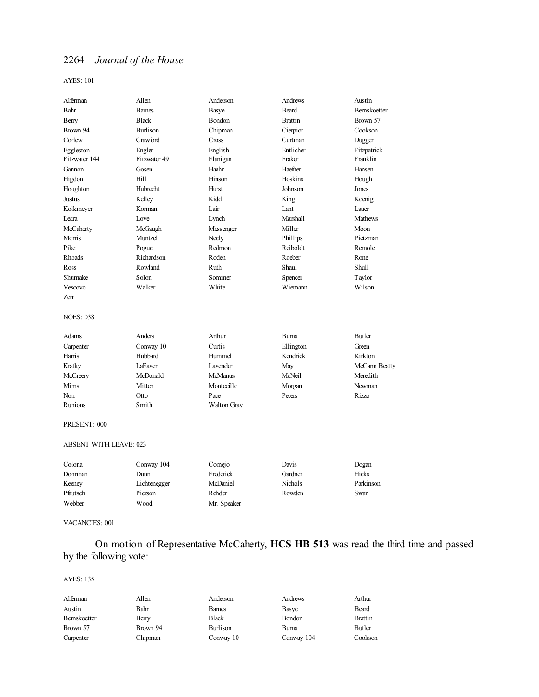### AYES: 101

| Alferman         | Allen         | Anderson             | Andrews         | Austin         |
|------------------|---------------|----------------------|-----------------|----------------|
| Bahr             | <b>Barnes</b> | Basye                | <b>Beard</b>    | Bernskoetter   |
| Berry            | <b>Black</b>  | Bondon               | <b>Brattin</b>  | Brown 57       |
| Brown 94         | Burlison      | Chipman              | Cierpiot        | Cookson        |
| Corlew           | Crawford      | Cross                | Curtman         | Dugger         |
| Eggleston        | Engler        | English              | Entlicher       | Fitzpatrick    |
| Fitzwater 144    | Fitzwater 49  | Flanigan             | Fraker          | Franklin       |
| Gannon           | Gosen         | Haahr                | Haefner         | Hansen         |
| Higdon           | Hill          | Hinson               | Hoskins         | Hough          |
| Houghton         | Hubrecht      | Hurst                | Johnson         | Jones          |
| Justus           | Kelley        | Kidd                 | King            | Koenig         |
| Kolkmeyer        | Korman        | Lair                 | Lant            | Lauer          |
| Leara            | Love          | Lynch                | <b>Marshall</b> | <b>Mathews</b> |
| McCaherty        | McGaugh       | Messenger            | Miller          | Moon           |
| Morris           | Muntzel       | Neely                | Phillips        | Pietzman       |
| Pike             | Pogue         | Redmon               | Reiboldt        | Remole         |
| Rhoads           | Richardson    | Roden                | Roeber          | Rone           |
| Ross             | Rowland       | Ruth                 | Shaul           | Shull          |
| Shumake          | Solon         | Sommer               | Spencer         | Taylor         |
| Vescovo          | Walker        | White                | Wiemann         | Wilson         |
| Zerr             |               |                      |                 |                |
| <b>NOES: 038</b> |               |                      |                 |                |
| Adams            | Anders        | Arthur               | <b>Burns</b>    | <b>Butler</b>  |
| Carpenter        | Conway 10     | Curtis               | Ellington       | Green          |
| Harris           | Hubbard       | Hummel               | Kendrick        | Kirkton        |
| Kratky           | LaFaver       | L <sub>avender</sub> | May             | McCann Beatty  |
| McCreery         | McDonald      | <b>McManus</b>       | McNeil          | Meredith       |
| Mims             | Mitten        | Montecillo           | Morgan          | Newman         |
| Norr             | Otto          | Pace                 | Peters          | Rizzo          |
| Runions          | Smith         | Walton Gray          |                 |                |
| PRESENT: 000     |               |                      |                 |                |

### ABSENT WITH LEAVE: 023

| Colona   | Conway 104   | Cornejo     | Davis          | Dogan     |
|----------|--------------|-------------|----------------|-----------|
| Dohrman  | Dunn         | Frederick   | Gardner        | Hicks     |
| Keeney   | Lichtenegger | McDaniel    | <b>Nichols</b> | Parkinson |
| Pfautsch | Pierson      | Rehder      | Rowden         | Swan      |
| Webber   | Wood         | Mr. Speaker |                |           |

### VACANCIES: 001

# On motion of Representative McCaherty, **HCS HB 513** was read the third time and passed by the following vote:

| Alferman     | Allen    | Anderson      | Andrews    | Arthur         |
|--------------|----------|---------------|------------|----------------|
| Austin       | Bahr     | <b>Barnes</b> | Basye      | Beard          |
| Bernskoetter | Berry    | Black         | Bondon     | <b>Brattin</b> |
| Brown 57     | Brown 94 | Burlison      | Bums       | Butler         |
| Carpenter    | Chipman  | Conway 10     | Conway 104 | Cookson        |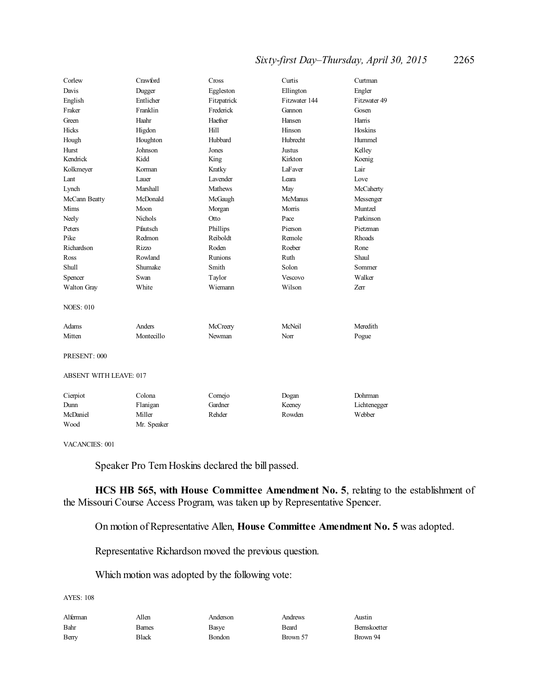# *Sixty-first Day–Thursday, April 30, 2015* 2265

| Corlew                        | Crawford       | Cross           | Curtis          | Curtman       |
|-------------------------------|----------------|-----------------|-----------------|---------------|
| Davis                         | Dugger         | Eggleston       | Ellington       | Engler        |
| English                       | Entlicher      | Fitzpatrick     | Fitzwater 144   | Fitzwater 49  |
| Fraker                        | Franklin       | Frederick       | Gannon          | Gosen         |
| Green                         | Haahr          | Haefner         | Hansen          | Harris        |
| Hicks                         | Higdon         | Hill            | Hinson          | Hoskins       |
| Hough                         | Houghton       | Hubbard         | <b>Hubrecht</b> | Hummel        |
| Hurst                         | Johnson        | Jones           | <b>Justus</b>   | Kelley        |
| Kendrick                      | Kidd           | King            | Kirkton         | Koenig        |
| Kolkmeyer                     | Korman         | Kratky          | LaFaver         | Lair          |
| Lant                          | Lauer          | <b>Lavender</b> | Leara           | Love          |
| Lynch                         | Marshall       | <b>Mathews</b>  | May             | McCaherty     |
| McCann Beatty                 | McDonald       | McGaugh         | <b>McManus</b>  | Messenger     |
| Mims                          | Moon           | Morgan          | Morris          | Muntzel       |
| Neely                         | <b>Nichols</b> | Otto            | Pace            | Parkinson     |
| Peters                        | Pfautsch       | Phillips        | Pierson         | Pietzman      |
| Pike                          | Redmon         | Reiboldt        | Remole          | <b>Rhoads</b> |
| Richardson                    | Rizzo          | Roden           | Roeber          | Rone          |
| Ross                          | Rowland        | Runions         | Ruth            | Shaul         |
| Shull                         | Shumake        | Smith           | Solon           | Sommer        |
| Spencer                       | Swan           | Taylor          | <b>Vescovo</b>  | Walker        |
| Walton Gray                   | White          | Wiemann         | Wilson          | Zerr          |
| <b>NOES: 010</b>              |                |                 |                 |               |
| Adams                         | Anders         | McCreery        | McNeil          | Meredith      |
| Mitten                        | Montecillo     | Newman          | Norr            | Pogue         |
| PRESENT: 000                  |                |                 |                 |               |
| <b>ABSENT WITH LEAVE: 017</b> |                |                 |                 |               |
| Cierpiot                      | Colona         | Cornejo         | Dogan           | Dohrman       |
| Dunn                          | Flanigan       | Gardner         | Keeney          | Lichtenegger  |
| McDaniel                      | Miller         | Rehder          | Rowden          | Webber        |
| Wood                          | Mr. Speaker    |                 |                 |               |

VACANCIES: 001

Speaker Pro Tem Hoskins declared the bill passed.

**HCS HB 565, with House Committee Amendment No. 5**, relating to the establishment of the Missouri Course Access Program, was taken up by Representative Spencer.

On motion of Representative Allen, **House Committee Amendment No. 5** was adopted.

Representative Richardson moved the previous question.

Which motion was adopted by the following vote:

| Alferman | Allen         | Anderson | Andrews  | Austin       |
|----------|---------------|----------|----------|--------------|
| Bahr     | <b>Barnes</b> | Basye    | Beard    | Bernskoetter |
| Berry    | <b>Black</b>  | Bondon   | Brown 57 | Brown 94     |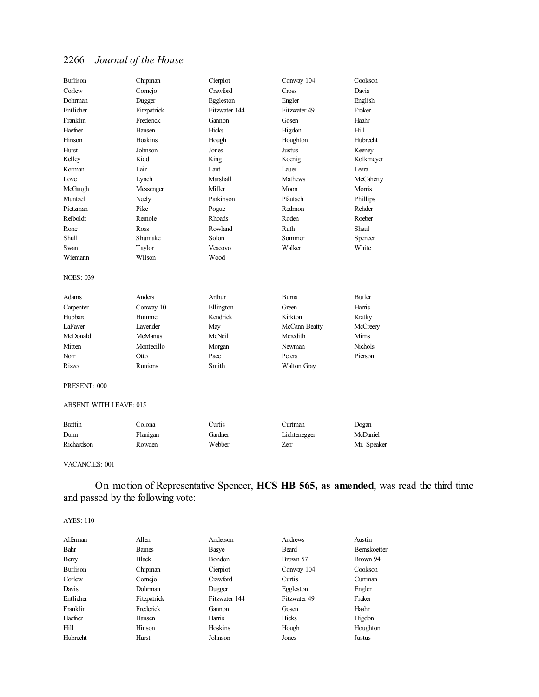| <b>Burlison</b>  | Chipman         | Cierpiot      | Conway 104     | Cookson        |
|------------------|-----------------|---------------|----------------|----------------|
| Corlew           | Cornejo         | Crawford      | Cross          | Davis          |
| Dohrman          | Dugger          | Eggleston     | Engler         | English        |
| Entlicher        | Fitzpatrick     | Fitzwater 144 | Fitzwater 49   | Fraker         |
| Franklin         | Frederick       | Gannon        | Gosen          | Haahr          |
| Haefner          | Hansen          | Hicks         | Higdon         | Hill           |
| Hinson           | Hoskins         | Hough         | Houghton       | Hubrecht       |
| Hurst            | Johnson         | Jones         | Justus         | Keeney         |
| Kelley           | Kidd            | King          | Koenig         | Kolkmeyer      |
| Korman           | Lair            | Lant          | Lauer          | Leara          |
| Love             | Lynch           | Marshall      | <b>Mathews</b> | McCaherty      |
| McGaugh          | Messenger       | Miller        | Moon           | Morris         |
| Muntzel          | Neely           | Parkinson     | Pfautsch       | Phillips       |
| Pietzman         | Pike            | Pogue         | Redmon         | Rehder         |
| Reiboldt         | Remole          | Rhoads        | Roden          | Roeber         |
| Rone             | <b>Ross</b>     | Rowland       | Ruth           | Shaul          |
| <b>Shull</b>     | Shumake         | Solon         | Sommer         | Spencer        |
| Swan             | Taylor          | Vescovo       | Walker         | White          |
| Wiemann          | Wilson          | Wood          |                |                |
| <b>NOES: 039</b> |                 |               |                |                |
| Adams            | Anders          | Arthur        | <b>Burns</b>   | <b>Butler</b>  |
| Carpenter        | Conway 10       | Ellington     | Green          | Harris         |
| Hubbard          | Hummel          | Kendrick      | Kirkton        | Kratky         |
| LaFaver          | <b>Lavender</b> | May           | McCann Beatty  | McCreery       |
| McDonald         | <b>McManus</b>  | McNeil        | Meredith       | Mims           |
| Mitten           | Montecillo      | Morgan        | Newman         | <b>Nichols</b> |
| Norr             | Otto            | Pace          | Peters         | Pierson        |
| <b>Rizzo</b>     | Runions         | Smith         | Walton Gray    |                |
|                  |                 |               |                |                |

PRESENT: 000

### ABSENT WITH LEAVE: 015

| <b>Brattin</b> | `olona   | Curtis  | . \urtman    | Dogan       |
|----------------|----------|---------|--------------|-------------|
| Dunn           | Flanigan | Gardner | Lichtenegger | McDaniel    |
| Richardson     | Rowden   | Webber  | Zerr         | Mr. Speaker |

#### VACANCIES: 001

On motion of Representative Spencer, **HCS HB 565, as amended**, was read the third time and passed by the following vote:

| Alferman  | Allen         | Anderson      | Andrews      | Austin              |
|-----------|---------------|---------------|--------------|---------------------|
| Bahr      | <b>Barnes</b> | Basye         | Beard        | <b>Bernskoetter</b> |
| Berry     | <b>Black</b>  | Bondon        | Brown 57     | Brown 94            |
| Burlison  | Chipman       | Cierpiot      | Conway 104   | Cookson             |
| Corlew    | Comejo        | Crawford      | Curtis       | Curtman             |
| Davis     | Dohrman       | Dugger        | Eggleston    | Engler              |
| Entlicher | Fitzpatrick   | Fitzwater 144 | Fitzwater 49 | Fraker              |
| Franklin  | Frederick     | Gannon        | Gosen        | Haahr               |
| Haefner   | Hansen        | Harris        | Hicks        | Higdon              |
| Hill      | Hinson        | Hoskins       | Hough        | Houghton            |
| Hubrecht  | Hurst         | Johnson       | Jones        | Justus              |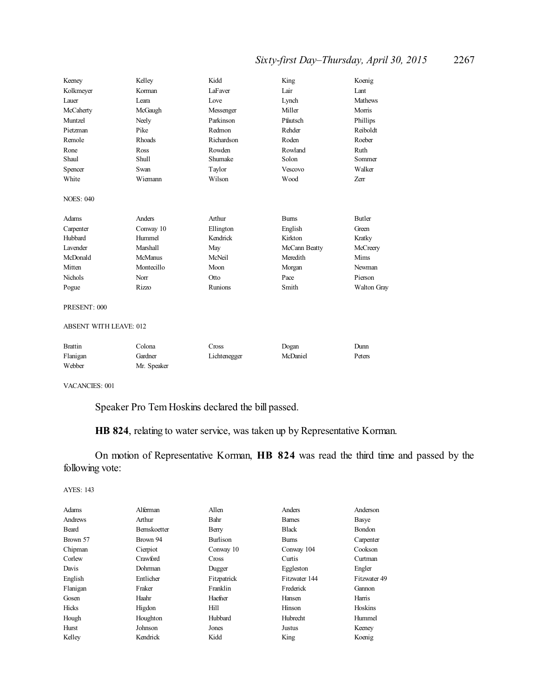# *Sixty-first Day–Thursday, April 30, 2015* 2267

| Keeney                        | Kelley         | Kidd         | King          | Koenig         |
|-------------------------------|----------------|--------------|---------------|----------------|
| Kolkmeyer                     | Korman         | LaFaver      | Lair          | Lant           |
| Lauer                         | I eara         | Love         | Lynch         | <b>Mathews</b> |
| McCaherty                     | McGaugh        | Messenger    | Miller        | Morris         |
| Muntzel                       | Neely          | Parkinson    | Pfautsch      | Phillips       |
| Pietzman                      | Pike           | Redmon       | Rehder        | Reiboldt       |
| Remole                        | <b>Rhoads</b>  | Richardson   | Roden         | Roeber         |
| Rone                          | Ross           | Rowden       | Rowland       | Ruth           |
| Shaul                         | <b>Shull</b>   | Shumake      | Solon         | Sommer         |
| Spencer                       | Swan           | Taylor       | Vescovo       | Walker         |
| White                         | Wiemann        | Wilson       | Wood          | Zerr           |
| <b>NOES: 040</b>              |                |              |               |                |
| Adams                         | Anders         | Arthur       | <b>Burns</b>  | <b>Butler</b>  |
| Carpenter                     | Conway 10      | Ellington    | English       | Green          |
| Hubbard                       | Hummel         | Kendrick     | Kirkton       | Kratky         |
| Lavender                      | Marshall       | May          | McCann Beatty | McCreery       |
| McDonald                      | <b>McManus</b> | McNeil       | Meredith      | Mims           |
| Mitten                        | Montecillo     | Moon         | Morgan        | Newman         |
| <b>Nichols</b>                | Norr           | Otto         | Pace          | Pierson        |
| Pogue                         | <b>Rizzo</b>   | Runions      | Smith         | Walton Gray    |
| PRESENT: 000                  |                |              |               |                |
| <b>ABSENT WITH LEAVE: 012</b> |                |              |               |                |
| <b>Brattin</b>                | Colona         | Cross        | Dogan         | Dunn           |
| Flanigan                      | Gardner        | Lichtenegger | McDaniel      | Peters         |
| Webber                        | Mr. Speaker    |              |               |                |

VACANCIES: 001

Speaker Pro Tem Hoskins declared the bill passed.

**HB 824**, relating to water service, was taken up by Representative Korman.

On motion of Representative Korman, **HB 824** was read the third time and passed by the following vote:

| Adams    | Alferman            | Allen        | Anders        | Anderson     |
|----------|---------------------|--------------|---------------|--------------|
| Andrews  | Arthur              | Bahr         | <b>Barnes</b> | Basye        |
| Beard    | <b>Bernskoetter</b> | Berry        | <b>Black</b>  | Bondon       |
| Brown 57 | Brown 94            | Burlison     | <b>Bums</b>   | Carpenter    |
| Chipman  | Cierpiot            | Conway 10    | Conway 104    | Cookson      |
| Corlew   | Crawford            | <b>Cross</b> | Curtis        | Curtman      |
| Davis    | Dohrman             | Dugger       | Eggleston     | Engler       |
| English  | Entlicher           | Fitzpatrick  | Fitzwater 144 | Fitzwater 49 |
| Flanigan | Fraker              | Franklin     | Frederick     | Gannon       |
| Gosen    | Haahr               | Haefner      | Hansen        | Harris       |
| Hicks    | Higdon              | Hill         | Hinson        | Hoskins      |
| Hough    | Houghton            | Hubbard      | Hubrecht      | Hummel       |
| Hurst    | Johnson             | Jones        | Justus        | Keeney       |
| Kelley   | Kendrick            | Kidd         | King          | Koenig       |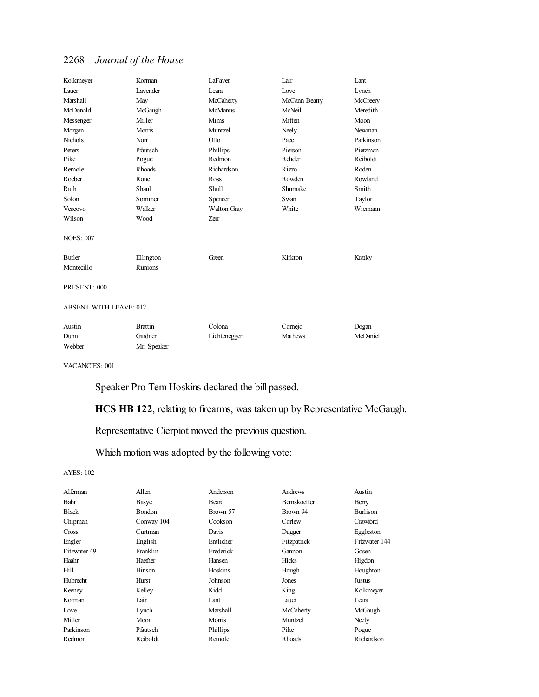| Kolkmeyer                     | Korman                    | LaFaver     | Lair          | Lant         |
|-------------------------------|---------------------------|-------------|---------------|--------------|
| Lauer                         | Lavender                  | Leara       | Love          | Lynch        |
| Marshall                      | May                       | McCaherty   | McCann Beatty | McCreery     |
| McDonald                      | McGaugh                   | McManus     | McNeil        | Meredith     |
| Messenger                     | Miller                    | Mims        | Mitten        | Moon         |
| Morgan                        | Morris                    | Muntzel     | Neely         | Newman       |
| Nichols                       | Norr                      | Otto        | Pace          | Parkinson    |
| Peters                        | Pfautsch                  | Phillips    | Pierson       | Pietzman     |
| Pike                          | Pogue                     | Redmon      | Rehder        | Reiboldt     |
| Remole                        | Rhoads                    | Richardson  | <b>Rizzo</b>  | Roden        |
| Roeber                        | Rone                      | Ross        | Rowden        | Rowland      |
| Ruth                          | Shaul                     | Shull       | Shumake       | Smith        |
| Solon                         | Sommer                    | Spencer     | Swan          | Taylor       |
| Vescovo                       | Walker                    | Walton Gray | White         | Wiemann      |
| Wilson                        | Wood                      | Zerr        |               |              |
| <b>NOES: 007</b>              |                           |             |               |              |
| Butler                        | Ellington                 | Green       | Kirkton       | Kratky       |
| Montecillo                    | Runions                   |             |               |              |
| PRESENT: 000                  |                           |             |               |              |
| <b>ABSENT WITH LEAVE: 012</b> |                           |             |               |              |
| $\lambda$ $\lambda$           | $\mathbf{r}$ $\mathbf{r}$ | $\sim$ 1    | $\sim$ $\sim$ | $\mathbf{r}$ |

| Austin | Brattin     | Colona       | Corneio        | Dogan    |
|--------|-------------|--------------|----------------|----------|
| Dunn   | Gardner     | Lichtenegger | <b>Mathews</b> | McDaniel |
| Webber | Mr. Speaker |              |                |          |

VACANCIES: 001

Speaker Pro Tem Hoskins declared the bill passed.

**HCS HB 122**, relating to firearms, was taken up by Representative McGaugh.

Representative Cierpiot moved the previous question.

Which motion was adopted by the following vote:

| Alferman     | Allen         | Anderson        | Andrews            | Austin          |
|--------------|---------------|-----------------|--------------------|-----------------|
| Bahr         | Basye         | Beard           | <b>Bemskoetter</b> | Berry           |
| <b>Black</b> | <b>Bondon</b> | Brown 57        | Brown 94           | <b>Burlison</b> |
| Chipman      | Conway 104    | Cookson         | Corlew             | Crawford        |
| <b>Cross</b> | Curtman       | Davis           | Dugger             | Eggleston       |
| Engler       | English       | Entlicher       | Fitzpatrick        | Fitzwater 144   |
| Fitzwater 49 | Franklin      | Frederick       | Gannon             | Gosen           |
| Haahr        | Haefner       | Hansen          | Hicks              | Higdon          |
| Hill         | Hinson        | Hoskins         | Hough              | Houghton        |
| Hubrecht     | Hurst         | Johnson         | Jones              | Justus          |
| Keeney       | Kelley        | Kidd            | King               | Kolkmeyer       |
| Korman       | Lair          | Lant            | Lauer              | Leara           |
| Love         | Lynch         | <b>Marshall</b> | McCaherty          | McGaugh         |
| Miller       | Moon          | Morris          | Muntzel            | Neely           |
| Parkinson    | Pfautsch      | Phillips        | Pike               | Pogue           |
| Redmon       | Reiboldt      | Remole          | Rhoads             | Richardson      |
|              |               |                 |                    |                 |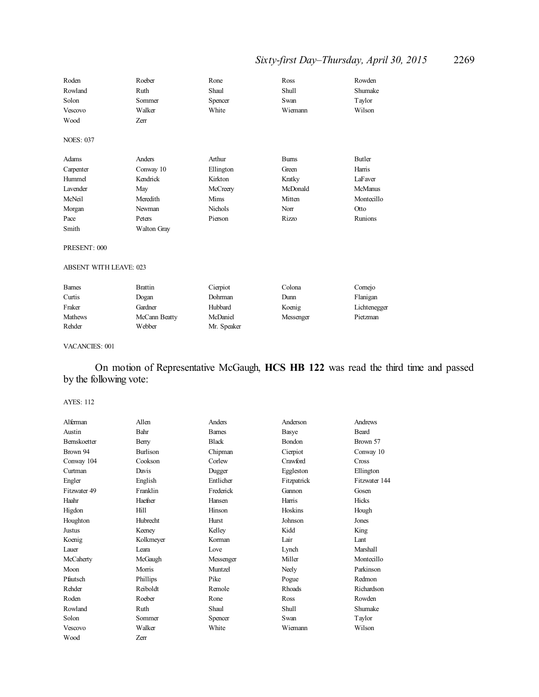# *Sixty-first Day–Thursday, April 30, 2015* 2269

| Roden                         | Roeber         | Rone           | Ross         | Rowden         |
|-------------------------------|----------------|----------------|--------------|----------------|
| Rowland                       | Ruth           | Shaul          | <b>Shull</b> | Shumake        |
| Solon                         | Sommer         | Spencer        | Swan         | Taylor         |
| Vescovo                       | Walker         | White          | Wiemann      | Wilson         |
| Wood                          | Zerr           |                |              |                |
| <b>NOES: 037</b>              |                |                |              |                |
| Adams                         | Anders         | Arthur         | <b>Burns</b> | <b>Butler</b>  |
| Carpenter                     | Conway 10      | Ellington      | Green        | Harris         |
| Hummel                        | Kendrick       | Kirkton        | Kratky       | LaFaver        |
| Lavender                      | May            | McCreery       | McDonald     | <b>McManus</b> |
| McNeil                        | Meredith       | Mims           | Mitten       | Montecillo     |
| Morgan                        | Newman         | <b>Nichols</b> | Norr         | Otto           |
| Pace                          | Peters         | Pierson        | Rizzo        | Runions        |
| Smith                         | Walton Gray    |                |              |                |
| PRESENT: 000                  |                |                |              |                |
| <b>ABSENT WITH LEAVE: 023</b> |                |                |              |                |
| <b>Barnes</b>                 | <b>Brattin</b> | Cierpiot       | Colona       | Comejo         |
| Curtis                        | Dogan          | Dohrman        | Dunn         | Flanigan       |
| Fraker                        | Gardner        | Hubbard        | Koenig       | Lichtenegger   |
| <b>Mathews</b>                | McCann Beatty  | McDaniel       | Messenger    | Pietzman       |
| Rehder                        | Webber         | Mr. Speaker    |              |                |

# VACANCIES: 001

# On motion of Representative McGaugh, **HCS HB 122** was read the third time and passed by the following vote:

| Alferman            | Allen           | Anders        | Anderson      | Andrews       |
|---------------------|-----------------|---------------|---------------|---------------|
| Austin              | Bahr            | <b>Barnes</b> | Basye         | Beard         |
| <b>Bernskoetter</b> | Berry           | <b>Black</b>  | Bondon        | Brown 57      |
| Brown 94            | <b>Burlison</b> | Chipman       | Cierpiot      | Conway 10     |
| Conway 104          | Cookson         | Corlew        | Crawford      | Cross         |
| Curtman             | Davis           | Dugger        | Eggleston     | Ellington     |
| Engler              | English         | Entlicher     | Fitzpatrick   | Fitzwater 144 |
| Fitzwater 49        | Franklin        | Frederick     | Gannon        | Gosen         |
| Haahr               | Haefner         | Hansen        | Harris        | Hicks         |
| Higdon              | Hill            | Hinson        | Hoskins       | Hough         |
| Houghton            | Hubrecht        | Hurst         | Johnson       | Jones         |
| Justus              | Keeney          | Kelley        | Kidd          | King          |
| Koenig              | Kolkmeyer       | Korman        | Lair          | Lant          |
| Lauer               | Leara           | Love          | Lynch         | Marshall      |
| McCaherty           | McGaugh         | Messenger     | Miller        | Montecillo    |
| Moon                | Morris          | Muntzel       | Neely         | Parkinson     |
| Pfautsch            | Phillips        | Pike          | Pogue         | Redmon        |
| Rehder              | Reiboldt        | Remole        | <b>Rhoads</b> | Richardson    |
| Roden               | Roeber          | Rone          | Ross          | Rowden        |
| Rowland             | Ruth            | Shaul         | Shull         | Shumake       |
| Solon               | Sommer          | Spencer       | Swan          | Taylor        |
| Vescovo             | Walker          | White         | Wiemann       | Wilson        |
| Wood                | Zerr            |               |               |               |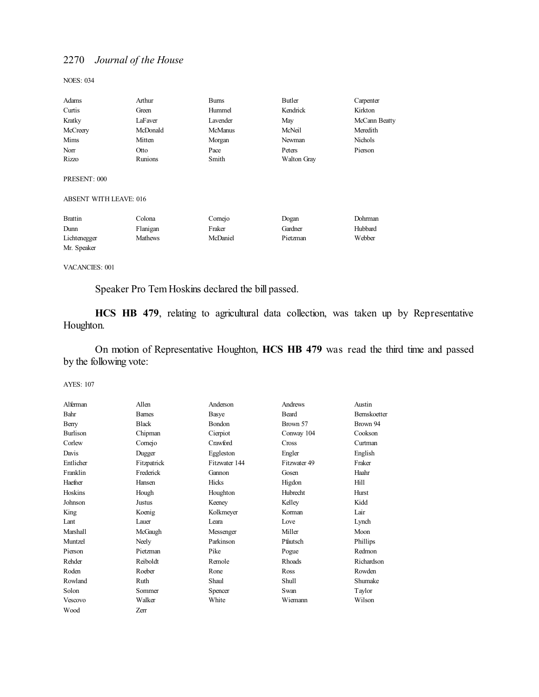NOES: 034

| Adams                         | Arthur   | <b>Bums</b>    | Butler             | Carpenter      |
|-------------------------------|----------|----------------|--------------------|----------------|
| Curtis                        | Green    | Hummel         | Kendrick           | Kirkton        |
| Kratky                        | LaFaver  | Lavender       | May                | McCann Beatty  |
| McCreery                      | McDonald | <b>McManus</b> | McNeil             | Meredith       |
| Mims                          | Mitten   | Morgan         | Newman             | <b>Nichols</b> |
| Norr                          | Otto     | Pace           | Peters             | Pierson        |
| Rizzo                         | Runions  | Smith          | <b>Walton Gray</b> |                |
| PRESENT: 000                  |          |                |                    |                |
| <b>ABSENT WITH LEAVE: 016</b> |          |                |                    |                |
| <b>Brattin</b>                | Colona   | Cornejo        | Dogan              | Dohrman        |
| Dunn                          | Flanigan | Fraker         | Gardner            | Hubbard        |
| Lichtenegger                  | Mathews  | McDaniel       | Pietzman           | Webber         |
| Mr. Speaker                   |          |                |                    |                |

VACANCIES: 001

Speaker Pro Tem Hoskins declared the bill passed.

**HCS HB 479**, relating to agricultural data collection, was taken up by Representative Houghton.

On motion of Representative Houghton, **HCS HB 479** was read the third time and passed by the following vote:

| Alferman        | Allen         | Anderson      | Andrews         | Austin              |
|-----------------|---------------|---------------|-----------------|---------------------|
| Bahr            | <b>Barnes</b> | Basye         | <b>Beard</b>    | <b>Bernskoetter</b> |
| Berry           | <b>Black</b>  | <b>Bondon</b> | Brown 57        | Brown 94            |
| <b>Burlison</b> | Chipman       | Cierpiot      | Conway 104      | Cookson             |
|                 |               |               |                 |                     |
| Corlew          | Comejo        | Crawford      | Cross           | Curtman             |
| Davis           | Dugger        | Eggleston     | Engler          | English             |
| Entlicher       | Fitzpatrick   | Fitzwater 144 | Fitzwater 49    | Fraker              |
| Franklin        | Frederick     | Gannon        | Gosen           | Haahr               |
| Haefner         | Hansen        | Hicks         | Higdon          | Hill                |
| Hoskins         | Hough         | Houghton      | <b>Hubrecht</b> | Hurst               |
| Johnson         | Justus        | Keeney        | Kelley          | Kidd                |
| King            | Koenig        | Kolkmeyer     | Korman          | Lair                |
| Lant            | Lauer         | I eara        | Love            | Lynch               |
| Marshall        | McGaugh       | Messenger     | Miller          | Moon                |
| Muntzel         | Neely         | Parkinson     | Pfautsch        | Phillips            |
| Pierson         | Pietzman      | Pike          | Pogue           | Redmon              |
| Rehder          | Reiboldt      | Remole        | <b>Rhoads</b>   | Richardson          |
| Roden           | Roeber        | Rone          | Ross            | Rowden              |
| Rowland         | Ruth          | Shaul         | Shull           | Shumake             |
| Solon           | Sommer        | Spencer       | Swan            | Taylor              |
| Vescovo         | Walker        | White         | Wiemann         | Wilson              |
| Wood            | <b>Zerr</b>   |               |                 |                     |
|                 |               |               |                 |                     |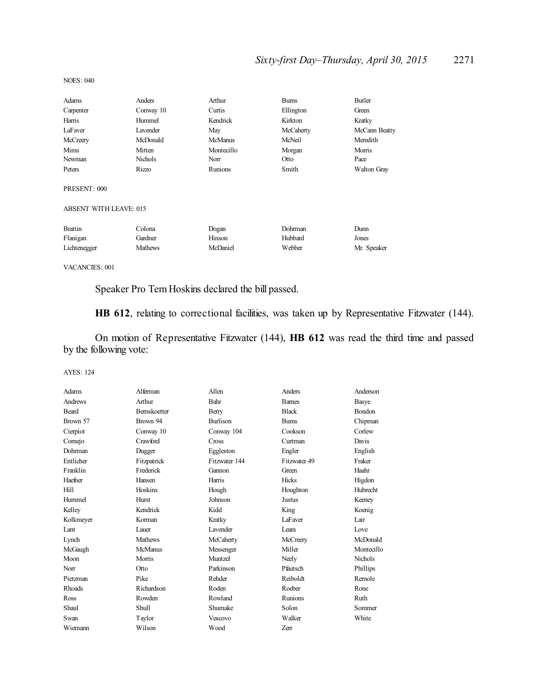# *Sixty-first Day–Thursday, April 30, 2015* 2271

| Adams                         | Anders         | Arthur         | <b>Burns</b> | Butler        |
|-------------------------------|----------------|----------------|--------------|---------------|
| Carpenter                     | Conway 10      | Curtis         | Ellington    | Green         |
| Harris                        | Hummel         | Kendrick       | Kirkton      | Kratky        |
| LaFaver                       | Lavender       | May            | McCaherty    | McCann Beatty |
| McCreery                      | McDonald       | <b>McManus</b> | McNeil       | Meredith      |
| Mims                          | Mitten         | Montecillo     | Morgan       | Morris        |
| Newman                        | <b>Nichols</b> | Norr           | Otto         | Pace          |
| Peters                        | Rizzo          | Runions        | Smith        | Walton Gray   |
| PRESENT: 000                  |                |                |              |               |
| <b>ABSENT WITH LEAVE: 015</b> |                |                |              |               |
| <b>Brattin</b>                | Colona         | Dogan          | Dohrman      | Dunn          |
| Flanigan                      | Gardner        | Hinson         | Hubbard      | Jones         |
| Lichtenegger                  | <b>Mathews</b> | McDaniel       | Webber       | Mr. Speaker   |

NOES: 040

VACANCIES: 001

Speaker Pro Tem Hoskins declared the bill passed.

**HB 612**, relating to correctional facilities, was taken up by Representative Fitzwater (144).

On motion of Representative Fitzwater (144), **HB 612** was read the third time and passed by the following vote:

| Adams     | Alferman       | Allen           | Anders       | Anderson       |
|-----------|----------------|-----------------|--------------|----------------|
| Andrews   | Arthur         | Bahr            | <b>Bames</b> | Basye          |
| Beard     | Bernskoetter   | Berry           | <b>Black</b> | Bondon         |
| Brown 57  | Brown 94       | <b>Burlison</b> | <b>Bums</b>  | Chipman        |
| Cierpiot  | Conway 10      | Conway 104      | Cookson      | Corlew         |
| Comejo    | Crawford       | Cross           | Curtman      | Davis          |
| Dohrman   | Dugger         | Eggleston       | Engler       | English        |
| Entlicher | Fitzpatrick    | Fitzwater 144   | Fitzwater 49 | Fraker         |
| Franklin  | Frederick      | Gannon          | Green        | Haahr          |
| Haefner   | Hansen         | Harris          | Hicks        | Higdon         |
| Hill      | Hoskins        | Hough           | Houghton     | Hubrecht       |
| Hummel    | Hurst          | Johnson         | Justus       | Keeney         |
| Kelley    | Kendrick       | Kidd            | King         | Koenig         |
| Kolkmeyer | Korman         | Kratky          | LaFaver      | Lair           |
| Lant      | Lauer          | Lavender        | Leara        | Love           |
| Lynch     | <b>Mathews</b> | McCaherty       | McCreery     | McDonald       |
| McGaugh   | <b>McManus</b> | Messenger       | Miller       | Montecillo     |
| Moon      | Morris         | Muntzel         | Neely        | <b>Nichols</b> |
| Norr      | Otto           | Parkinson       | Pfautsch     | Phillips       |
| Pietzman  | Pike           | Rehder          | Reiboldt     | Remole         |
| Rhoads    | Richardson     | Roden           | Roeber       | Rone           |
| Ross      | Rowden         | Rowland         | Runions      | Ruth           |
| Shaul     | Shull          | Shumake         | Solon        | Sommer         |
| Swan      | Taylor         | Vescovo         | Walker       | White          |
| Wiemann   | Wilson         | Wood            | Zerr         |                |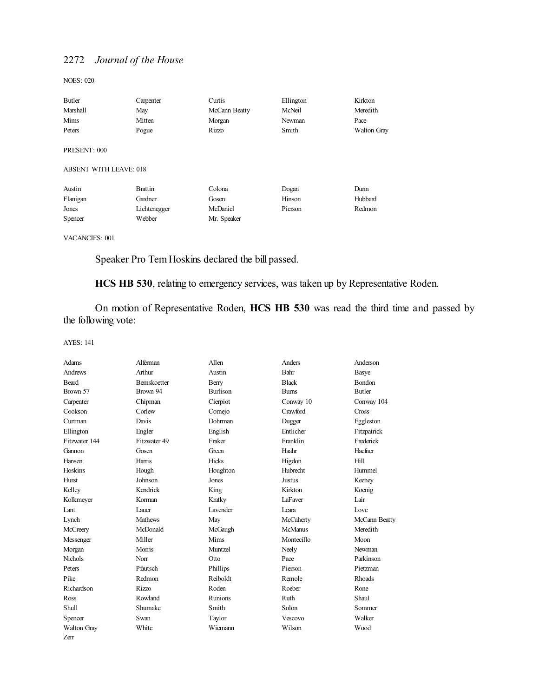NOES: 020

| Butler                                        | Carpenter      | Curtis        | Ellington | Kirkton            |
|-----------------------------------------------|----------------|---------------|-----------|--------------------|
| Marshall                                      | May            | McCann Beatty | McNeil    | Meredith           |
| Mims                                          | Mitten         | Morgan        | Newman    | Pace               |
| Peters                                        | Pogue          | Rizzo         | Smith     | <b>Walton Gray</b> |
| PRESENT: 000<br><b>ABSENT WITH LEAVE: 018</b> |                |               |           |                    |
| Austin                                        | <b>Brattin</b> | Colona        | Dogan     | Dunn               |
| Flanigan                                      | Gardner        | Gosen         | Hinson    | Hubbard            |
| Jones                                         | Lichtenegger   | McDaniel      | Pierson   | Redmon             |
| Spencer                                       | Webber         | Mr. Speaker   |           |                    |
|                                               |                |               |           |                    |

VACANCIES: 001

Speaker Pro Tem Hoskins declared the bill passed.

**HCS HB 530**, relating to emergency services, was taken up by Representative Roden.

On motion of Representative Roden, **HCS HB 530** was read the third time and passed by the following vote:

| Adams          | Alferman            | Allen           | Anders         | Anderson      |
|----------------|---------------------|-----------------|----------------|---------------|
| Andrews        | Arthur              | Austin          | Bahr           | Basye         |
| Beard          | <b>Bernskoetter</b> | Berry           | <b>Black</b>   | <b>Bondon</b> |
| Brown 57       | Brown 94            | Burlison        | <b>Bums</b>    | Butler        |
| Carpenter      | Chipman             | Cierpiot        | Conway 10      | Conway 104    |
| Cookson        | Corlew              | Comejo          | Crawford       | Cross         |
| Curtman        | Davis               | Dohrman         | Dugger         | Eggleston     |
| Ellington      | Engler              | English         | Entlicher      | Fitzpatrick   |
| Fitzwater 144  | Fitzwater 49        | Fraker          | Franklin       | Frederick     |
| Gannon         | Gosen               | Green           | Haahr          | Haefner       |
| Hansen         | Harris              | Hicks           | Higdon         | Hill          |
| Hoskins        | Hough               | Houghton        | Hubrecht       | Hummel        |
| Hurst          | Johnson             | Jones           | <b>Justus</b>  | Keeney        |
| Kelley         | Kendrick            | King            | Kirkton        | Koenig        |
| Kolkmeyer      | Korman              | Kratky          | LaFaver        | Lair          |
| Lant           | Lauer               | <b>Lavender</b> | Leara          | Love          |
| Lynch          | <b>Mathews</b>      | May             | McCaherty      | McCann Beatty |
| McCreery       | McDonald            | McGaugh         | <b>McManus</b> | Meredith      |
| Messenger      | Miller              | <b>Mims</b>     | Montecillo     | Moon          |
| Morgan         | Morris              | Muntzel         | Neely          | Newman        |
| <b>Nichols</b> | Norr                | Otto            | Pace           | Parkinson     |
| Peters         | Pfautsch            | Phillips        | Pierson        | Pietzman      |
| Pike           | Redmon              | Reiboldt        | Remole         | <b>Rhoads</b> |
| Richardson     | <b>Rizzo</b>        | Roden           | Roeber         | Rone          |
| Ross           | Rowland             | Runions         | Ruth           | Shaul         |
| <b>Shull</b>   | Shumake             | Smith           | Solon          | Sommer        |
| Spencer        | Swan                | Taylor          | Vescovo        | Walker        |
| Walton Gray    | White               | Wiemann         | Wilson         | Wood          |
| Zerr           |                     |                 |                |               |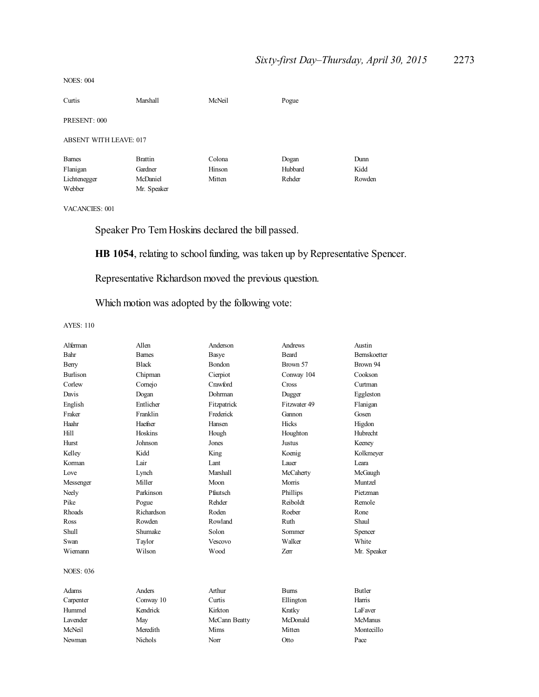#### NOES: 004

| Curtis                        | Marshall       | McNeil | Pogue   |        |
|-------------------------------|----------------|--------|---------|--------|
| PRESENT: 000                  |                |        |         |        |
| <b>ABSENT WITH LEAVE: 017</b> |                |        |         |        |
| <b>Barnes</b>                 | <b>Brattin</b> | Colona | Dogan   | Dunn   |
| Flanigan                      | Gardner        | Hinson | Hubbard | Kidd   |
| Lichtenegger                  | McDaniel       | Mitten | Rehder  | Rowden |
| Webber                        | Mr. Speaker    |        |         |        |
|                               |                |        |         |        |

VACANCIES: 001

Speaker Pro Tem Hoskins declared the bill passed.

**HB 1054**, relating to school funding, was taken up by Representative Spencer.

Representative Richardson moved the previous question.

Which motion was adopted by the following vote:

| Allen          | Anderson      | Andrews      | Austin              |
|----------------|---------------|--------------|---------------------|
| <b>Barnes</b>  |               | Beard        | <b>Bernskoetter</b> |
| <b>Black</b>   | <b>Bondon</b> | Brown 57     | Brown 94            |
| Chipman        | Cierpiot      | Conway 104   | Cookson             |
| Cornejo        | Crawford      | Cross        | Curtman             |
| Dogan          | Dohrman       | Dugger       | Eggleston           |
| Entlicher      | Fitzpatrick   | Fitzwater 49 | Flanigan            |
| Franklin       | Frederick     | Gannon       | Gosen               |
| Haefner        | Hansen        | Hicks        | Higdon              |
| Hoskins        | Hough         | Houghton     | Hubrecht            |
| Johnson        | Jones         | Justus       | Keeney              |
| Kidd           | King          | Koenig       | Kolkmeyer           |
| Lair           | Lant          | Lauer        | Leara               |
| Lynch          | Marshall      | McCaherty    | McGaugh             |
| Miller         | Moon          | Morris       | Muntzel             |
| Parkinson      | Pfautsch      | Phillips     | Pietzman            |
| Pogue          | Rehder        | Reiboldt     | Remole              |
| Richardson     | Roden         | Roeber       | Rone                |
| Rowden         | Rowland       | Ruth         | Shaul               |
| Shumake        | Solon         | Sommer       | Spencer             |
| Taylor         | Vescovo       | Walker       | White               |
| Wilson         | Wood          | Zerr         | Mr. Speaker         |
|                |               |              |                     |
| Anders         | Arthur        | <b>Burns</b> | <b>Butler</b>       |
| Conway 10      | Curtis        | Ellington    | Harris              |
| Kendrick       | Kirkton       | Kratky       | LaFaver             |
| May            | McCann Beatty | McDonald     | McManus             |
| Meredith       | Mims          | Mitten       | Montecillo          |
| <b>Nichols</b> | Norr          | Otto         | Pace                |
|                |               | Basye        |                     |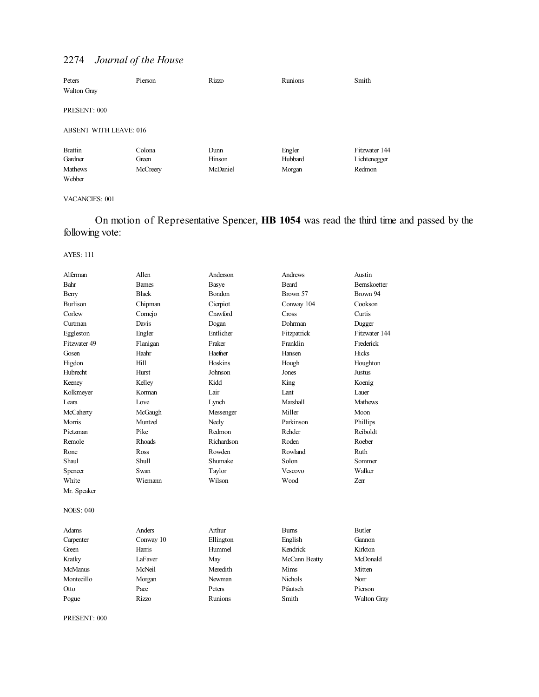| Peters<br><b>Walton Gray</b> | Pierson  | Rizzo    | <b>Runions</b> | Smith         |
|------------------------------|----------|----------|----------------|---------------|
| PRESENT: 000                 |          |          |                |               |
| ABSENT WITH LEAVE: 016       |          |          |                |               |
| <b>Brattin</b>               | Colona   | Dunn     | Engler         | Fitzwater 144 |
| Gardner                      | Green    | Hinson   | Hubbard        | Lichtenegger  |
| <b>Mathews</b>               | McCreery | McDaniel | Morgan         | Redmon        |
| Webber                       |          |          |                |               |

# VACANCIES: 001

On motion of Representative Spencer, **HB 1054** was read the third time and passed by the following vote:

### AYES: 111

| Alferman         | Allen         | Anderson     | <b>Andrews</b>  | Austin         |
|------------------|---------------|--------------|-----------------|----------------|
| Bahr             | <b>Barnes</b> | <b>Basye</b> | <b>Beard</b>    | Bernskoetter   |
| Berry            | <b>Black</b>  | Bondon       | Brown 57        | Brown 94       |
| <b>Burlison</b>  | Chipman       | Cierpiot     | Conway 104      | Cookson        |
| Corlew           | Cornejo       | Crawford     | Cross           | Curtis         |
| Curtman          | Davis         | Dogan        | Dohrman         | Dugger         |
| Eggleston        | Engler        | Entlicher    | Fitzpatrick     | Fitzwater 144  |
| Fitzwater 49     | Flanigan      | Fraker       | Franklin        | Frederick      |
| Gosen            | Haahr         | Haefner      | Hansen          | Hicks          |
| Higdon           | Hill          | Hoskins      | Hough           | Houghton       |
| Hubrecht         | Hurst         | Johnson      | Jones           | <b>Justus</b>  |
| Keeney           | Kelley        | Kidd         | King            | Koenig         |
| Kolkmeyer        | Korman        | Lair         | Lant            | Lauer          |
| Leara            | Love          | Lynch        | <b>Marshall</b> | <b>Mathews</b> |
| McCaherty        | McGaugh       | Messenger    | Miller          | Moon           |
| Morris           | Muntzel       | Neely        | Parkinson       | Phillips       |
| Pietzman         | Pike          | Redmon       | Rehder          | Reiboldt       |
| Remole           | <b>Rhoads</b> | Richardson   | Roden           | Roeber         |
| Rone             | Ross          | Rowden       | Rowland         | Ruth           |
| Shaul            | Shull         | Shumake      | Solon           | Sommer         |
| Spencer          | Swan          | Taylor       | Vescovo         | Walker         |
| White            | Wiemann       | Wilson       | Wood            | Zerr           |
| Mr. Speaker      |               |              |                 |                |
| <b>NOES: 040</b> |               |              |                 |                |
| Adams            | Anders        | Arthur       | <b>Burns</b>    | <b>Butler</b>  |
| Carpenter        | Conway 10     | Ellington    | English         | Gannon         |
| Green            | Harris        | Hummel       | Kendrick        | Kirkton        |
| Kratky           | LaFaver       | May          | McCann Beatty   | McDonald       |
| <b>McManus</b>   | McNeil        | Meredith     | Mims            | Mitten         |
| Montecillo       | Morgan        | Newman       | <b>Nichols</b>  | Norr           |
| Otto             | Pace          | Peters       | Pfautsch        | Pierson        |
| Pogue            | <b>Rizzo</b>  | Runions      | Smith           | Walton Gray    |

PRESENT: 000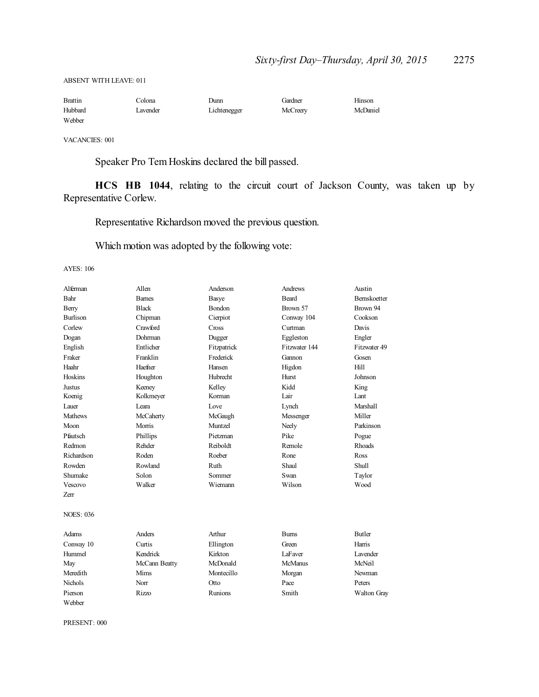ABSENT WITH LEAVE: 011

| <b>Brattin</b> | Colona   | Dunn         | Gardner  | Hinson   |
|----------------|----------|--------------|----------|----------|
| Hubbard        | Lavender | Lichtenegger | McCreery | McDaniel |
| Webber         |          |              |          |          |

VACANCIES: 001

Speaker Pro Tem Hoskins declared the bill passed.

**HCS HB 1044**, relating to the circuit court of Jackson County, was taken up by Representative Corlew.

Representative Richardson moved the previous question.

Which motion was adopted by the following vote:

AYES: 106

| Alferman         | Allen         | Anderson      | Andrews        | Austin              |
|------------------|---------------|---------------|----------------|---------------------|
| Bahr             | <b>Barnes</b> | Basye         | <b>Beard</b>   | <b>Bernskoetter</b> |
| Berry            | <b>Black</b>  | <b>Bondon</b> | Brown 57       | Brown 94            |
| Burlison         | Chipman       | Cierpiot      | Conway 104     | Cookson             |
| Corlew           | Crawford      | Cross         | Curtman        | Davis               |
| Dogan            | Dohrman       | Dugger        | Eggleston      | Engler              |
| English          | Entlicher     | Fitzpatrick   | Fitzwater 144  | Fitzwater 49        |
| Fraker           | Franklin      | Frederick     | Gannon         | Gosen               |
| Haahr            | Haefner       | Hansen        | Higdon         | Hill                |
| Hoskins          | Houghton      | Hubrecht      | Hurst          | Johnson             |
| Justus           | Keeney        | Kelley        | Kidd           | King                |
| Koenig           | Kolkmeyer     | Korman        | Lair           | Lant                |
| Lauer            | Leara         | Love          | Lynch          | <b>Marshall</b>     |
| Mathews          | McCaherty     | McGaugh       | Messenger      | Miller              |
| Moon             | Morris        | Muntzel       | Neely          | Parkinson           |
| Pfautsch         | Phillips      | Pietzman      | Pike           | Pogue               |
| Redmon           | Rehder        | Reiboldt      | Remole         | <b>Rhoads</b>       |
| Richardson       | Roden         | Roeber        | Rone           | Ross                |
| Rowden           | Rowland       | Ruth          | Shaul          | Shull               |
| Shumake          | Solon         | Sommer        | Swan           | Taylor              |
| Vescovo          | Walker        | Wiemann       | Wilson         | Wood                |
| Zerr             |               |               |                |                     |
| <b>NOES: 036</b> |               |               |                |                     |
| Adams            | Anders        | Arthur        | <b>Burns</b>   | <b>Butler</b>       |
| Conway 10        | Curtis        | Ellington     | Green          | Harris              |
| Hummel           | Kendrick      | Kirkton       | LaFaver        | <b>Lavender</b>     |
| May              | McCann Beatty | McDonald      | <b>McManus</b> | McNeil              |
| Meredith         | Mims          | Montecillo    | Morgan         | Newman              |
| <b>Nichols</b>   | Norr          | Otto          | Pace           | Peters              |
| Pierson          | <b>Rizzo</b>  | Runions       | Smith          | Walton Gray         |
| Webber           |               |               |                |                     |

PRESENT: 000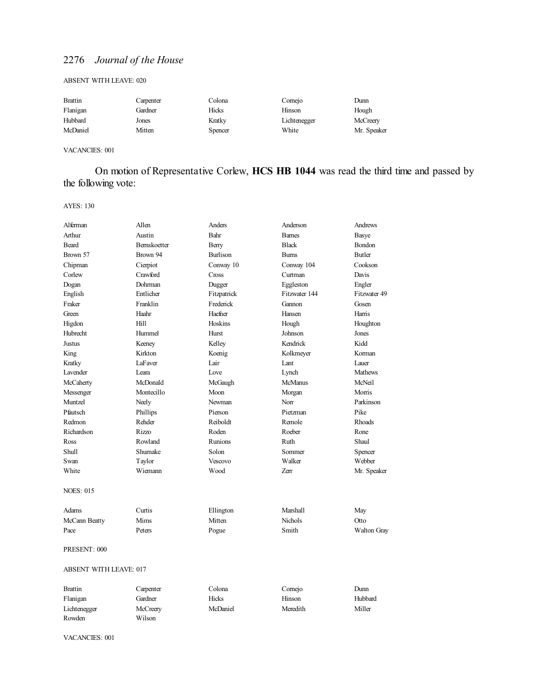### ABSENT WITH LEAVE: 020

| <b>Brattin</b> | Carpenter | Colona         | Comejo       | Dunn        |
|----------------|-----------|----------------|--------------|-------------|
| Flanigan       | Gardner   | Hicks          | Hinson       | Hough       |
| Hubbard        | Jones     | Kratky         | Lichtenegger | McCreery    |
| McDaniel       | Mitten    | <b>Spencer</b> | White        | Mr. Speaker |

### VACANCIES: 001

# On motion of Representative Corlew, **HCS HB 1044** was read the third time and passed by the following vote:

#### AYES: 130

| Alferman                      | Allen        | Anders          | Anderson       | Andrews       |  |
|-------------------------------|--------------|-----------------|----------------|---------------|--|
| Arthur                        | Austin       | Bahr            | <b>Barnes</b>  | Basye         |  |
| Beard                         | Bernskoetter | Berry           | <b>Black</b>   | Bondon        |  |
| Brown 57                      | Brown 94     | <b>Burlison</b> | Bums           | <b>Butler</b> |  |
| Chipman                       | Cierpiot     | Conway 10       | Conway 104     | Cookson       |  |
| Corlew                        | Crawford     | Cross           | Curtman        | Davis         |  |
| Dogan                         | Dohrman      | Dugger          | Eggleston      | Engler        |  |
| English                       | Entlicher    | Fitzpatrick     | Fitzwater 144  | Fitzwater 49  |  |
| Fraker                        | Franklin     | Frederick       | Gannon         | Gosen         |  |
| Green                         | Haahr        | Haefner         | Hansen         | Harris        |  |
| Higdon                        | Hill         | Hoskins         | Hough          | Houghton      |  |
| Hubrecht                      | Hummel       | Hurst           | Johnson        | Jones         |  |
| Justus                        | Keeney       | Kelley          | Kendrick       | Kidd          |  |
| King                          | Kirkton      | Koenig          | Kolkmeyer      | Korman        |  |
| Kratky                        | LaFaver      | Lair            | Lant           | Lauer         |  |
| Lavender                      | I eara       | Love            | Lynch          | Mathews       |  |
| McCaherty                     | McDonald     | McGaugh         | McManus        | McNeil        |  |
| Messenger                     | Montecillo   | Moon            | Morgan         | Morris        |  |
| Muntzel                       | Neely        | Newman          | Norr           | Parkinson     |  |
| Pfautsch                      | Phillips     | Pierson         | Pietzman       | Pike          |  |
| Redmon                        | Rehder       | Reiboldt        | Remole         | <b>Rhoads</b> |  |
| Richardson                    | Rizzo        | Roden           | Roeber         | Rone          |  |
| Ross                          | Rowland      | Runions         | Ruth           | Shaul         |  |
| Shull                         | Shumake      | Solon           | Sommer         | Spencer       |  |
| Swan                          | Taylor       | Vescovo         | Walker         | Webber        |  |
| White                         | Wiemann      | Wood            | Zerr           | Mr. Speaker   |  |
| <b>NOES: 015</b>              |              |                 |                |               |  |
| Adams                         | Curtis       | Ellington       | Marshall       | May           |  |
| McCann Beatty                 | Mims         | Mitten          | <b>Nichols</b> | Otto          |  |
| Pace                          | Peters       | Pogue           | Smith          | Walton Gray   |  |
| PRESENT: 000                  |              |                 |                |               |  |
| <b>ABSENT WITH LEAVE: 017</b> |              |                 |                |               |  |
| <b>Brattin</b>                | Carpenter    | Colona          | Cornejo        | Dunn          |  |
| Flanigan                      | Gardner      | Hicks           | Hinson         | Hubbard       |  |
| Lichtenegger                  | McCreery     | McDaniel        | Meredith       | Miller        |  |

VACANCIES: 001

Rowden Wilson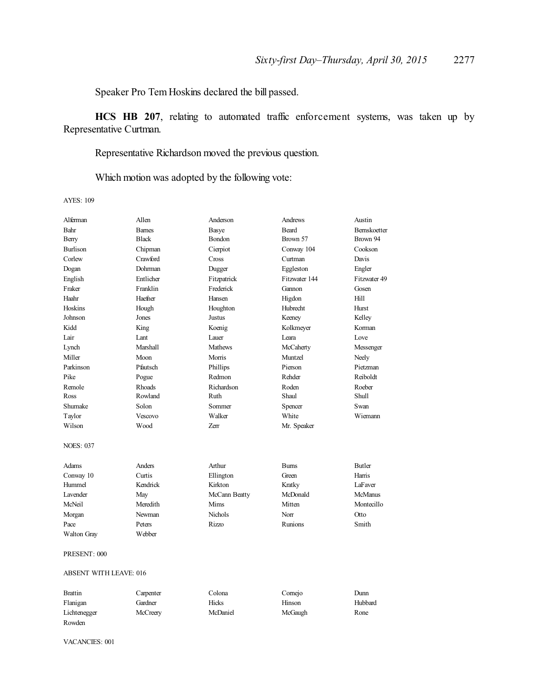Speaker Pro Tem Hoskins declared the bill passed.

**HCS HB 207**, relating to automated traffic enforcement systems, was taken up by Representative Curtman.

Representative Richardson moved the previous question.

Which motion was adopted by the following vote:

AYES: 109

| Alferman                      | Allen           | Anderson       | Andrews       | Austin         |
|-------------------------------|-----------------|----------------|---------------|----------------|
| Bahr                          | <b>Barnes</b>   | Basye          | <b>Beard</b>  | Bernskoetter   |
| Berry                         | <b>Black</b>    | Bondon         | Brown 57      | Brown 94       |
| Burlison                      | Chipman         | Cierpiot       | Conway 104    | Cookson        |
| Corlew                        | Crawford        | Cross          | Curtman       | Davis          |
| Dogan                         | <b>Dohrman</b>  | Dugger         | Eggleston     | Engler         |
| English                       | Entlicher       | Fitzpatrick    | Fitzwater 144 | Fitzwater 49   |
| Fraker                        | Franklin        | Frederick      | Gannon        | Gosen          |
| Haahr                         | Haefner         | Hansen         | Higdon        | Hill           |
| Hoskins                       | Hough           | Houghton       | Hubrecht      | Hurst          |
| Johnson                       | Jones           | Justus         | Keeney        | Kelley         |
| Kidd                          | King            | Koenig         | Kolkmeyer     | Korman         |
| Lair                          | Lant            | Lauer          | Leara         | Love           |
| Lynch                         | <b>Marshall</b> | <b>Mathews</b> | McCaherty     | Messenger      |
| Miller                        | Moon            | Morris         | Muntzel       | Neely          |
| Parkinson                     | Pfautsch        | Phillips       | Pierson       | Pietzman       |
| Pike                          | Pogue           | Redmon         | Rehder        | Reiboldt       |
| Remole                        | Rhoads          | Richardson     | Roden         | Roeber         |
| Ross                          | Rowland         | Ruth           | Shaul         | <b>Shull</b>   |
| Shumake                       | Solon           | Sommer         | Spencer       | Swan           |
| Taylor                        | Vescovo         | Walker         | White         | Wiemann        |
| Wilson                        | Wood            | Zerr           | Mr. Speaker   |                |
| <b>NOES: 037</b>              |                 |                |               |                |
| Adams                         | Anders          | Arthur         | <b>Burns</b>  | <b>Butler</b>  |
| Conway 10                     | Curtis          | Ellington      | Green         | Harris         |
| Hummel                        | Kendrick        | Kirkton        | Kratky        | LaFaver        |
| Lavender                      | May             | McCann Beatty  | McDonald      | <b>McManus</b> |
| McNeil                        | Meredith        | Mims           | Mitten        | Montecillo     |
| Morgan                        | Newman          | <b>Nichols</b> | Norr          | Otto           |
| Pace                          | Peters          | Rizzo          | Runions       | Smith          |
| Walton Gray                   | Webber          |                |               |                |
| PRESENT: 000                  |                 |                |               |                |
| <b>ABSENT WITH LEAVE: 016</b> |                 |                |               |                |
| <b>Brattin</b>                | Carpenter       | Colona         | Cornejo       | Dunn           |
| Flanigan                      | Gardner         | Hicks          | Hinson        | Hubbard        |

Lichtenegger McCreery McDaniel McGaugh Rone

VACANCIES: 001

Rowden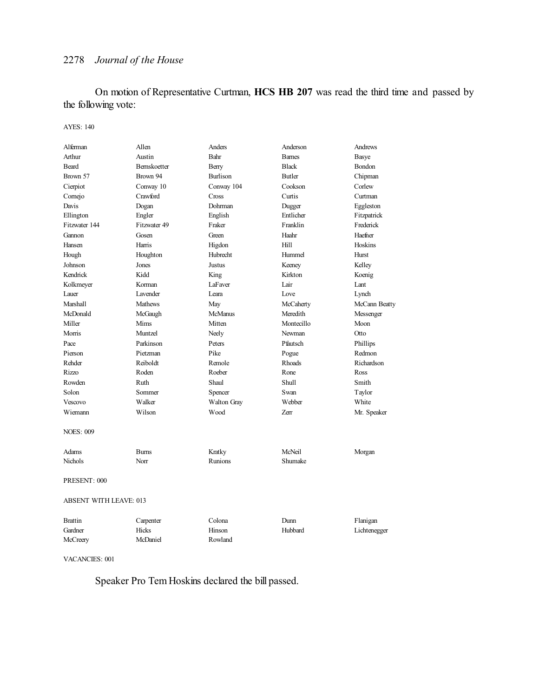On motion of Representative Curtman, **HCS HB 207** was read the third time and passed by the following vote:

#### AYES: 140

| Alferman                      | Allen               | <b>Anders</b>   | Anderson      | Andrews       |
|-------------------------------|---------------------|-----------------|---------------|---------------|
| Arthur                        | Austin              | Bahr            | <b>Bames</b>  | <b>Basye</b>  |
| <b>Beard</b>                  | <b>Bernskoetter</b> | Berry           | <b>Black</b>  | Bondon        |
| Brown 57                      | Brown 94            | <b>Burlison</b> | <b>Butler</b> | Chipman       |
| Cierpiot                      | Conway 10           | Conway 104      | Cookson       | Corlew        |
| Cornejo                       | Crawford            | Cross           | Curtis        | Curtman       |
| Davis                         | Dogan               | Dohrman         | Dugger        | Eggleston     |
| Ellington                     | Engler              | English         | Entlicher     | Fitzpatrick   |
| Fitzwater 144                 | Fitzwater 49        | Fraker          | Franklin      | Frederick     |
| Gannon                        | Gosen               | Green           | Haahr         | Haefner       |
| Hansen                        | Harris              | Higdon          | Hill          | Hoskins       |
| Hough                         | Houghton            | Hubrecht        | Hummel        | Hurst         |
| Johnson                       | Jones               | Justus          | Keeney        | Kelley        |
| Kendrick                      | Kidd                | King            | Kirkton       | Koenig        |
| Kolkmeyer                     | Korman              | LaFaver         | Lair          | Lant          |
| Lauer                         | Lavender            | Leara           | Love          | Lynch         |
| Marshall                      | Mathews             | May             | McCaherty     | McCann Beatty |
| McDonald                      | McGaugh             | <b>McManus</b>  | Meredith      | Messenger     |
| Miller                        | Mims                | Mitten          | Montecillo    | Moon          |
| Morris                        | Muntzel             | Neely           | Newman        | Otto          |
| Pace                          | Parkinson           | Peters          | Pfautsch      | Phillips      |
| Pierson                       | Pietzman            | Pike            | Pogue         | Redmon        |
| Rehder                        | Reiboldt            | Remole          | <b>Rhoads</b> | Richardson    |
| Rizzo                         | Roden               | Roeber          | Rone          | Ross          |
| Rowden                        | Ruth                | Shaul           | <b>Shull</b>  | Smith         |
| Solon                         | Sommer              | Spencer         | Swan          | Taylor        |
| Vescovo                       | Walker              | Walton Gray     | Webber        | White         |
| Wiemann                       | Wilson              | Wood            | Zerr          | Mr. Speaker   |
| <b>NOES: 009</b>              |                     |                 |               |               |
| Adams                         | <b>Bums</b>         | Kratky          | McNeil        | Morgan        |
| Nichols                       | Norr                | <b>Runions</b>  | Shumake       |               |
| PRESENT: 000                  |                     |                 |               |               |
| <b>ABSENT WITH LEAVE: 013</b> |                     |                 |               |               |
| <b>Brattin</b>                | Carpenter           | Colona          | Dunn          | Flanigan      |
| Gardner                       | Hicks               | Hinson          | Hubbard       | Lichtenegger  |

VACANCIES: 001

Speaker Pro Tem Hoskins declared the bill passed.

McCreery McDaniel Rowland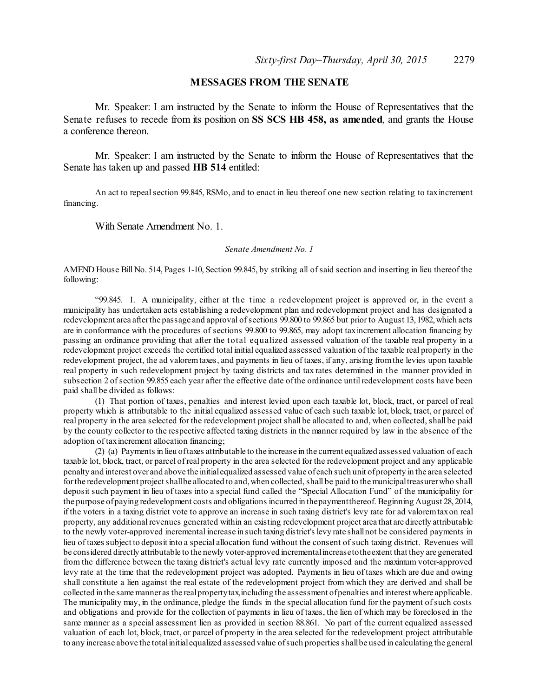# **MESSAGES FROM THE SENATE**

Mr. Speaker: I am instructed by the Senate to inform the House of Representatives that the Senate refuses to recede from its position on **SS SCS HB 458, as amended**, and grants the House a conference thereon.

Mr. Speaker: I am instructed by the Senate to inform the House of Representatives that the Senate has taken up and passed **HB 514** entitled:

An act to repealsection 99.845, RSMo, and to enact in lieu thereof one new section relating to taxincrement financing.

With Senate Amendment No. 1.

#### *Senate Amendment No. 1*

AMEND House Bill No. 514, Pages 1-10, Section 99.845, by striking all ofsaid section and inserting in lieu thereof the following:

"99.845. 1. A municipality, either at the time a redevelopment project is approved or, in the event a municipality has undertaken acts establishing a redevelopment plan and redevelopment project and has designated a redevelopment area after the passage and approval of sections 99.800 to 99.865 but prior to August 13, 1982, which acts are in conformance with the procedures of sections 99.800 to 99.865, may adopt taxincrement allocation financing by passing an ordinance providing that after the total equalized assessed valuation of the taxable real property in a redevelopment project exceeds the certified total initial equalized assessed valuation of the taxable real property in the redevelopment project, the ad valoremtaxes, and payments in lieu of taxes, if any, arising fromthe levies upon taxable real property in such redevelopment project by taxing districts and tax rates determined in the manner provided in subsection 2 of section 99.855 each year after the effective date of the ordinance until redevelopment costs have been paid shall be divided as follows:

(1) That portion of taxes, penalties and interest levied upon each taxable lot, block, tract, or parcel of real property which is attributable to the initial equalized assessed value of each such taxable lot, block, tract, or parcel of real property in the area selected for the redevelopment project shall be allocated to and, when collected, shall be paid by the county collector to the respective affected taxing districts in the manner required by law in the absence of the adoption of taxincrement allocation financing;

(2) (a) Payments in lieu oftaxes attributable to the increase in the current equalized assessed valuation of each taxable lot, block, tract, or parcel of real property in the area selected for the redevelopment project and any applicable penalty and interest over and above the initialequalized assessed value of each such unit ofproperty in the area selected for the redevelopment project shall be allocated to and, when collected, shall be paid to the municipal treasurer who shall deposit such payment in lieu of taxes into a special fund called the "Special Allocation Fund" of the municipality for the purpose ofpaying redevelopment costs and obligations incurred in thepaymentthereof. Beginning August 28,2014, if the voters in a taxing district vote to approve an increase in such taxing district's levy rate for ad valoremtaxon real property, any additional revenues generated within an existing redevelopment project area that are directly attributable to the newly voter-approved incremental increase in such taxing district's levy rate shallnot be considered payments in lieu of taxes subject to deposit into a special allocation fund without the consent ofsuch taxing district. Revenues will be considered directly attributable to the newly voter-approved incrementalincreasetothe extent that they are generated from the difference between the taxing district's actual levy rate currently imposed and the maximum voter-approved levy rate at the time that the redevelopment project was adopted. Payments in lieu of taxes which are due and owing shall constitute a lien against the real estate of the redevelopment project from which they are derived and shall be collected in the samemanneras the realpropertytax,including the assessment ofpenalties and interest where applicable. The municipality may, in the ordinance, pledge the funds in the special allocation fund for the payment ofsuch costs and obligations and provide for the collection of payments in lieu of taxes, the lien of which may be foreclosed in the same manner as a special assessment lien as provided in section 88.861. No part of the current equalized assessed valuation of each lot, block, tract, or parcel of property in the area selected for the redevelopment project attributable to any increase above the totalinitialequalized assessed value ofsuch properties shallbe used in calculating the general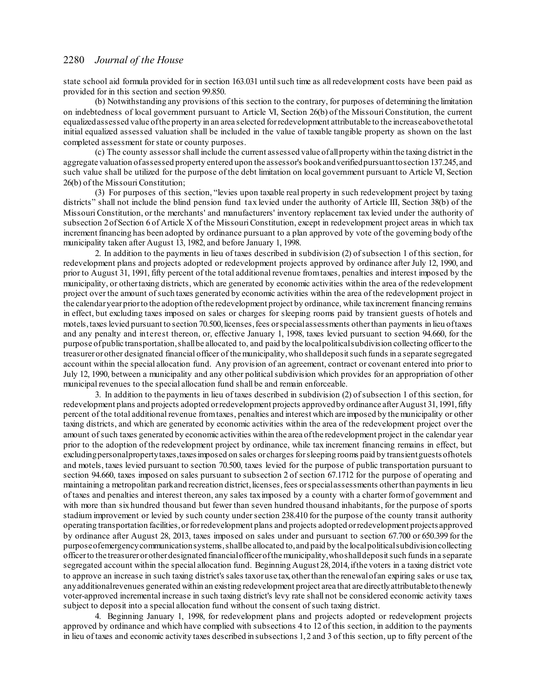state school aid formula provided for in section 163.031 untilsuch time as all redevelopment costs have been paid as provided for in this section and section 99.850.

(b) Notwithstanding any provisions of this section to the contrary, for purposes of determining the limitation on indebtedness of local government pursuant to Article VI, Section 26(b) of the Missouri Constitution, the current equalizedassessed value ofthe property in an area selected forredevelopment attributable to the increaseabovethetotal initial equalized assessed valuation shall be included in the value of taxable tangible property as shown on the last completed assessment forstate or county purposes.

(c) The county assessorshall include the current assessed value ofallproperty within the taxing district in the aggregate valuation ofassessed property entered upon the assessor's bookandverifiedpursuanttosection 137.245, and such value shall be utilized for the purpose of the debt limitation on local government pursuant to Article VI, Section 26(b) of the Missouri Constitution;

(3) For purposes of this section, "levies upon taxable real property in such redevelopment project by taxing districts" shall not include the blind pension fund tax levied under the authority of Article III, Section 38(b) of the Missouri Constitution, or the merchants' and manufacturers' inventory replacement tax levied under the authority of subsection 2 of Section 6 of Article X of the Missouri Constitution, except in redevelopment project areas in which tax increment financing has been adopted by ordinance pursuant to a plan approved by vote of the governing body ofthe municipality taken after August 13, 1982, and before January 1, 1998.

2. In addition to the payments in lieu of taxes described in subdivision (2) ofsubsection 1 of this section, for redevelopment plans and projects adopted or redevelopment projects approved by ordinance after July 12, 1990, and prior to August 31, 1991, fifty percent of the total additional revenue fromtaxes, penalties and interest imposed by the municipality, or othertaxing districts, which are generated by economic activities within the area of the redevelopment project over the amount ofsuch taxes generated by economic activities within the area of the redevelopment project in the calendaryearpriorto the adoption ofthe redevelopment project by ordinance, while taxincrement financing remains in effect, but excluding taxes imposed on sales or charges for sleeping rooms paid by transient guests of hotels and motels, taxes levied pursuant to section 70.500, licenses, fees or special assessments other than payments in lieu of taxes and any penalty and interest thereon, or, effective January 1, 1998, taxes levied pursuant to section 94.660, for the purpose ofpublic transportation,shallbe allocated to, and paid by the localpoliticalsubdivision collecting officerto the treasurerorother designated financial officer of themunicipality,who shalldepositsuch funds in a separate segregated account within the special allocation fund. Any provision of an agreement, contract or covenant entered into prior to July 12, 1990, between a municipality and any other political subdivision which provides for an appropriation of other municipal revenues to the special allocation fund shall be and remain enforceable.

3. In addition to the payments in lieu of taxes described in subdivision (2) ofsubsection 1 of this section, for redevelopment plans and projects adopted or redevelopment projects approved by ordinance after August 31, 1991, fifty percent of the total additional revenue fromtaxes, penalties and interest which are imposed by themunicipality or other taxing districts, and which are generated by economic activities within the area of the redevelopment project over the amount ofsuch taxes generated by economic activities within the area ofthe redevelopment project in the calendar year prior to the adoption of the redevelopment project by ordinance, while tax increment financing remains in effect, but excludingpersonalpropertytaxes,taxesimposed on sales orcharges forsleeping rooms paid by transientguests ofhotels and motels, taxes levied pursuant to section 70.500, taxes levied for the purpose of public transportation pursuant to section 94.660, taxes imposed on sales pursuant to subsection 2 of section 67.1712 for the purpose of operating and maintaining a metropolitan parkand recreation district, licenses, fees or special assessments other than payments in lieu of taxes and penalties and interest thereon, any sales taximposed by a county with a charter formof government and with more than six hundred thousand but fewer than seven hundred thousand inhabitants, for the purpose of sports stadium improvement or levied by such county undersection 238.410 for the purpose of the county transit authority operating transportation facilities,orforredevelopment plans and projects adopted orredevelopment projects approved by ordinance after August 28, 2013, taxes imposed on sales under and pursuant to section 67.700 or 650.399 for the purposeofemergencycommunicationsystems,shallbe allocated to, and paid by the localpoliticalsubdivisioncollecting officerto the treasurerorotherdesignated financialofficerofthemunicipality,whoshalldepositsuch funds in a separate segregated account within the special allocation fund. Beginning August 28, 2014, if the voters in a taxing district vote to approve an increase in such taxing district's sales taxoruse tax,otherthan the renewalofan expiring sales or use tax, anyadditionalrevenues generated within an existing redevelopment project area that are directlyattributable tothenewly voter-approved incremental increase in such taxing district's levy rate shall not be considered economic activity taxes subject to deposit into a special allocation fund without the consent of such taxing district.

4. Beginning January 1, 1998, for redevelopment plans and projects adopted or redevelopment projects approved by ordinance and which have complied with subsections 4 to 12 of this section, in addition to the payments in lieu of taxes and economic activity taxes described in subsections 1,2 and 3 of this section, up to fifty percent of the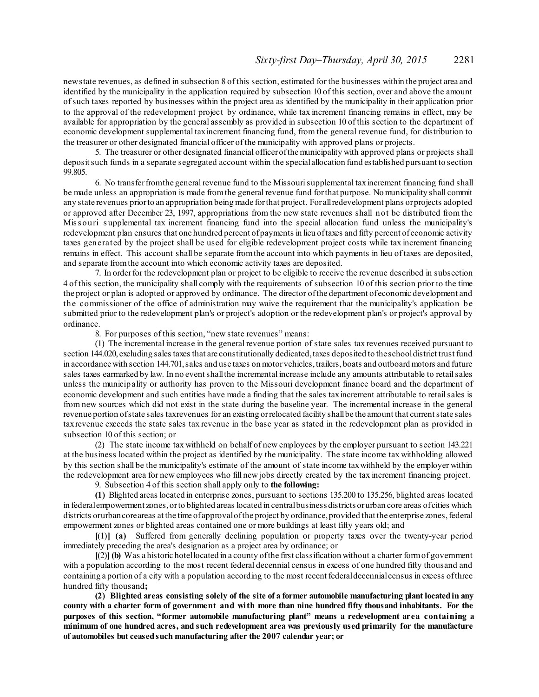newstate revenues, as defined in subsection 8 of this section, estimated for the businesses within the project area and identified by the municipality in the application required by subsection 10 of this section, over and above the amount ofsuch taxes reported by businesses within the project area as identified by the municipality in their application prior to the approval of the redevelopment project by ordinance, while tax increment financing remains in effect, may be available for appropriation by the general assembly as provided in subsection 10 of this section to the department of economic development supplemental taxincrement financing fund, from the general revenue fund, for distribution to the treasurer or other designated financial officer of the municipality with approved plans or projects.

5. The treasurer or other designated financial officerofthemunicipality with approved plans or projects shall depositsuch funds in a separate segregated account within the specialallocation fund established pursuant to section 99.805.

6. No transfer from the general revenue fund to the Missouri supplemental taxincrement financing fund shall be made unless an appropriation is made fromthe general revenue fund forthat purpose. No municipality shall commit any state revenues priorto an appropriation being made forthat project. For allredevelopment plans orprojects adopted or approved after December 23, 1997, appropriations from the new state revenues shall not be distributed from the Miss ouri s upplemental tax increment financing fund into the special allocation fund unless the municipality's redevelopment plan ensures that one hundred percent of payments in lieu of taxes and fifty percent of economic activity taxes generated by the project shall be used for eligible redevelopment project costs while tax increment financing remains in effect. This account shall be separate fromthe account into which payments in lieu of taxes are deposited, and separate fromthe account into which economic activity taxes are deposited.

7. In orderfor the redevelopment plan or project to be eligible to receive the revenue described in subsection 4 of this section, the municipality shall comply with the requirements of subsection 10 of this section prior to the time the project or plan is adopted or approved by ordinance. The director ofthe department of economic development and the commissioner of the office of administration may waive the requirement that the municipality's application be submitted prior to the redevelopment plan's or project's adoption or the redevelopment plan's or project's approval by ordinance.

8. For purposes of this section, "new state revenues" means:

(1) The incremental increase in the general revenue portion of state sales tax revenues received pursuant to section 144.020, excluding sales taxes that are constitutionally dedicated, taxes deposited to theschooldistrict trust fund in accordance with section 144.701,sales and use taxes on motorvehicles,trailers,boats and outboard motors and future sales taxes earmarked by law. In no eventshallthe incremental increase include any amounts attributable to retailsales unless the municipality or authority has proven to the Missouri development finance board and the department of economic development and such entities have made a finding that the sales taxincrement attributable to retailsales is from new sources which did not exist in the state during the baseline year. The incremental increase in the general revenue portion of state sales taxrevenues for an existing or relocated facility shall be the amount that current state sales taxrevenue exceeds the state sales tax revenue in the base year as stated in the redevelopment plan as provided in subsection 10 of this section; or

(2) The state income tax withheld on behalf of new employees by the employer pursuant to section 143.221 at the business located within the project as identified by the municipality. The state income tax withholding allowed by this section shall be the municipality's estimate of the amount of state income taxwithheld by the employer within the redevelopment area for new employees who fill new jobs directly created by the tax increment financing project.

9. Subsection 4 of this section shall apply only to **the following:**

**(1)** Blighted areas located in enterprise zones, pursuant to sections 135.200 to 135.256, blighted areas located in federal empowerment zones, or to blighted areas located in central business districts or urban core areas of cities which districts or urban coreareas at the time of approval of the project by ordinance, provided that the enterprise zones, federal empowerment zones or blighted areas contained one or more buildings at least fifty years old; and

**[**(1)**] (a)** Suffered from generally declining population or property taxes over the twenty-year period immediately preceding the area's designation as a project area by ordinance; or

**[**(2)**] (b)** Was a historic hotellocated in a county ofthe first classification without a charter formof government with a population according to the most recent federal decennial census in excess of one hundred fifty thousand and containing a portion of a city with a population according to the most recent federaldecennialcensus in excess ofthree hundred fifty thousand**;**

**(2) Blighted areas consisting solely of the site of a former automobile manufacturing plant locatedin any** county with a charter form of government and with more than nine hundred fifty thous and inhabitants. For the **purposes of this section, "former automobile manufacturing plant" means a redevelopment area containing a minimum of one hundred acres, and such redevelopment area was previously used primarily for the manufacture of automobiles but ceasedsuch manufacturing after the 2007 calendar year; or**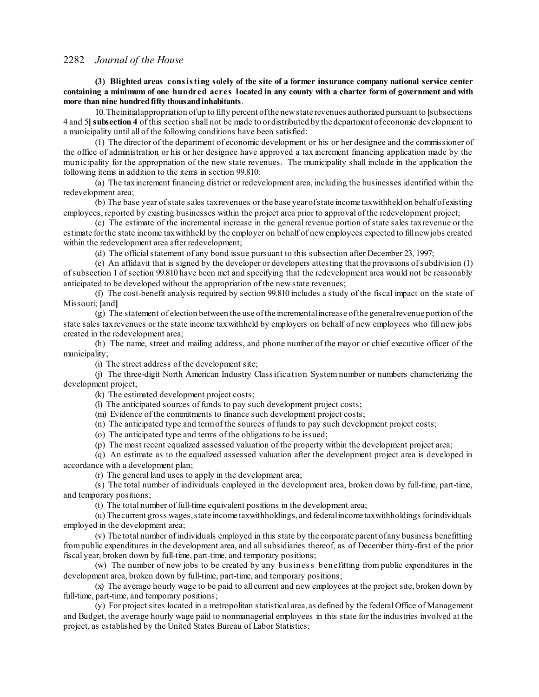**(3) Blighted areas consisting solely of the site of a former insurance company national service center** containing a minimum of one hundred acres located in any county with a charter form of government and with **more than nine hundredfifty thousandinhabitants**.

10.Theinitialappropriation ofup to fifty percent ofthe newstate revenues authorized pursuant to **[**subsections 4 and 5**]subsection 4** of this section shall not be made to ordistributed by the department ofeconomic development to a municipality until all of the following conditions have been satisfied:

(1) The director of the department of economic development or his or her designee and the commissioner of the office of administration or his or her designee have approved a tax increment financing application made by the municipality for the appropriation of the new state revenues. The municipality shall include in the application the following items in addition to the items in section 99.810:

(a) The taxincrement financing district or redevelopment area, including the businesses identified within the redevelopment area;

(b) The base year ofstate sales taxrevenues or the base yearofstate income taxwithheld on behalfof existing employees, reported by existing businesses within the project area prior to approval of the redevelopment project;

(c) The estimate of the incremental increase in the general revenue portion ofstate sales taxrevenue or the estimate forthe state income taxwithheld by the employer on behalf of newemployees expected to fillnewjobs created within the redevelopment area after redevelopment;

(d) The official statement of any bond issue pursuant to this subsection after December 23, 1997;

(e) An affidavit that is signed by the developer or developers attesting that the provisions ofsubdivision (1) ofsubsection 1 ofsection 99.810 have been met and specifying that the redevelopment area would not be reasonably anticipated to be developed without the appropriation of the new state revenues;

(f) The cost-benefit analysis required by section 99.810 includes a study of the fiscal impact on the state of Missouri; **[**and**]**

(g) The statement of election between the use ofthe incrementalincrease ofthe generalrevenue portion of the state sales taxrevenues or the state income taxwithheld by employers on behalf of new employees who fill new jobs created in the redevelopment area;

(h) The name, street and mailing address, and phone number of the mayor or chief executive officer of the municipality;

(i) The street address of the development site;

(j) The three-digit North American Industry Classification System number or numbers characterizing the development project;

(k) The estimated development project costs;

(l) The anticipated sources of funds to pay such development project costs;

(m) Evidence of the commitments to finance such development project costs;

(n) The anticipated type and termof the sources of funds to pay such development project costs;

(o) The anticipated type and terms of the obligations to be issued;

(p) The most recent equalized assessed valuation of the property within the development project area;

(q) An estimate as to the equalized assessed valuation after the development project area is developed in accordance with a development plan;

(r) The general land uses to apply in the development area;

(s) The total number of individuals employed in the development area, broken down by full-time, part-time, and temporary positions;

(t) The total number of full-time equivalent positions in the development area;

(u) Thecurrent gross wages,state income taxwithholdings, and federalincome taxwithholdings forindividuals employed in the development area;

(v) The total number of individuals employed in this state by the corporate parent of any business benefitting frompublic expenditures in the development area, and allsubsidiaries thereof, as of December thirty-first of the prior fiscal year, broken down by full-time, part-time, and temporary positions;

(w) The number of new jobs to be created by any business benefitting from public expenditures in the development area, broken down by full-time, part-time, and temporary positions;

(x) The average hourly wage to be paid to all current and new employees at the project site, broken down by full-time, part-time, and temporary positions;

(y) For project sites located in a metropolitan statistical area, as defined by the federal Office of Management and Budget, the average hourly wage paid to nonmanagerial employees in this state for the industries involved at the project, as established by the United States Bureau of Labor Statistics;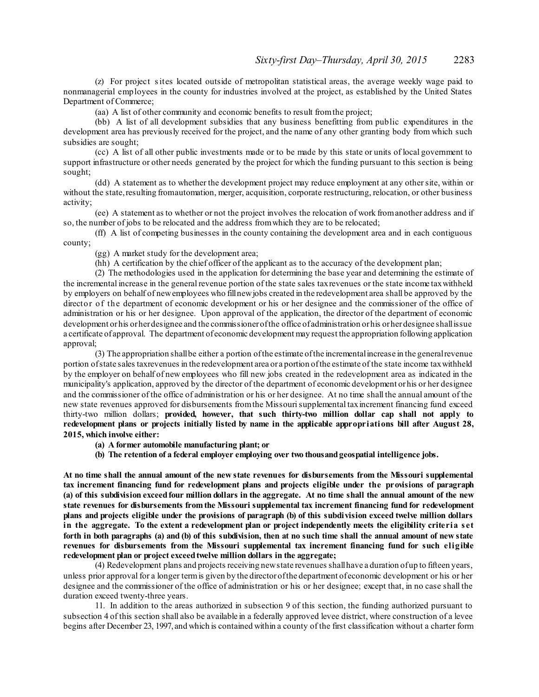(z) For project sites located outside of metropolitan statistical areas, the average weekly wage paid to nonmanagerial employees in the county for industries involved at the project, as established by the United States Department of Commerce;

(aa) A list of other community and economic benefits to result fromthe project;

(bb) A list of all development subsidies that any business benefitting from public expenditures in the development area has previously received for the project, and the name of any other granting body from which such subsidies are sought;

(cc) A list of all other public investments made or to be made by this state or units of local government to support infrastructure or other needs generated by the project for which the funding pursuant to this section is being sought;

(dd) A statement as to whether the development project may reduce employment at any othersite, within or without the state, resulting fromautomation, merger, acquisition, corporate restructuring, relocation, or other business activity;

(ee) A statement as to whether or not the project involves the relocation of work fromanother address and if so, the number of jobs to be relocated and the address fromwhich they are to be relocated;

(ff) A list of competing businesses in the county containing the development area and in each contiguous county;

(gg) A market study for the development area;

(hh) A certification by the chief officer of the applicant as to the accuracy of the development plan;

(2) The methodologies used in the application for determining the base year and determining the estimate of the incremental increase in the general revenue portion of the state sales taxrevenues or the state income tax withheld by employers on behalf of newemployees who fillnewjobs created in the redevelopment area shall be approved by the director of the department of economic development or his or her designee and the commissioner of the office of administration or his or her designee. Upon approval of the application, the director of the department of economic development orhis orherdesignee and the commissionerofthe office of administration orhis orherdesignee shallissue a certificate of approval. The department of economic development may request the appropriation following application approval;

(3) The appropriation shallbe either a portion ofthe estimate ofthe incrementalincrease in the generalrevenue portion ofstate sales taxrevenues in the redevelopment area or a portion ofthe estimate of the state income taxwithheld by the employer on behalf of new employees who fill new jobs created in the redevelopment area as indicated in the municipality's application, approved by the director of the department of economic development orhis or her designee and the commissioner of the office of administration or his or her designee. At no time shall the annual amount of the new state revenues approved for disbursements fromthe Missourisupplemental taxincrement financing fund exceed thirty-two million dollars; **provided, however, that such thirty-two million dollar cap shall not apply to redevelopment plans or projects initially listed by name in the applicable appropriations bill after August 28, 2015, which involve either:**

**(a) A former automobile manufacturing plant; or**

**(b) The retention of a federal employer employing over two thousandgeospatial intelligence jobs.**

At no time shall the annual amount of the new state revenues for disbursements from the Missouri supplemental **tax increment financing fund for redevelopment plans and projects eligible under the provisions of paragraph** (a) of this subdivision exceed four million dollars in the aggregate. At no time shall the annual amount of the new **state revenues for disbursements from the Missouri supplemental tax increment financing fund for redevelopment** plans and projects eligible under the provisions of paragraph (b) of this subdivision exceed twelve million dollars in the aggregate. To the extent a redevelopment plan or project independently meets the eligibility criteria set forth in both paragraphs (a) and (b) of this subdivision, then at no such time shall the annual amount of new state **revenues for disbursements from the Missouri supplemental tax increment financing fund for such eligible redevelopment plan or project exceedtwelve million dollars in the aggregate;**

(4) Redevelopment plans and projects receiving newstate revenues shallhave a duration ofup to fifteen years, unless prior approval for a longer termis given by the directorofthe department of economic development or his or her designee and the commissioner of the office of administration or his or her designee; except that, in no case shall the duration exceed twenty-three years.

11. In addition to the areas authorized in subsection 9 of this section, the funding authorized pursuant to subsection 4 of this section shall also be available in a federally approved levee district, where construction of a levee begins after December 23, 1997, and which is contained within a county of the first classification without a charter form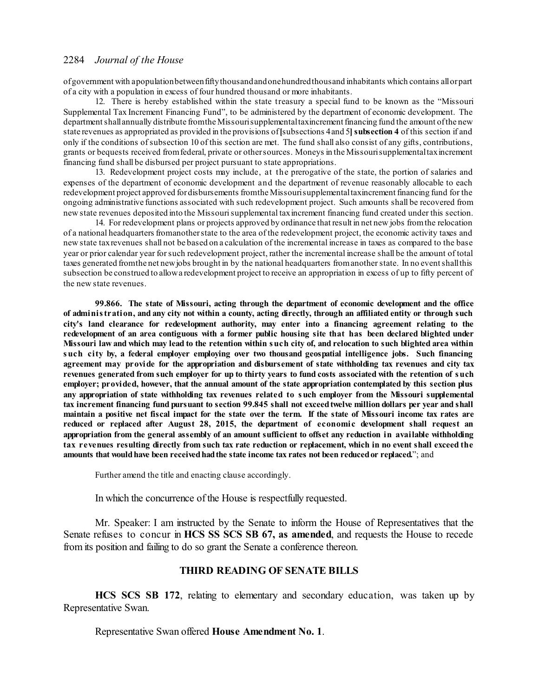ofgovernment with apopulationbetweenfiftythousandandone hundredthousand inhabitants which contains allorpart of a city with a population in excess of four hundred thousand or more inhabitants.

12. There is hereby established within the state treasury a special fund to be known as the "Missouri Supplemental Tax Increment Financing Fund", to be administered by the department of economic development. The department shall annually distribute from the Missouri supplemental taxincrement financing fund the amount of the new state revenues as appropriated as provided in the provisions of**[**subsections 4and 5**]subsection 4** of this section if and only if the conditions ofsubsection 10 of this section are met. The fund shall also consist of any gifts, contributions, grants or bequests received fromfederal, private or othersources. Moneys in the Missourisupplementaltaxincrement financing fund shall be disbursed per project pursuant to state appropriations.

13. Redevelopment project costs may include, at the prerogative of the state, the portion of salaries and expenses of the department of economic development and the department of revenue reasonably allocable to each redevelopment project approved fordisbursements fromthe Missourisupplementaltaxincrementfinancing fund for the ongoing administrative functions associated with such redevelopment project. Such amounts shall be recovered from new state revenues deposited into the Missourisupplemental taxincrement financing fund created under this section.

14. For redevelopment plans or projects approved by ordinance that result in net new jobs fromthe relocation of a national headquarters fromanotherstate to the area of the redevelopment project, the economic activity taxes and new state taxrevenues shall not be based on a calculation of the incremental increase in taxes as compared to the base year or prior calendar year forsuch redevelopment project, rather the incremental increase shall be the amount of total taxes generated fromthe net newjobs brought in by the national headquarters fromanotherstate. In no eventshallthis subsection be construed to allowa redevelopment project to receive an appropriation in excess of up to fifty percent of the new state revenues.

**99.866. The state of Missouri, acting through the department of economic development and the office** of administration, and any city not within a county, acting directly, through an affiliated entity or through such **city's land clearance for redevelopment authority, may enter into a financing agreement relating to the redevelopment of an area contiguous with a former public housing site that has been declared blighted under** Missouri law and which may lead to the retention within such city of, and relocation to such blighted area within **such city by, a federal employer employing over two thousand geospatial intelligence jobs. Such financing agreement may provide for the appropriation and disbursement of state withholding tax revenues and city tax** revenues generated from such employer for up to thirty years to fund costs associated with the retention of such **employer; provided, however, that the annual amount of the state appropriation contemplated by this section plus any appropriation of state withholding tax revenues related to such employer from the Missouri supplemental** tax increment financing fund pursuant to section 99.845 shall not exceed twelve million dollars per year and shall maintain a positive net fiscal impact for the state over the term. If the state of Missouri income tax rates are **reduced or replaced after August 28, 2015, the department of economic development shall request an appropriation from the general assembly of an amount sufficient to offset any reduction in available withholding** tax revenues resulting directly from such tax rate reduction or replacement, which in no event shall exceed the **amounts that wouldhave been receivedhadthe state income tax rates not been reducedor replaced.**"; and

Further amend the title and enacting clause accordingly.

In which the concurrence of the House is respectfully requested.

Mr. Speaker: I am instructed by the Senate to inform the House of Representatives that the Senate refuses to concur in **HCS SS SCS SB 67, as amended**, and requests the House to recede from its position and failing to do so grant the Senate a conference thereon.

# **THIRD READING OF SENATE BILLS**

**HCS SCS SB 172**, relating to elementary and secondary education, was taken up by Representative Swan.

Representative Swan offered **House Amendment No. 1**.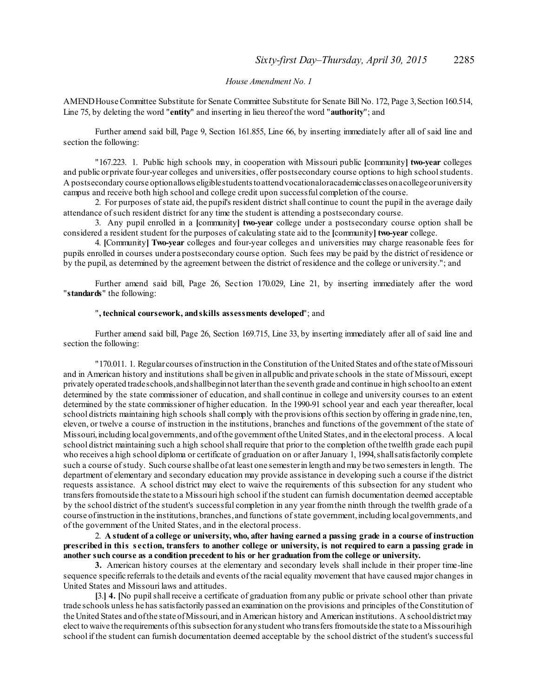### *House Amendment No. 1*

AMEND House Committee Substitute for Senate Committee Substitute for Senate Bill No. 172, Page 3, Section 160.514, Line 75, by deleting the word "**entity**" and inserting in lieu thereof the word "**authority**"; and

Further amend said bill, Page 9, Section 161.855, Line 66, by inserting immediately after all of said line and section the following:

"167.223. 1. Public high schools may, in cooperation with Missouri public **[**community**] two-year** colleges and public orprivate four-year colleges and universities, offer postsecondary course options to high schoolstudents. A postsecondary course optionallows eligiblestudentstoattendvocationaloracademicclasses ona collegeoruniversity campus and receive both high school and college credit upon successful completion of the course.

2. For purposes ofstate aid, the pupil's resident district shall continue to count the pupil in the average daily attendance ofsuch resident district for any time the student is attending a postsecondary course.

3. Any pupil enrolled in a **[**community**] two-year** college under a postsecondary course option shall be considered a resident student for the purposes of calculating state aid to the **[**community**] two-year** college.

4. **[**Community**] Two-year** colleges and four-year colleges and universities may charge reasonable fees for pupils enrolled in courses under a postsecondary course option. Such fees may be paid by the district of residence or by the pupil, as determined by the agreement between the district of residence and the college or university."; and

Further amend said bill, Page 26, Section 170.029, Line 21, by inserting immediately after the word "**standards**" the following:

#### "**, technical coursework, andskills assessments developed**"; and

Further amend said bill, Page 26, Section 169.715, Line 33, by inserting immediately after all of said line and section the following:

"170.011. 1. Regularcourses ofinstruction in the Constitution of the United States and ofthe state ofMissouri and in American history and institutions shall be given in allpublic and private schools in the state of Missouri, except privately operated tradeschools,andshallbeginnot laterthan the seventh grade and continue in high schoolto an extent determined by the state commissioner of education, and shall continue in college and university courses to an extent determined by the state commissioner of higher education. In the 1990-91 school year and each year thereafter, local school districts maintaining high schools shall comply with the provisions of this section by offering in grade nine, ten, eleven, or twelve a course of instruction in the institutions, branches and functions of the government of the state of Missouri,including localgovernments, and ofthe government ofthe United States, and in the electoral process. A local school district maintaining such a high school shall require that prior to the completion of the twelfth grade each pupil who receives a high school diploma or certificate of graduation on or after January 1, 1994, shall satisfactorily complete such a course of study. Such course shall be of at least one semester in length and may be two semesters in length. The department of elementary and secondary education may provide assistance in developing such a course if the district requests assistance. A school district may elect to waive the requirements of this subsection for any student who transfers fromoutside the state to a Missouri high school if the student can furnish documentation deemed acceptable by the school district of the student's successful completion in any year fromthe ninth through the twelfth grade of a course of instruction in the institutions, branches, and functions of state government, including local governments, and of the government of the United States, and in the electoral process.

2. A student of a college or university, who, after having earned a passing grade in a course of instruction prescribed in this section, transfers to another college or university, is not required to earn a passing grade in **another such course as a condition precedent to his or her graduation from the college or university.**

**3.** American history courses at the elementary and secondary levels shall include in their proper time-line sequence specific referrals to the details and events of the racial equality movement that have caused major changes in United States and Missouri laws and attitudes.

**[**3.**] 4. [**No pupilshall receive a certificate of graduation fromany public or private school other than private trade schools unless he has satisfactorily passed an examination on the provisions and principles of theConstitution of the United States and ofthe state ofMissouri, and in American history and American institutions. A schooldistrict may elect to waive the requirements ofthis subsection for anystudent who transfers fromoutside the state to a Missourihigh school if the student can furnish documentation deemed acceptable by the school district of the student's successful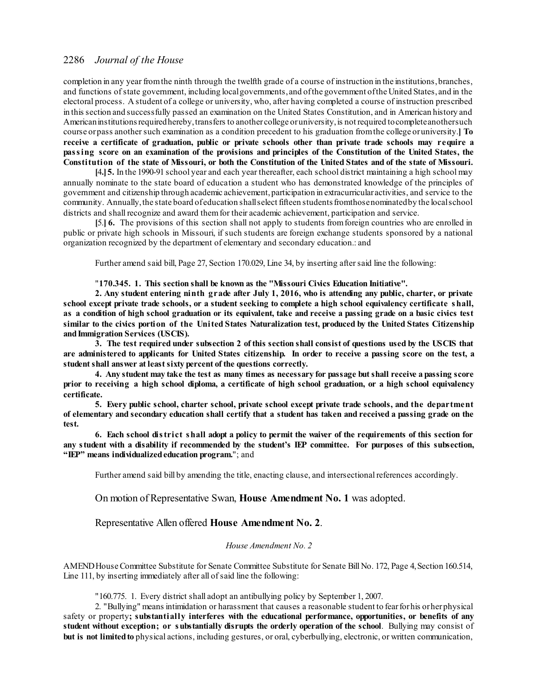completion in any year from the ninth through the twelfth grade of a course of instruction in the institutions, branches, and functions ofstate government, including localgovernments, and ofthe government ofthe United States, and in the electoral process. A student of a college or university, who, after having completed a course of instruction prescribed in this section and successfully passed an examination on the United States Constitution, and in American history and American institutions required hereby, transfers to another college or university, is not required to complete another such course or pass another such examination as a condition precedent to his graduation from the college or university. receive a certificate of graduation, public or private schools other than private trade schools may require a passing score on an examination of the provisions and principles of the Constitution of the United States, the Constitution of the state of Missouri, or both the Constitution of the United States and of the state of Missouri.

**[**4**.]5.** In the 1990-91 school year and each year thereafter, each school district maintaining a high school may annually nominate to the state board of education a student who has demonstrated knowledge of the principles of government and citizenship through academic achievement,participation in extracurricular activities, and service to the community. Annually,the state board of education shallselect fifteen studentsfromthosenominatedby the localschool districts and shall recognize and award themfor their academic achievement, participation and service.

**[**5.**] 6.** The provisions of this section shall not apply to students fromforeign countries who are enrolled in public or private high schools in Missouri, if such students are foreign exchange students sponsored by a national organization recognized by the department of elementary and secondary education.: and

Further amend said bill, Page 27, Section 170.029, Line 34, by inserting aftersaid line the following:

"**170.345. 1. This section shall be known as the "Missouri Civics Education Initiative".**

2. Any student entering ninth grade after July 1, 2016, who is attending any public, charter, or private school except private trade schools, or a student seeking to complete a high school equivalency certificate shall, as a condition of high school graduation or its equivalent, take and receive a passing grade on a basic civics test similar to the civics portion of the United States Naturalization test, produced by the United States Citizenship **andImmigration Services (USCIS).**

3. The test required under subsection 2 of this section shall consist of questions used by the USCIS that are administered to applicants for United States citizenship. In order to receive a passing score on the test, a **studentshall answer at leastsixty percent of the questions correctly.**

4. Any student may take the test as many times as necessary for passage but shall receive a passing score prior to receiving a high school diploma, a certificate of high school graduation, or a high school equivalency **certificate.**

**5. Every public school, charter school, private school except private trade schools, and the department** of elementary and secondary education shall certify that a student has taken and received a passing grade on the **test.**

6. Each school district shall adopt a policy to permit the waiver of the requirements of this section for any student with a disability if recommended by the student's IEP committee. For purposes of this subsection, **"IEP" means individualizededucation program.**"; and

Further amend said bill by amending the title, enacting clause, and intersectional references accordingly.

On motion of Representative Swan, **House Amendment No. 1** was adopted.

Representative Allen offered **House Amendment No. 2**.

#### *House Amendment No. 2*

AMENDHouseCommittee Substitute for Senate Committee Substitute for Senate Bill No. 172, Page 4,Section 160.514, Line 111, by inserting immediately after all of said line the following:

"160.775. 1. Every district shall adopt an antibullying policy by September 1, 2007.

2. "Bullying" means intimidation or harassment that causes a reasonable student to fearforhis orherphysical safety or property**; substantially interferes with the educational performance, opportunities, or benefits of any student without exception; or substantially disrupts the orderly operation of the school**. Bullying may consist of **but** is not limited to physical actions, including gestures, or oral, cyberbullying, electronic, or written communication,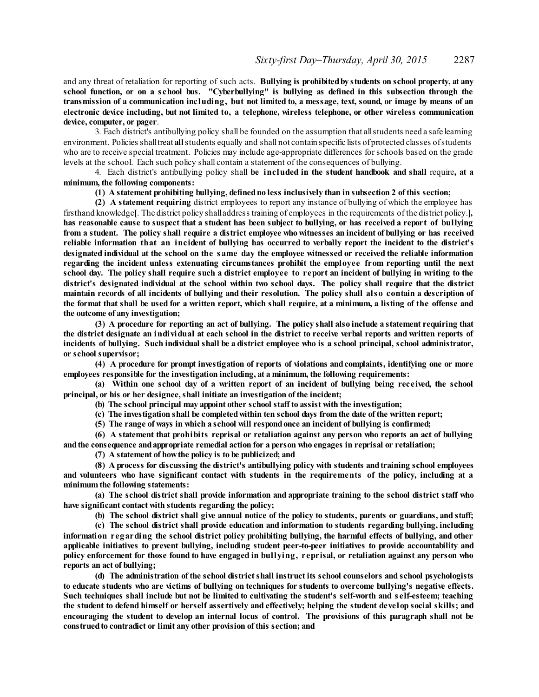and any threat of retaliation for reporting of such acts. **Bullying is prohibitedby students on school property, at any** school function, or on a school bus. "Cyberbullying" is bullying as defined in this subsection through the transmission of a communication including, but not limited to, a message, text, sound, or image by means of an **electronic device including, but not limited to, a telephone, wireless telephone, or other wireless communication device, computer, or pager**.

3. Each district's antibullying policy shall be founded on the assumption that allstudents need a safe learning environment. Policies shalltreat **all**students equally and shall not contain specific lists ofprotected classes ofstudents who are to receive special treatment. Policies may include age-appropriate differences forschools based on the grade levels at the school. Each such policy shall contain a statement of the consequences of bullying.

4. Each district's antibullying policy shall **be included in the student handbook and shall** require**, at a minimum, the following components:**

#### **(1) A statement prohibiting bullying, definedno less inclusively than in subsection 2 of this section;**

**(2) A statement requiring** district employees to report any instance of bullying of which the employee has firsthand knowledge**[**. The district policy shalladdress training of employees in the requirements of the district policy.**],** has reasonable cause to suspect that a student has been subject to bullying, or has received a report of bullying from a student. The policy shall require a district employee who witnesses an incident of bullying or has received reliable information that an incident of bullying has occurred to verbally report the incident to the district's designated individual at the school on the same day the employee witnessed or received the reliable information **regarding the incident unless extenuating circumstances prohibit the employee from reporting until the next** school day. The policy shall require such a district employee to report an incident of bullying in writing to the district's designated individual at the school within two school days. The policy shall require that the district maintain records of all incidents of bullying and their resolution. The policy shall also contain a description of the format that shall be used for a written report, which shall require, at a minimum, a listing of the offense and **the outcome of any investigation;**

(3) A procedure for reporting an act of bullying. The policy shall also include a statement requiring that the district designate an individual at each school in the district to receive verbal reports and written reports of incidents of bullying. Such individual shall be a district employee who is a school principal, school administrator, **or school supervisor;**

**(4) A procedure for prompt investigation of reports of violations andcomplaints, identifying one or more employees responsible for the investigation including, at a minimum, the following requirements:**

(a) Within one school day of a written report of an incident of bullying being received, the school **principal, or his or her designee, shall initiate an investigation of the incident;**

**(b) The school principal may appoint other school staff to assist with the investigation;**

**(c) The investigation shall be completedwithin ten school days from the date of the written report;**

**(5) The range of ways in which a school will respondonce an incident of bullying is confirmed;**

**(6) A statement that prohibits reprisal or retaliation against any person who reports an act of bullying andthe consequence andappropriate remedial action for a person who engages in reprisal or retaliation;**

**(7) A statement of howthe policy is to be publicized; and**

**(8) A process for discussing the district's antibullying policy with students andtraining school employees and volunteers who have significant contact with students in the requirements of the policy, including at a minimum the following statements:**

**(a) The school district shall provide information and appropriate training to the school district staff who have significant contact with students regarding the policy;**

**(b) The school district shall give annual notice of the policy to students, parents or guardians, and staff;**

**(c) The school district shall provide education and information to students regarding bullying, including information regarding the school district policy prohibiting bullying, the harmful effects of bullying, and other applicable initiatives to prevent bullying, including student peer-to-peer initiatives to provide accountability and policy enforcement for those found to have engaged in bullying, reprisal, or retaliation against any person who reports an act of bullying;**

**(d) The administration of the school districtshall instruct its school counselors and school psychologists** to educate students who are victims of bullying on techniques for students to overcome bullying's negative effects. Such techniques shall include but not be limited to cultivating the student's self-worth and self-esteem; teaching the student to defend himself or herself assertively and effectively; helping the student develop social skills; and encouraging the student to develop an internal locus of control. The provisions of this paragraph shall not be **construedto contradict or limit any other provision of this section; and**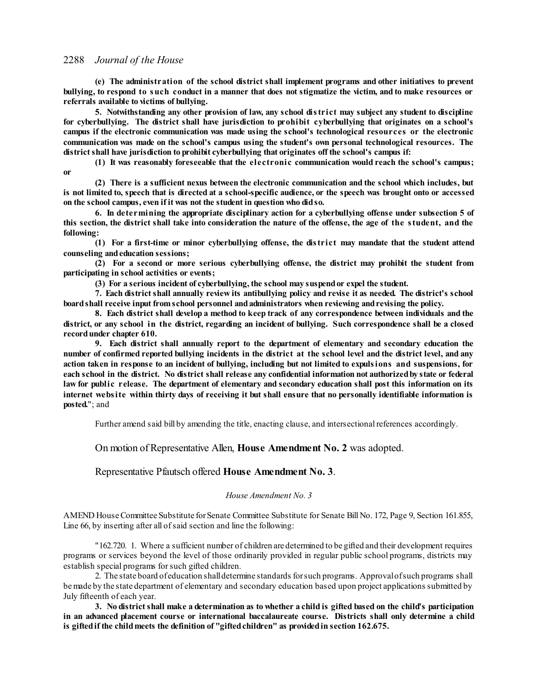**(e) The administration of the school district shall implement programs and other initiatives to prevent** bullying, to respond to such conduct in a manner that does not stigmatize the victim, and to make resources or **referrals available to victims of bullying.**

**5. Notwithstanding any other provision of law, any school district may subject any student to discipline for cyberbullying. The district shall have jurisdiction to prohibit cyberbullying that originates on a school's campus if the electronic communication was made using the school's technological resources or the electronic communication was made on the school's campus using the student's own personal technological resources. The districtshall have jurisdiction to prohibit cyberbullying that originates off the school's campus if:**

**(1) It was reasonably foreseeable that the electronic communication would reach the school's campus; or**

**(2) There is a sufficient nexus between the electronic communication and the school which includes, but** is not limited to, speech that is directed at a school-specific audience, or the speech was brought onto or accessed **on the school campus, even if it was not the student in question who didso.**

**6. In determining the appropriate disciplinary action for a cyberbullying offense under subsection 5 of** this section, the district shall take into consideration the nature of the offense, the age of the student, and the **following:**

**(1) For a first-time or minor cyberbullying offense, the district may mandate that the student attend counseling andeducation sessions;**

**(2) For a second or more serious cyberbullying offense, the district may prohibit the student from participating in school activities or events;**

**(3) For a serious incident of cyberbullying, the school may suspendor expel the student.**

**7. Each districtshall annually review its antibullying policy and revise it as needed. The district's school boardshall receive input from school personnel andadministrators when reviewing andrevising the policy.**

**8. Each district shall develop a method to keep track of any correspondence between individuals and the** district, or any school in the district, regarding an incident of bullying. Such correspondence shall be a closed **recordunder chapter 610.**

**9. Each district shall annually report to the department of elementary and secondary education the** number of confirmed reported bullying incidents in the district at the school level and the district level, and any action taken in response to an incident of bullying, including but not limited to expulsions and suspensions, for each school in the district. No district shall release any confidential information not authorized by state or federal law for public release. The department of elementary and secondary education shall post this information on its internet website within thirty days of receiving it but shall ensure that no personally identifiable information is **posted.**"; and

Further amend said bill by amending the title, enacting clause, and intersectional references accordingly.

On motion of Representative Allen, **House Amendment No. 2** was adopted.

Representative Pfautsch offered **House Amendment No. 3**.

### *House Amendment No. 3*

AMEND House Committee Substitute for Senate Committee Substitute for Senate Bill No. 172, Page 9, Section 161.855, Line 66, by inserting after all of said section and line the following:

"162.720. 1. Where a sufficient number of children are determined to be gifted and their development requires programs or services beyond the level of those ordinarily provided in regular public school programs, districts may establish special programs forsuch gifted children.

2. The state board ofeducation shalldetermine standards forsuch programs. Approvalofsuch programs shall bemade by the state department of elementary and secondary education based upon project applications submitted by July fifteenth of each year.

3. No district shall make a determination as to whether a child is gifted based on the child's participation **in an advanced placement course or international baccalaureate course. Districts shall only determine a child is giftedif the childmeets the definition of "giftedchildren" as providedin section 162.675.**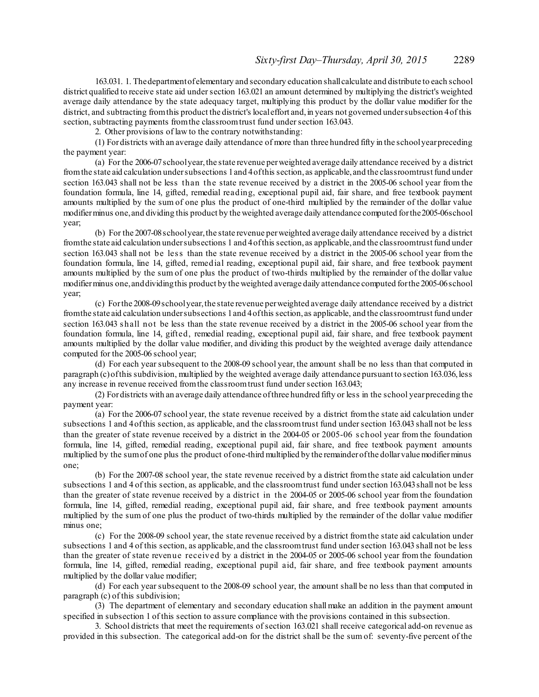163.031. 1. Thedepartmentofelementary and secondary education shallcalculate and distribute to each school district qualified to receive state aid under section 163.021 an amount determined by multiplying the district's weighted average daily attendance by the state adequacy target, multiplying this product by the dollar value modifier for the district, and subtracting from this product the district's local effort and, in years not governed under subsection 4 of this section, subtracting payments from the classroom trust fund under section 163.043.

2. Other provisions of law to the contrary notwithstanding:

(1) Fordistricts with an average daily attendance of more than three hundred fifty in the schoolyearpreceding the payment year:

(a) For the 2006-07schoolyear,the state revenue perweighted average daily attendance received by a district fromthe state aid calculation undersubsections 1and 4ofthis section, as applicable, and the classroomtrust fund under section 163.043 shall not be less than the state revenue received by a district in the 2005-06 school year from the foundation formula, line 14, gifted, remedial reading, exceptional pupil aid, fair share, and free textbook payment amounts multiplied by the sum of one plus the product of one-third multiplied by the remainder of the dollar value modifierminus one,and dividing this product by the weighted average daily attendance computed forthe2005-06school year;

(b) For the 2007-08schoolyear,the state revenue perweighted average daily attendance received by a district fromthe state aid calculation undersubsections 1 and 4ofthis section, as applicable, and the classroomtrust fund under section 163.043 shall not be less than the state revenue received by a district in the 2005-06 school year from the foundation formula, line 14, gifted, remedial reading, exceptional pupil aid, fair share, and free textbook payment amounts multiplied by the sum of one plus the product of two-thirds multiplied by the remainder of the dollar value modifierminus one,anddividingthis product by the weighted average daily attendance computed forthe 2005-06school year;

(c) Forthe 2008-09schoolyear,the state revenue perweighted average daily attendance received by a district fromthe state aid calculation undersubsections 1and 4ofthis section, as applicable, and the classroomtrust fund under section 163.043 shall not be less than the state revenue received by a district in the 2005-06 school year from the foundation formula, line 14, gifted, remedial reading, exceptional pupil aid, fair share, and free textbook payment amounts multiplied by the dollar value modifier, and dividing this product by the weighted average daily attendance computed for the 2005-06 school year;

(d) For each yearsubsequent to the 2008-09 school year, the amount shall be no less than that computed in paragraph (c) of this subdivision, multiplied by the weighted average daily attendance pursuant to section 163.036, less any increase in revenue received from the classroom trust fund under section 163.043;

(2) Fordistricts with an average daily attendance ofthree hundred fifty or less in the school yearpreceding the payment year:

(a) For the 2006-07 school year, the state revenue received by a district fromthe state aid calculation under subsections 1 and 4ofthis section, as applicable, and the classroomtrust fund undersection 163.043 shall not be less than the greater of state revenue received by a district in the 2004-05 or 2005-06 s chool year from the foundation formula, line 14, gifted, remedial reading, exceptional pupil aid, fair share, and free textbook payment amounts multiplied by the sumof one plus the product ofone-third multiplied by the remainderofthe dollarvaluemodifierminus one;

(b) For the 2007-08 school year, the state revenue received by a district fromthe state aid calculation under subsections 1 and 4 of this section, as applicable, and the classroom trust fund under section 163.043 shall not be less than the greater of state revenue received by a district in the 2004-05 or 2005-06 school year from the foundation formula, line 14, gifted, remedial reading, exceptional pupil aid, fair share, and free textbook payment amounts multiplied by the sum of one plus the product of two-thirds multiplied by the remainder of the dollar value modifier minus one;

(c) For the 2008-09 school year, the state revenue received by a district fromthe state aid calculation under subsections 1 and 4 of this section, as applicable, and the classroomtrust fund undersection 163.043 shall not be less than the greater of state revenue received by a district in the 2004-05 or 2005-06 school year from the foundation formula, line 14, gifted, remedial reading, exceptional pupil aid, fair share, and free textbook payment amounts multiplied by the dollar value modifier;

(d) For each yearsubsequent to the 2008-09 school year, the amount shall be no less than that computed in paragraph (c) of this subdivision;

(3) The department of elementary and secondary education shall make an addition in the payment amount specified in subsection 1 of this section to assure compliance with the provisions contained in this subsection.

3. School districts that meet the requirements ofsection 163.021 shall receive categorical add-on revenue as provided in this subsection. The categorical add-on for the district shall be the sum of: seventy-five percent of the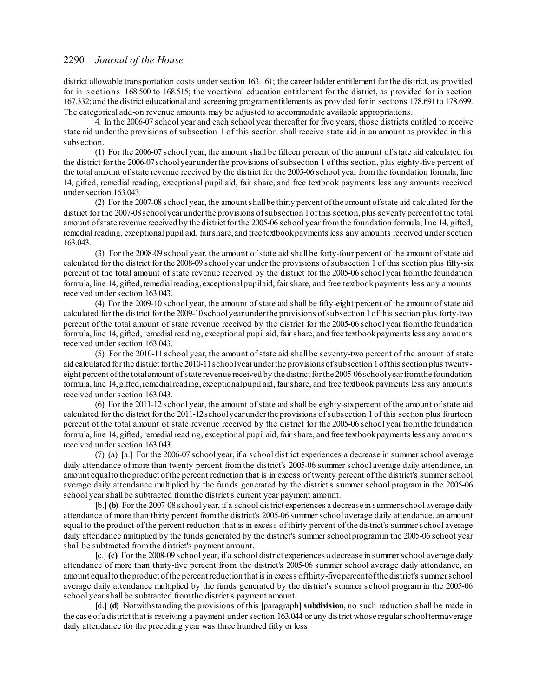district allowable transportation costs undersection 163.161; the career ladder entitlement for the district, as provided for in s ections 168.500 to 168.515; the vocational education entitlement for the district, as provided for in section 167.332; and the district educational and screening programentitlements as provided for in sections 178.691to 178.699. The categorical add-on revenue amounts may be adjusted to accommodate available appropriations.

4. In the 2006-07 school year and each school year thereafter for five years, those districts entitled to receive state aid under the provisions ofsubsection 1 of this section shall receive state aid in an amount as provided in this subsection.

(1) For the 2006-07 school year, the amount shall be fifteen percent of the amount of state aid calculated for the district for the 2006-07schoolyearunderthe provisions ofsubsection 1 of this section, plus eighty-five percent of the total amount ofstate revenue received by the district for the 2005-06 school year fromthe foundation formula, line 14, gifted, remedial reading, exceptional pupil aid, fair share, and free textbook payments less any amounts received under section 163.043.

(2) For the 2007-08 school year, the amountshallbe thirty percent ofthe amount ofstate aid calculated for the district for the 2007-08 school year under the provisions of subsection 1 of this section, plus seventy percent of the total amount of state revenue received by the district for the 2005-06 school year from the foundation formula, line 14, gifted, remedial reading, exceptional pupil aid, fair share, and free textbook payments less any amounts received under section 163.043.

(3) For the 2008-09 school year, the amount ofstate aid shall be forty-four percent of the amount ofstate aid calculated for the district for the 2008-09 school year under the provisions ofsubsection 1 of this section plus fifty-six percent of the total amount of state revenue received by the district for the 2005-06 school year fromthe foundation formula, line 14, gifted, remedial reading, exceptional pupilaid, fair share, and free textbook payments less any amounts received under section 163.043.

(4) For the 2009-10 school year, the amount ofstate aid shall be fifty-eight percent of the amount ofstate aid calculated for the district for the 2009-10schoolyearunderthe provisions ofsubsection 1ofthis section plus forty-two percent of the total amount of state revenue received by the district for the 2005-06 school year fromthe foundation formula, line 14, gifted, remedial reading, exceptional pupil aid, fairshare, and free textbookpayments less any amounts received under section 163.043.

(5) For the 2010-11 school year, the amount ofstate aid shall be seventy-two percent of the amount of state aid calculated forthe district forthe 2010-11schoolyearunderthe provisionsofsubsection 1ofthis section plus twentyeight percent of the total amount of state revenue received by the district for the 2005-06 school year from the foundation formula, line 14, gifted, remedial reading, exceptional pupil aid, fair share, and free textbook payments less any amounts received under section 163.043.

(6) For the 2011-12 school year, the amount ofstate aid shall be eighty-sixpercent of the amount ofstate aid calculated for the district for the 2011-12schoolyearunderthe provisions ofsubsection 1 of this section plus fourteen percent of the total amount of state revenue received by the district for the 2005-06 school year fromthe foundation formula, line 14, gifted, remedial reading, exceptional pupil aid, fairshare, and free textbookpayments less any amounts received under section 163.043.

(7) (a) **[**a.**]** For the 2006-07 school year, if a school district experiences a decrease in summerschool average daily attendance of more than twenty percent from the district's 2005-06 summer school average daily attendance, an amount equal to the product of the percent reduction that is in excess of twenty percent of the district's summer school average daily attendance multiplied by the funds generated by the district's summer school program in the 2005-06 school yearshall be subtracted fromthe district's current year payment amount.

**[**b.**] (b)** For the 2007-08 school year, if a school district experiences a decrease in summerschool average daily attendance of more than thirty percent fromthe district's 2005-06 summerschool average daily attendance, an amount equal to the product of the percent reduction that is in excess of thirty percent of the district's summerschool average daily attendance multiplied by the funds generated by the district's summer school programin the 2005-06 school year shall be subtracted fromthe district's payment amount.

**[**c.**] (c)** For the 2008-09 school year, if a school district experiences a decrease in summerschool average daily attendance of more than thirty-five percent from the district's 2005-06 summer school average daily attendance, an amount equalto the product ofthe percent reduction that is in excess ofthirty-fivepercentofthe district's summerschool average daily attendance multiplied by the funds generated by the district's summer s chool program in the 2005-06 school year shall be subtracted from the district's payment amount.

**[**d.**] (d)** Notwithstanding the provisions of this **[**paragraph**]subdivision**, no such reduction shall be made in the case of a district that is receiving a payment undersection 163.044 or any district whose regularschooltermaverage daily attendance for the preceding year was three hundred fifty or less.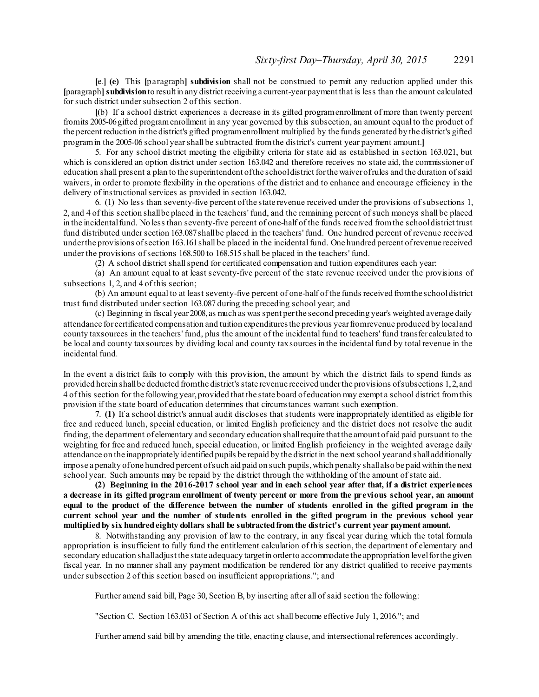**[**e.**] (e)** This **[**paragraph**] subdivision** shall not be construed to permit any reduction applied under this **[**paragraph**]subdivision**to result in any district receiving a current-yearpayment that is less than the amount calculated for such district under subsection 2 of this section.

**[**(b) If a school district experiences a decrease in its gifted programenrollment of more than twenty percent fromits 2005-06gifted programenrollment in any year governed by this subsection, an amount equal to the product of the percent reduction in the district's gifted programenrollment multiplied by the funds generated by the district's gifted programin the 2005-06 school yearshall be subtracted fromthe district's current year payment amount.**]**

5. For any school district meeting the eligibility criteria for state aid as established in section 163.021, but which is considered an option district under section 163.042 and therefore receives no state aid, the commissioner of education shall present a plan to the superintendent ofthe schooldistrict forthe waiverofrules and the duration ofsaid waivers, in order to promote flexibility in the operations of the district and to enhance and encourage efficiency in the delivery of instructional services as provided in section 163.042.

6. (1) No less than seventy-five percent ofthe state revenue received under the provisions ofsubsections 1, 2, and 4 of this section shallbe placed in the teachers' fund, and the remaining percent ofsuch moneys shall be placed in the incidentalfund. No less than seventy-five percent of one-half of the funds received fromthe schooldistrict trust fund distributed undersection 163.087shallbe placed in the teachers' fund. One hundred percent of revenue received underthe provisions ofsection 163.161shall be placed in the incidental fund. One hundred percent ofrevenue received under the provisions ofsections 168.500 to 168.515 shall be placed in the teachers' fund.

(2) A school district shallspend for certificated compensation and tuition expenditures each year:

(a) An amount equal to at least seventy-five percent of the state revenue received under the provisions of subsections 1, 2, and 4 of this section;

(b) An amount equal to at least seventy-five percent of one-half of the funds received fromthe schooldistrict trust fund distributed under section 163.087 during the preceding school year; and

(c) Beginning in fiscal year2008,as much as was spent perthe second preceding year's weighted average daily attendance for certificated compensation and tuition expendituresthe previous yearfromrevenue produced by localand county taxsources in the teachers' fund, plus the amount of the incidental fund to teachers' fund transfer calculated to be local and county taxsources by dividing local and county taxsources in the incidentalfund by total revenue in the incidental fund.

In the event a district fails to comply with this provision, the amount by which the district fails to spend funds as provided herein shallbe deducted fromthe district's state revenue received underthe provisions ofsubsections 1,2, and 4 of this section for the following year,provided that the state board ofeducation may exempt a school district fromthis provision if the state board of education determines that circumstances warrant such exemption.

7. **(1)** If a school district's annual audit discloses that students were inappropriately identified as eligible for free and reduced lunch, special education, or limited English proficiency and the district does not resolve the audit finding, the department ofelementary and secondary education shallrequire that the amount of aid paid pursuant to the weighting for free and reduced lunch, special education, or limited English proficiency in the weighted average daily attendance on the inappropriately identified pupils be repaid by the district in the next school year and shalladditionally impose a penalty of one hundred percent of such aid paid on such pupils, which penalty shall also be paid within the next school year. Such amounts may be repaid by the district through the withholding of the amount of state aid.

**(2) Beginning in the 2016-2017 school year and in each school year after that, if a district experiences** a decrease in its gifted program enrollment of twenty percent or more from the previous school year, an amount equal to the product of the difference between the number of students enrolled in the gifted program in the current school year and the number of students enrolled in the gifted program in the previous school year **multipliedby six hundredeighty dollars shall be subtractedfromthe district's current year payment amount.**

8. Notwithstanding any provision of law to the contrary, in any fiscal year during which the total formula appropriation is insufficient to fully fund the entitlement calculation of this section, the department of elementary and secondary education shalladjust the state adequacy targetin orderto accommodate the appropriation levelforthe given fiscal year. In no manner shall any payment modification be rendered for any district qualified to receive payments under subsection 2 of this section based on insufficient appropriations."; and

Further amend said bill, Page 30, Section B, by inserting after all of said section the following:

"Section C. Section 163.031 of Section A of this act shall become effective July 1, 2016."; and

Further amend said bill by amending the title, enacting clause, and intersectional references accordingly.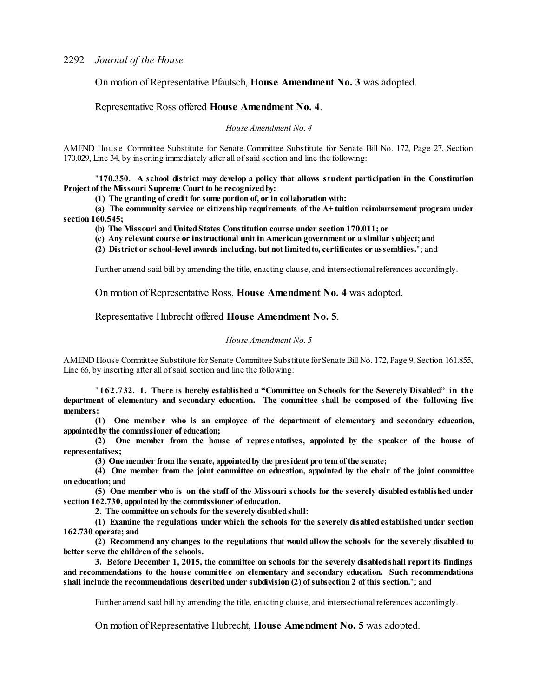On motion of Representative Pfautsch, **House Amendment No. 3** was adopted.

### Representative Ross offered **House Amendment No. 4**.

*House Amendment No. 4*

AMEND Hous e Committee Substitute for Senate Committee Substitute for Senate Bill No. 172, Page 27, Section 170.029, Line 34, by inserting immediately after all ofsaid section and line the following:

"**170.350. A school district may develop a policy that allows student participation in the Constitution Project of the Missouri Supreme Court to be recognizedby:**

**(1) The granting of credit for some portion of, or in collaboration with:**

**(a) The community service or citizenship requirements of the A+ tuition reimbursement program under section 160.545;**

**(b) The Missouri andUnitedStates Constitution course under section 170.011; or**

**(c) Any relevant course or instructional unit in American government or a similar subject; and**

**(2) District or school-level awards including, but not limitedto, certificates or assemblies.**"; and

Further amend said bill by amending the title, enacting clause, and intersectional references accordingly.

On motion of Representative Ross, **House Amendment No. 4** was adopted.

Representative Hubrecht offered **House Amendment No. 5**.

#### *House Amendment No. 5*

AMEND House Committee Substitute for Senate Committee Substitute for Senate Bill No. 172, Page 9, Section 161.855, Line 66, by inserting after all of said section and line the following:

"**162.732. 1. There is hereby established a "Committee on Schools for the Severely Disabled" in the department of elementary and secondary education. The committee shall be composed of the following five members:**

**(1) One member who is an employee of the department of elementary and secondary education, appointedby the commissioner of education;**

**(2) One member from the house of representatives, appointed by the speaker of the house of representatives;**

**(3) One member from the senate, appointedby the president pro tem of the senate;**

**(4) One member from the joint committee on education, appointed by the chair of the joint committee on education; and**

(5) One member who is on the staff of the Missouri schools for the severely disabled established under **section 162.730, appointedby the commissioner of education.**

**2. The committee on schools for the severely disabledshall:**

**(1) Examine the regulations under which the schools for the severely disabled established under section 162.730 operate; and**

**(2) Recommend any changes to the regulations that would allow the schools for the severely disabled to better serve the children of the schools.**

**3. Before December 1, 2015, the committee on schools for the severely disabledshall report its findings and recommendations to the house committee on elementary and secondary education. Such recommendations shall include the recommendations describedunder subdivision (2) ofsubsection 2 of this section.**"; and

Further amend said bill by amending the title, enacting clause, and intersectional references accordingly.

On motion of Representative Hubrecht, **House Amendment No. 5** was adopted.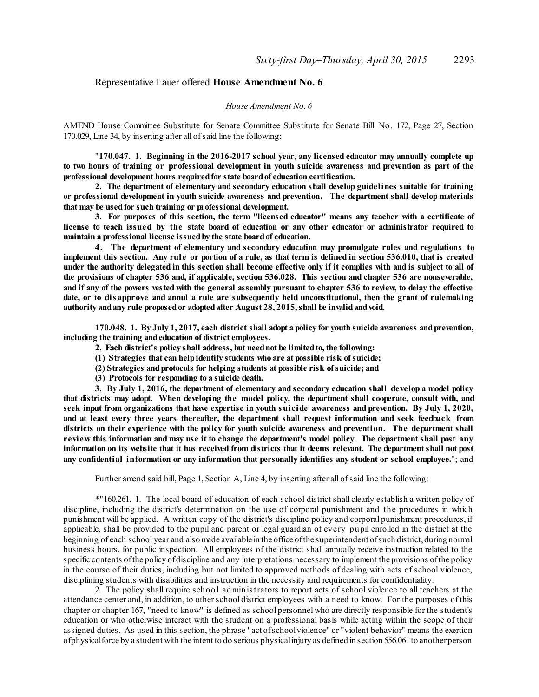### Representative Lauer offered **House Amendment No. 6**.

#### *House Amendment No. 6*

AMEND House Committee Substitute for Senate Committee Substitute for Senate Bill No. 172, Page 27, Section 170.029, Line 34, by inserting after all ofsaid line the following:

"**170.047. 1. Beginning in the 2016-2017 school year, any licensed educator may annually complete up** to two hours of training or professional development in youth suicide awareness and prevention as part of the **professional development hours requiredfor state boardof education certification.**

**2. The department of elementary and secondary education shall develop guidelines suitable for training or professional development in youth suicide awareness and prevention. The department shall develop materials that may be usedfor such training or professional development.**

**3. For purposes of this section, the term "licensed educator" means any teacher with a certificate of** license to teach issued by the state board of education or any other educator or administrator required to **maintain a professional license issuedby the state boardof education.**

**4. The department of elementary and secondary education may promulgate rules and regulations to** implement this section. Any rule or portion of a rule, as that term is defined in section 536.010, that is created under the authority delegated in this section shall become effective only if it complies with and is subject to all of the provisions of chapter 536 and, if applicable, section 536.028. This section and chapter 536 are nonseverable, and if any of the powers vested with the general assembly pursuant to chapter 536 to review, to delay the effective date, or to disapprove and annul a rule are subsequently held unconstitutional, then the grant of rulemaking **authority andany rule proposedor adoptedafter August 28, 2015, shall be invalidandvoid.**

170.048. 1. By July 1, 2017, each district shall adopt a policy for youth suicide awareness and prevention, **including the training andeducation of district employees.**

- **2. Each district's policy shall address, but neednot be limitedto, the following:**
- **(1) Strategies that can helpidentify students who are at possible risk ofsuicide;**
- **(2) Strategies andprotocols for helping students at possible risk ofsuicide; and**
- **(3) Protocols for responding to a suicide death.**

**3. By July 1, 2016, the department of elementary and secondary education shall develop a model policy that districts may adopt. When developing the model policy, the department shall cooperate, consult with, and** seek input from organizations that have expertise in youth suicide awareness and prevention. By July 1, 2020, **and at least every three years thereafter, the department shall request information and seek feedback from districts on their experience with the policy for youth suicide awareness and prevention. The department shall** review this information and may use it to change the department's model policy. The department shall post any information on its website that it has received from districts that it deems relevant. The department shall not post **any confidential information or any information that personally identifies any student or school employee.**"; and

Further amend said bill, Page 1, Section A, Line 4, by inserting after all ofsaid line the following:

\*"160.261. 1. The local board of education of each school district shall clearly establish a written policy of discipline, including the district's determination on the use of corporal punishment and the procedures in which punishment will be applied. A written copy of the district's discipline policy and corporal punishment procedures, if applicable, shall be provided to the pupil and parent or legal guardian of every pupil enrolled in the district at the beginning of each school year and also made available in the office ofthe superintendent ofsuch district,during normal business hours, for public inspection. All employees of the district shall annually receive instruction related to the specific contents ofthe policy ofdiscipline and any interpretations necessary to implement the provisions ofthe policy in the course of their duties, including but not limited to approved methods of dealing with acts of school violence, disciplining students with disabilities and instruction in the necessity and requirements for confidentiality.

2. The policy shall require school administrators to report acts of school violence to all teachers at the attendance center and, in addition, to otherschool district employees with a need to know. For the purposes of this chapter or chapter 167, "need to know" is defined as school personnel who are directly responsible for the student's education or who otherwise interact with the student on a professional basis while acting within the scope of their assigned duties. As used in this section, the phrase "act ofschoolviolence" or "violent behavior" means the exertion ofphysicalforce by a student with the intent to do serious physicalinjury as defined in section 556.061to anotherperson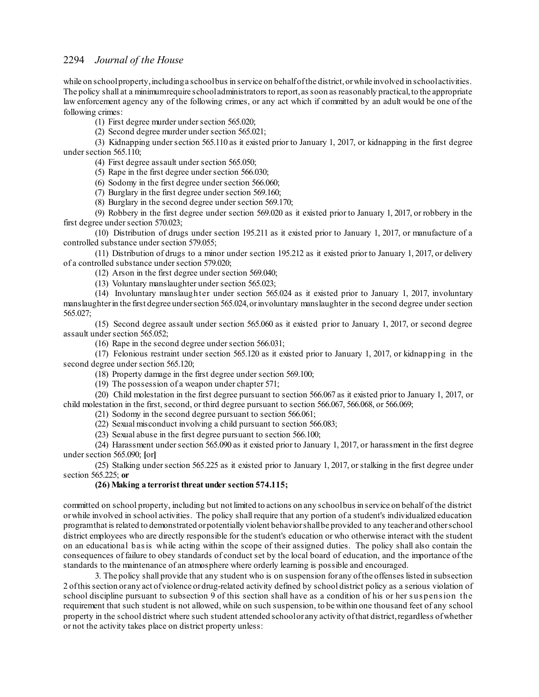while on schoolproperty, including a schoolbus in service on behalf of the district, or while involved in school activities. The policy shall at a minimum require schooladministrators to report, as soon as reasonably practical, to the appropriate law enforcement agency any of the following crimes, or any act which if committed by an adult would be one of the following crimes:

(1) First degree murder undersection 565.020;

(2) Second degree murder under section 565.021;

(3) Kidnapping undersection 565.110 as it existed prior to January 1, 2017, or kidnapping in the first degree under section 565.110;

(4) First degree assault undersection 565.050;

 $(5)$  Rape in the first degree under section 566.030;

 $(6)$  Sodomy in the first degree under section 566.060;

(7) Burglary in the first degree under section 569.160;

(8) Burglary in the second degree under section 569.170;

(9) Robbery in the first degree under section 569.020 as it existed prior to January 1, 2017, or robbery in the first degree under section 570.023;

(10) Distribution of drugs under section 195.211 as it existed prior to January 1, 2017, or manufacture of a controlled substance under section 579.055;

(11) Distribution of drugs to a minor under section 195.212 as it existed prior to January 1, 2017, or delivery of a controlled substance under section 579.020;

 $(12)$  Arson in the first degree under section 569.040;

(13) Voluntary manslaughter undersection 565.023;

(14) Involuntary manslaughter under section 565.024 as it existed prior to January 1, 2017, involuntary manslaughter in the first degree under section 565.024, or involuntary manslaughter in the second degree under section 565.027;

(15) Second degree assault under section 565.060 as it existed prior to January 1, 2017, or second degree assault under section 565.052;

(16) Rape in the second degree undersection 566.031;

(17) Felonious restraint under section 565.120 as it existed prior to January 1, 2017, or kidnapping in the second degree under section 565.120;

(18) Property damage in the first degree undersection 569.100;

(19) The possession of a weapon under chapter 571;

(20) Child molestation in the first degree pursuant to section 566.067 as it existed prior to January 1, 2017, or child molestation in the first, second, or third degree pursuant to section 566.067, 566.068, or 566.069;

(21) Sodomy in the second degree pursuant to section 566.061;

(22) Sexual misconduct involving a child pursuant to section 566.083;

(23) Sexual abuse in the first degree pursuant to section 566.100;

(24) Harassment under section 565.090 as it existed prior to January 1, 2017, or harassment in the first degree undersection 565.090; **[**or**]**

(25) Stalking under section 565.225 as it existed prior to January 1, 2017, or stalking in the first degree under section 565.225; **or**

#### **(26) Making a terrorist threat under section 574.115;**

committed on school property, including but not limited to actions on any schoolbus in service on behalf of the district orwhile involved in school activities. The policy shall require that any portion of a student's individualized education programthat is related to demonstrated orpotentially violent behaviorshallbe provided to any teacher and otherschool district employees who are directly responsible for the student's education or who otherwise interact with the student on an educational basis while acting within the scope of their assigned duties. The policy shall also contain the consequences of failure to obey standards of conduct set by the local board of education, and the importance of the standards to the maintenance of an atmosphere where orderly learning is possible and encouraged.

3. The policy shall provide that any student who is on suspension for any ofthe offenses listed in subsection 2 ofthis section orany act ofviolence ordrug-related activity defined by school district policy as a serious violation of school discipline pursuant to subsection 9 of this section shall have as a condition of his or her suspension the requirement that such student is not allowed, while on such suspension, to be within one thousand feet of any school property in the school district where such student attended schoolor any activity ofthat district,regardless ofwhether or not the activity takes place on district property unless: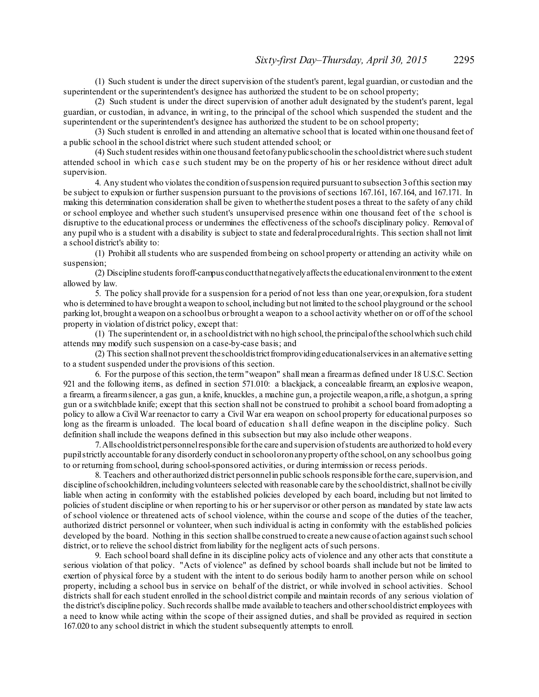(1) Such student is under the direct supervision of the student's parent, legal guardian, or custodian and the superintendent or the superintendent's designee has authorized the student to be on school property;

(2) Such student is under the direct supervision of another adult designated by the student's parent, legal guardian, or custodian, in advance, in writing, to the principal of the school which suspended the student and the superintendent or the superintendent's designee has authorized the student to be on school property;

(3) Such student is enrolled in and attending an alternative school that is located within one thousand feet of a public school in the school district where such student attended school; or

(4) Such student resides within one thousand feetofanypublicschoolin the schooldistrict where such student attended school in which case such student may be on the property of his or her residence without direct adult supervision.

4. Any student who violates the condition ofsuspension required pursuant to subsection 3ofthis section may be subject to expulsion or further suspension pursuant to the provisions of sections 167.161, 167.164, and 167.171. In making this determination consideration shall be given to whetherthe student poses a threat to the safety of any child or school employee and whether such student's unsupervised presence within one thousand feet of the s chool is disruptive to the educational process or undermines the effectiveness of the school's disciplinary policy. Removal of any pupil who is a student with a disability is subject to state and federalproceduralrights. This section shall not limit a school district's ability to:

(1) Prohibit allstudents who are suspended frombeing on school property or attending an activity while on suspension;

(2) Discipline students foroff-campus conductthatnegativelyaffectsthe educationalenvironment to the extent allowed by law.

5. The policy shall provide for a suspension for a period of not less than one year,orexpulsion,for a student who is determined to have brought a weapon to school, including but not limited to the school playground or the school parking lot,brought a weapon on a schoolbus orbrought a weapon to a school activity whether on or off of the school property in violation of district policy, except that:

(1) The superintendent or, in a schooldistrict with no high school,the principalofthe schoolwhich such child attends may modify such suspension on a case-by-case basis; and

(2) This section shallnot prevent theschooldistrictfromprovidingeducationalservicesin an alternative setting to a student suspended under the provisions of this section.

6. For the purpose of this section, the term "weapon" shall mean a firearmas defined under 18 U.S.C. Section 921 and the following items, as defined in section 571.010: a blackjack, a concealable firearm, an explosive weapon, a firearm, a firearmsilencer, a gas gun, a knife, knuckles, a machine gun, a projectile weapon, a rifle, a shotgun, a spring gun or a switchblade knife; except that this section shall not be construed to prohibit a school board fromadopting a policy to allow a Civil War reenactor to carry a Civil War era weapon on school property for educational purposes so long as the firearm is unloaded. The local board of education shall define weapon in the discipline policy. Such definition shall include the weapons defined in this subsection but may also include other weapons.

7.Allschooldistrictpersonnelresponsible forthe care and supervision ofstudents are authorized to hold every pupilstrictly accountable for any disorderly conduct in schooloronanyproperty ofthe school,on any schoolbus going to or returning fromschool, during school-sponsored activities, or during intermission or recess periods.

8. Teachers and other authorized district personnel in public schools responsible for the care, supervision, and discipline of schoolchildren, including volunteers selected with reasonable care by the school district, shall not be civilly liable when acting in conformity with the established policies developed by each board, including but not limited to policies of student discipline or when reporting to his or her supervisor or other person as mandated by state law acts of school violence or threatened acts of school violence, within the course and scope of the duties of the teacher, authorized district personnel or volunteer, when such individual is acting in conformity with the established policies developed by the board. Nothing in this section shall be construed to create a new cause of action against such school district, or to relieve the school district fromliability for the negligent acts ofsuch persons.

9. Each school board shall define in its discipline policy acts of violence and any other acts that constitute a serious violation of that policy. "Acts of violence" as defined by school boards shall include but not be limited to exertion of physical force by a student with the intent to do serious bodily harm to another person while on school property, including a school bus in service on behalf of the district, or while involved in school activities. School districts shall for each student enrolled in the school district compile and maintain records of any serious violation of the district's discipline policy. Such records shallbe made available to teachers and otherschooldistrict employees with a need to know while acting within the scope of their assigned duties, and shall be provided as required in section 167.020 to any school district in which the student subsequently attempts to enroll.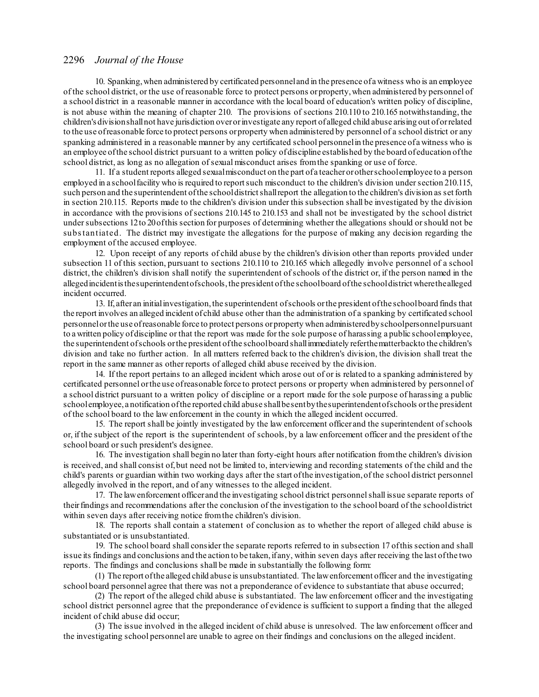10. Spanking,when administered by certificated personneland in the presence ofa witness who is an employee of the school district, or the use of reasonable force to protect persons orproperty,when administered by personnel of a school district in a reasonable manner in accordance with the local board of education's written policy of discipline, is not abuse within the meaning of chapter 210. The provisions of sections 210.110 to 210.165 notwithstanding, the children's divisionshallnot have jurisdiction overorinvestigate any report of alleged child abuse arising out oforrelated to the use ofreasonable force to protect persons orproperty when administered by personnel of a school district or any spanking administered in a reasonable manner by any certificated school personnel in the presence of a witness who is an employee ofthe school district pursuant to a written policy ofdiscipline established by the board of education ofthe school district, as long as no allegation of sexual misconduct arises from the spanking or use of force.

11. If a student reports alleged sexualmisconduct on the part ofa teacherorotherschoolemployee to a person employed in a school facility who is required to report such misconduct to the children's division under section 210.115, such person and the superintendent of the schooldistrict shall report the allegation to the children's division as set forth in section 210.115. Reports made to the children's division under this subsection shall be investigated by the division in accordance with the provisions ofsections 210.145 to 210.153 and shall not be investigated by the school district under subsections 12 to 20 of this section for purposes of determining whether the allegations should or should not be substantiated. The district may investigate the allegations for the purpose of making any decision regarding the employment of the accused employee.

12. Upon receipt of any reports of child abuse by the children's division other than reports provided under subsection 11 of this section, pursuant to sections 210.110 to 210.165 which allegedly involve personnel of a school district, the children's division shall notify the superintendent ofschools of the district or, if the person named in the allegedincidentisthesuperintendentofschools,the president ofthe schoolboard ofthe schooldistrict wherethealleged incident occurred.

13. If, after an initialinvestigation,the superintendent ofschools orthe president ofthe schoolboard finds that the report involves an alleged incident of child abuse other than the administration of a spanking by certificated school personnelorthe use ofreasonable force to protect persons orproperty when administeredbyschoolpersonnelpursuant to a written policy ofdiscipline or that the report was made for the sole purpose of harassing a public schoolemployee, the superintendent ofschools orthe president ofthe schoolboard shallimmediately referthematterbackto the children's division and take no further action. In all matters referred back to the children's division, the division shall treat the report in the same manner as other reports of alleged child abuse received by the division.

14. If the report pertains to an alleged incident which arose out of or is related to a spanking administered by certificated personnel orthe use ofreasonable force to protect persons or property when administered by personnel of a school district pursuant to a written policy of discipline or a report made for the sole purpose of harassing a public schoolemployee, a notification ofthe reported child abuse shallbesentbythe superintendentofschools orthe president of the school board to the law enforcement in the county in which the alleged incident occurred.

15. The report shall be jointly investigated by the law enforcement officer and the superintendent ofschools or, if the subject of the report is the superintendent of schools, by a law enforcement officer and the president of the school board or such president's designee.

16. The investigation shall begin no later than forty-eight hours after notification fromthe children's division is received, and shall consist of,but need not be limited to, interviewing and recording statements of the child and the child's parents or guardian within two working days after the start ofthe investigation,of the school district personnel allegedly involved in the report, and of any witnesses to the alleged incident.

17. The lawenforcement officer and the investigating school district personnelshall issue separate reports of theirfindings and recommendations after the conclusion of the investigation to the school board of the schooldistrict within seven days after receiving notice fromthe children's division.

18. The reports shall contain a statement of conclusion as to whether the report of alleged child abuse is substantiated or is unsubstantiated.

19. The school board shall consider the separate reports referred to in subsection 17 ofthis section and shall issue its findings and conclusions and the action to be taken, if any, within seven days after receiving the last of the two reports. The findings and conclusions shall be made in substantially the following form:

(1) The report ofthe alleged child abuse is unsubstantiated. The lawenforcement officer and the investigating school board personnel agree that there was not a preponderance of evidence to substantiate that abuse occurred;

(2) The report of the alleged child abuse is substantiated. The law enforcement officer and the investigating school district personnel agree that the preponderance of evidence is sufficient to support a finding that the alleged incident of child abuse did occur;

(3) The issue involved in the alleged incident of child abuse is unresolved. The law enforcement officer and the investigating school personnel are unable to agree on their findings and conclusions on the alleged incident.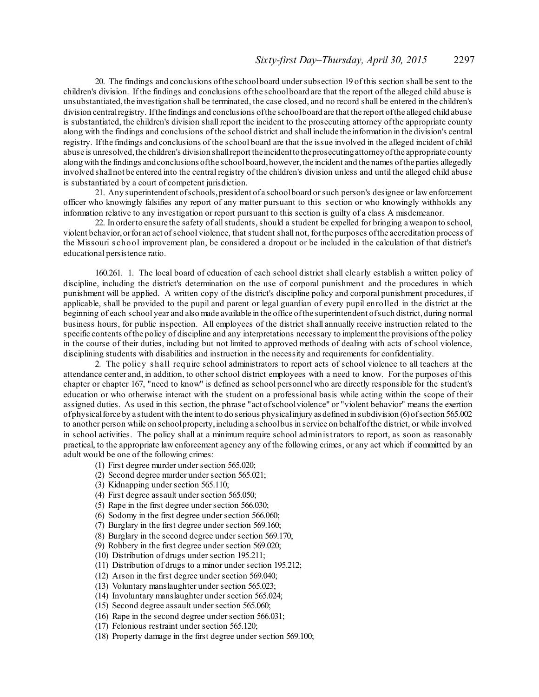20. The findings and conclusions ofthe schoolboard undersubsection 19 of this section shall be sent to the children's division. If the findings and conclusions ofthe schoolboard are that the report of the alleged child abuse is unsubstantiated, the investigation shall be terminated, the case closed, and no record shall be entered in the children's division centralregistry. Ifthe findings and conclusions ofthe schoolboard are that the report ofthe alleged child abuse is substantiated, the children's division shall report the incident to the prosecuting attorney ofthe appropriate county along with the findings and conclusions of the school district and shall include the information in the division's central registry. Ifthe findings and conclusions of the school board are that the issue involved in the alleged incident of child abuse is unresolved, the children's division shall report the incident to the prosecuting attorney of the appropriate county along with the findings and conclusions of the schoolboard, however, the incident and the names of the parties allegedly involved shallnot be entered into the central registry of the children's division unless and until the alleged child abuse is substantiated by a court of competent jurisdiction.

21. Any superintendent ofschools,president ofa schoolboard orsuch person's designee or law enforcement officer who knowingly falsifies any report of any matter pursuant to this s ection or who knowingly withholds any information relative to any investigation or report pursuant to this section is guilty of a class A misdemeanor.

22. In orderto ensure the safety of allstudents, should a student be expelled for bringing a weapon to school, violent behavior,orforan act ofschool violence, that student shall not, forthe purposes ofthe accreditation process of the Missouri s chool improvement plan, be considered a dropout or be included in the calculation of that district's educational persistence ratio.

160.261. 1. The local board of education of each school district shall clearly establish a written policy of discipline, including the district's determination on the use of corporal punishment and the procedures in which punishment will be applied. A written copy of the district's discipline policy and corporal punishment procedures, if applicable, shall be provided to the pupil and parent or legal guardian of every pupil enrolled in the district at the beginning of each school year and also made available in the office of the superintendent of such district, during normal business hours, for public inspection. All employees of the district shall annually receive instruction related to the specific contents ofthe policy of discipline and any interpretations necessary to implement the provisions ofthe policy in the course of their duties, including but not limited to approved methods of dealing with acts of school violence, disciplining students with disabilities and instruction in the necessity and requirements for confidentiality.

2. The policy s hall require school administrators to report acts of school violence to all teachers at the attendance center and, in addition, to otherschool district employees with a need to know. For the purposes of this chapter or chapter 167, "need to know" is defined as school personnel who are directly responsible for the student's education or who otherwise interact with the student on a professional basis while acting within the scope of their assigned duties. As used in this section, the phrase "act ofschoolviolence" or "violent behavior" means the exertion ofphysicalforce by a student with the intent to do serious physicalinjury as defined in subdivision (6)ofsection 565.002 to another person while on schoolproperty, including a schoolbus in service on behalf of the district, or while involved in school activities. The policy shall at a minimum require school administrators to report, as soon as reasonably practical, to the appropriate law enforcement agency any of the following crimes, or any act which if committed by an adult would be one of the following crimes:

- (1) First degree murder undersection 565.020;
- (2) Second degree murder under section 565.021;
- (3) Kidnapping undersection 565.110;
- (4) First degree assault under section 565.050;
- (5) Rape in the first degree undersection 566.030;
- $(6)$  Sodomy in the first degree under section 566.060;
- (7) Burglary in the first degree undersection 569.160;
- (8) Burglary in the second degree undersection 569.170;
- (9) Robbery in the first degree undersection 569.020;
- (10) Distribution of drugs undersection 195.211;
- (11) Distribution of drugs to a minor undersection 195.212;
- $(12)$  Arson in the first degree under section 569.040;
- (13) Voluntary manslaughter under section 565.023;
- (14) Involuntary manslaughter under section 565.024;
- $(15)$  Second degree assault under section 565.060;
- $(16)$  Rape in the second degree under section 566.031;
- (17) Felonious restraint undersection 565.120;
- (18) Property damage in the first degree undersection 569.100;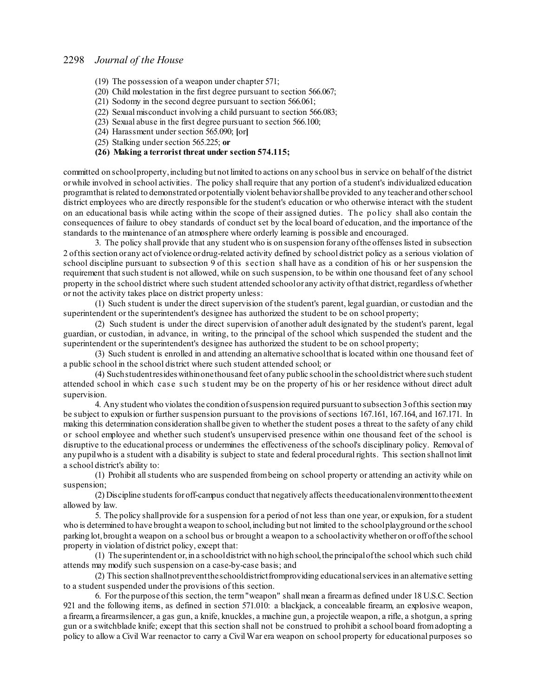- (19) The possession of a weapon under chapter 571;
- (20) Child molestation in the first degree pursuant to section 566.067;
- (21) Sodomy in the second degree pursuant to section 566.061;
- (22) Sexual misconduct involving a child pursuant to section 566.083;
- (23) Sexual abuse in the first degree pursuant to section 566.100;
- (24) Harassment undersection 565.090; **[**or**]**
- (25) Stalking undersection 565.225; **or**

### **(26) Making a terrorist threat under section 574.115;**

committed on schoolproperty,including but not limited to actions on any school bus in service on behalf of the district orwhile involved in school activities. The policy shall require that any portion of a student's individualized education programthat is related to demonstrated orpotentially violent behaviorshallbe provided to any teacher and otherschool district employees who are directly responsible for the student's education or who otherwise interact with the student on an educational basis while acting within the scope of their assigned duties. The policy shall also contain the consequences of failure to obey standards of conduct set by the local board of education, and the importance of the standards to the maintenance of an atmosphere where orderly learning is possible and encouraged.

3. The policy shall provide that any student who is on suspension for any ofthe offenses listed in subsection 2 ofthis section orany act ofviolence ordrug-related activity defined by school district policy as a serious violation of school discipline pursuant to subsection 9 of this s ection s hall have as a condition of his or her suspension the requirement thatsuch student is not allowed, while on such suspension, to be within one thousand feet of any school property in the school district where such student attended schoolor any activity of that district, regardless of whether or not the activity takes place on district property unless:

(1) Such student is under the direct supervision of the student's parent, legal guardian, or custodian and the superintendent or the superintendent's designee has authorized the student to be on school property;

(2) Such student is under the direct supervision of another adult designated by the student's parent, legal guardian, or custodian, in advance, in writing, to the principal of the school which suspended the student and the superintendent or the superintendent's designee has authorized the student to be on school property;

(3) Such student is enrolled in and attending an alternative schoolthat is located within one thousand feet of a public school in the school district where such student attended school; or

(4) Suchstudentresideswithinonethousand feet ofany public schoolin the schooldistrict where such student attended school in which case such student may be on the property of his or her residence without direct adult supervision.

4. Any student who violates the condition ofsuspension required pursuant to subsection 3ofthis section may be subject to expulsion or further suspension pursuant to the provisions of sections 167.161, 167.164, and 167.171. In making this determination consideration shallbe given to whether the student poses a threat to the safety of any child or school employee and whether such student's unsupervised presence within one thousand feet of the school is disruptive to the educational process or undermines the effectiveness of the school's disciplinary policy. Removal of any pupilwho is a student with a disability is subject to state and federal procedural rights. This section shallnot limit a school district's ability to:

(1) Prohibit allstudents who are suspended frombeing on school property or attending an activity while on suspension;

(2) Discipline students foroff-campus conduct that negatively affects theeducationalenvironmenttotheextent allowed by law.

5. The policy shallprovide for a suspension for a period of not less than one year, or expulsion, for a student who is determined to have brought a weapon to school, including but not limited to the school playground or the school parking lot,brought a weapon on a school bus or brought a weapon to a schoolactivity whetheron oroffofthe school property in violation of district policy, except that:

(1) The superintendent or,in a schooldistrict with no high school,the principalofthe school which such child attends may modify such suspension on a case-by-case basis; and

(2) This section shallnotpreventtheschooldistrictfromproviding educationalservices in an alternative setting to a student suspended under the provisions of this section.

6. For the purpose of this section, the term"weapon" shall mean a firearmas defined under 18 U.S.C. Section 921 and the following items, as defined in section 571.010: a blackjack, a concealable firearm, an explosive weapon, a firearm, a firearmsilencer, a gas gun, a knife, knuckles, a machine gun, a projectile weapon, a rifle, a shotgun, a spring gun or a switchblade knife; except that this section shall not be construed to prohibit a school board fromadopting a policy to allow a Civil War reenactor to carry a Civil War era weapon on school property for educational purposes so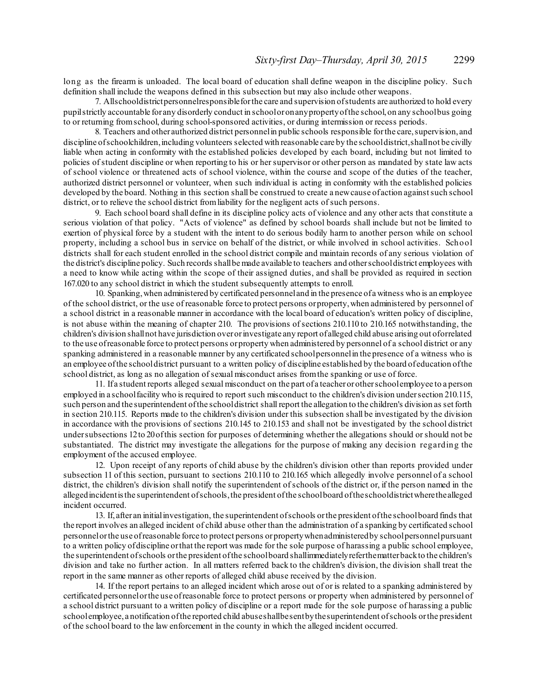long as the firearm is unloaded. The local board of education shall define weapon in the discipline policy. Such definition shall include the weapons defined in this subsection but may also include other weapons.

7. Allschooldistrictpersonnelresponsibleforthe care and supervision ofstudents are authorized to hold every pupilstrictly accountable for any disorderly conduct in schooloronanypropertyofthe school,on any schoolbus going to or returning fromschool, during school-sponsored activities, or during intermission or recess periods.

8. Teachers and other authorized district personnelin public schools responsible forthe care,supervision, and discipline ofschoolchildren,including volunteers selected with reasonable care by the schooldistrict,shallnot be civilly liable when acting in conformity with the established policies developed by each board, including but not limited to policies of student discipline or when reporting to his or her supervisor or other person as mandated by state law acts of school violence or threatened acts of school violence, within the course and scope of the duties of the teacher, authorized district personnel or volunteer, when such individual is acting in conformity with the established policies developed by the board. Nothing in this section shall be construed to create a new cause of action against such school district, or to relieve the school district from liability for the negligent acts of such persons.

9. Each school board shall define in its discipline policy acts of violence and any other acts that constitute a serious violation of that policy. "Acts of violence" as defined by school boards shall include but not be limited to exertion of physical force by a student with the intent to do serious bodily harm to another person while on school property, including a school bus in service on behalf of the district, or while involved in school activities. School districts shall for each student enrolled in the school district compile and maintain records of any serious violation of the district's discipline policy. Such records shallbemade available to teachers and otherschooldistrict employees with a need to know while acting within the scope of their assigned duties, and shall be provided as required in section 167.020 to any school district in which the student subsequently attempts to enroll.

10. Spanking,when administered by certificated personneland in the presence ofa witness who is an employee of the school district, or the use of reasonable force to protect persons orproperty,when administered by personnel of a school district in a reasonable manner in accordance with the local board of education's written policy of discipline, is not abuse within the meaning of chapter 210. The provisions ofsections 210.110 to 210.165 notwithstanding, the children's division shallnot have jurisdiction overorinvestigate any report of alleged child abuse arising out oforrelated to the use ofreasonable force to protect persons orproperty when administered by personnel of a school district or any spanking administered in a reasonable manner by any certificated schoolpersonnelin the presence of a witness who is an employee ofthe schooldistrict pursuant to a written policy of discipline established by the board of education ofthe school district, as long as no allegation of sexual misconduct arises from the spanking or use of force.

11. If a student reports alleged sexual misconduct on the part of a teacherorotherschoolemployee to a person employed in a schoolfacility who is required to report such misconduct to the children's division undersection 210.115, such person and the superintendent ofthe schooldistrict shallreport the allegation to the children's division as set forth in section 210.115. Reports made to the children's division under this subsection shall be investigated by the division in accordance with the provisions of sections 210.145 to 210.153 and shall not be investigated by the school district undersubsections 12to 20ofthis section for purposes of determining whether the allegations should orshould not be substantiated. The district may investigate the allegations for the purpose of making any decision regarding the employment of the accused employee.

12. Upon receipt of any reports of child abuse by the children's division other than reports provided under subsection 11 of this section, pursuant to sections 210.110 to 210.165 which allegedly involve personnel of a school district, the children's division shall notify the superintendent ofschools of the district or, if the person named in the allegedincidentisthe superintendent ofschools,the president ofthe schoolboard oftheschooldistrictwherethealleged incident occurred.

13. If, after an initialinvestigation, the superintendent ofschools orthe president ofthe schoolboard finds that the report involves an alleged incident of child abuse other than the administration of a spanking by certificated school personnelorthe use ofreasonable force to protect persons orpropertywhenadministeredby schoolpersonnelpursuant to a written policy ofdiscipline orthat the report was made for the sole purpose of harassing a public school employee, the superintendent ofschools orthe president ofthe schoolboard shallimmediatelyreferthematterbackto the children's division and take no further action. In all matters referred back to the children's division, the division shall treat the report in the same manner as other reports of alleged child abuse received by the division.

14. If the report pertains to an alleged incident which arose out of or is related to a spanking administered by certificated personnelorthe use ofreasonable force to protect persons or property when administered by personnel of a school district pursuant to a written policy of discipline or a report made for the sole purpose of harassing a public schoolemployee, a notification ofthe reported child abuseshallbesentbythesuperintendent ofschools orthe president of the school board to the law enforcement in the county in which the alleged incident occurred.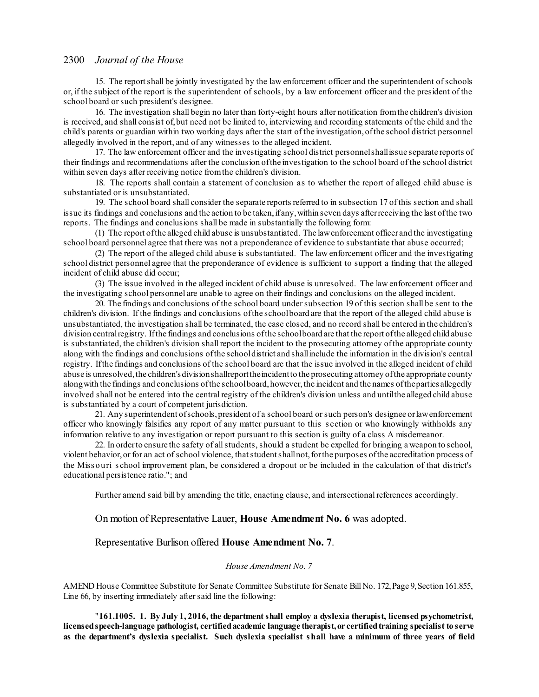15. The reportshall be jointly investigated by the law enforcement officer and the superintendent ofschools or, if the subject of the report is the superintendent of schools, by a law enforcement officer and the president of the school board or such president's designee.

16. The investigation shall begin no later than forty-eight hours after notification fromthe children's division is received, and shall consist of,but need not be limited to, interviewing and recording statements of the child and the child's parents or guardian within two working days after the start of the investigation,ofthe school district personnel allegedly involved in the report, and of any witnesses to the alleged incident.

17. The law enforcement officer and the investigating school district personnelshallissue separate reports of their findings and recommendations after the conclusion ofthe investigation to the school board of the school district within seven days after receiving notice fromthe children's division.

18. The reports shall contain a statement of conclusion as to whether the report of alleged child abuse is substantiated or is unsubstantiated.

19. The school board shall consider the separate reports referred to in subsection 17 of this section and shall issue its findings and conclusions and the action to be taken, if any, within seven days after receiving the last of the two reports. The findings and conclusions shall be made in substantially the following form:

(1) The report ofthe alleged child abuse is unsubstantiated. The lawenforcement officer and the investigating school board personnel agree that there was not a preponderance of evidence to substantiate that abuse occurred;

(2) The report of the alleged child abuse is substantiated. The law enforcement officer and the investigating school district personnel agree that the preponderance of evidence is sufficient to support a finding that the alleged incident of child abuse did occur;

(3) The issue involved in the alleged incident of child abuse is unresolved. The law enforcement officer and the investigating school personnel are unable to agree on their findings and conclusions on the alleged incident.

20. The findings and conclusions of the school board undersubsection 19 of this section shall be sent to the children's division. If the findings and conclusions ofthe schoolboard are that the report of the alleged child abuse is unsubstantiated, the investigation shall be terminated, the case closed, and no record shall be entered in the children's division centralregistry. Ifthe findings and conclusions ofthe schoolboard are that the report ofthe alleged child abuse is substantiated, the children's division shall report the incident to the prosecuting attorney ofthe appropriate county along with the findings and conclusions ofthe schooldistrict and shallinclude the information in the division's central registry. Ifthe findings and conclusions of the school board are that the issue involved in the alleged incident of child abuse is unresolved, the children's divisionshallreport the incident to the prosecuting attorney of the appropriate county along with the findings and conclusions of the schoolboard, however, the incident and the names of the parties allegedly involved shall not be entered into the central registry of the children's division unless and untilthe alleged child abuse is substantiated by a court of competent jurisdiction.

21. Any superintendent ofschools,president of a school board orsuch person's designee orlawenforcement officer who knowingly falsifies any report of any matter pursuant to this s ection or who knowingly withholds any information relative to any investigation or report pursuant to this section is guilty of a class A misdemeanor.

22. In orderto ensure the safety of allstudents, should a student be expelled for bringing a weapon to school, violent behavior,or for an act ofschool violence, thatstudentshallnot,forthe purposes ofthe accreditation process of the Miss ouri s chool improvement plan, be considered a dropout or be included in the calculation of that district's educational persistence ratio."; and

Further amend said bill by amending the title, enacting clause, and intersectional references accordingly.

On motion of Representative Lauer, **House Amendment No. 6** was adopted.

# Representative Burlison offered **House Amendment No. 7**.

## *House Amendment No. 7*

AMEND House Committee Substitute for Senate Committee Substitute for Senate Bill No. 172,Page 9,Section 161.855, Line 66, by inserting immediately after said line the following:

"**161.1005. 1. By July 1, 2016, the departmentshall employ a dyslexia therapist, licensed psychometrist, licensedspeech-language pathologist, certifiedacademic language therapist,or certifiedtraining specialist to serve** as the department's dyslexia specialist. Such dyslexia specialist shall have a minimum of three years of field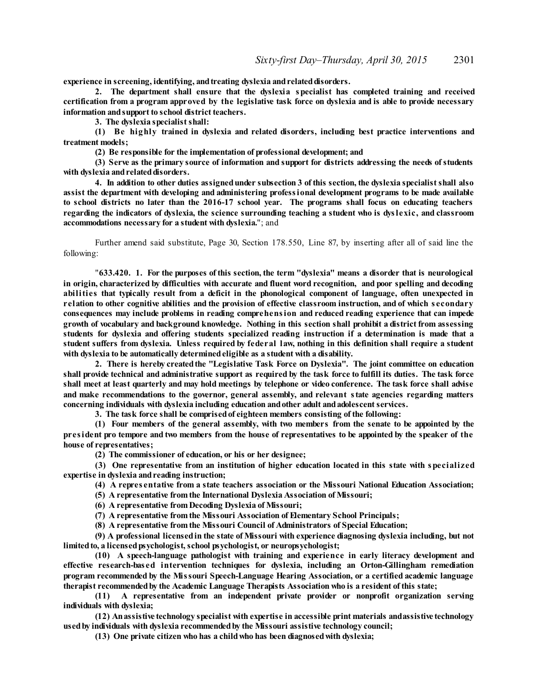**experience** in screening, identifying, and treating dyslexia and related disorders.

**2. The department shall ensure that the dyslexia specialist has completed training and received certification from a program approved by the legislative task force on dyslexia and is able to provide necessary information andsupport to school district teachers.**

**3. The dyslexia specialistshall:**

**(1) Be highly trained in dyslexia and related disorders, including best practice interventions and treatment models;**

**(2) Be responsible for the implementation of professional development; and**

**(3) Serve as the primary source of information and support for districts addressing the needs ofstudents with dyslexia andrelateddisorders.**

**4. In addition to other duties assignedunder subsection 3 of this section, the dyslexia specialistshall also assist the department with developing and administering professional development programs to be made available to school districts no later than the 2016-17 school year. The programs shall focus on educating teachers regarding the indicators of dyslexia, the science surrounding teaching a student who is dyslexic, and classroom accommodations necessary for a student with dyslexia.**"; and

Further amend said substitute, Page 30, Section 178.550, Line 87, by inserting after all of said line the following:

"**633.420. 1. For the purposes of this section, the term "dyslexia" means a disorder that is neurological** in origin, characterized by difficulties with accurate and fluent word recognition, and poor spelling and decoding **abilities that typically result from a deficit in the phonological component of language, often unexpected in** relation to other cognitive abilities and the provision of effective classroom instruction, and of which secondary **consequences may include problems in reading comprehension and reduced reading experience that can impede growth of vocabulary and background knowledge. Nothing in this section shall prohibit a district from assessing students for dyslexia and offering students specialized reading instruction if a determination is made that a** student suffers from dyslexia. Unless required by federal law, nothing in this definition shall require a student **with dyslexia to be automatically determinedeligible as a student with a disability.**

**2. There is hereby createdthe "Legislative Task Force on Dyslexia". The joint committee on education** shall provide technical and administrative support as required by the task force to fulfill its duties. The task force shall meet at least quarterly and may hold meetings by telephone or video conference. The task force shall advise **and make recommendations to the governor, general assembly, and relevant state agencies regarding matters concerning individuals with dyslexia including education andother adult andadolescentservices.**

**3. The task force shall be comprisedof eighteen members consisting of the following:**

**(1) Four members of the general assembly, with two members from the senate to be appointed by the** president pro tempore and two members from the house of representatives to be appointed by the speaker of the **house of representatives;**

**(2) The commissioner of education, or his or her designee;**

**(3) One representative from an institution of higher education located in this state with specialized expertise in dyslexia andreading instruction;**

**(4) A repres entative from a state teachers association or the Missouri National Education Association;**

**(5) A representative from the International Dyslexia Association of Missouri;**

**(6) A representative from Decoding Dyslexia of Missouri;**

**(7) A representative from the Missouri Association of Elementary School Principals;**

**(8) A representative from the Missouri Council of Administrators of Special Education;**

**(9) A professional licensedin the state of Missouri with experience diagnosing dyslexia including, but not limitedto, a licensedpsychologist, school psychologist, or neuropsychologist;**

**(10) A speech-language pathologist with training and experience in early literacy development and effective research-bas ed intervention techniques for dyslexia, including an Orton-Gillingham remediation program recommended by the Missouri Speech-Language Hearing Association, or a certified academic language therapist recommendedby the Academic Language Therapists Association who is a resident of this state;**

**(11) A representative from an independent private provider or nonprofit organization serving individuals with dyslexia;**

**(12) Anassistive technology specialist with expertise in accessible print materials andassistive technology usedby individuals with dyslexia recommendedby the Missouri assistive technology council;**

**(13) One private citizen who has a childwho has been diagnosedwith dyslexia;**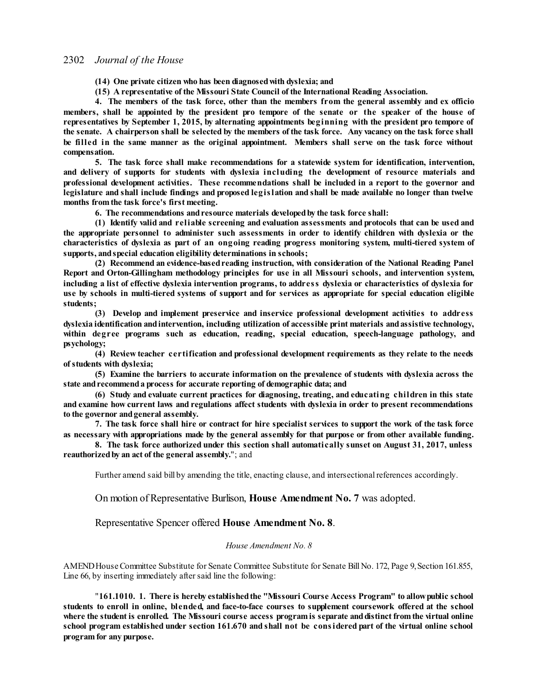**(14) One private citizen who has been diagnosedwith dyslexia; and**

**(15) A representative of the Missouri State Council of the International Reading Association.**

**4. The members of the task force, other than the members from the general assembly and ex officio** members, shall be appointed by the president pro tempore of the senate or the speaker of the house of **representatives by September 1, 2015, by alternating appointments beginning with the president pro tempore of** the senate. A chairperson shall be selected by the members of the task force. Any vacancy on the task force shall **be filled in the same manner as the original appointment. Members shall serve on the task force without compensation.**

**5. The task force shall make recommendations for a statewide system for identification, intervention, and delivery of supports for students with dyslexia including the development of resource materials and professional development activities. These recommendations shall be included in a report to the governor and** legislature and shall include findings and proposed legislation and shall be made available no longer than twelve **months from the task force's first meeting.**

**6. The recommendations andresource materials developedby the task force shall:**

**(1) Identify valid and reliable screening and evaluation assessments and protocols that can be used and the appropriate personnel to administer such assessments in order to identify children with dyslexia or the characteristics of dyslexia as part of an ongoing reading progress monitoring system, multi-tiered system of supports, andspecial education eligibility determinations in schools;**

**(2) Recommend an evidence-basedreading instruction, with consideration of the National Reading Panel Report and Orton-Gillingham methodology principles for use in all Missouri schools, and intervention system,** including a list of effective dyslexia intervention programs, to address dyslexia or characteristics of dyslexia for **use by schools in multi-tiered systems of support and for services as appropriate for special education eligible students;**

**(3) Develop and implement preservice and inservice professional development activities to address dyslexia identification andintervention, including utilization of accessible print materials andassistive technology, within degree programs such as education, reading, special education, speech-language pathology, and psychology;**

**(4) Review teacher certification and professional development requirements as they relate to the needs ofstudents with dyslexia;**

**(5) Examine the barriers to accurate information on the prevalence of students with dyslexia across the state andrecommenda process for accurate reporting of demographic data; and**

**(6) Study and evaluate current practices for diagnosing, treating, and educating children in this state and examine how current laws and regulations affect students with dyslexia in order to present recommendations to the governor andgeneral assembly.**

7. The task force shall hire or contract for hire specialist services to support the work of the task force as necessary with appropriations made by the general assembly for that purpose or from other available funding.

**8. The task force authorized under this section shall automatically sunset on August 31, 2017, unless reauthorizedby an act of the general assembly.**"; and

Further amend said bill by amending the title, enacting clause, and intersectional references accordingly.

# On motion of Representative Burlison, **House Amendment No. 7** was adopted.

Representative Spencer offered **House Amendment No. 8**.

### *House Amendment No. 8*

AMEND House Committee Substitute for Senate Committee Substitute for Senate Bill No. 172, Page 9, Section 161.855, Line 66, by inserting immediately after said line the following:

"**161.1010. 1. There is hereby establishedthe "Missouri Course Access Program" to allowpublic school students to enroll in online, blended, and face-to-face courses to supplement coursework offered at the school where the student is enrolled. The Missouri course access programis separate anddistinct fromthe virtual online** school program established under section 161.670 and shall not be considered part of the virtual online school **program for any purpose.**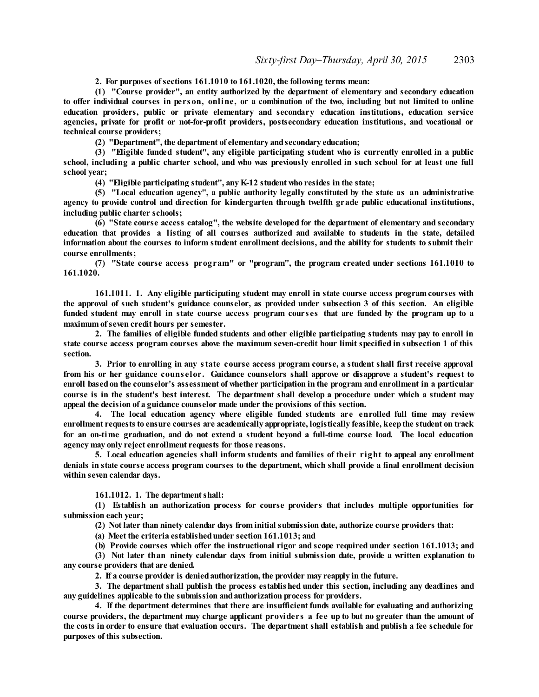**2. For purposes ofsections 161.1010 to 161.1020, the following terms mean:**

**(1) "Course provider", an entity authorized by the department of elementary and secondary education** to offer individual courses in person, online, or a combination of the two, including but not limited to online **education providers, public or private elementary and secondary education institutions, education service agencies, private for profit or not-for-profit providers, postsecondary education institutions, and vocational or technical course providers;**

**(2) "Department", the department of elementary andsecondary education;**

**(3) "Eligible funded student", any eligible participating student who is currently enrolled in a public** school, including a public charter school, and who was previously enrolled in such school for at least one full **school year;**

**(4) "Eligible participating student", any K-12 student who resides in the state;**

**(5) "Local education agency", a public authority legally constituted by the state as an administrative agency to provide control and direction for kindergarten through twelfth grade public educational institutions, including public charter schools;**

**(6) "State course access catalog", the website developed for the department of elementary and secondary** education that provides a listing of all courses authorized and available to students in the state, detailed information about the courses to inform student enrollment decisions, and the ability for students to submit their **course enrollments;**

**(7) "State course access program" or "program", the program created under sections 161.1010 to 161.1020.**

**161.1011. 1. Any eligible participating student may enroll in state course access programcourses with** the approval of such student's guidance counselor, as provided under subsection 3 of this section. An eligible funded student may enroll in state course access program courses that are funded by the program up to a **maximum ofseven credit hours per semester.**

2. The families of eligible funded students and other eligible participating students may pay to enroll in **state course access program courses above the maximum seven-credit hour limit specified in subsection 1 of this section.**

**3. Prior to enrolling in any state course access program course, a student shall first receive approval** from his or her guidance counselor. Guidance counselors shall approve or disapprove a student's request to **enroll basedon the counselor's assessment of whether participation in the program and enrollment in a particular** course is in the student's best interest. The department shall develop a procedure under which a student may **appeal the decision of a guidance counselor made under the provisions of this section.**

**4. The local education agency where eligible funded students are enrolled full time may review enrollment requests to ensure courses are academically appropriate, logistically feasible, keepthe student on track** for an on-time graduation, and do not extend a student beyond a full-time course load. The local education **agency may only reject enrollment requests for those reasons.**

**5. Local education agencies shall inform students and families of their right to appeal any enrollment** denials in state course access program courses to the department, which shall provide a final enrollment decision **within seven calendar days.**

**161.1012. 1. The departmentshall:**

**(1) Establish an authorization process for course providers that includes multiple opportunities for submission each year;**

**(2) Not later than ninety calendar days from initial submission date, authorize course providers that:**

**(a) Meet the criteria establishedunder section 161.1013; and**

**(b) Provide courses which offer the instructional rigor and scope required under section 161.1013; and**

**(3) Not later than ninety calendar days from initial submission date, provide a written explanation to any course providers that are denied.**

**2. If a course provider is deniedauthorization, the provider may reapply in the future.**

**3. The department shall publish the process established under this section, including any deadlines and any guidelines applicable to the submission andauthorization process for providers.**

**4. If the department determines that there are insufficient funds available for evaluating and authorizing** course providers, the department may charge applicant providers a fee up to but no greater than the amount of the costs in order to ensure that evaluation occurs. The department shall establish and publish a fee schedule for **purposes of this subsection.**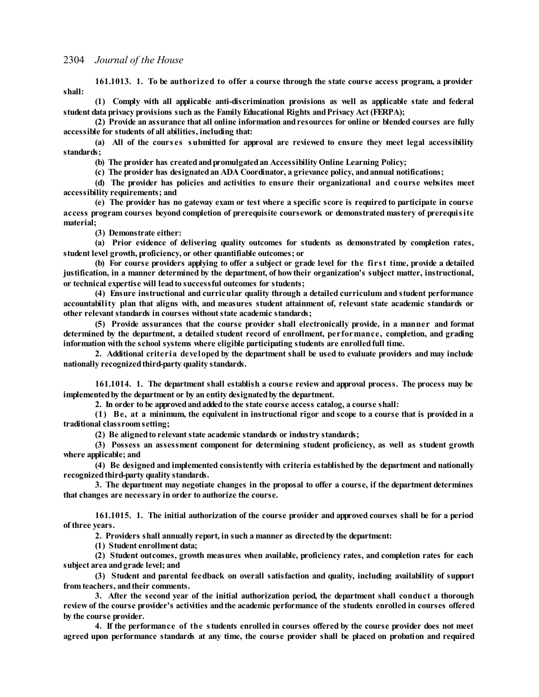**161.1013. 1. To be authorized to offer a course through the state course access program, a provider shall:**

**(1) Comply with all applicable anti-discrimination provisions as well as applicable state and federal student data privacy provisions such as the Family Educational Rights andPrivacy Act (FERPA);**

**(2) Provide an assurance that all online information andresources for online or blended courses are fully accessible for students of all abilities, including that:**

**(a) All of the cours es submitted for approval are reviewed to ensure they meet legal accessibility standards;**

**(b) The provider has createdandpromulgatedan Accessibility Online Learning Policy;**

**(c) The provider has designatedan ADA Coordinator, a grievance policy, andannual notifications;**

**(d) The provider has policies and activities to ensure their organizational and course websites meet accessibility requirements; and**

(e) The provider has no gateway exam or test where a specific score is required to participate in course **access program courses beyond completion of prerequisite coursework or demonstrated mastery of prerequisite material;**

**(3) Demonstrate either:**

**(a) Prior evidence of delivering quality outcomes for students as demonstrated by completion rates, student level growth, proficiency, or other quantifiable outcomes; or**

(b) For course providers applying to offer a subject or grade level for the first time, provide a detailed **justification, in a manner determined by the department, of howtheir organization's subject matter, instructional, or technical expertise will leadto successful outcomes for students;**

**(4) Ensure instructional and curricular quality through a detailed curriculum and student performance accountability plan that aligns with, and measures student attainment of, relevant state academic standards or other relevant standards** in **courses** without state academic standards;

**(5) Provide assurances that the course provider shall electronically provide, in a manner and format determined by the department, a detailed student record of enrollment, performance, completion, and grading information with the school systems where eligible participating students are enrolledfull time.**

**2. Additional criteria developed by the department shall be used to evaluate providers and may include nationally recognizedthird-party quality standards.**

**161.1014. 1. The department shall establish a course review and approval process. The process may be implementedby the department or by an entity designatedby the department.**

**2. In order to be approvedandaddedto the state course access catalog, a course shall:**

(1) Be, at a minimum, the equivalent in instructional rigor and scope to a course that is provided in a **traditional classroom setting;**

**(2) Be alignedto relevantstate academic standards or industry standards;**

**(3) Possess an assessment component for determining student proficiency, as well as student growth where applicable; and**

**(4) Be designed and implemented consistently with criteria established by the department and nationally recognizedthird-party quality standards.**

**3. The department may negotiate changes in the proposal to offer a course, if the department determines that changes are necessary in order to authorize the course.**

**161.1015. 1. The initial authorization of the course provider and approved courses shall be for a period of three years.**

**2. Providers shall annually report, in such a manner as directedby the department:**

**(1) Student enrollment data;**

**(2) Student outcomes, growth measures when available, proficiency rates, and completion rates for each subject area andgrade level; and**

**(3) Student and parental feedback on overall satisfaction and quality, including availability of support from teachers, andtheir comments.**

**3. After the second year of the initial authorization period, the department shall conduct a thorough** review of the course provider's activities and the academic performance of the students enrolled in courses offered **by the course provider.**

4. If the performance of the students enrolled in courses offered by the course provider does not meet agreed upon performance standards at any time, the course provider shall be placed on probation and required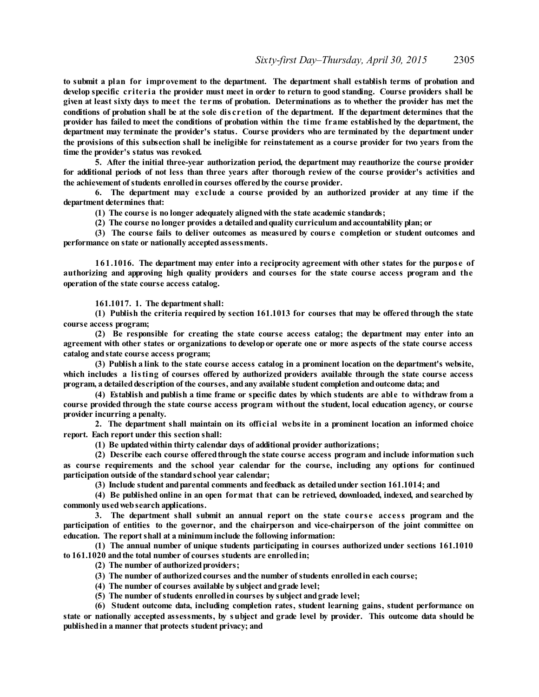**to submit a plan for improvement to the department. The department shall establish terms of probation and** develop specific criteria the provider must meet in order to return to good standing. Course providers shall be given at least sixty days to meet the terms of probation. Determinations as to whether the provider has met the conditions of probation shall be at the sole discretion of the department. If the department determines that the provider has failed to meet the conditions of probation within the time frame established by the department, the **department may terminate the provider's status. Course providers who are terminated by the department under** the provisions of this subsection shall be ineligible for reinstatement as a course provider for two years from the **time the provider's status was revoked.**

**5. After the initial three-year authorization period, the department may reauthorize the course provider** for additional periods of not less than three years after thorough review of the course provider's activities and **the achievement ofstudents enrolledin courses offeredby the course provider.**

**6. The department may exclude a course provided by an authorized provider at any time if the department determines that:**

**(1) The course is no longer adequately alignedwith the state academic standards;**

**(2) The course no longer provides a detailedandquality curriculum andaccountability plan; or**

**(3) The course fails to deliver outcomes as measured by cours e completion or student outcomes and performance on state or nationally acceptedassessments.**

**161.1016. The department may enter into a reciprocity agreement with other states for the purpos e of authorizing and approving high quality providers and courses for the state course access program and the operation of the state course access catalog.**

**161.1017. 1. The departmentshall:**

**(1) Publish the criteria required by section 161.1013 for courses that may be offered through the state course access program;**

**(2) Be responsible for creating the state course access catalog; the department may enter into an** agreement with other states or organizations to develop or operate one or more aspects of the state course access **catalog andstate course access program;**

**(3) Publish a link to the state course access catalog in a prominent location on the department's website, which includes a listing of courses offered by authorized providers available through the state course access program, a detaileddescription of the courses, andany available student completion andoutcome data; and**

(4) Establish and publish a time frame or specific dates by which students are able to withdraw from a **course provided through the state course access program without the student, local education agency, or course provider incurring a penalty.**

**2. The department shall maintain on its official website in a prominent location an informed choice report. Each report under this section shall:**

**(1) Be updatedwithin thirty calendar days of additional provider authorizations;**

**(2) Describe each course offeredthrough the state course access program and include information such as course requirements and the school year calendar for the course, including any options for continued participation outside of the standardschool year calendar;**

**(3) Include student andparental comments andfeedback as detailedunder section 161.1014; and**

**(4) Be published online in an open format that can be retrieved, downloaded, indexed, and searched by commonly usedwebsearch applications.**

**3. The department shall submit an annual report on the state cours e access program and the participation of entities to the governor, and the chairperson and vice-chairperson of the joint committee on education. The reportshall at a minimuminclude the following information:**

**(1) The annual number of unique students participating in courses authorized under sections 161.1010 to 161.1020 andthe total number of courses students are enrolledin;**

**(2) The number of authorizedproviders;**

**(3) The number of authorizedcourses andthe number ofstudents enrolledin each course;**

**(4) The number of courses available by subject andgrade level;**

**(5) The number ofstudents enrolledin courses by subject andgrade level;**

**(6) Student outcome data, including completion rates, student learning gains, student performance on** state or nationally accepted assessments, by subject and grade level by provider. This outcome data should be **publishedin a manner that protects student privacy; and**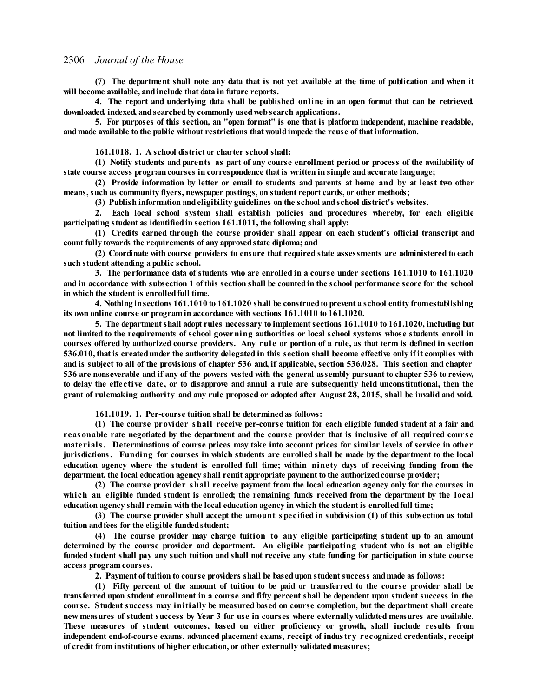(7) The department shall note any data that is not yet available at the time of publication and when it **will become available, andinclude that data in future reports.**

4. The report and underlying data shall be published online in an open format that can be retrieved, **downloaded, indexed, andsearchedby commonly usedwebsearch applications.**

**5. For purposes of this section, an "open format" is one that is platform independent, machine readable, andmade available to the public without restrictions that wouldimpede the reuse of that information.**

**161.1018. 1. A school district or charter school shall:**

**(1) Notify students and parents as part of any course enrollment period or process of the availability of state course access program courses in correspondence that is written in simple andaccurate language;**

(2) Provide information by letter or email to students and parents at home and by at least two other **means, such as community flyers, newspaper postings, on student report cards, or other methods;**

**(3) Publish information andeligibility guidelines on the school andschool district's websites.**

**2. Each local school system shall establish policies and procedures whereby, for each eligible participating student as identifiedin section 161.1011, the following shall apply:**

**(1) Credits earned through the course provider shall appear on each student's official transcript and count fully towards the requirements of any approvedstate diploma; and**

**(2) Coordinate with course providers to ensure that required state assessments are administered to each such student attending a public school.**

**3. The performance data of students who are enrolled in a course under sections 161.1010 to 161.1020** and in accordance with subsection 1 of this section shall be counted in the school performance score for the school **in which the student is enrolledfull time.**

**4. Nothing insections 161.1010 to 161.1020 shall be construedto prevent a school entity fromestablishing its own online course or program in accordance with sections 161.1010 to 161.1020.**

**5. The departmentshall adopt rules necessary to implementsections 161.1010 to 161.1020, including but not limited to the requirements of school governing authorities or local school systems whose students enroll in** courses offered by authorized course providers. Any rule or portion of a rule, as that term is defined in section 536.010, that is created under the authority delegated in this section shall become effective only if it complies with and is subject to all of the provisions of chapter 536 and if applicable, section 536.028. This section and chapter 536 are nonseverable and if any of the powers vested with the general assembly pursuant to chapter 536 to review, to delay the effective date, or to disapprove and annul a rule are subsequently held unconstitutional, then the grant of rulemaking authority and any rule proposed or adopted after August 28, 2015, shall be invalid and void.

**161.1019. 1. Per-course tuition shall be determinedas follows:**

**(1) The course provider shall receive per-course tuition for each eligible funded student at a fair and** reasonable rate negotiated by the department and the course provider that is inclusive of all required course materials. Determinations of course prices may take into account prices for similar levels of service in other jurisdictions. Funding for courses in which students are enrolled shall be made by the department to the local education agency where the student is enrolled full time; within ninety days of receiving funding from the **department, the local education agency shall remit appropriate payment to the authorizedcourse provider;**

**(2) The course provider shall receive payment from the local education agency only for the courses in** which an eligible funded student is enrolled; the remaining funds received from the department by the local **education agency shall remain with the local education agency in which the student is enrolledfull time;**

**(3) The course provider shall accept the amount specified in subdivision (1) of this subsection as total tuition andfees for the eligible fundedstudent;**

**(4) The course provider may charge tuition to any eligible participating student up to an amount determined by the course provider and department. An eligible participating student who is not an eligible** funded student shall pay any such tuition and shall not receive any state funding for participation in state course **access program courses.**

**2. Payment of tuition to course providers shall be basedupon studentsuccess andmade as follows:**

(1) Fifty percent of the amount of tuition to be paid or transferred to the course provider shall be transferred upon student enrollment in a course and fifty percent shall be dependent upon student success in the **course. Student success may initially be measured based on course completion, but the department shall create** new measures of student success by Year 3 for use in courses where externally validated measures are available. **These measures of student outcomes, based on either proficiency or growth, shall include results from independent end-of-course exams, advanced placement exams, receipt of industry recognized credentials, receipt of credit from institutions of higher education, or other externally validatedmeasures;**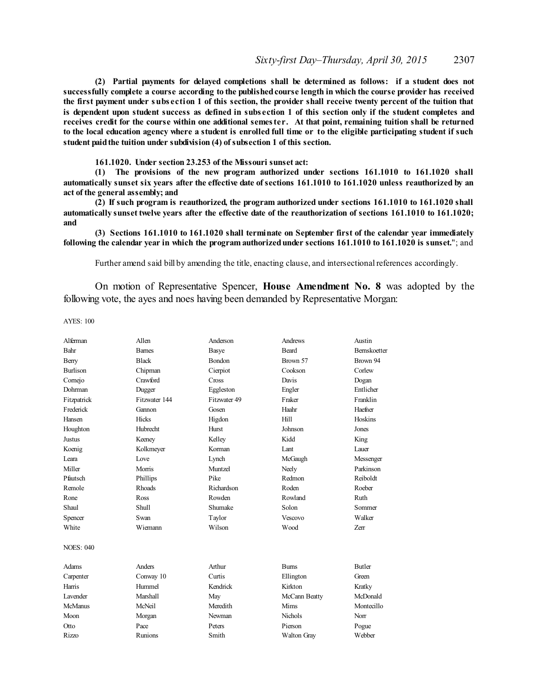**(2) Partial payments for delayed completions shall be determined as follows: if a student does not successfully complete a course according to the publishedcourse length in which the course provider has received** the first payment under subsection 1 of this section, the provider shall receive twenty percent of the tuition that is dependent upon student success as defined in subsection 1 of this section only if the student completes and receives credit for the course within one additional semester. At that point, remaining tuition shall be returned to the local education agency where a student is enrolled full time or to the eligible participating student if such **student paidthe tuition under subdivision (4) ofsubsection 1 of this section.**

**161.1020. Under section 23.253 of the Missouri sunset act:**

**(1) The provisions of the new program authorized under sections 161.1010 to 161.1020 shall automatically sunset six years after the effective date ofsections 161.1010 to 161.1020 unless reauthorized by an act of the general assembly; and**

**(2) If such program is reauthorized, the program authorized under sections 161.1010 to 161.1020 shall automatically sunset twelve years after the effective date of the reauthorization of sections 161.1010 to 161.1020; and**

**(3) Sections 161.1010 to 161.1020 shall terminate on September first of the calendar year immediately following the calendar year in which the program authorizedunder sections 161.1010 to 161.1020 is sunset.**"; and

Further amend said bill by amending the title, enacting clause, and intersectional references accordingly.

On motion of Representative Spencer, **House Amendment No. 8** was adopted by the following vote, the ayes and noes having been demanded by Representative Morgan:

AYES: 100

| Alferman         | Allen         | Anderson      | Andrews        | Austin              |
|------------------|---------------|---------------|----------------|---------------------|
| Bahr             | <b>Barnes</b> | Basye         | <b>Beard</b>   | <b>Bernskoetter</b> |
| Berry            | <b>Black</b>  | <b>Bondon</b> | Brown 57       | Brown 94            |
| <b>Burlison</b>  | Chipman       | Cierpiot      | Cookson        | Corlew              |
| Cornejo          | Crawford      | Cross         | Davis          | Dogan               |
| Dohrman          | Dugger        | Eggleston     | Engler         | Entlicher           |
| Fitzpatrick      | Fitzwater 144 | Fitzwater 49  | Fraker         | Franklin            |
| Frederick        | Gannon        | Gosen         | Haahr          | Haefner             |
| Hansen           | <b>Hicks</b>  | Higdon        | Hill           | Hoskins             |
| Houghton         | Hubrecht      | Hurst         | Johnson        | Jones               |
| <b>Justus</b>    | Keeney        | Kelley        | Kidd           | King                |
| Koenig           | Kolkmeyer     | Korman        | Lant           | Lauer               |
| Leara            | Love          | Lynch         | McGaugh        | Messenger           |
| Miller           | Morris        | Muntzel       | Neely          | Parkinson           |
| Pfautsch         | Phillips      | Pike          | Redmon         | Reiboldt            |
| Remole           | <b>Rhoads</b> | Richardson    | Roden          | Roeber              |
| Rone             | Ross          | Rowden        | Rowland        | Ruth                |
| Shaul            | Shull         | Shumake       | Solon          | Sommer              |
| Spencer          | Swan          | Taylor        | Vescovo        | Walker              |
| White            | Wiemann       | Wilson        | Wood           | <b>Zerr</b>         |
| <b>NOES: 040</b> |               |               |                |                     |
| Adams            | Anders        | Arthur        | <b>Burns</b>   | <b>Butler</b>       |
| Carpenter        | Conway 10     | Curtis        | Ellington      | Green               |
| Harris           | Hummel        | Kendrick      | Kirkton        | Kratky              |
| I avender        | Marshall      | May           | McCann Beatty  | McDonald            |
| McManus          | McNeil        | Meredith      | Mims           | Montecillo          |
| Moon             | Morgan        | Newman        | <b>Nichols</b> | Norr                |
| Otto             | Pace          | Peters        | Pierson        | Pogue               |
| <b>Rizzo</b>     | Runions       | Smith         | Walton Gray    | Webber              |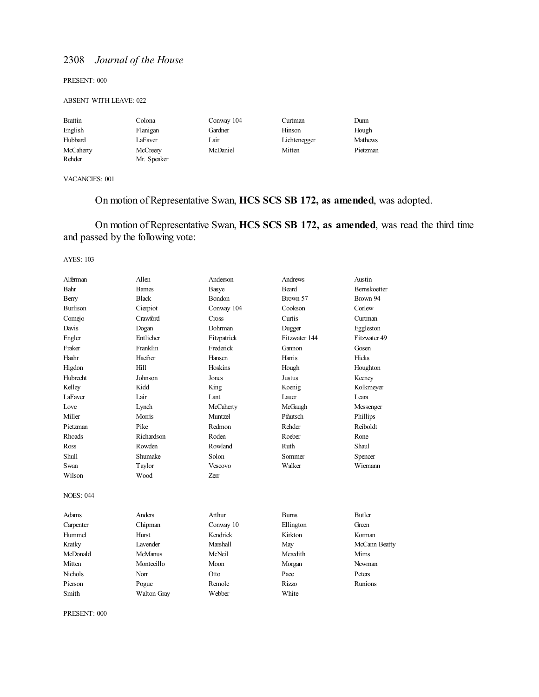PRESENT: 000

### ABSENT WITH LEAVE: 022

| <b>Brattin</b> | Colona      | Conway 104 | Curtman      | Dunn           |
|----------------|-------------|------------|--------------|----------------|
| English        | Flanigan    | Gardner    | Hinson       | Hough          |
| Hubbard        | LaFaver     | Lair       | Lichtenegger | <b>Mathews</b> |
| McCaherty      | McCreery    | McDaniel   | Mitten       | Pietzman       |
| Rehder         | Mr. Speaker |            |              |                |

VACANCIES: 001

# On motion of Representative Swan, **HCS SCS SB 172, as amended**, was adopted.

On motion of Representative Swan, **HCS SCS SB 172, as amended**, was read the third time and passed by the following vote:

AYES: 103

| Alferman         | Allen              | Anderson       | Andrews       | Austin              |
|------------------|--------------------|----------------|---------------|---------------------|
| Bahr             | <b>Barnes</b>      | Basye          | Beard         | <b>Bernskoetter</b> |
| Berry            | <b>Black</b>       | Bondon         | Brown 57      | Brown 94            |
| <b>Burlison</b>  | Cierpiot           | Conway 104     | Cookson       | Corlew              |
| Cornejo          | Crawford           | Cross          | Curtis        | Curtman             |
| Davis            | Dogan              | <b>Dohrman</b> | Dugger        | Eggleston           |
| Engler           | Entlicher          | Fitzpatrick    | Fitzwater 144 | Fitzwater 49        |
| Fraker           | Franklin           | Frederick      | Gannon        | Gosen               |
| Haahr            | Haefner            | Hansen         | Harris        | Hicks               |
| Higdon           | Hill               | Hoskins        | Hough         | Houghton            |
| Hubrecht         | Johnson            | Jones          | <b>Justus</b> | Keeney              |
| Kelley           | Kidd               | King           | Koenig        | Kolkmeyer           |
| <b>LaFaver</b>   | Lair               | Lant           | Lauer         | Leara               |
| Love             | Lynch              | McCaherty      | McGaugh       | Messenger           |
| Miller           | Morris             | Muntzel        | Pfautsch      | Phillips            |
| Pietzman         | Pike               | Redmon         | Rehder        | Reiboldt            |
| Rhoads           | Richardson         | Roden          | Roeber        | Rone                |
| Ross             | Rowden             | Rowland        | Ruth          | Shaul               |
| Shull            | Shumake            | Solon          | Sommer        | Spencer             |
| Swan             | Taylor             | Vescovo        | Walker        | Wiemann             |
| Wilson           | Wood               | Zerr           |               |                     |
| <b>NOES: 044</b> |                    |                |               |                     |
| Adams            | Anders             | Arthur         | <b>Burns</b>  | <b>Butler</b>       |
| Carpenter        | Chipman            | Conway 10      | Ellington     | Green               |
| Hummel           | Hurst              | Kendrick       | Kirkton       | Korman              |
| Kratky           | Lavender           | Marshall       | May           | McCann Beatty       |
| McDonald         | <b>McManus</b>     | McNeil         | Meredith      | Mims                |
| Mitten           | Montecillo         | Moon           | Morgan        | Newman              |
| Nichols          | Norr               | Otto           | Pace          | Peters              |
| Pierson          | Pogue              | Remole         | Rizzo         | Runions             |
| Smith            | <b>Walton Gray</b> | Webber         | White         |                     |

PRESENT: 000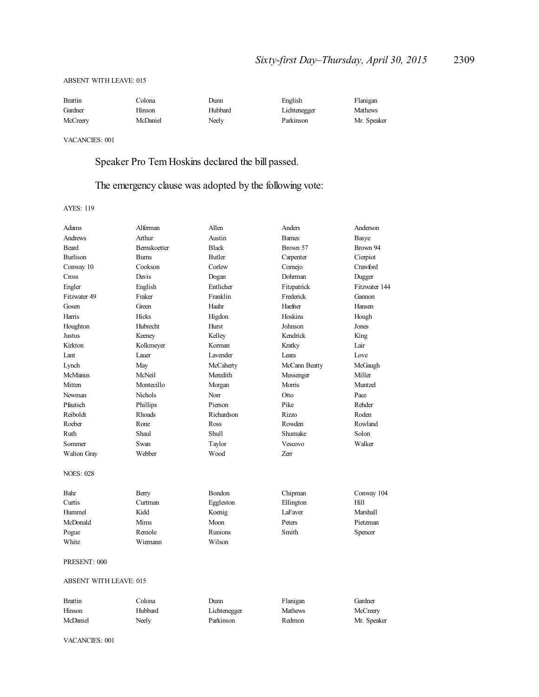### ABSENT WITH LEAVE: 015

| <b>Brattin</b> | Colona   | Dunn    | English      | Flanigan       |
|----------------|----------|---------|--------------|----------------|
| Gardner        | Hinson   | Hubbard | Lichtenegger | <b>Mathews</b> |
| McCreery       | McDaniel | Neelv   | Parkinson    | Mr. Speaker    |

VACANCIES: 001

Speaker Pro Tem Hoskins declared the bill passed.

# The emergency clause was adopted by the following vote:

AYES: 119

| Adams                         | Alferman            | Allen        | Anders        | Anderson      |
|-------------------------------|---------------------|--------------|---------------|---------------|
| <b>Andrews</b>                | Arthur              | Austin       | <b>Bames</b>  | <b>Basye</b>  |
| <b>Beard</b>                  | <b>Bernskoetter</b> | <b>Black</b> | Brown 57      | Brown 94      |
| <b>Burlison</b>               | <b>Burns</b>        | Butler       | Carpenter     | Cierpiot      |
| Conway 10                     | Cookson             | Corlew       | Comejo        | Crawford      |
| Cross                         | Davis               | Dogan        | Dohrman       | Dugger        |
| Engler                        | English             | Entlicher    | Fitzpatrick   | Fitzwater 144 |
| Fitzwater 49                  | Fraker              | Franklin     | Frederick     | Gannon        |
| Gosen                         | Green               | Haahr        | Haefner       | Hansen        |
| Harris                        | Hicks               | Higdon       | Hoskins       | Hough         |
| Houghton                      | Hubrecht            | Hurst        | Johnson       | Jones         |
| Justus                        | Keeney              | Kelley       | Kendrick      | King          |
| Kirkton                       | Kolkmeyer           | Korman       | Kratky        | Lair          |
| Lant                          | Lauer               | Lavender     | Leara         | Love          |
| Lynch                         | May                 | McCaherty    | McCann Beatty | McGaugh       |
| <b>McManus</b>                | McNeil              | Meredith     | Messenger     | Miller        |
| Mitten                        | Montecillo          | Morgan       | Morris        | Muntzel       |
| Newman                        | Nichols             | Norr         | Otto          | Pace          |
| Pfautsch                      | Phillips            | Pierson      | Pike          | Rehder        |
| Reiboldt                      | Rhoads              | Richardson   | Rizzo         | Roden         |
| Roeber                        | Rone                | Ross         | Rowden        | Rowland       |
| Ruth                          | Shaul               | <b>Shull</b> | Shumake       | Solon         |
| Sommer                        | Swan                | Taylor       | Vescovo       | Walker        |
| Walton Gray                   | Webber              | Wood         | Zerr          |               |
| <b>NOES: 028</b>              |                     |              |               |               |
| Bahr                          | Berry               | Bondon       | Chipman       | Conway 104    |
| Curtis                        | Curtman             | Eggleston    | Ellington     | Hill          |
| Hummel                        | Kidd                | Koenig       | LaFaver       | Marshall      |
| McDonald                      | Mims                | Moon         | Peters        | Pietzman      |
| Pogue                         | Remole              | Runions      | Smith         | Spencer       |
| White                         | Wiemann             | Wilson       |               |               |
| PRESENT: 000                  |                     |              |               |               |
| <b>ABSENT WITH LEAVE: 015</b> |                     |              |               |               |
| <b>Brattin</b>                | Colona              | Dunn         | Flanigan      | Gardner       |
| Hinson                        | Hubbard             | Lichtenegger | Mathews       | McCreery      |

McDaniel Neely Parkinson Redmon Mr. Speaker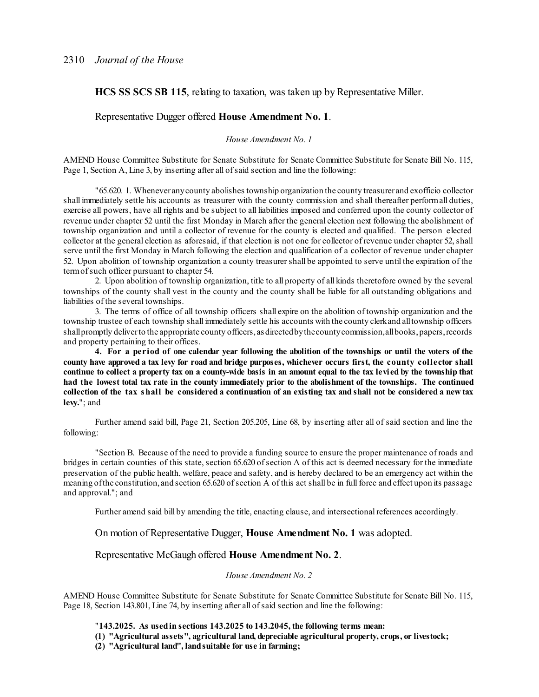**HCS SS SCS SB 115**, relating to taxation, was taken up by Representative Miller.

# Representative Dugger offered **House Amendment No. 1**.

# *House Amendment No. 1*

AMEND House Committee Substitute for Senate Substitute for Senate Committee Substitute for Senate Bill No. 115, Page 1, Section A, Line 3, by inserting after all of said section and line the following:

"65.620. 1. Wheneveranycounty abolishes township organization the county treasurer and exofficio collector shall immediately settle his accounts as treasurer with the county commission and shall thereafter performall duties, exercise all powers, have all rights and be subject to all liabilities imposed and conferred upon the county collector of revenue under chapter 52 until the first Monday in March after the general election next following the abolishment of township organization and until a collector of revenue for the county is elected and qualified. The person elected collector at the general election as aforesaid, if that election is not one for collector of revenue under chapter 52, shall serve until the first Monday in March following the election and qualification of a collector of revenue under chapter 52. Upon abolition of township organization a county treasurershall be appointed to serve until the expiration of the termofsuch officer pursuant to chapter 54.

2. Upon abolition of township organization, title to all property of all kinds theretofore owned by the several townships of the county shall vest in the county and the county shall be liable for all outstanding obligations and liabilities of the several townships.

3. The terms of office of all township officers shall expire on the abolition of township organization and the township trustee of each township shall immediately settle his accounts with the county clerkand alltownship officers shall promptly deliver to the appropriate county officers, as directed by the county commission, all books, papers, records and property pertaining to their offices.

4. For a period of one calendar year following the abolition of the townships or until the voters of the county have approved a tax levy for road and bridge purposes, whichever occurs first, the county collector shall continue to collect a property tax on a county-wide basis in an amount equal to the tax levied by the township that had the lowest total tax rate in the county immediately prior to the abolishment of the townships. The continued collection of the tax shall be considered a continuation of an existing tax and shall not be considered a new tax **levy.**"; and

Further amend said bill, Page 21, Section 205.205, Line 68, by inserting after all of said section and line the following:

"Section B. Because of the need to provide a funding source to ensure the proper maintenance of roads and bridges in certain counties of this state, section 65.620 ofsection A of this act is deemed necessary for the immediate preservation of the public health, welfare, peace and safety, and is hereby declared to be an emergency act within the meaning of the constitution, and section 65.620 of section A of this act shall be in full force and effect upon its passage and approval."; and

Further amend said bill by amending the title, enacting clause, and intersectional references accordingly.

On motion of Representative Dugger, **House Amendment No. 1** was adopted.

### Representative McGaugh offered **House Amendment No. 2**.

#### *House Amendment No. 2*

AMEND House Committee Substitute for Senate Substitute for Senate Committee Substitute for Senate Bill No. 115, Page 18, Section 143.801, Line 74, by inserting after all of said section and line the following:

"**143.2025. As usedin sections 143.2025 to 143.2045, the following terms mean:**

**(1) "Agricultural assets", agricultural land, depreciable agricultural property, crops, or livestock;**

**(2) "Agricultural land", landsuitable for use in farming;**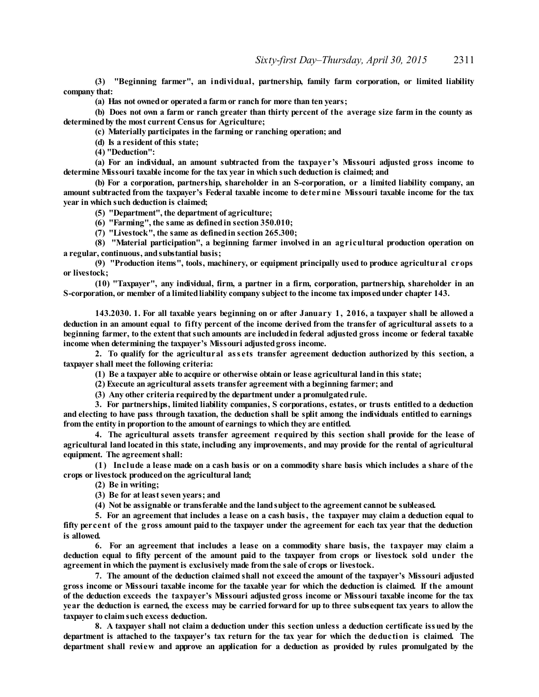**(3) "Beginning farmer", an individual, partnership, family farm corporation, or limited liability company that:**

**(a) Has not ownedor operateda farm or ranch for more than ten years;**

(b) Does not own a farm or ranch greater than thirty percent of the average size farm in the county as **determinedby the most current Census for Agriculture;**

**(c) Materially participates in the farming or ranching operation; and**

**(d) Is a resident of this state;**

**(4) "Deduction":**

**(a) For an individual, an amount subtracted from the taxpayer's Missouri adjusted gross income to determine Missouri taxable income for the tax year in which such deduction is claimed; and**

**(b) For a corporation, partnership, shareholder in an S-corporation, or a limited liability company, an amount subtracted from the taxpayer's Federal taxable income to determine Missouri taxable income for the tax year in which such deduction is claimed;**

**(5) "Department", the department of agriculture;**

**(6) "Farming", the same as definedin section 350.010;**

**(7) "Livestock", the same as definedin section 265.300;**

**(8) "Material participation", a beginning farmer involved in an agricultural production operation on a regular, continuous, andsubstantial basis;**

**(9) "Production items", tools, machinery, or equipment principally used to produce agricultural crops or livestock;**

**(10) "Taxpayer", any individual, firm, a partner in a firm, corporation, partnership, shareholder in an S-corporation, or member of a limitedliability company subject to the income tax imposedunder chapter 143.**

143.2030. 1. For all taxable years beginning on or after January 1, 2016, a taxpayer shall be allowed a deduction in an amount equal to fifty percent of the income derived from the transfer of agricultural assets to a **beginning farmer, to the extent thatsuch amounts are includedin federal adjusted gross income or federal taxable income when determining the taxpayer's Missouri adjustedgross income.**

**2. To qualify for the agricultural ass ets transfer agreement deduction authorized by this section, a taxpayer shall meet the following criteria:**

**(1) Be a taxpayer able to acquire or otherwise obtain or lease agricultural landin this state;**

**(2) Execute an agricultural assets transfer agreement with a beginning farmer; and**

**(3) Any other criteria requiredby the department under a promulgatedrule.**

**3. For partnerships, limited liability companies, S corporations, estates, or trusts entitled to a deduction** and electing to have pass through taxation, the deduction shall be split among the individuals entitled to earnings **from the entity in proportion to the amount of earnings to which they are entitled.**

**4. The agricultural assets transfer agreement required by this section shall provide for the lease of** agricultural land located in this state, including any improvements, and may provide for the rental of agricultural **equipment. The agreementshall:**

(1) Include a lease made on a cash basis or on a commodity share basis which includes a share of the **crops or livestock producedon the agricultural land;**

**(2) Be in writing;**

**(3) Be for at leastseven years; and**

**(4) Not be assignable or transferable andthe landsubject to the agreement cannot be subleased.**

5. For an agreement that includes a lease on a cash basis, the taxpayer may claim a deduction equal to fifty percent of the gross amount paid to the taxpayer under the agreement for each tax year that the deduction **is allowed.**

**6. For an agreement that includes a lease on a commodity share basis, the taxpayer may claim a** deduction equal to fifty percent of the amount paid to the taxpayer from crops or livestock sold under the **agreement in which the payment is exclusively made fromthe sale of crops or livestock.**

**7. The amount of the deduction claimed shall not exceed the amount of the taxpayer's Missouri adjusted** gross income or Missouri taxable income for the taxable year for which the deduction is claimed. If the amount **of the deduction exceeds the taxpayer's Missouri adjusted gross income or Missouri taxable income for the tax** year the deduction is earned, the excess may be carried forward for up to three subsequent tax years to allow the **taxpayer to claim such excess deduction.**

8. A taxpayer shall not claim a deduction under this section unless a deduction certificate issued by the department is attached to the taxpayer's tax return for the tax year for which the deduction is claimed. The **department shall review and approve an application for a deduction as provided by rules promulgated by the**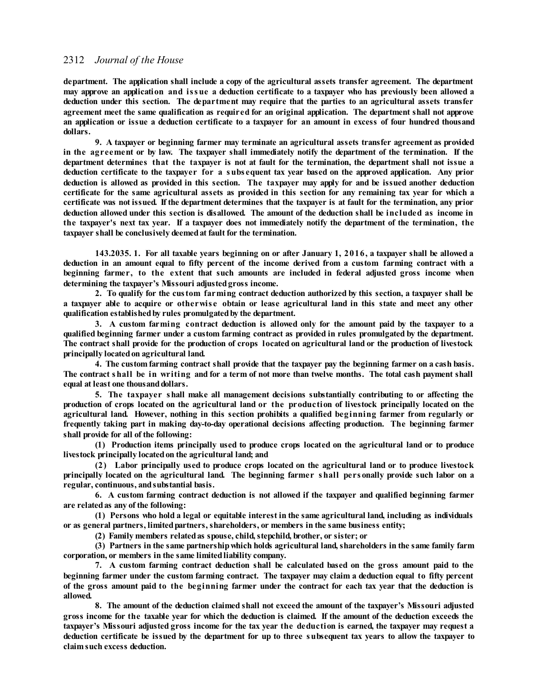**department. The application shall include a copy of the agricultural assets transfer agreement. The department** may approve an application and issue a deduction certificate to a taxpayer who has previously been allowed a **deduction under this section. The department may require that the parties to an agricultural assets transfer agreement meet the same qualification as required for an original application. The department shall not approve** an application or issue a deduction certificate to a taxpayer for an amount in excess of four hundred thousand **dollars.**

**9. A taxpayer or beginning farmer may terminate an agricultural assets transfer agreement as provided** in the agreement or by law. The taxpayer shall immediately notify the department of the termination. If the department determines that the taxpayer is not at fault for the termination, the department shall not issue a **deduction certificate to the taxpayer for a subs equent tax year based on the approved application. Any prior** deduction is allowed as provided in this section. The taxpayer may apply for and be issued another deduction certificate for the same agricultural assets as provided in this section for any remaining tax year for which a certificate was not issued. If the department determines that the taxpayer is at fault for the termination, any prior deduction allowed under this section is disallowed. The amount of the deduction shall be included as income in the taxpayer's next tax year. If a taxpayer does not immediately notify the department of the termination, the **taxpayer shall be conclusively deemedat fault for the termination.**

143.2035. 1. For all taxable vears beginning on or after January 1, 2016, a taxpayer shall be allowed a deduction in an amount equal to fifty percent of the income derived from a custom farming contract with a **beginning farmer, to the extent that such amounts are included in federal adjusted gross income when determining the taxpayer's Missouri adjustedgross income.**

**2. To qualify for the custom farming contract deduction authorized by this section, a taxpayer shall be** a taxpayer able to acquire or otherwise obtain or lease agricultural land in this state and meet any other **qualification establishedby rules promulgatedby the department.**

**3. A custom farming contract deduction is allowed only for the amount paid by the taxpayer to a qualified beginning farmer under a custom farming contract as provided in rules promulgated by the department.** The contract shall provide for the production of crops located on agricultural land or the production of livestock **principally locatedon agricultural land.**

4. The custom farming contract shall provide that the taxpayer pay the beginning farmer on a cash basis. The contract shall be in writing and for a term of not more than twelve months. The total cash payment shall **equal at least one thousanddollars.**

**5. The taxpayer shall make all management decisions substantially contributing to or affecting the** production of crops located on the agricultural land or the production of livestock principally located on the **agricultural land. However, nothing in this section prohibits a qualified beginning farmer from regularly or frequently taking part in making day-to-day operational decisions affecting production. The beginning farmer shall provide for all of the following:**

**(1) Production items principally used to produce crops located on the agricultural land or to produce livestock principally locatedon the agricultural land; and**

**(2) Labor principally used to produce crops located on the agricultural land or to produce livestock** principally located on the agricultural land. The beginning farmer shall personally provide such labor on a **regular, continuous, andsubstantial basis.**

**6. A custom farming contract deduction is not allowed if the taxpayer and qualified beginning farmer are relatedas any of the following:**

**(1) Persons who hold a legal or equitable interest in the same agricultural land, including as individuals or as general partners, limitedpartners, shareholders, or members in the same business entity;**

**(2) Family members relatedas spouse, child,stepchild, brother, or sister; or**

**(3) Partners in the same partnershipwhich holds agricultural land, shareholders in the same family farm corporation, or members in the same limitedliability company.**

**7. A custom farming contract deduction shall be calculated based on the gross amount paid to the beginning farmer under the custom farming contract. The taxpayer may claim a deduction equal to fifty percent** of the gross amount paid to the beginning farmer under the contract for each tax year that the deduction is **allowed.**

**8. The amount of the deduction claimed shall not exceed the amount of the taxpayer's Missouri adjusted** gross income for the taxable year for which the deduction is claimed. If the amount of the deduction exceeds the taxpayer's Missouri adjusted gross income for the tax year the deduction is earned, the taxpayer may request a deduction certificate be issued by the department for up to three subsequent tax years to allow the taxpayer to **claim such excess deduction.**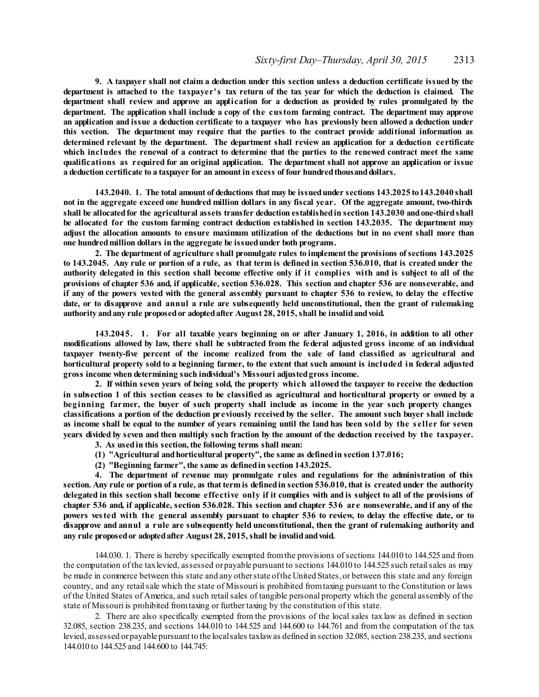9. A taxpayer shall not claim a deduction under this section unless a deduction certificate issued by the department is attached to the taxpayer's tax return of the tax year for which the deduction is claimed. The department shall review and approve an application for a deduction as provided by rules promulgated by the **department. The application shall include a copy of the custom farming contract. The department may approve** an application and issue a deduction certificate to a taxpayer who has previously been allowed a deduction under **this section. The department may require that the parties to the contract provide additional information as determined relevant by the department. The department shall review an application for a deduction certificate** which includes the renewal of a contract to determine that the parties to the renewed contract meet the same **qualifications as required for an original application. The department shall not approve an application or issue a deduction certificate to a taxpayer for an amount in excess of four hundredthousanddollars.**

**143.2040. 1. The total amount of deductions that may be issuedunder sections 143.2025 to143.2040 shall** not in the aggregate exceed one hundred million dollars in any fiscal year. Of the aggregate amount, two-thirds **shall be allocatedfor the agricultural assets transfer deduction establishedin section 143.2030 andone-thirdshall be allocated for the custom farming contract deduction established in section 143.2035. The department may** adjust the allocation amounts to ensure maximum utilization of the deductions but in no event shall more than **one hundredmillion dollars in the aggregate be issuedunder both programs.**

**2. The department of agriculture shall promulgate rules to implement the provisions ofsections 143.2025** to 143.2045. Any rule or portion of a rule, as that term is defined in section 536.010, that is created under the authority delegated in this section shall become effective only if it complies with and is subject to all of the provisions of chapter 536 and, if applicable, section 536.028. This section and chapter 536 are nonseverable, and if any of the powers vested with the general assembly pursuant to chapter 536 to review, to delay the effective **date, or to disapprove and annul a rule are subsequently held unconstitutional, then the grant of rulemaking authority andany rule proposedor adoptedafter August 28, 2015, shall be invalidandvoid.**

**143.2045. 1. For all taxable years beginning on or after January 1, 2016, in addition to all other modifications allowed by law, there shall be subtracted from the federal adjusted gross income of an individual taxpayer twenty-five percent of the income realized from the sale of land classified as agricultural and** horticultural property sold to a beginning farmer, to the extent that such amount is included in federal adjusted **gross income when determining such individual's Missouri adjustedgross income.**

**2. If within seven years of being sold, the property which allowed the taxpayer to receive the deduction** in subsection 1 of this section ceases to be classified as agricultural and horticultural property or owned by a **beginning farmer, the buyer of such property shall include as income in the year such property changes** classifications a portion of the deduction previously received by the seller. The amount such buyer shall include as income shall be equal to the number of years remaining until the land has been sold by the seller for seven years divided by seven and then multiply such fraction by the amount of the deduction received by the taxpayer.

- **3. As usedin this section, the following terms shall mean:**
- **(1) "Agricultural andhorticultural property", the same as definedin section 137.016;**
- **(2) "Beginning farmer", the same as definedin section 143.2025.**

**4. The department of revenue may promulgate rules and regulations for the administration of this** section. Any rule or portion of a rule, as that term is defined in section 536.010, that is created under the authority delegated in this section shall become effective only if it complies with and is subject to all of the provisions of chapter 536 and, if applicable, section 536.028. This section and chapter 536 are nonseverable, and if any of the powers vested with the general assembly pursuant to chapter 536 to review, to delay the effective date, or to **disapprove and annul a rule are subsequently held unconstitutional, then the grant of rulemaking authority and any rule proposedor adoptedafter August 28, 2015, shall be invalidandvoid.**

144.030. 1. There is hereby specifically exempted fromthe provisions ofsections 144.010 to 144.525 and from the computation of the taxlevied, assessed orpayable pursuant to sections 144.010 to 144.525 such retailsales as may be made in commerce between this state and any otherstate ofthe United States,or between this state and any foreign country, and any retailsale which the state of Missouri is prohibited fromtaxing pursuant to the Constitution or laws of the United States of America, and such retailsales of tangible personal property which the general assembly of the state of Missouri is prohibited fromtaxing or further taxing by the constitution of this state.

2. There are also specifically exempted from the provisions of the local sales tax law as defined in section 32.085, section 238.235, and sections 144.010 to 144.525 and 144.600 to 144.761 and from the computation of the tax levied, assessed orpayable pursuant to the localsales taxlawas defined in section 32.085, section 238.235, and sections 144.010 to 144.525 and 144.600 to 144.745: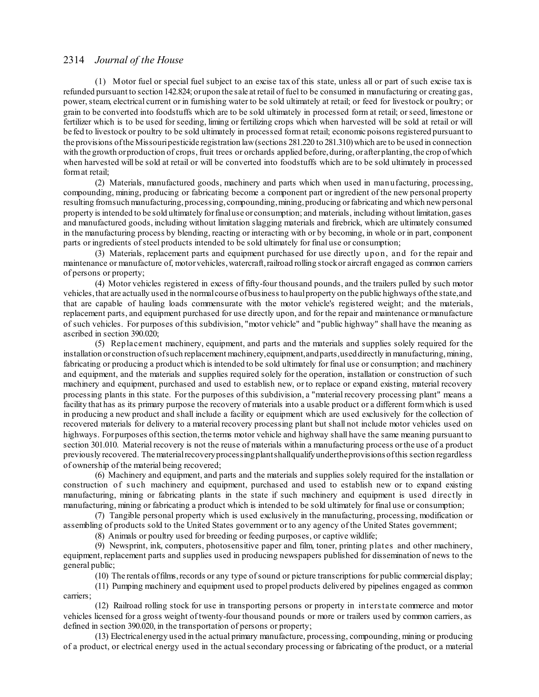(1) Motor fuel or special fuel subject to an excise tax of this state, unless all or part of such excise tax is refunded pursuant to section 142.824; orupon the sale at retail of fuel to be consumed in manufacturing or creating gas, power, steam, electrical current or in furnishing water to be sold ultimately at retail; or feed for livestock or poultry; or grain to be converted into foodstuffs which are to be sold ultimately in processed form at retail; orseed, limestone or fertilizer which is to be used forseeding, liming or fertilizing crops which when harvested will be sold at retail or will be fed to livestock or poultry to be sold ultimately in processed format retail; economic poisons registered pursuant to the provisions ofthe Missouripesticide registration law(sections 281.220 to 281.310)which are to be used in connection with the growth orproduction of crops, fruit trees or orchards applied before, during, or after planting, the crop of which when harvested will be sold at retail or will be converted into foodstuffs which are to be sold ultimately in processed format retail;

(2) Materials, manufactured goods, machinery and parts which when used in manufacturing, processing, compounding, mining, producing or fabricating become a component part or ingredient of the new personal property resulting fromsuch manufacturing,processing, compounding,mining,producing orfabricating and which newpersonal property is intended to be sold ultimately forfinaluse or consumption; and materials, including without limitation,gases and manufactured goods, including without limitation slagging materials and firebrick, which are ultimately consumed in the manufacturing process by blending, reacting or interacting with or by becoming, in whole or in part, component parts or ingredients ofsteel products intended to be sold ultimately for final use or consumption;

(3) Materials, replacement parts and equipment purchased for use directly upon, and for the repair and maintenance or manufacture of, motorvehicles,watercraft,railroad rolling stockor aircraft engaged as common carriers of persons or property;

(4) Motor vehicles registered in excess of fifty-four thousand pounds, and the trailers pulled by such motor vehicles,that are actually used in the normalcourse ofbusiness to haulproperty on the public highways ofthe state,and that are capable of hauling loads commensurate with the motor vehicle's registered weight; and the materials, replacement parts, and equipment purchased for use directly upon, and for the repair and maintenance ormanufacture of such vehicles. For purposes of this subdivision, "motor vehicle" and "public highway" shall have the meaning as ascribed in section 390.020;

(5) Replacement machinery, equipment, and parts and the materials and supplies solely required for the installation or construction ofsuch replacement machinery,equipment,andparts,useddirectly in manufacturing,mining, fabricating or producing a product which is intended to be sold ultimately for final use or consumption; and machinery and equipment, and the materials and supplies required solely for the operation, installation or construction of such machinery and equipment, purchased and used to establish new, or to replace or expand existing, material recovery processing plants in this state. For the purposes of this subdivision, a "material recovery processing plant" means a facility that has as its primary purpose the recovery of materials into a usable product or a different formwhich is used in producing a new product and shall include a facility or equipment which are used exclusively for the collection of recovered materials for delivery to a material recovery processing plant but shall not include motor vehicles used on highways. For purposes of this section, the terms motor vehicle and highway shall have the same meaning pursuant to section 301.010. Material recovery is not the reuse of materials within a manufacturing process or the use of a product previously recovered. The materialrecoveryprocessingplantshallqualifyundertheprovisions ofthis section regardless of ownership of the material being recovered;

(6) Machinery and equipment, and parts and the materials and supplies solely required for the installation or construction of such machinery and equipment, purchased and used to establish new or to expand existing manufacturing, mining or fabricating plants in the state if such machinery and equipment is used directly in manufacturing, mining or fabricating a product which is intended to be sold ultimately for final use or consumption;

(7) Tangible personal property which is used exclusively in the manufacturing, processing, modification or assembling of products sold to the United States government or to any agency of the United States government;

(8) Animals or poultry used for breeding or feeding purposes, or captive wildlife;

(9) Newsprint, ink, computers, photosensitive paper and film, toner, printing plates and other machinery, equipment, replacement parts and supplies used in producing newspapers published for dissemination of news to the general public;

(10) The rentals offilms,records or any type ofsound or picture transcriptions for public commercial display;

(11) Pumping machinery and equipment used to propel products delivered by pipelines engaged as common carriers;

(12) Railroad rolling stock for use in transporting persons or property in interstate commerce and motor vehicles licensed for a gross weight of twenty-four thousand pounds or more or trailers used by common carriers, as defined in section 390.020, in the transportation of persons or property;

(13) Electricalenergy used in the actual primary manufacture, processing, compounding, mining or producing of a product, or electrical energy used in the actualsecondary processing or fabricating of the product, or a material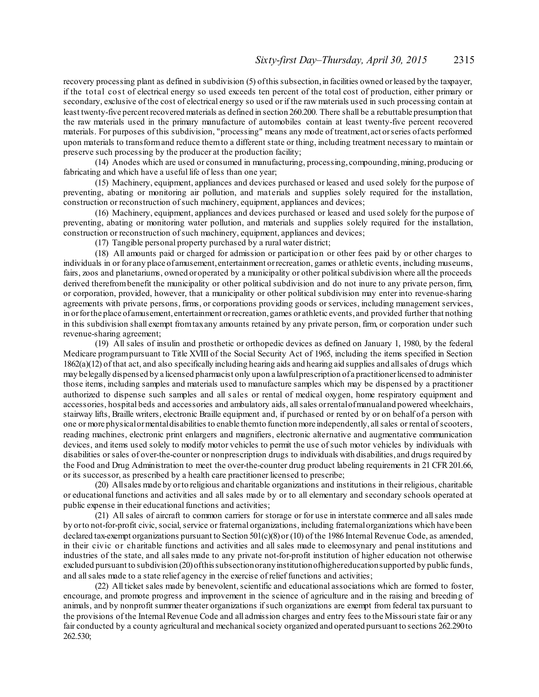recovery processing plant as defined in subdivision (5) ofthis subsection,in facilities owned orleased by the taxpayer, if the total cost of electrical energy so used exceeds ten percent of the total cost of production, either primary or secondary, exclusive of the cost of electrical energy so used or if the raw materials used in such processing contain at least twenty-five percent recovered materials as defined in section 260.200. There shall be a rebuttable presumption that the raw materials used in the primary manufacture of automobiles contain at least twenty-five percent recovered materials. For purposes of this subdivision, "processing" means any mode of treatment, act orseries of acts performed upon materials to transformand reduce themto a different state or thing, including treatment necessary to maintain or preserve such processing by the producer at the production facility;

(14) Anodes which are used or consumed in manufacturing, processing, compounding,mining,producing or fabricating and which have a useful life of less than one year;

(15) Machinery, equipment, appliances and devices purchased or leased and used solely for the purpose of preventing, abating or monitoring air pollution, and materials and supplies solely required for the installation, construction or reconstruction of such machinery, equipment, appliances and devices;

(16) Machinery, equipment, appliances and devices purchased or leased and used solely for the purpose of preventing, abating or monitoring water pollution, and materials and supplies solely required for the installation, construction or reconstruction of such machinery, equipment, appliances and devices;

(17) Tangible personal property purchased by a rural water district;

(18) All amounts paid or charged for admission or participation or other fees paid by or other charges to individuals in or for any place of amusement, entertainment orrecreation, games or athletic events, including museums, fairs, zoos and planetariums, owned oroperated by a municipality or other politicalsubdivision where all the proceeds derived therefrombenefit the municipality or other political subdivision and do not inure to any private person, firm, or corporation, provided, however, that a municipality or other political subdivision may enter into revenue-sharing agreements with private persons, firms, or corporations providing goods orservices, including management services, in orforthe place ofamusement, entertainment orrecreation,games or athletic events, and provided further that nothing in this subdivision shall exempt fromtaxany amounts retained by any private person, firm, or corporation under such revenue-sharing agreement;

(19) All sales of insulin and prosthetic or orthopedic devices as defined on January 1, 1980, by the federal Medicare programpursuant to Title XVIII of the Social Security Act of 1965, including the items specified in Section 1862(a)(12) of that act, and also specifically including hearing aids and hearing aid supplies and allsales of drugs which may belegally dispensed by a licensed pharmacist only upon a lawfulprescription of a practitionerlicensed to administer those items, including samples and materials used to manufacture samples which may be dispensed by a practitioner authorized to dispense such samples and all s ales or rental of medical oxygen, home respiratory equipment and accessories, hospital beds and accessories and ambulatory aids, allsales orrentalofmanualand powered wheelchairs, stairway lifts, Braille writers, electronic Braille equipment and, if purchased or rented by or on behalf of a person with one or more physicalormentaldisabilities to enable themto function more independently, allsales or rental ofscooters, reading machines, electronic print enlargers and magnifiers, electronic alternative and augmentative communication devices, and items used solely to modify motor vehicles to permit the use ofsuch motor vehicles by individuals with disabilities orsales of over-the-counter or nonprescription drugs to individuals with disabilities, and drugs required by the Food and Drug Administration to meet the over-the-counter drug product labeling requirements in 21 CFR 201.66, or its successor, as prescribed by a health care practitioner licensed to prescribe;

(20) Allsales made by orto religious and charitable organizations and institutions in their religious, charitable or educational functions and activities and all sales made by or to all elementary and secondary schools operated at public expense in their educational functions and activities;

(21) All sales of aircraft to common carriers for storage or for use in interstate commerce and allsales made by orto not-for-profit civic, social, service or fraternal organizations, including fraternalorganizations which have been declared tax-exempt organizations pursuant to Section  $501(c)(8)$  or (10) of the 1986 Internal Revenue Code, as amended, in their civic or charitable functions and activities and all sales made to eleemosynary and penal institutions and industries of the state, and allsales made to any private not-for-profit institution of higher education not otherwise excluded pursuant to subdivision (20)ofthissubsectionoranyinstitutionofhighereducationsupported by public funds, and allsales made to a state relief agency in the exercise of relief functions and activities;

(22) All ticket sales made by benevolent, scientific and educational associations which are formed to foster, encourage, and promote progress and improvement in the science of agriculture and in the raising and breeding of animals, and by nonprofit summer theater organizations ifsuch organizations are exempt from federal tax pursuant to the provisions of the Internal Revenue Code and all admission charges and entry fees to the Missouristate fair or any fair conducted by a county agricultural and mechanicalsociety organized and operated pursuant to sections 262.290to 262.530;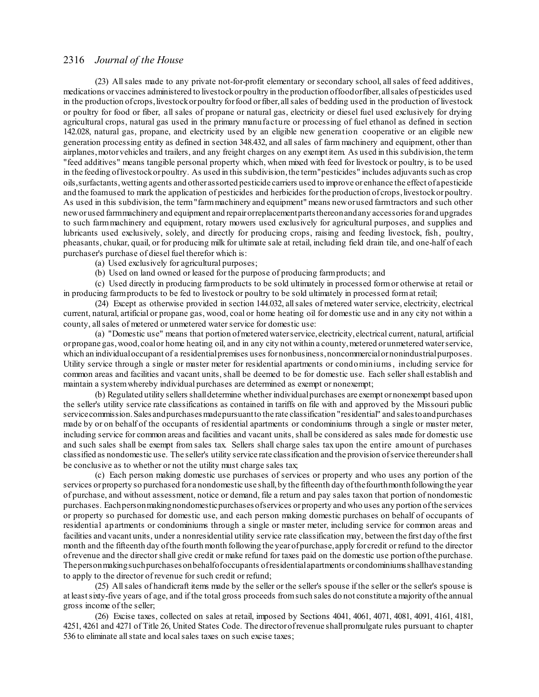(23) Allsales made to any private not-for-profit elementary orsecondary school, allsales of feed additives, medications orvaccines administered to livestockorpoultry in the production offoodorfiber, allsales ofpesticides used in the production of crops, livestock or poultry for food or fiber, all sales of bedding used in the production of livestock or poultry for food or fiber, all sales of propane or natural gas, electricity or diesel fuel used exclusively for drying agricultural crops, natural gas used in the primary manufacture or processing of fuel ethanol as defined in section 142.028, natural gas, propane, and electricity used by an eligible new generation cooperative or an eligible new generation processing entity as defined in section 348.432, and allsales of farm machinery and equipment, other than airplanes,motorvehicles and trailers, and any freight charges on any exempt item. As used in this subdivision,the term "feed additives" means tangible personal property which, when mixed with feed for livestock or poultry, is to be used in the feeding oflivestockorpoultry. As used in this subdivision,the term"pesticides" includes adjuvants such as crop oils,surfactants,wetting agents and other assorted pesticide carriers used to improve or enhance the effect of apesticide and the foamused to mark the application of pesticides and herbicides for the production of crops, livestock or poultry. As used in this subdivision, the term"farmmachinery and equipment" means neworused farmtractors and such other neworused farmmachinery and equipment and repairorreplacementpartsthereonandany accessories for and upgrades to such farmmachinery and equipment, rotary mowers used exclusively for agricultural purposes, and supplies and lubricants used exclusively, solely, and directly for producing crops, raising and feeding livestock, fish, poultry, pheasants, chukar, quail, or for producing milk for ultimate sale at retail, including field drain tile, and one-half of each purchaser's purchase of diesel fuel therefor which is:

(a) Used exclusively for agricultural purposes;

(b) Used on land owned or leased for the purpose of producing farmproducts; and

(c) Used directly in producing farmproducts to be sold ultimately in processed formor otherwise at retail or in producing farmproducts to be fed to livestock or poultry to be sold ultimately in processed format retail;

(24) Except as otherwise provided in section 144.032, allsales of metered waterservice, electricity, electrical current, natural, artificial or propane gas, wood, coal or home heating oil for domestic use and in any city not within a county, all sales of metered or unmetered water service for domestic use:

(a) "Domestic use" means that portion ofmetered waterservice, electricity, electrical current, natural, artificial orpropane gas,wood, coalor home heating oil, and in any city not within a county,metered orunmetered waterservice, which an individual occupant of a residential premises uses for nonbusiness, noncommercial or nonindustrial purposes. Utility service through a single or master meter for residential apartments or condominiums, including service for common areas and facilities and vacant units, shall be deemed to be for domestic use. Each sellershall establish and maintain a systemwhereby individual purchases are determined as exempt or nonexempt;

(b) Regulated utility sellers shalldetermine whether individualpurchases are exempt ornonexempt based upon the seller's utility service rate classifications as contained in tariffs on file with and approved by the Missouri public service commission. Sales and purchases madepursuant to the rate classification "residential" and sales to and purchases made by or on behalf of the occupants of residential apartments or condominiums through a single or master meter, including service for common areas and facilities and vacant units, shall be considered as sales made for domestic use and such sales shall be exempt from sales tax. Sellers shall charge sales tax upon the entire amount of purchases classified as nondomestic use. The seller's utility service rate classification and the provision ofservice thereundershall be conclusive as to whether or not the utility must charge sales tax;

(c) Each person making domestic use purchases of services or property and who uses any portion of the services or property so purchased for a nondomestic use shall, by the fifteenth day of the fourthmonth following the year of purchase, and without assessment, notice or demand, file a return and pay sales taxon that portion of nondomestic purchases. Eachpersonmakingnondomesticpurchases ofservices orproperty and who uses any portion ofthe services or property so purchased for domestic use, and each person making domestic purchases on behalf of occupants of residential apartments or condominiums through a single or master meter, including service for common areas and facilities and vacant units, under a nonresidential utility service rate classification may, between the first day ofthe first month and the fifteenth day ofthe fourth month following the yearofpurchase, apply for credit or refund to the director ofrevenue and the directorshall give credit or make refund for taxes paid on the domestic use portion ofthe purchase. Thepersonmakingsuchpurchases onbehalfofoccupants ofresidentialapartments or condominiumsshallhavestanding to apply to the director of revenue for such credit or refund;

(25) Allsales of handicraft items made by the seller or the seller's spouse if the seller or the seller's spouse is at leastsixty-five years of age, and if the total gross proceeds fromsuch sales do not constitute amajority ofthe annual gross income of the seller;

(26) Excise taxes, collected on sales at retail, imposed by Sections 4041, 4061, 4071, 4081, 4091, 4161, 4181, 4251, 4261 and 4271 of Title 26, United States Code. The directorofrevenue shallpromulgate rules pursuant to chapter 536 to eliminate allstate and localsales taxes on such excise taxes;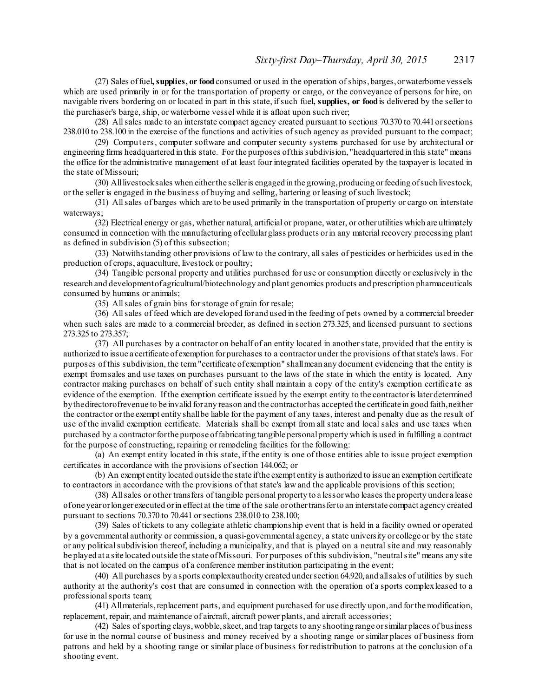(27) Sales offuel**, supplies, or food**consumed or used in the operation ofships,barges,orwaterborne vessels which are used primarily in or for the transportation of property or cargo, or the conveyance of persons for hire, on navigable rivers bordering on or located in part in this state, ifsuch fuel**, supplies, or food**is delivered by the seller to the purchaser's barge, ship, or waterborne vessel while it is afloat upon such river;

(28) Allsales made to an interstate compact agency created pursuant to sections 70.370 to 70.441orsections 238.010 to 238.100 in the exercise of the functions and activities ofsuch agency as provided pursuant to the compact;

(29) Computers, computer software and computer security systems purchased for use by architectural or engineering firms headquartered in this state. For the purposes ofthis subdivision, "headquartered in this state" means the office for the administrative management of at least four integrated facilities operated by the taxpayer is located in the state of Missouri;

(30) Alllivestocksales when eitherthe selleris engaged in the growing,producing orfeeding ofsuch livestock, or the seller is engaged in the business of buying and selling, bartering or leasing ofsuch livestock;

(31) Allsales of barges which are to be used primarily in the transportation of property or cargo on interstate waterways;

(32) Electrical energy or gas, whether natural, artificial or propane, water, or otherutilities which are ultimately consumed in connection with the manufacturing of cellularglass products orin any material recovery processing plant as defined in subdivision (5) of this subsection;

(33) Notwithstanding other provisions of law to the contrary, allsales of pesticides or herbicides used in the production of crops, aquaculture, livestock or poultry;

(34) Tangible personal property and utilities purchased for use or consumption directly or exclusively in the research and developmentofagricultural/biotechnology and plant genomics products and prescription pharmaceuticals consumed by humans or animals;

(35) Allsales of grain bins forstorage of grain for resale;

(36) Allsales of feed which are developed forand used in the feeding of pets owned by a commercial breeder when such sales are made to a commercial breeder, as defined in section 273.325, and licensed pursuant to sections 273.325 to 273.357;

(37) All purchases by a contractor on behalf of an entity located in anotherstate, provided that the entity is authorized to issue a certificate of exemption forpurchases to a contractor under the provisions of thatstate's laws. For purposes of this subdivision, the term"certificate ofexemption" shallmean any document evidencing that the entity is exempt fromsales and use taxes on purchases pursuant to the laws of the state in which the entity is located. Any contractor making purchases on behalf of such entity shall maintain a copy of the entity's exemption certificate as evidence of the exemption. If the exemption certificate issued by the exempt entity to the contractoris laterdetermined bythedirectorofrevenue to be invalid for any reason and the contractorhas accepted the certificate in good faith,neither the contractor orthe exempt entity shallbe liable for the payment of any taxes, interest and penalty due as the result of use of the invalid exemption certificate. Materials shall be exempt from all state and local sales and use taxes when purchased by a contractorforthe purpose offabricating tangible personalproperty which is used in fulfilling a contract for the purpose of constructing, repairing or remodeling facilities for the following:

(a) An exempt entity located in this state, if the entity is one of those entities able to issue project exemption certificates in accordance with the provisions of section 144.062; or

(b) An exempt entity located outside the state ifthe exempt entity is authorized to issue an exemption certificate to contractors in accordance with the provisions of that state's law and the applicable provisions of this section;

(38) Allsales or other transfers of tangible personal property to a lessorwho leases the property under a lease ofone yearorlonger executed orin effect at the time of the sale orothertransferto an interstate compact agency created pursuant to sections 70.370 to 70.441 orsections 238.010 to 238.100;

(39) Sales of tickets to any collegiate athletic championship event that is held in a facility owned or operated by a governmental authority or commission, a quasi-governmental agency, a state university orcollege or by the state or any political subdivision thereof, including a municipality, and that is played on a neutral site and may reasonably be played at a site located outside the state ofMissouri. For purposes of this subdivision, "neutralsite" means any site that is not located on the campus of a conference member institution participating in the event;

(40) All purchases by a sports complexauthority created undersection 64.920, and allsales of utilities by such authority at the authority's cost that are consumed in connection with the operation of a sports complexleased to a professional sports team;

(41) Allmaterials,replacement parts, and equipment purchased for use directly upon, and forthemodification, replacement, repair, and maintenance of aircraft, aircraft power plants, and aircraft accessories;

(42) Sales ofsporting clays,wobble,skeet, and trap targets to any shooting range orsimilarplaces of business for use in the normal course of business and money received by a shooting range orsimilar places of business from patrons and held by a shooting range or similar place of business for redistribution to patrons at the conclusion of a shooting event.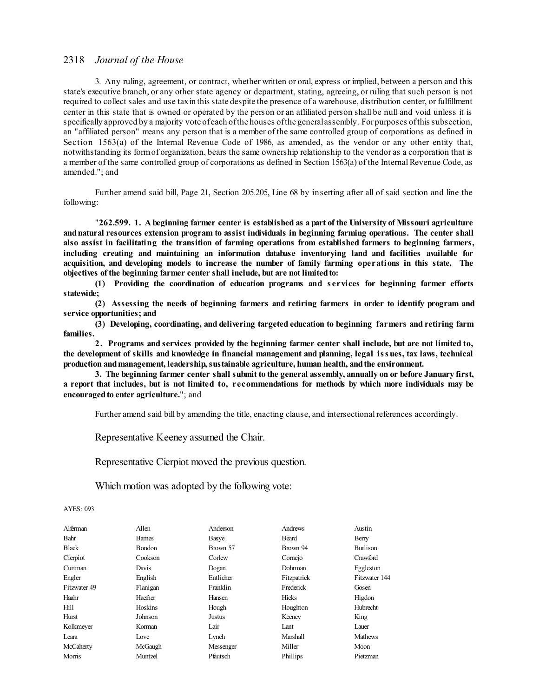3. Any ruling, agreement, or contract, whether written or oral, express or implied, between a person and this state's executive branch, or any other state agency or department, stating, agreeing, or ruling that such person is not required to collect sales and use taxin this state despite the presence of a warehouse, distribution center, or fulfillment center in this state that is owned or operated by the person or an affiliated person shall be null and void unless it is specifically approved by a majority vote of each ofthe houses ofthe generalassembly. Forpurposes ofthis subsection, an "affiliated person" means any person that is a member of the same controlled group of corporations as defined in Section 1563(a) of the Internal Revenue Code of 1986, as amended, as the vendor or any other entity that, notwithstanding its formof organization, bears the same ownership relationship to the vendor as a corporation that is a member of the same controlled group of corporations as defined in Section 1563(a) of the Internal Revenue Code, as amended."; and

Further amend said bill, Page 21, Section 205.205, Line 68 by inserting after all of said section and line the following:

"**262.599. 1. A beginning farmer center is established as a part of the University of Missouri agriculture andnatural resources extension program to assist individuals in beginning farming operations. The center shall also assist in facilitating the transition of farming operations from established farmers to beginning farmers, including creating and maintaining an information database inventorying land and facilities available for acquisition, and developing models to increase the number of family farming operations in this state. The objectives of the beginning farmer center shall include, but are not limitedto:**

**(1) Providing the coordination of education programs and s ervices for beginning farmer efforts statewide;**

**(2) Assessing the needs of beginning farmers and retiring farmers in order to identify program and service opportunities; and**

**(3) Developing, coordinating, and delivering targeted education to beginning farmers and retiring farm families.**

**2. Programs and services provided by the beginning farmer center shall include, but are not limited to, the development of skills and knowledge in financial management and planning, legal issues, tax laws, technical production andmanagement, leadership, sustainable agriculture, human health, andthe environment.**

**3. The beginning farmer center shall submit to the general assembly, annually on or before January first,** a report that includes, but is not limited to, recommendations for methods by which more individuals may be **encouragedto enter agriculture.**"; and

Further amend said bill by amending the title, enacting clause, and intersectional references accordingly.

Representative Keeney assumed the Chair.

Representative Cierpiot moved the previous question.

Which motion was adopted by the following vote:

### AYES: 093

| Alferman     | Allen         | Anderson  | Andrews     | Austin          |
|--------------|---------------|-----------|-------------|-----------------|
| Bahr         | <b>Barnes</b> | Basye     | Beard       | Berry           |
| <b>Black</b> | <b>Bondon</b> | Brown 57  | Brown 94    | <b>Burlison</b> |
| Cierpiot     | Cookson       | Corlew    | Cornejo     | Crawford        |
| Curtman      | Davis         | Dogan     | Dohrman     | Eggleston       |
| Engler       | English       | Entlicher | Fitzpatrick | Fitzwater 144   |
| Fitzwater 49 | Flanigan      | Franklin  | Frederick   | Gosen           |
| Haahr        | Haefner       | Hansen    | Hicks       | Higdon          |
| Hill         | Hoskins       | Hough     | Houghton    | <b>Hubrecht</b> |
| Hurst        | Johnson       | Justus    | Keeney      | King            |
| Kolkmeyer    | Korman        | Lair      | Lant        | Lauer           |
| Leara        | Love          | Lynch     | Marshall    | <b>Mathews</b>  |
| McCaherty    | McGaugh       | Messenger | Miller      | Moon            |
| Morris       | Muntzel       | Pfautsch  | Phillips    | Pietzman        |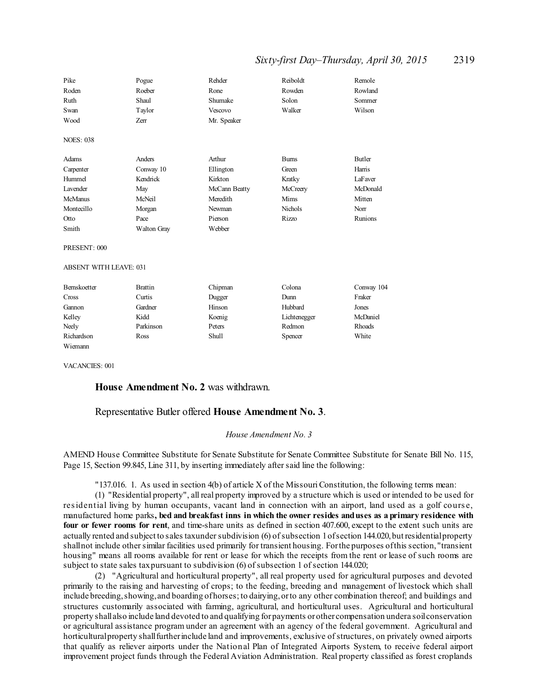# *Sixty-first Day–Thursday, April 30, 2015* 2319

| Pike                          | Pogue          | Rehder        | Reiboldt       | Remole        |  |
|-------------------------------|----------------|---------------|----------------|---------------|--|
| Roden                         | Roeber         | Rone          | Rowden         | Rowland       |  |
| Ruth                          | Shaul          | Shumake       | Solon          | Sommer        |  |
| Swan                          | Taylor         | Vescovo       | Walker         | Wilson        |  |
| Wood                          | <b>Zerr</b>    | Mr. Speaker   |                |               |  |
| <b>NOES: 038</b>              |                |               |                |               |  |
| Adams                         | Anders         | Arthur        | <b>Burns</b>   | <b>Butler</b> |  |
| Carpenter                     | Conway 10      | Ellington     | Green          | Harris        |  |
| Hummel                        | Kendrick       | Kirkton       | Kratky         | LaFaver       |  |
| <b>Lavender</b>               | May            | McCann Beatty | McCreery       | McDonald      |  |
| <b>McManus</b>                | McNeil         | Meredith      | Mims           | Mitten        |  |
| Montecillo                    | Morgan         | Newman        | <b>Nichols</b> | Norr          |  |
| Otto                          | Pace           | Pierson       | <b>Rizzo</b>   | Runions       |  |
| Smith                         | Walton Gray    | Webber        |                |               |  |
| PRESENT: 000                  |                |               |                |               |  |
| <b>ABSENT WITH LEAVE: 031</b> |                |               |                |               |  |
| Bernskoetter                  | <b>Brattin</b> | Chipman       | Colona         | Conway 104    |  |
| Cross                         | Curtis         | Dugger        | Dunn           | Fraker        |  |
| Gannon                        | Gardner        | Hinson        | Hubbard        | Jones         |  |
| Kelley                        | Kidd           | Koenig        | Lichtenegger   | McDaniel      |  |
| Neely                         | Parkinson      | Peters        | Redmon         | Rhoads        |  |
| Richardson                    | Ross           | <b>Shull</b>  | Spencer        | White         |  |
| Wiemann                       |                |               |                |               |  |

VACANCIES: 001

# **House Amendment No. 2** was withdrawn.

### Representative Butler offered **House Amendment No. 3**.

### *House Amendment No. 3*

AMEND House Committee Substitute for Senate Substitute for Senate Committee Substitute for Senate Bill No. 115, Page 15, Section 99.845, Line 311, by inserting immediately after said line the following:

"137.016. 1. As used in section 4(b) of article X of the MissouriConstitution, the following terms mean:

(1) "Residential property", all real property improved by a structure which is used or intended to be used for residential living by human occupants, vacant land in connection with an airport, land used as a golf cours e, manufactured home parks**, bed and breakfast inns in which the owner resides anduses as a primary residence with four or fewer rooms for rent**, and time-share units as defined in section 407.600, except to the extent such units are actually rented and subject to sales taxunder subdivision (6) of subsection 1of section 144.020, but residential property shallnot include othersimilar facilities used primarily for transient housing. Forthe purposes ofthis section, "transient housing" means all rooms available for rent or lease for which the receipts from the rent or lease of such rooms are subject to state sales taxpursuant to subdivision (6) of subsection 1 of section 144.020;

(2) "Agricultural and horticultural property", all real property used for agricultural purposes and devoted primarily to the raising and harvesting of crops; to the feeding, breeding and management of livestock which shall include breeding,showing,and boarding ofhorses; to dairying,orto any other combination thereof; and buildings and structures customarily associated with farming, agricultural, and horticultural uses. Agricultural and horticultural property shallalso include land devoted to and qualifying forpayments orother compensation undera soilconservation or agricultural assistance program under an agreement with an agency of the federal government. Agricultural and horticultural property shall further include land and improvements, exclusive of structures, on privately owned airports that qualify as reliever airports under the National Plan of Integrated Airports System, to receive federal airport improvement project funds through the Federal Aviation Administration. Real property classified as forest croplands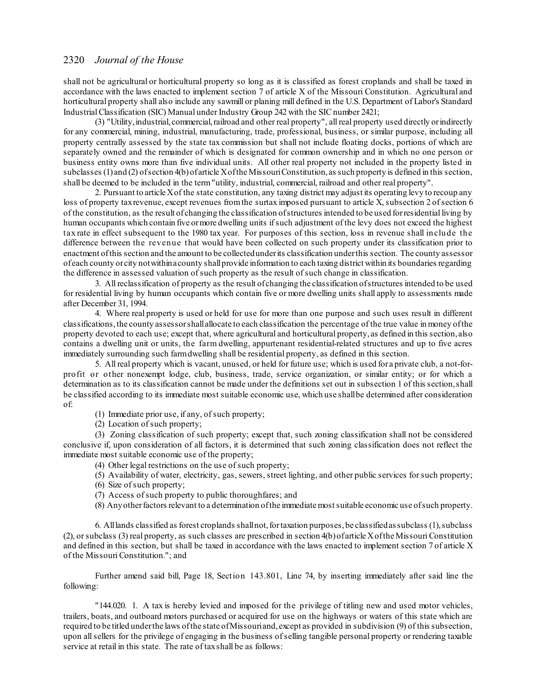shall not be agricultural or horticultural property so long as it is classified as forest croplands and shall be taxed in accordance with the laws enacted to implement section 7 of article X of the Missouri Constitution. Agricultural and horticultural property shall also include any sawmill or planing mill defined in the U.S. Department of Labor's Standard Industrial Classification (SIC) Manual under Industry Group 242 with the SIC number 2421;

(3) "Utility,industrial, commercial,railroad and other real property", allreal property used directly orindirectly for any commercial, mining, industrial, manufacturing, trade, professional, business, or similar purpose, including all property centrally assessed by the state tax commission but shall not include floating docks, portions of which are separately owned and the remainder of which is designated for common ownership and in which no one person or business entity owns more than five individual units. All other real property not included in the property listed in subclasses (1) and (2) of section 4(b) of article X of the Missouri Constitution, as such property is defined in this section, shall be deemed to be included in the term"utility, industrial, commercial, railroad and other real property".

2. Pursuant to article Xof the state constitution, any taxing district may adjust its operating levy to recoup any loss of property tax revenue, except revenues from the surtax imposed pursuant to article X, subsection 2 of section 6 of the constitution, as the result of changing the classification ofstructures intended to be used forresidential living by human occupants which contain five ormore dwelling units ifsuch adjustment of the levy does not exceed the highest tax rate in effect subsequent to the 1980 tax year. For purposes of this section, loss in revenue shall include the difference between the revenue that would have been collected on such property under its classification prior to enactment ofthis section and the amount to be collectedunderits classification underthis section. The county assessor of each county orcity notwithinacounty shallprovide information to each taxing district within its boundaries regarding the difference in assessed valuation ofsuch property as the result ofsuch change in classification.

3. All reclassification of property as the result ofchanging the classification ofstructures intended to be used for residential living by human occupants which contain five or more dwelling units shall apply to assessments made after December 31, 1994.

4. Where real property is used or held for use for more than one purpose and such uses result in different classifications,the county assessorshallallocate to each classification the percentage of the true value in money ofthe property devoted to each use; except that, where agricultural and horticultural property, as defined in this section, also contains a dwelling unit or units, the farm dwelling, appurtenant residential-related structures and up to five acres immediately surrounding such farmdwelling shall be residential property, as defined in this section.

5. All real property which is vacant, unused, or held for future use; which is used for a private club, a not-forprofit or other nonexempt lodge, club, business, trade, service organization, or similar entity; or for which a determination as to its classification cannot be made under the definitions set out in subsection 1 of this section, shall be classified according to its immediate most suitable economic use, which use shallbe determined after consideration of:

- (1) Immediate prior use, if any, ofsuch property;
- (2) Location ofsuch property;

(3) Zoning classification of such property; except that, such zoning classification shall not be considered conclusive if, upon consideration of all factors, it is determined that such zoning classification does not reflect the immediate most suitable economic use of the property;

- (4) Other legal restrictions on the use of such property;
- (5) Availability of water, electricity, gas, sewers, street lighting, and other public services for such property;
- $(6)$  Size of such property;
- (7) Access ofsuch property to public thoroughfares; and
- (8) Anyotherfactors relevant to a determination ofthe immediate mostsuitable economic use ofsuch property.

6. Alllands classified as forest croplands shallnot,fortaxation purposes,be classifiedassubclass (1),subclass (2), orsubclass (3) real property, as such classes are prescribed in section 4(b)of article Xofthe Missouri Constitution and defined in this section, but shall be taxed in accordance with the laws enacted to implement section 7 of article X of the Missouri Constitution."; and

Further amend said bill, Page 18, Section 143.801, Line 74, by inserting immediately after said line the following:

"144.020. 1. A tax is hereby levied and imposed for the privilege of titling new and used motor vehicles, trailers, boats, and outboard motors purchased or acquired for use on the highways or waters of this state which are required to be titled underthe laws ofthe state ofMissouriand, except as provided in subdivision (9) of this subsection, upon allsellers for the privilege of engaging in the business ofselling tangible personal property or rendering taxable service at retail in this state. The rate of taxshall be as follows: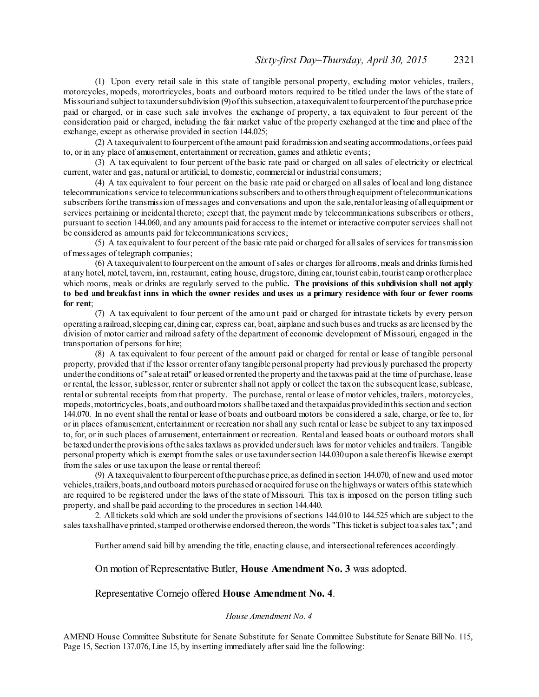(1) Upon every retail sale in this state of tangible personal property, excluding motor vehicles, trailers, motorcycles, mopeds, motortricycles, boats and outboard motors required to be titled under the laws of the state of Missouriand subject to taxundersubdivision (9)ofthis subsection, a taxequivalent tofourpercentofthe purchase price paid or charged, or in case such sale involves the exchange of property, a tax equivalent to four percent of the consideration paid or charged, including the fair market value of the property exchanged at the time and place of the exchange, except as otherwise provided in section 144.025;

(2) A taxequivalent to fourpercent ofthe amount paid foradmission and seating accommodations,orfees paid to, or in any place of amusement, entertainment or recreation, games and athletic events;

(3) A tax equivalent to four percent of the basic rate paid or charged on all sales of electricity or electrical current, water and gas, natural or artificial, to domestic, commercial or industrial consumers;

(4) A tax equivalent to four percent on the basic rate paid or charged on allsales of local and long distance telecommunications service to telecommunications subscribers and to othersthroughequipment oftelecommunications subscribers forthe transmission of messages and conversations and upon the sale,rentalorleasing ofallequipment or services pertaining or incidental thereto; except that, the payment made by telecommunications subscribers or others, pursuant to section 144.060, and any amounts paid for access to the internet or interactive computer services shall not be considered as amounts paid for telecommunications services;

(5) A taxequivalent to four percent of the basic rate paid or charged for allsales ofservices for transmission of messages of telegraph companies;

(6) A taxequivalent to fourpercent on the amount ofsales or charges for allrooms,meals and drinks furnished at any hotel, motel, tavern, inn, restaurant, eating house, drugstore, dining car,tourist cabin,tourist camp orotherplace which rooms, meals or drinks are regularly served to the public**. The provisions of this subdivision shall not apply** to bed and breakfast inns in which the owner resides and uses as a primary residence with four or fewer rooms **for rent**;

(7) A tax equivalent to four percent of the amount paid or charged for intrastate tickets by every person operating a railroad,sleeping car,dining car, express car, boat, airplane and such buses and trucks as are licensed by the division of motor carrier and railroad safety of the department of economic development of Missouri, engaged in the transportation of persons for hire;

(8) A tax equivalent to four percent of the amount paid or charged for rental or lease of tangible personal property, provided that if the lessor orrenterof any tangible personal property had previously purchased the property underthe conditions of "sale at retail" orleased orrented the property and the taxwas paid at the time of purchase, lease or rental, the lessor, sublessor, renter or subrenter shall not apply or collect the taxon the subsequent lease, sublease, rental or subrental receipts from that property. The purchase, rental or lease of motor vehicles, trailers, motorcycles, mopeds,motortricycles,boats,and outboard motors shallbe taxed and thetaxpaidas providedinthis section and section 144.070. In no event shall the rental or lease of boats and outboard motors be considered a sale, charge, or fee to, for or in places of amusement, entertainment or recreation norshall any such rental or lease be subject to any taximposed to, for, or in such places of amusement, entertainment or recreation. Rental and leased boats or outboard motors shall be taxed underthe provisions ofthe sales taxlaws as provided undersuch laws for motor vehicles and trailers. Tangible personal property which is exempt fromthe sales or use taxundersection 144.030upon a sale thereofis likewise exempt fromthe sales or use taxupon the lease or rental thereof;

(9) A taxequivalent to fourpercent ofthe purchase price, as defined in section 144.070, of new and used motor vehicles,trailers,boats,and outboard motors purchased or acquired foruse on the highways orwaters ofthis statewhich are required to be registered under the laws of the state of Missouri. This tax is imposed on the person titling such property, and shall be paid according to the procedures in section 144.440.

2. Alltickets sold which are sold under the provisions ofsections 144.010 to 144.525 which are subject to the sales taxshall have printed, stamped or otherwise endorsed thereon, the words "This ticket is subject to a sales tax."; and

Further amend said bill by amending the title, enacting clause, and intersectional references accordingly.

### On motion of Representative Butler, **House Amendment No. 3** was adopted.

Representative Cornejo offered **House Amendment No. 4**.

### *House Amendment No. 4*

AMEND House Committee Substitute for Senate Substitute for Senate Committee Substitute for Senate Bill No. 115, Page 15, Section 137.076, Line 15, by inserting immediately after said line the following: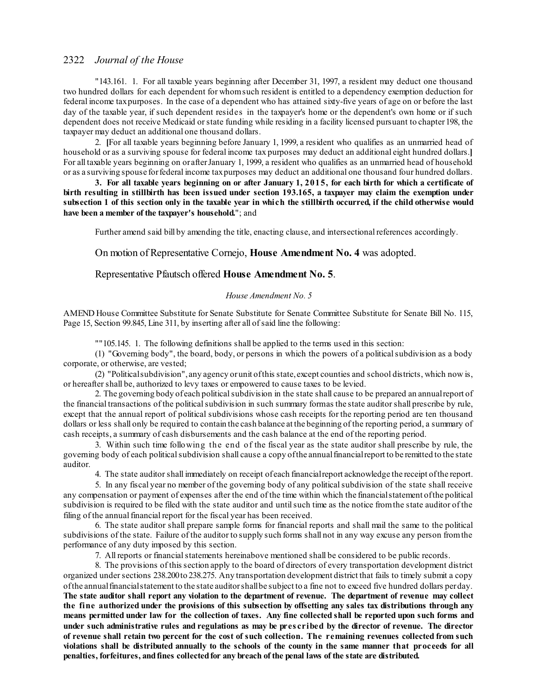"143.161. 1. For all taxable years beginning after December 31, 1997, a resident may deduct one thousand two hundred dollars for each dependent for whomsuch resident is entitled to a dependency exemption deduction for federal income taxpurposes. In the case of a dependent who has attained sixty-five years of age on or before the last day of the taxable year, if such dependent resides in the taxpayer's home or the dependent's own home or if such dependent does not receive Medicaid or state funding while residing in a facility licensed pursuant to chapter 198, the taxpayer may deduct an additional one thousand dollars.

2. **[**For all taxable years beginning before January 1, 1999, a resident who qualifies as an unmarried head of household or as a surviving spouse for federal income tax purposes may deduct an additional eight hundred dollars.**]** For all taxable years beginning on or afterJanuary 1, 1999, a resident who qualifies as an unmarried head of household or as a surviving spouse forfederal income taxpurposes may deduct an additional one thousand four hundred dollars.

3. For all taxable years beginning on or after January  $1, 2015$ , for each birth for which a certificate of birth resulting in stillbirth has been issued under section 193.165, a taxpayer may claim the exemption under subsection 1 of this section only in the taxable year in which the stillbirth occurred, if the child otherwise would **have been a member of the taxpayer's household.**"; and

Further amend said bill by amending the title, enacting clause, and intersectional references accordingly.

On motion of Representative Cornejo, **House Amendment No. 4** was adopted.

### Representative Pfautsch offered **House Amendment No. 5**.

# *House Amendment No. 5*

AMEND House Committee Substitute for Senate Substitute for Senate Committee Substitute for Senate Bill No. 115, Page 15, Section 99.845, Line 311, by inserting after all of said line the following:

""105.145. 1. The following definitions shall be applied to the terms used in this section:

(1) "Governing body", the board, body, or persons in which the powers of a politicalsubdivision as a body corporate, or otherwise, are vested;

(2) "Politicalsubdivision", any agency orunit ofthis state, except counties and school districts, which now is, or hereafter shall be, authorized to levy taxes or empowered to cause taxes to be levied.

2. The governing body of each political subdivision in the state shall cause to be prepared an annual report of the financial transactions of the political subdivision in such summary formas the state auditor shall prescribe by rule, except that the annual report of political subdivisions whose cash receipts for the reporting period are ten thousand dollars or less shall only be required to contain the cash balance at the beginning of the reporting period, a summary of cash receipts, a summary of cash disbursements and the cash balance at the end of the reporting period.

3. Within such time following the end of the fiscal year as the state auditor shall prescribe by rule, the governing body of each politicalsubdivision shall cause a copy ofthe annualfinancialreport to be remitted to the state auditor.

4. The state auditorshall immediately on receipt ofeach financialreport acknowledge the receipt ofthe report.

5. In any fiscal year no member of the governing body of any politicalsubdivision of the state shall receive any compensation or payment of expenses after the end of the time within which the financialstatement ofthe political subdivision is required to be filed with the state auditor and untilsuch time as the notice fromthe state auditor of the filing of the annual financial report for the fiscal year has been received.

6. The state auditor shall prepare sample forms for financial reports and shall mail the same to the political subdivisions of the state. Failure of the auditor to supply such forms shall not in any way excuse any person from the performance of any duty imposed by this section.

7. All reports or financialstatements hereinabove mentioned shall be considered to be public records.

8. The provisions of this section apply to the board of directors of every transportation development district organized under sections 238.200 to 238.275. Any transportation development district that fails to timely submit a copy ofthe annualfinancialstatement to the state auditorshallbe subject to a fine not to exceed five hundred dollars perday. The state auditor shall report any violation to the department of revenue. The department of revenue may collect the fine authorized under the provisions of this subsection by offsetting any sales tax distributions through any means permitted under law for the collection of taxes. Any fine collected shall be reported upon such forms and under such administrative rules and regulations as may be prescribed by the director of revenue. The director of revenue shall retain two percent for the cost of such collection. The remaining revenues collected from such violations shall be distributed annually to the schools of the county in the same manner that proceeds for all **penalties, forfeitures, andfines collectedfor any breach of the penal laws of the state are distributed.**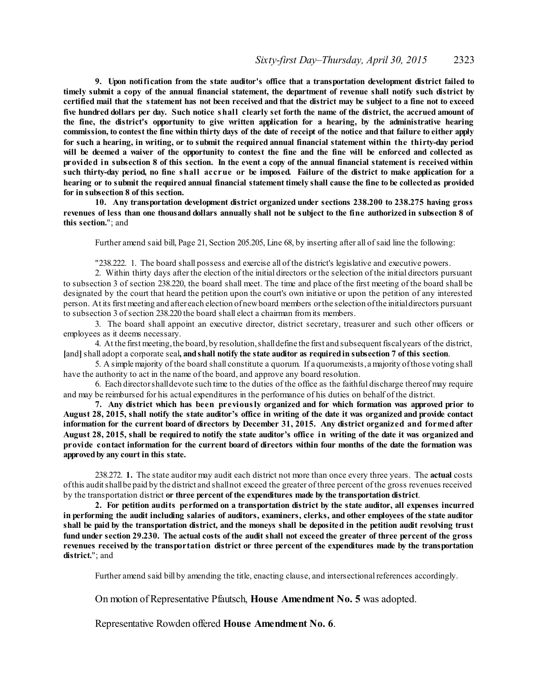**9. Upon notification from the state auditor's office that a transportation development district failed to** timely submit a copy of the annual financial statement, the department of revenue shall notify such district by certified mail that the statement has not been received and that the district may be subject to a fine not to exceed five hundred dollars per day. Such notice shall clearly set forth the name of the district, the accrued amount of **the fine, the district's opportunity to give written application for a hearing, by the administrative hearing** commission, to contest the fine within thirty days of the date of receipt of the notice and that failure to either apply for such a hearing, in writing, or to submit the required annual financial statement within the thirty-day period will be deemed a waiver of the opportunity to contest the fine and the fine will be enforced and collected as provided in subsection 8 of this section. In the event a copy of the annual financial statement is received within such thirty-day period, no fine shall accrue or be imposed. Failure of the district to make application for a hearing or to submit the required annual financial statement timely shall cause the fine to be collected as provided **for in subsection 8 of this section.**

**10. Any transportation development district organized under sections 238.200 to 238.275 having gross** revenues of less than one thousand dollars annually shall not be subject to the fine authorized in subsection 8 of **this section.**"; and

Further amend said bill, Page 21, Section 205.205, Line 68, by inserting after all ofsaid line the following:

"238.222. 1. The board shall possess and exercise all of the district's legislative and executive powers.

2. Within thirty days after the election of the initial directors or the selection of the initial directors pursuant to subsection 3 of section 238.220, the board shall meet. The time and place of the first meeting of the board shall be designated by the court that heard the petition upon the court's own initiative or upon the petition of any interested person. At its first meeting and after each election ofnewboard members orthe selection ofthe initialdirectors pursuant to subsection 3 ofsection 238.220 the board shall elect a chairman fromits members.

3. The board shall appoint an executive director, district secretary, treasurer and such other officers or employees as it deems necessary.

4. At the first meeting,the board,by resolution,shalldefine the first and subsequent fiscalyears of the district, **[**and**]**shall adopt a corporate seal**, andshall notify the state auditor as requiredin subsection 7 of this section**.

5. A simplemajority of the board shall constitute a quorum. If a quorumexists, amajority ofthose voting shall have the authority to act in the name of the board, and approve any board resolution.

6. Each directorshalldevote such time to the duties of the office as the faithful discharge thereof may require and may be reimbursed for his actual expenditures in the performance of his duties on behalf of the district.

**7. Any district which has been previously organized and for which formation was approved prior to** August 28, 2015, shall notify the state auditor's office in writing of the date it was organized and provide contact information for the current board of directors by December 31, 2015. Any district organized and formed after August 28, 2015, shall be required to notify the state auditor's office in writing of the date it was organized and **provide contact information for the current board of directors within four months of the date the formation was approvedby any court in this state.**

238.272. **1.** The state auditor may audit each district not more than once every three years. The **actual** costs ofthis auditshallbe paid by the district and shallnot exceed the greater of three percent of the gross revenues received by the transportation district **or three percent of the expenditures made by the transportation district**.

**2. For petition audits performed on a transportation district by the state auditor, all expenses incurred** in performing the audit including salaries of auditors, examiners, clerks, and other employees of the state auditor shall be paid by the transportation district, and the moneys shall be deposited in the petition audit revolving trust fund under section 29.230. The actual costs of the audit shall not exceed the greater of three percent of the gross **revenues received by the transportation district or three percent of the expenditures made by the transportation district.**"; and

Further amend said bill by amending the title, enacting clause, and intersectional references accordingly.

On motion of Representative Pfautsch, **House Amendment No. 5** was adopted.

Representative Rowden offered **House Amendment No. 6**.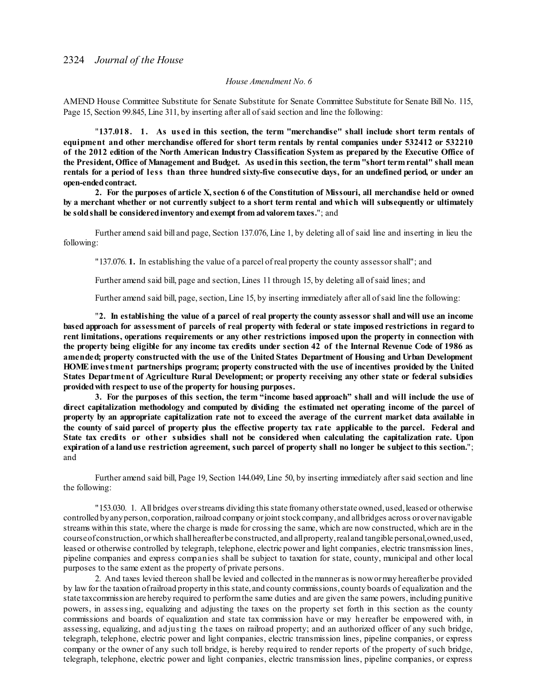### *House Amendment No. 6*

AMEND House Committee Substitute for Senate Substitute for Senate Committee Substitute for Senate Bill No. 115, Page 15, Section 99.845, Line 311, by inserting after all ofsaid section and line the following:

"**137.018. 1. As us ed in this section, the term "merchandise" shall include short term rentals of equipment and other merchandise offered for short term rentals by rental companies under 532412 or 532210** of the 2012 edition of the North American Industry Classification System as prepared by the Executive Office of the President, Office of Management and Budget. As used in this section, the term "short term rental" shall mean rentals for a period of less than three hundred sixty-five consecutive days, for an undefined period, or under an **open-ended contract.** 

2. For the purposes of article X, section 6 of the Constitution of Missouri, all merchandise held or owned by a merchant whether or not currently subject to a short term rental and which will subsequently or ultimately **be soldshall be consideredinventory andexempt from advalorem taxes.**"; and

Further amend said bill and page, Section 137.076, Line 1, by deleting all of said line and inserting in lieu the following:

"137.076. **1.** In establishing the value of a parcel of real property the county assessorshall"; and

Further amend said bill, page and section, Lines 11 through 15, by deleting all ofsaid lines; and

Further amend said bill, page, section, Line 15, by inserting immediately after all ofsaid line the following:

"2. In establishing the value of a parcel of real property the county assessor shall and will use an income based approach for assessment of parcels of real property with federal or state imposed restrictions in regard to **rent limitations, operations requirements or any other restrictions imposed upon the property in connection with** the property being eligible for any income tax credits under section 42 of the Internal Revenue Code of 1986 as **amended; property constructed with the use of the United States Department of Housing and Urban Development HOMEinvestment partnerships program; property constructed with the use of incentives provided by the United States Department of Agriculture Rural Development; or property receiving any other state or federal subsidies providedwith respect to use of the property for housing purposes.**

3. For the purposes of this section, the term "income based approach" shall and will include the use of **direct capitalization methodology and computed by dividing the estimated net operating income of the parcel of** property by an appropriate capitalization rate not to exceed the average of the current market data available in the county of said parcel of property plus the effective property tax rate applicable to the parcel. Federal and **State tax credits or other subsidies shall not be considered when calculating the capitalization rate. Upon** expiration of a land use restriction agreement, such parcel of property shall no longer be subject to this section."; and

Further amend said bill, Page 19, Section 144.049, Line 50, by inserting immediately aftersaid section and line the following:

"153.030. 1. All bridges overstreams dividing this state fromany otherstate owned,used,leased or otherwise controlled byanyperson, corporation,railroad company orjointstockcompany, and allbridges across orovernavigable streams within this state, where the charge is made for crossing the same, which are now constructed, which are in the courseof construction,orwhich shallhereafterbe constructed, and allproperty,realand tangible personal,owned,used, leased or otherwise controlled by telegraph, telephone, electric power and light companies, electric transmission lines, pipeline companies and express companies shall be subject to taxation for state, county, municipal and other local purposes to the same extent as the property of private persons.

2. And taxes levied thereon shall be levied and collected in themanner as is nowormay hereafterbe provided by law for the taxation ofrailroad property in this state, and county commissions, county boards of equalization and the state taxcommission are hereby required to performthe same duties and are given the same powers, including punitive powers, in assessing, equalizing and adjusting the taxes on the property set forth in this section as the county commissions and boards of equalization and state tax commission have or may hereafter be empowered with, in assessing, equalizing, and adjusting the taxes on railroad property; and an authorized officer of any such bridge, telegraph, telephone, electric power and light companies, electric transmission lines, pipeline companies, or express company or the owner of any such toll bridge, is hereby required to render reports of the property of such bridge, telegraph, telephone, electric power and light companies, electric transmission lines, pipeline companies, or express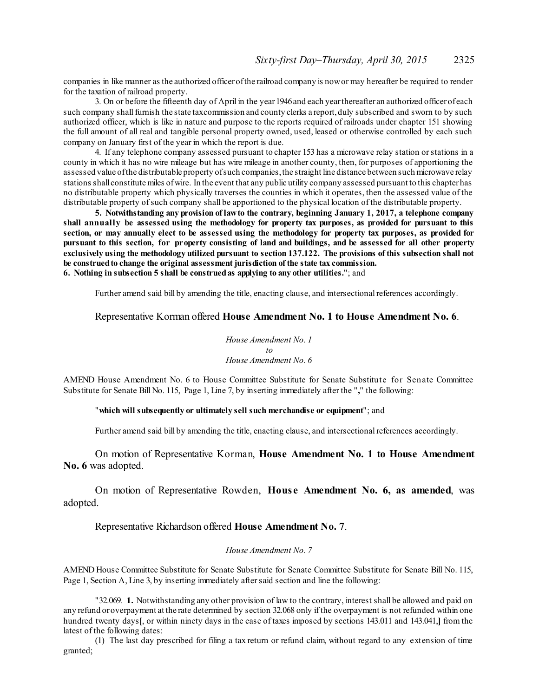companies in like manner as the authorized officerofthe railroad company is nowor may hereafter be required to render for the taxation of railroad property.

3. On or before the fifteenth day of April in the year1946and each yearthereafter an authorized officerof each such company shall furnish the state taxcommission and county clerks a report, duly subscribed and swom to by such authorized officer, which is like in nature and purpose to the reports required of railroads under chapter 151 showing the full amount of all real and tangible personal property owned, used, leased or otherwise controlled by each such company on January first of the year in which the report is due.

4. If any telephone company assessed pursuant to chapter 153 has a microwave relay station orstations in a county in which it has no wire mileage but has wire mileage in another county, then, for purposes of apportioning the assessed value ofthe distributable property ofsuch companies,the straight line distance between such microwave relay stations shallconstitutemiles ofwire. In the event that any public utility company assessed pursuant to this chapterhas no distributable property which physically traverses the counties in which it operates, then the assessed value of the distributable property ofsuch company shall be apportioned to the physical location of the distributable property.

**5. Notwithstanding any provision of lawto the contrary, beginning January 1, 2017, a telephone company** shall annually be assessed using the methodology for property tax purposes, as provided for pursuant to this **section, or may annually elect to be assessed using the methodology for property tax purposes, as provided for** pursuant to this section, for property consisting of land and buildings, and be assessed for all other property exclusively using the methodology utilized pursuant to section 137.122. The provisions of this subsection shall not **be construedto change the original assessment jurisdiction of the state tax commission. 6. Nothing in subsection 5 shall be construedas applying to any other utilities.**"; and

Further amend said bill by amending the title, enacting clause, and intersectional references accordingly.

# Representative Korman offered **House Amendment No. 1 to House Amendment No. 6**.

*House Amendment No. 1 to House Amendment No. 6*

AMEND House Amendment No. 6 to House Committee Substitute for Senate Substitute for Senate Committee Substitute for Senate Bill No. 115, Page 1, Line 7, by inserting immediately after the "**,**" the following:

### "**which will subsequently or ultimately sell such merchandise or equipment**"; and

Further amend said bill by amending the title, enacting clause, and intersectional references accordingly.

On motion of Representative Korman, **House Amendment No. 1 to House Amendment No. 6** was adopted.

On motion of Representative Rowden, **Hous e Amendment No. 6, as amended**, was adopted.

Representative Richardson offered **House Amendment No. 7**.

#### *House Amendment No. 7*

AMEND House Committee Substitute for Senate Substitute for Senate Committee Substitute for Senate Bill No. 115, Page 1, Section A, Line 3, by inserting immediately after said section and line the following:

"32.069. **1.** Notwithstanding any other provision of law to the contrary, interest shall be allowed and paid on any refund oroverpayment at the rate determined by section 32.068 only if the overpayment is not refunded within one hundred twenty days**[**, or within ninety days in the case of taxes imposed by sections 143.011 and 143.041,**]** from the latest of the following dates:

(1) The last day prescribed for filing a tax return or refund claim, without regard to any extension of time granted;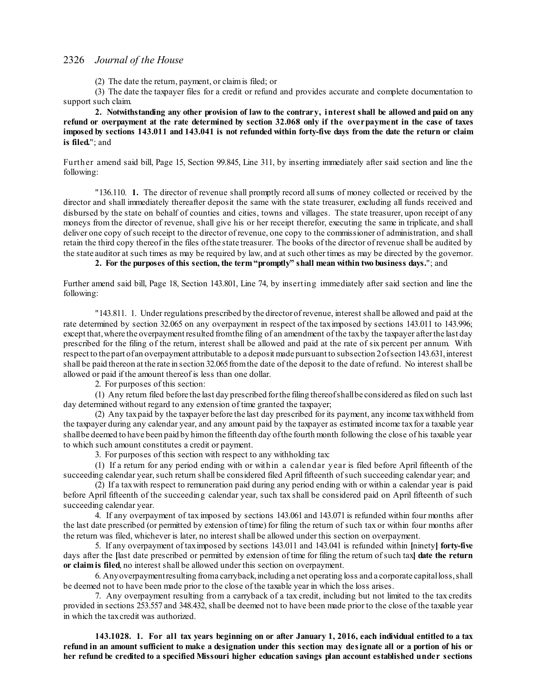(2) The date the return, payment, or claimis filed; or

(3) The date the taxpayer files for a credit or refund and provides accurate and complete documentation to support such claim.

**2. Notwithstanding any other provision of law to the contrary, interest shall be allowed and paid on any** refund or overpayment at the rate determined by section 32.068 only if the overpayment in the case of taxes imposed by sections 143.011 and 143.041 is not refunded within forty-five days from the date the return or claim **is filed.**"; and

Further amend said bill, Page 15, Section 99.845, Line 311, by inserting immediately after said section and line the following:

"136.110. **1.** The director of revenue shall promptly record allsums of money collected or received by the director and shall immediately thereafter deposit the same with the state treasurer, excluding all funds received and disbursed by the state on behalf of counties and cities, towns and villages. The state treasurer, upon receipt of any moneys from the director of revenue, shall give his or her receipt therefor, executing the same in triplicate, and shall deliver one copy of such receipt to the director of revenue, one copy to the commissioner of administration, and shall retain the third copy thereof in the files ofthe state treasurer. The books of the director of revenue shall be audited by the state auditor at such times as may be required by law, and at such other times as may be directed by the governor.

**2. For the purposes of this section, the term "promptly" shall mean within two business days.**"; and

Further amend said bill, Page 18, Section 143.801, Line 74, by inserting immediately after said section and line the following:

"143.811. 1. Under regulations prescribed by the directorof revenue, interest shall be allowed and paid at the rate determined by section 32.065 on any overpayment in respect of the taximposed by sections 143.011 to 143.996; except that, where the overpayment resulted from the filing of an amendment of the tax by the taxpayer after the last day prescribed for the filing of the return, interest shall be allowed and paid at the rate of six percent per annum. With respect to the part of an overpayment attributable to a deposit made pursuant to subsection 2of section 143.631, interest shall be paid thereon at the rate in section 32.065 from the date of the deposit to the date of refund. No interest shall be allowed or paid if the amount thereof is less than one dollar.

2. For purposes of this section:

(1) Any return filed before the last day prescribed forthe filing thereofshallbe considered as filed on such last day determined without regard to any extension of time granted the taxpayer;

(2) Any taxpaid by the taxpayer before the last day prescribed for its payment, any income taxwithheld from the taxpayer during any calendar year, and any amount paid by the taxpayer as estimated income taxfor a taxable year shallbe deemed to have been paid by himon the fifteenth day ofthe fourth month following the close of his taxable year to which such amount constitutes a credit or payment.

3. For purposes of this section with respect to any withholding tax:

(1) If a return for any period ending with or within a calendar year is filed before April fifteenth of the succeeding calendar year, such return shall be considered filed Aprilfifteenth ofsuch succeeding calendar year; and

(2) If a taxwith respect to remuneration paid during any period ending with or within a calendar year is paid before April fifteenth of the succeeding calendar year, such tax shall be considered paid on April fifteenth of such succeeding calendar year.

4. If any overpayment of tax imposed by sections 143.061 and 143.071 is refunded within four months after the last date prescribed (or permitted by extension of time) for filing the return of such tax or within four months after the return was filed, whichever is later, no interest shall be allowed under this section on overpayment.

5. If any overpayment of taximposed by sections 143.011 and 143.041 is refunded within **[**ninety**] forty-five** days after the **[**last date prescribed or permitted by extension of time for filing the return ofsuch tax**] date the return or claim is filed**, no interest shall be allowed under this section on overpayment.

6. Anyoverpaymentresulting froma carryback,including a net operating loss and a corporate capitalloss,shall be deemed not to have been made prior to the close of the taxable year in which the loss arises.

7. Any overpayment resulting from a carryback of a tax credit, including but not limited to the tax credits provided in sections 253.557 and 348.432, shall be deemed not to have been made prior to the close of the taxable year in which the taxcredit was authorized.

143.1028. 1. For all tax years beginning on or after January 1, 2016, each individual entitled to a tax refund in an amount sufficient to make a designation under this section may designate all or a portion of his or **her refund be credited to a specified Missouri higher education savings plan account established under sections**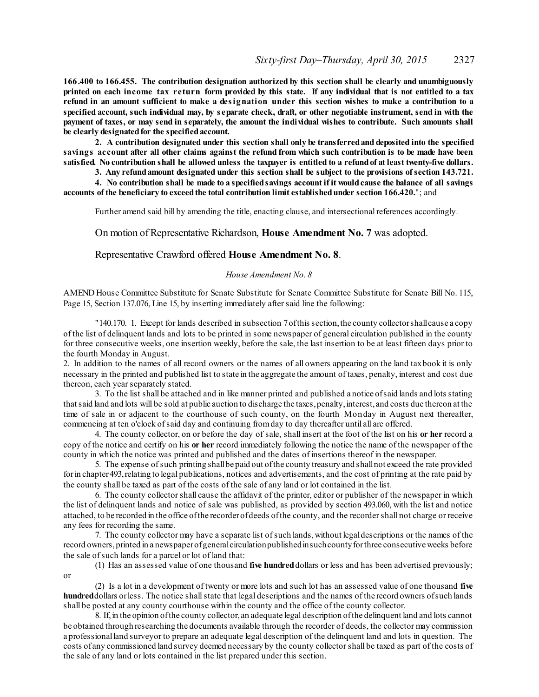**166.400 to 166.455. The contribution designation authorized by this section shall be clearly and unambiguously** printed on each income tax return form provided by this state. If any individual that is not entitled to a tax refund in an amount sufficient to make a designation under this section wishes to make a contribution to a specified account, such individual may, by separate check, draft, or other negotiable instrument, send in with the payment of taxes, or may send in separately, the amount the individual wishes to contribute. Such amounts shall **be clearly designatedfor the specifiedaccount.**

**2. A contribution designated under this section shall only be transferredand deposited into the specified** savings account after all other claims against the refund from which such contribution is to be made have been satisfied. No contribution shall be allowed unless the taxpayer is entitled to a refund of at least twenty-five dollars.

**3. Any refundamount designated under this section shall be subject to the provisions ofsection 143.721.**

4. No contribution shall be made to a specified savings account if it would cause the balance of all savings **accounts of the beneficiary to exceedthe total contribution limit establishedunder section 166.420.**"; and

Further amend said bill by amending the title, enacting clause, and intersectional references accordingly.

On motion of Representative Richardson, **House Amendment No. 7** was adopted.

Representative Crawford offered **House Amendment No. 8**.

### *House Amendment No. 8*

AMEND House Committee Substitute for Senate Substitute for Senate Committee Substitute for Senate Bill No. 115, Page 15, Section 137.076, Line 15, by inserting immediately after said line the following:

"140.170. 1. Except for lands described in subsection 7 of this section, the county collector shall cause a copy of the list of delinquent lands and lots to be printed in some newspaper of general circulation published in the county for three consecutive weeks, one insertion weekly, before the sale, the last insertion to be at least fifteen days prior to the fourth Monday in August.

2. In addition to the names of all record owners or the names of all owners appearing on the land taxbook it is only necessary in the printed and published list to state in the aggregate the amount of taxes, penalty, interest and cost due thereon, each year separately stated.

3. To the list shall be attached and in like manner printed and published a notice ofsaid lands and lots stating that said land and lots will be sold at public auction to discharge the taxes, penalty, interest, and costs due thereon at the time of sale in or adjacent to the courthouse of such county, on the fourth Monday in August next thereafter, commencing at ten o'clock ofsaid day and continuing fromday to day thereafter until all are offered.

4. The county collector, on or before the day of sale, shall insert at the foot of the list on his **or her** record a copy of the notice and certify on his **or her** record immediately following the notice the name of the newspaper of the county in which the notice was printed and published and the dates of insertions thereof in the newspaper.

5. The expense ofsuch printing shallbe paid out ofthe county treasury and shallnot exceed the rate provided for in chapter 493, relating to legal publications, notices and advertisements, and the cost of printing at the rate paid by the county shall be taxed as part of the costs of the sale of any land or lot contained in the list.

6. The county collectorshall cause the affidavit of the printer, editor or publisher of the newspaper in which the list of delinquent lands and notice of sale was published, as provided by section 493.060, with the list and notice attached, to be recorded in the office ofthe recorderofdeeds ofthe county, and the recordershall not charge or receive any fees for recording the same.

7. The county collector may have a separate list ofsuch lands,without legaldescriptions or the names of the record owners,printed in a newspaperofgeneralcirculationpublishedinsuchcountyforthree consecutive weeks before the sale of such lands for a parcel or lot of land that:

(1) Has an assessed value of one thousand **five hundred**dollars or less and has been advertised previously; or

(2) Is a lot in a development of twenty or more lots and such lot has an assessed value of one thousand **five hundred**dollars orless. The notice shallstate that legal descriptions and the names of the record owners ofsuch lands shall be posted at any county courthouse within the county and the office of the county collector.

8. If,in the opinion ofthe county collector, an adequate legal description ofthe delinquent land and lots cannot be obtained through researching the documents available through the recorder of deeds, the collector may commission a professionalland surveyor to prepare an adequate legal description of the delinquent land and lots in question. The costs of any commissioned land survey deemed necessary by the county collectorshall be taxed as part of the costs of the sale of any land or lots contained in the list prepared under this section.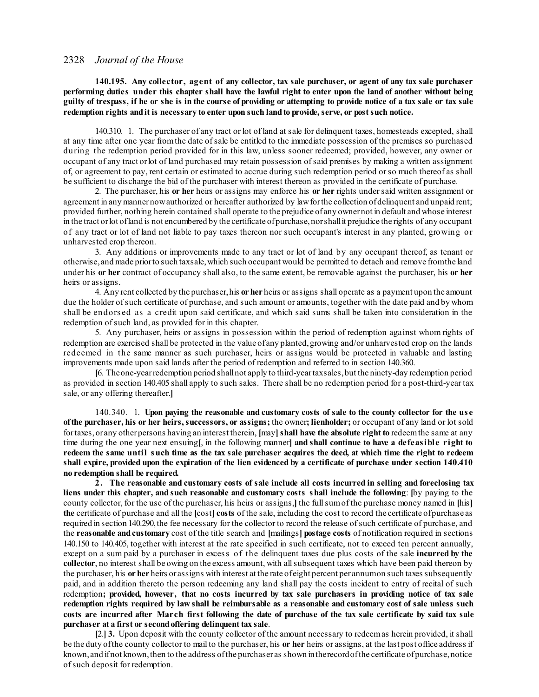**140.195. Any collector, agent of any collector, tax sale purchaser, or agent of any tax sale purchaser** performing duties under this chapter shall have the lawful right to enter upon the land of another without being guilty of trespass, if he or she is in the course of providing or attempting to provide notice of a tax sale or tax sale **redemption rights andit is necessary to enter upon such landto provide, serve, or postsuch notice.**

140.310. 1. The purchaser of any tract or lot of land at sale for delinquent taxes, homesteads excepted, shall at any time after one year fromthe date ofsale be entitled to the immediate possession of the premises so purchased during the redemption period provided for in this law, unless sooner redeemed; provided, however, any owner or occupant of any tract orlot of land purchased may retain possession ofsaid premises by making a written assignment of, or agreement to pay, rent certain or estimated to accrue during such redemption period orso much thereof as shall be sufficient to discharge the bid of the purchaser with interest thereon as provided in the certificate of purchase.

2. The purchaser, his **or her** heirs or assigns may enforce his **or her** rights undersaid written assignment or agreement in any mannernowauthorized or hereafter authorized by lawforthe collection ofdelinquent and unpaid rent; provided further, nothing herein contained shall operate to the prejudice of any ownernot in default and whose interest in the tract or lot of land is not encumbered by the certificate of purchase, nor shall it prejudice the rights of any occupant of any tract or lot of land not liable to pay taxes thereon nor such occupant's interest in any planted, growing or unharvested crop thereon.

3. Any additions or improvements made to any tract or lot of land by any occupant thereof, as tenant or otherwise, and made priorto such taxsale,which such occupant would be permitted to detach and remove fromthe land under his **or her** contract of occupancy shall also, to the same extent, be removable against the purchaser, his **or her** heirs or assigns.

4. Any rent collected by the purchaser,his **or her** heirs or assigns shall operate as a payment upon the amount due the holder of such certificate of purchase, and such amount or amounts, together with the date paid and by whom shall be endors ed as a credit upon said certificate, and which said sums shall be taken into consideration in the redemption of such land, as provided for in this chapter.

5. Any purchaser, heirs or assigns in possession within the period of redemption against whom rights of redemption are exercised shall be protected in the value of any planted, growing and/or unharvested crop on the lands redeemed in the same manner as such purchaser, heirs or assigns would be protected in valuable and lasting improvements made upon said lands after the period of redemption and referred to in section 140.360.

**[**6. Theone-yearredemption period shallnot apply to third-yeartaxsales,but the ninety-day redemption period as provided in section 140.405 shall apply to such sales. There shall be no redemption period for a post-third-year tax sale, or any offering thereafter.**]**

140.340. 1. **Upon paying the reasonable and customary costs of sale to the county collector for the us e ofthe purchaser, his or her heirs,successors, or assigns;** the owner**; lienholder;** or occupant of any land or lot sold fortaxes,orany otherpersons having an interest therein, **[**may**]shall have the absolute right to** redeemthe same at any time during the one year next ensuing**[**, in the following manner**] and shall continue to have a defeasible right to** redeem the same until such time as the tax sale purchaser acquires the deed, at which time the right to redeem shall expire, provided upon the expiration of the lien evidenced by a certificate of purchase under section 140.410 **no redemption shall be required.**

**2. The reasonable and customary costs of sale include all costs incurred in selling and foreclosing tax liens under this chapter, and such reasonable and customary costs shall include the following**: **[**by paying to the county collector, for the use of the purchaser, his heirs or assigns,**]** the fullsumof the purchase money named in **[**his**] the** certificate of purchase and all the **[**cost**] costs** of the sale, including the cost to record the certificate ofpurchase as required in section 140.290, the fee necessary for the collector to record the release of such certificate of purchase, and the **reasonable andcustomary** cost of the title search and **[**mailings**] postage costs** of notification required in sections 140.150 to 140.405, together with interest at the rate specified in such certificate, not to exceed ten percent annually, except on a sum paid by a purchaser in excess of the delinquent taxes due plus costs of the sale **incurred by the collector**, no interest shall be owing on the excess amount, with allsubsequent taxes which have been paid thereon by the purchaser, his **or her** heirs or assigns with interest at the rate ofeight percent per annumon such taxes subsequently paid, and in addition thereto the person redeeming any land shall pay the costs incident to entry of recital of such redemption; provided, however, that no costs incurred by tax sale purchasers in providing notice of tax sale redemption rights required by law shall be reimbursable as a reasonable and customary cost of sale unless such costs are incurred after March first following the date of purchase of the tax sale certificate by said tax sale **purchaser at a first or secondoffering delinquent tax sale**.

**[**2.**] 3.** Upon deposit with the county collector of the amount necessary to redeemas herein provided, it shall be the duty ofthe county collector to mail to the purchaser, his **or her** heirs or assigns, at the last post office address if known, and if not known, then to the address of the purchaser as shown in the record of the certificate of purchase, notice ofsuch deposit for redemption.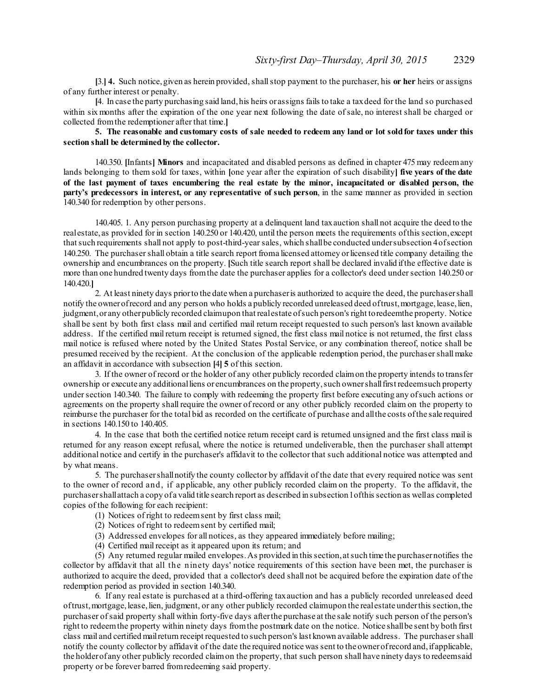**[**3.**] 4.** Such notice,given as herein provided, shallstop payment to the purchaser, his **or her** heirs or assigns of any further interest or penalty.

**[**4. In case the party purchasing said land,his heirs or assigns fails to take a taxdeed for the land so purchased within six months after the expiration of the one year next following the date of sale, no interest shall be charged or collected fromthe redemptioner after that time.**]**

# 5. The reasonable and customary costs of sale needed to redeem any land or lot sold for taxes under this **section shall be determinedby the collector.**

140.350. **[**Infants**] Minors** and incapacitated and disabled persons as defined in chapter 475 may redeemany lands belonging to them sold for taxes, within **[**one year after the expiration of such disability**] five years of the date** of the last payment of taxes encumbering the real estate by the minor, incapacitated or disabled person, the **party's predecessors in interest, or any representative of such person**, in the same manner as provided in section 140.340 for redemption by other persons.

140.405. 1. Any person purchasing property at a delinquent land taxauction shall not acquire the deed to the realestate, as provided for in section 140.250 or 140.420, until the person meets the requirements ofthis section, except thatsuch requirements shall not apply to post-third-yearsales, which shallbe conducted undersubsection 4ofsection 140.250. The purchasershall obtain a title search report froma licensed attorney orlicensed title company detailing the ownership and encumbrances on the property. **[**Such title search report shall be declared invalid ifthe effective date is more than one hundred twenty days fromthe date the purchaser applies for a collector's deed undersection 140.250 or 140.420.**]**

2. At least ninety days priorto the date when a purchaseris authorized to acquire the deed, the purchasershall notify the owner of record and any person who holds a publicly recorded unreleased deed of trust, mortgage, lease, lien, judgment, or any other publicly recorded claimupon that realestate of such person's right to redeemthe property. Notice shall be sent by both first class mail and certified mail return receipt requested to such person's last known available address. If the certified mail return receipt is returned signed, the first class mail notice is not returned, the first class mail notice is refused where noted by the United States Postal Service, or any combination thereof, notice shall be presumed received by the recipient. At the conclusion of the applicable redemption period, the purchasershall make an affidavit in accordance with subsection **[**4**] 5** of this section.

3. If the owner of record or the holder of any other publicly recorded claimon the property intends to transfer ownership or execute any additionalliens or encumbrances on the property,such ownershallfirst redeemsuch property under section 140.340. The failure to comply with redeeming the property first before executing any of such actions or agreements on the property shall require the owner of record or any other publicly recorded claim on the property to reimburse the purchaser for the total bid as recorded on the certificate of purchase and allthe costs ofthe sale required in sections 140.150 to 140.405.

4. In the case that both the certified notice return receipt card is returned unsigned and the first class mail is returned for any reason except refusal, where the notice is returned undeliverable, then the purchaser shall attempt additional notice and certify in the purchaser's affidavit to the collector that such additional notice was attempted and by what means.

5. The purchasershallnotify the county collector by affidavit of the date that every required notice was sent to the owner of record and, if applicable, any other publicly recorded claim on the property. To the affidavit, the purchasershallattach a copy of a valid title search report as described in subsection1ofthis section as wellas completed copies of the following for each recipient:

- (1) Notices of right to redeemsent by first class mail;
- (2) Notices of right to redeemsent by certified mail;
- (3) Addressed envelopes for all notices, as they appeared immediately before mailing;
- (4) Certified mail receipt as it appeared upon its return; and

(5) Any returned regular mailed envelopes.As provided in this section, atsuch time the purchasernotifies the collector by affidavit that all the ninety days' notice requirements of this section have been met, the purchaser is authorized to acquire the deed, provided that a collector's deed shall not be acquired before the expiration date of the redemption period as provided in section 140.340.

6. If any real estate is purchased at a third-offering taxauction and has a publicly recorded unreleased deed oftrust,mortgage,lease,lien, judgment, or any other publicly recorded claimupon the realestate underthis section,the purchaser ofsaid property shall within forty-five days afterthe purchase at the sale notify such person of the person's right to redeemthe property within ninety days fromthe postmark date on the notice. Notice shallbe sent by both first class mail and certified mailreturn receipt requested to such person's last known available address. The purchasershall notify the county collector by affidavit of the date the required notice was sent to the owner of record and, if applicable, the holderof any other publicly recorded claimon the property, that such person shall have ninety days to redeemsaid property or be forever barred fromredeeming said property.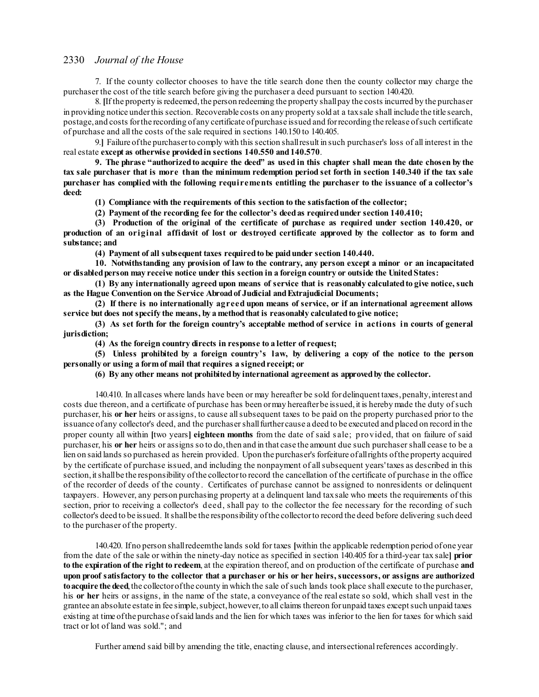7. If the county collector chooses to have the title search done then the county collector may charge the purchaser the cost of the title search before giving the purchaser a deed pursuant to section 140.420.

8. If the property is redeemed, the person redeeming the property shall pay the costs incurred by the purchaser in providing notice underthis section. Recoverable costs on any property sold at a taxsale shall include the title search, postage, and costs forthe recording of any certificate ofpurchase issued and forrecording the release ofsuch certificate of purchase and all the costs of the sale required in sections 140.150 to 140.405.

9.**]** Failure ofthe purchaserto comply with this section shallresult in such purchaser's loss of all interest in the real estate **except as otherwise providedin sections 140.550 and140.570**.

9. The phrase "authorized to acquire the deed" as used in this chapter shall mean the date chosen by the tax sale purchaser that is more than the minimum redemption period set forth in section 140.340 if the tax sale **purchaser has complied with the following requirements entitling the purchaser to the issuance of a collector's deed:**

**(1) Compliance with the requirements of this section to the satisfaction of the collector;**

**(2) Payment of the recording fee for the collector's deedas requiredunder section 140.410;**

**(3) Production of the original of the certificate of purchase as required under section 140.420, or** production of an original affidavit of lost or destroyed certificate approved by the collector as to form and **substance; and**

**(4) Payment of all subsequent taxes requiredto be paidunder section 140.440.**

**10. Notwithstanding any provision of law to the contrary, any person except a minor or an incapacitated or disabledperson may receive notice under this section in a foreign country or outside the UnitedStates:**

**(1) By any internationally agreed upon means of service that is reasonably calculatedto give notice, such as the Hague Convention on the Service Abroadof Judicial andExtrajudicial Documents;**

**(2) If there is no internationally agreed upon means of service, or if an international agreement allows service but does notspecify the means, by a methodthat is reasonably calculatedto give notice;**

**(3) As set forth for the foreign country's acceptable method of service in actions in courts of general jurisdiction;**

**(4) As the foreign country directs in response to a letter of request;**

**(5) Unless prohibited by a foreign country's law, by delivering a copy of the notice to the person personally or using a form of mail that requires a signedreceipt; or**

**(6) By any other means not prohibitedby international agreement as approvedby the collector.**

140.410. In allcases where lands have been or may hereafter be sold fordelinquent taxes,penalty,interest and costs due thereon, and a certificate of purchase has been ormay hereafterbe issued,it is hereby made the duty ofsuch purchaser, his **or her** heirs or assigns, to cause allsubsequent taxes to be paid on the property purchased prior to the issuance of any collector's deed, and the purchasershallfurther cause a deed to be executed and placed on record in the proper county all within **[**two years**] eighteen months** from the date of said s ale; provided, that on failure of said purchaser, his **or her** heirs or assigns so to do,then and in that case the amount due such purchasershall cease to be a lien on said lands so purchased as herein provided. Upon the purchaser's forfeiture ofallrights ofthe property acquired by the certificate of purchase issued, and including the nonpayment of allsubsequent years'taxes as described in this section, it shall be the responsibility of the collector to record the cancellation of the certificate of purchase in the office of the recorder of deeds of the county. Certificates of purchase cannot be assigned to nonresidents or delinquent taxpayers. However, any person purchasing property at a delinquent land taxsale who meets the requirements of this section, prior to receiving a collector's deed, shall pay to the collector the fee necessary for the recording of such collector's deed to be issued. Itshallbe the responsibility ofthe collectorto record the deed before delivering such deed to the purchaser of the property.

140.420. Ifno person shallredeemthe lands sold for taxes **[**within the applicable redemption period ofone year from the date of the sale or within the ninety-day notice as specified in section 140.405 for a third-year tax sale**] prior to the expiration of the right to redeem**, at the expiration thereof, and on production of the certificate of purchase **and** upon proof satisfactory to the collector that a purchaser or his or her heirs, successors, or assigns are authorized **toacquire the deed**,the collectorofthe county in which the sale ofsuch lands took place shall execute to the purchaser, his **or her** heirs or assigns, in the name of the state, a conveyance of the real estate so sold, which shall vest in the grantee an absolute estate in fee simple, subject, however, to all claims thereon for unpaid taxes except such unpaid taxes existing at time ofthe purchase ofsaid lands and the lien for which taxes was inferior to the lien for taxes for which said tract or lot of land was sold."; and

Further amend said bill by amending the title, enacting clause, and intersectional references accordingly.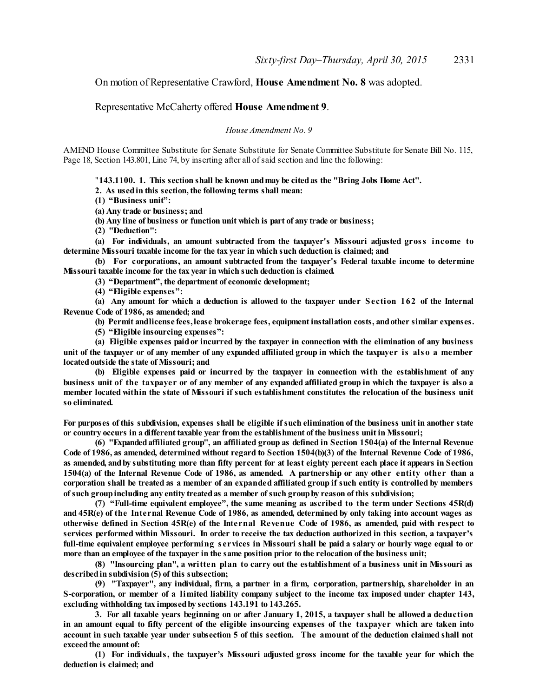On motion of Representative Crawford, **House Amendment No. 8** was adopted.

# Representative McCaherty offered **House Amendment 9**.

*House Amendment No. 9*

AMEND House Committee Substitute for Senate Substitute for Senate Committee Substitute for Senate Bill No. 115, Page 18, Section 143.801, Line 74, by inserting after all of said section and line the following:

"**143.1100. 1. This section shall be known andmay be citedas the "Bring Jobs Home Act".**

**2. As usedin this section, the following terms shall mean:**

**(1) "Business unit":**

**(a) Any trade or business; and**

**(b) Any line of business or function unit which is part of any trade or business;**

**(2) "Deduction":**

**(a) For individuals, an amount subtracted from the taxpayer's Missouri adjusted gross income to determine Missouri taxable income for the tax year in which such deduction is claimed; and**

**(b) For corporations, an amount subtracted from the taxpayer's Federal taxable income to determine Missouri taxable income for the tax year in which such deduction is claimed.**

**(3) "Department", the department of economic development;**

**(4) "Eligible expenses":**

**(a) Any amount for which a deduction is allowed to the taxpayer under Section 162 of the Internal Revenue Code of 1986, as amended; and**

**(b) Permit andlicense fees,lease brokerage fees, equipment installation costs, andother similar expenses.**

**(5) "Eligible insourcing expenses":**

**(a) Eligible expenses paidor incurred by the taxpayer in connection with the elimination of any business** unit of the taxpayer or of any member of any expanded affiliated group in which the taxpayer is also a member **locatedoutside the state of Missouri; and**

**(b) Eligible expenses paid or incurred by the taxpayer in connection with the establishment of any** business unit of the taxpayer or of any member of any expanded affiliated group in which the taxpayer is also a member located within the state of Missouri if such establishment constitutes the relocation of the business unit **so eliminated.**

For purposes of this subdivision, expenses shall be eligible if such elimination of the business unit in another state **or country occurs in a different taxable year from the establishment of the business unit in Missouri;**

**(6) "Expandedaffiliated group", an affiliated group as defined in Section 1504(a) of the Internal Revenue** Code of 1986, as amended, determined without regard to Section 1504(b)(3) of the Internal Revenue Code of 1986, as amended, and by substituting more than fifty percent for at least eighty percent each place it appears in Section 1504(a) of the Internal Revenue Code of 1986, as amended. A partnership or any other entity other than a corporation shall be treated as a member of an expanded affiliated group if such entity is controlled by members **ofsuch groupincluding any entity treatedas a member ofsuch groupby reason of this subdivision;**

**(7) "Full-time equivalent employee", the same meaning as ascribed to the term under Sections 45R(d)** and 45R(e) of the Internal Revenue Code of 1986, as amended, determined by only taking into account wages as otherwise defined in Section 45R(e) of the Internal Revenue Code of 1986, as amended, paid with respect to services performed within Missouri. In order to receive the tax deduction authorized in this section, a taxpayer's full-time equivalent employee performing services in Missouri shall be paid a salary or hourly wage equal to or more than an employee of the taxpayer in the same position prior to the relocation of the business unit;

(8) "Insourcing plan", a written plan to carry out the establishment of a business unit in Missouri as **describedin subdivision (5) of this subsection;**

**(9) "Taxpayer", any individual, firm, a partner in a firm, corporation, partnership, shareholder in an** S-corporation, or member of a limited liability company subject to the income tax imposed under chapter 143, **excluding withholding tax imposedby sections 143.191 to 143.265.**

3. For all taxable years beginning on or after January 1, 2015, a taxpayer shall be allowed a deduction in an amount equal to fifty percent of the eligible insourcing expenses of the taxpayer which are taken into account in such taxable year under subsection 5 of this section. The amount of the deduction claimed shall not **exceedthe amount of:**

**(1) For individuals, the taxpayer's Missouri adjusted gross income for the taxable year for which the deduction is claimed; and**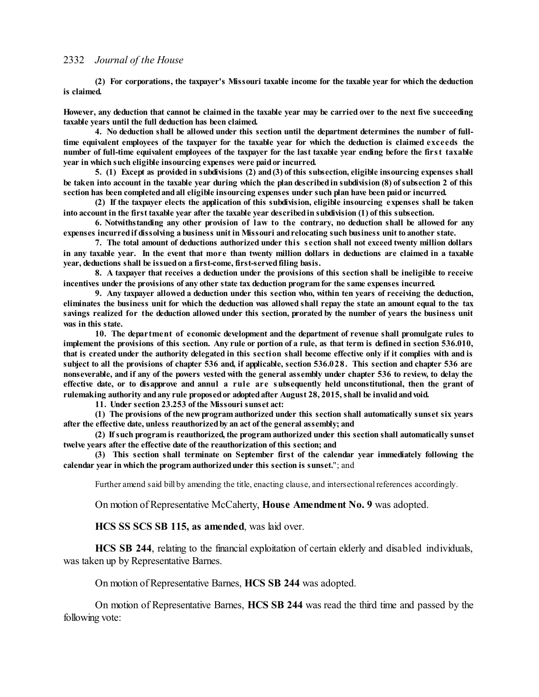**(2) For corporations, the taxpayer's Missouri taxable income for the taxable year for which the deduction is claimed.**

However, any deduction that cannot be claimed in the taxable year may be carried over to the next five succeeding **taxable years until the full deduction has been claimed.**

**4. No deduction shall be allowed under this section until the department determines the number of full**time equivalent employees of the taxpayer for the taxable year for which the deduction is claimed exceeds the number of full-time equivalent employees of the taxpayer for the last taxable year ending before the first taxable **year in which such eligible insourcing expenses were paidor incurred.**

**5. (1) Except as provided in subdivisions (2) and(3) of this subsection, eligible insourcing expenses shall** be taken into account in the taxable year during which the plan described in subdivision (8) of subsection 2 of this **section has been completedandall eligible insourcing expenses under such plan have been paidor incurred.**

**(2) If the taxpayer elects the application of this subdivision, eligible insourcing expenses shall be taken** into account in the first taxable year after the taxable year described in subdivision (1) of this subsection.

**6. Notwithstanding any other provision of law to the contrary, no deduction shall be allowed for any expenses incurredif dissolving a business unit in Missouri andrelocating such business unit to another state.**

**7. The total amount of deductions authorized under this s ection shall not exceed twenty million dollars** in any taxable year. In the event that more than twenty million dollars in deductions are claimed in a taxable **year, deductions shall be issuedon a first-come, first-servedfiling basis.**

8. A taxpayer that receives a deduction under the provisions of this section shall be ineligible to receive **incentives under the provisions of any other state tax deduction programfor the same expenses incurred.**

**9. Any taxpayer allowed a deduction under this section who, within ten years of receiving the deduction,** eliminates the business unit for which the deduction was allowed shall repay the state an amount equal to the tax savings realized for the deduction allowed under this section, prorated by the number of years the business unit **was in this state.**

**10. The department of economic development and the department of revenue shall promulgate rules to** implement the provisions of this section. Any rule or portion of a rule, as that term is defined in section 536.010, that is created under the authority delegated in this section shall become effective only if it complies with and is subject to all the provisions of chapter 536 and, if applicable, section 536.028. This section and chapter 536 are nonseverable, and if any of the powers vested with the general assembly under chapter 536 to review, to delay the effective date, or to disapprove and annul a rule are subsequently held unconstitutional, then the grant of **rulemaking authority andany rule proposedor adoptedafter August 28, 2015,shall be invalidandvoid.**

**11. Under section 23.253 of the Missouri sunset act:**

**(1) The provisions of the newprogram authorized under this section shall automatically sunset six years after the effective date, unless reauthorizedby an act of the general assembly; and**

**(2) Ifsuch program is reauthorized, the program authorized under this section shall automatically sunset twelve years after the effective date of the reauthorization of this section; and**

**(3) This section shall terminate on September first of the calendar year immediately following the calendar year in which the program authorizedunder this section is sunset.**"; and

Further amend said bill by amending the title, enacting clause, and intersectional references accordingly.

On motion of Representative McCaherty, **House Amendment No. 9** was adopted.

**HCS SS SCS SB 115, as amended**, was laid over.

**HCS SB 244**, relating to the financial exploitation of certain elderly and disabled individuals, was taken up by Representative Barnes.

On motion of Representative Barnes, **HCS SB 244** was adopted.

On motion of Representative Barnes, **HCS SB 244** was read the third time and passed by the following vote: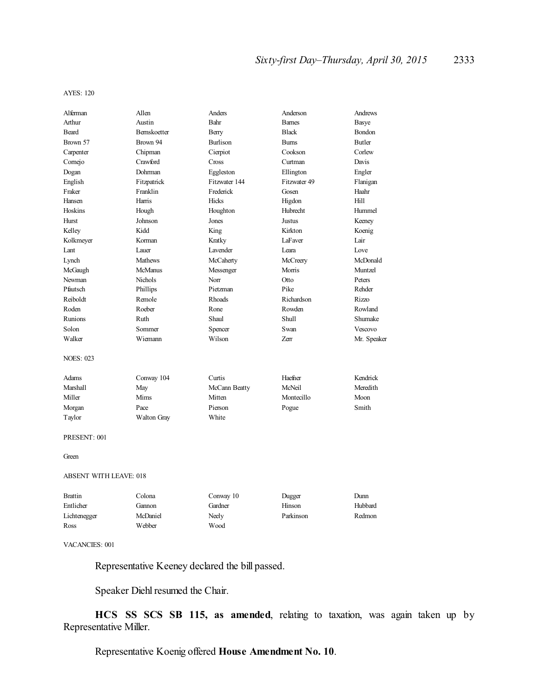AYES: 120

| Alferman                      | Allen            | Anders            | Anderson      | Andrews     |
|-------------------------------|------------------|-------------------|---------------|-------------|
| Arthur                        | Austin           | Bahr              | <b>Barnes</b> | Basye       |
| <b>Beard</b>                  | Bernskoetter     | Berry             | <b>Black</b>  | Bondon      |
| Brown 57                      | Brown 94         | <b>Burlison</b>   | <b>Bums</b>   | Butler      |
| Carpenter                     | Chipman          | Cierpiot          | Cookson       | Corlew      |
| Cornejo                       | Crawford         | Cross             | Curtman       | Davis       |
| Dogan                         | Dohrman          | Eggleston         | Ellington     | Engler      |
| English                       | Fitzpatrick      | Fitzwater 144     | Fitzwater 49  | Flanigan    |
| Fraker                        | Franklin         | Frederick         | Gosen         | Haahr       |
| Hansen                        | Harris           | <b>Hicks</b>      | Higdon        | Hill        |
| Hoskins                       |                  |                   | Hubrecht      | Hummel      |
| <b>Hurst</b>                  | Hough<br>Johnson | Houghton<br>Jones | Justus        |             |
|                               | Kidd             |                   |               | Keeney      |
| Kelley                        |                  | King              | Kirkton       | Koenig      |
| Kolkmeyer                     | Korman           | Kratky            | LaFaver       | Lair        |
| Lant                          | Lauer            | Lavender          | Leara         | Love        |
| Lynch                         | <b>Mathews</b>   | McCaherty         | McCreery      | McDonald    |
| McGaugh                       | <b>McManus</b>   | Messenger         | Morris        | Muntzel     |
| Newman                        | <b>Nichols</b>   | Norr              | Otto          | Peters      |
| Pfautsch                      | Phillips         | Pietzman          | Pike          | Rehder      |
| Reiboldt                      | Remole           | <b>Rhoads</b>     | Richardson    | Rizzo       |
| Roden                         | Roeber           | Rone              | Rowden        | Rowland     |
| Runions                       | Ruth             | Shaul             | Shull         | Shumake     |
| Solon                         | Sommer           | Spencer           | Swan          | Vescovo     |
| Walker                        | Wiemann          | Wilson            | <b>Zerr</b>   | Mr. Speaker |
| <b>NOES: 023</b>              |                  |                   |               |             |
| Adams                         | Conway 104       | Curtis            | Haefner       | Kendrick    |
| <b>Marshall</b>               | May              | McCann Beatty     | McNeil        | Meredith    |
| Miller                        | Mims             | Mitten            | Montecillo    | Moon        |
| Morgan                        | Pace             | Pierson           | Pogue         | Smith       |
| Taylor                        | Walton Gray      | White             |               |             |
| PRESENT: 001                  |                  |                   |               |             |
| Green                         |                  |                   |               |             |
| <b>ABSENT WITH LEAVE: 018</b> |                  |                   |               |             |
| <b>Brattin</b>                | Colona           | Conway 10         | Dugger        | Dunn        |
| Entlicher                     | Gannon           | Gardner           | Hinson        | Hubbard     |
| Lichtenegger                  | McDaniel         | Neely             | Parkinson     | Redmon      |

VACANCIES: 001

Representative Keeney declared the bill passed.

Speaker Diehl resumed the Chair.

Ross Webber Wood

**HCS SS SCS SB 115, as amended**, relating to taxation, was again taken up by Representative Miller.

Representative Koenig offered **House Amendment No. 10**.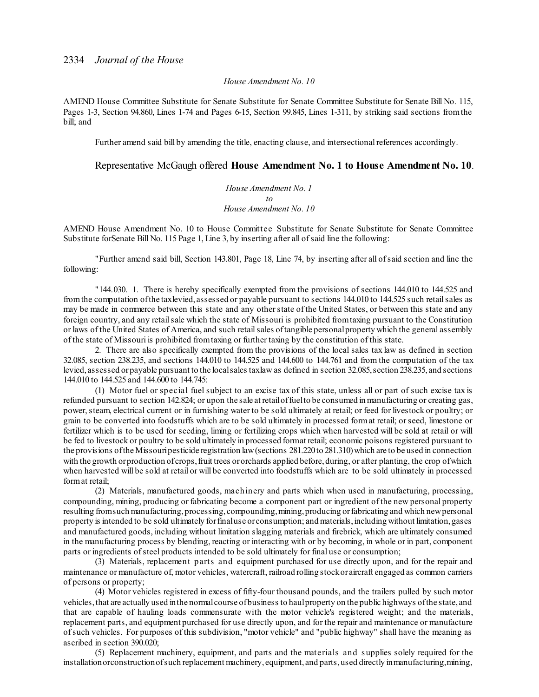#### *House Amendment No. 10*

AMEND House Committee Substitute for Senate Substitute for Senate Committee Substitute for Senate Bill No. 115, Pages 1-3, Section 94.860, Lines 1-74 and Pages 6-15, Section 99.845, Lines 1-311, by striking said sections fromthe bill; and

Further amend said bill by amending the title, enacting clause, and intersectional references accordingly.

## Representative McGaugh offered **House Amendment No. 1 to House Amendment No. 10**.

*House Amendment No. 1 to House Amendment No. 10*

AMEND House Amendment No. 10 to House Committee Substitute for Senate Substitute for Senate Committee Substitute forSenate Bill No. 115 Page 1, Line 3, by inserting after all ofsaid line the following:

"Further amend said bill, Section 143.801, Page 18, Line 74, by inserting after all ofsaid section and line the following:

"144.030. 1. There is hereby specifically exempted from the provisions of sections 144.010 to 144.525 and fromthe computation ofthe taxlevied, assessed or payable pursuant to sections 144.010 to 144.525 such retailsales as may be made in commerce between this state and any otherstate of the United States, or between this state and any foreign country, and any retailsale which the state of Missouri is prohibited fromtaxing pursuant to the Constitution or laws of the United States of America, and such retailsales oftangible personalproperty which the general assembly of the state of Missouri is prohibited fromtaxing or further taxing by the constitution of this state.

2. There are also specifically exempted from the provisions of the local sales tax law as defined in section 32.085, section 238.235, and sections 144.010 to 144.525 and 144.600 to 144.761 and from the computation of the tax levied, assessed or payable pursuant to the local sales taxlaw as defined in section 32.085, section 238.235, and sections 144.010 to 144.525 and 144.600 to 144.745:

(1) Motor fuel or special fuel subject to an excise tax of this state, unless all or part of such excise tax is refunded pursuant to section 142.824; or upon the sale at retailoffuelto be consumed in manufacturing or creating gas, power, steam, electrical current or in furnishing water to be sold ultimately at retail; or feed for livestock or poultry; or grain to be converted into foodstuffs which are to be sold ultimately in processed format retail; orseed, limestone or fertilizer which is to be used for seeding, liming or fertilizing crops which when harvested will be sold at retail or will be fed to livestock or poultry to be sold ultimately in processed format retail; economic poisons registered pursuant to the provisions of the Missouri pesticide registration law (sections 281.220 to 281.310) which are to be used in connection with the growth orproduction of crops, fruit trees or orchards applied before, during, or after planting, the crop of which when harvested will be sold at retail or will be converted into foodstuffs which are to be sold ultimately in processed format retail;

(2) Materials, manufactured goods, machinery and parts which when used in manufacturing, processing, compounding, mining, producing or fabricating become a component part or ingredient of the new personal property resulting fromsuch manufacturing,processing, compounding,mining,producing orfabricating and which newpersonal property is intended to be sold ultimately forfinaluse or consumption; and materials,including without limitation,gases and manufactured goods, including without limitation slagging materials and firebrick, which are ultimately consumed in the manufacturing process by blending, reacting or interacting with or by becoming, in whole or in part, component parts or ingredients of steel products intended to be sold ultimately for final use or consumption;

(3) Materials, replacement parts and equipment purchased for use directly upon, and for the repair and maintenance or manufacture of, motor vehicles, watercraft, railroad rolling stockor aircraft engaged as common carriers of persons or property;

(4) Motor vehicles registered in excess of fifty-four thousand pounds, and the trailers pulled by such motor vehicles,that are actually used inthe normalcourse ofbusiness to haulproperty on the public highways ofthe state, and that are capable of hauling loads commensurate with the motor vehicle's registered weight; and the materials, replacement parts, and equipment purchased for use directly upon, and for the repair and maintenance or manufacture ofsuch vehicles. For purposes of this subdivision, "motor vehicle" and "public highway" shall have the meaning as ascribed in section 390.020;

(5) Replacement machinery, equipment, and parts and the materials and s upplies solely required for the installationorconstructionofsuch replacement machinery, equipment, and parts,used directly inmanufacturing,mining,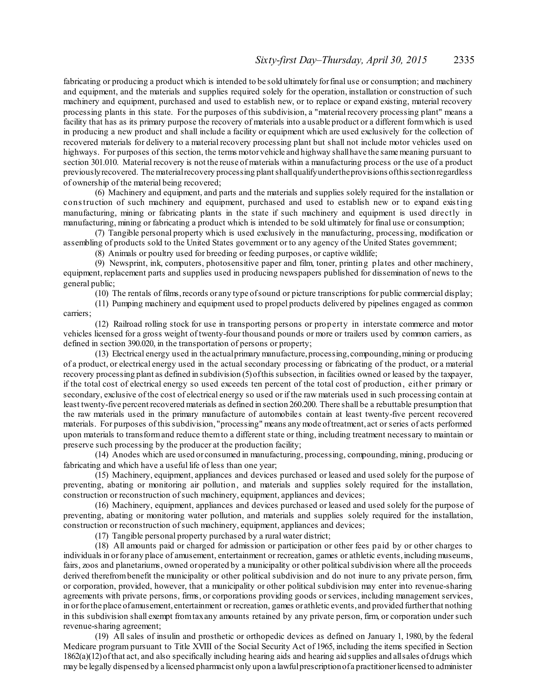fabricating or producing a product which is intended to be sold ultimately forfinal use or consumption; and machinery and equipment, and the materials and supplies required solely for the operation, installation or construction of such machinery and equipment, purchased and used to establish new, or to replace or expand existing, material recovery processing plants in this state. For the purposes of this subdivision, a "material recovery processing plant" means a facility that has as its primary purpose the recovery of materials into a usable product or a different formwhich is used in producing a new product and shall include a facility or equipment which are used exclusively for the collection of recovered materials for delivery to a material recovery processing plant but shall not include motor vehicles used on highways. For purposes of this section, the terms motor vehicle and highway shall have the same meaning pursuant to section 301.010. Material recovery is not the reuse of materials within a manufacturing process or the use of a product previouslyrecovered. Thematerialrecovery processing plantshallqualifyundertheprovisions ofthissectionregardless of ownership of the material being recovered;

(6) Machinery and equipment, and parts and the materials and supplies solely required for the installation or construction of such machinery and equipment, purchased and used to establish new or to expand existing manufacturing, mining or fabricating plants in the state if such machinery and equipment is used directly in manufacturing, mining or fabricating a product which is intended to be sold ultimately for final use or consumption;

(7) Tangible personal property which is used exclusively in the manufacturing, processing, modification or assembling of products sold to the United States government or to any agency of the United States government;

(8) Animals or poultry used for breeding or feeding purposes, or captive wildlife;

(9) Newsprint, ink, computers, photosensitive paper and film, toner, printing plates and other machinery, equipment, replacement parts and supplies used in producing newspapers published for dissemination of news to the general public;

(10) The rentals of films,records or any type ofsound or picture transcriptions for public commercial display;

(11) Pumping machinery and equipment used to propel products delivered by pipelines engaged as common carriers;

(12) Railroad rolling stock for use in transporting persons or property in interstate commerce and motor vehicles licensed for a gross weight of twenty-four thousand pounds or more or trailers used by common carriers, as defined in section 390.020, in the transportation of persons or property;

(13) Electrical energy used in the actualprimary manufacture,processing, compounding,mining or producing of a product, or electrical energy used in the actual secondary processing or fabricating of the product, or a material recovery processing plant as defined in subdivision (5)ofthis subsection, in facilities owned or leased by the taxpayer, if the total cost of electrical energy so used exceeds ten percent of the total cost of production, either primary or secondary, exclusive of the cost of electrical energy so used or if the raw materials used in such processing contain at least twenty-five percent recovered materials as defined in section 260.200. There shall be a rebuttable presumption that the raw materials used in the primary manufacture of automobiles contain at least twenty-five percent recovered materials. For purposes of this subdivision, "processing" means any mode oftreatment, act orseries of acts performed upon materials to transformand reduce themto a different state or thing, including treatment necessary to maintain or preserve such processing by the producer at the production facility;

(14) Anodes which are used orconsumed in manufacturing, processing, compounding, mining, producing or fabricating and which have a useful life of less than one year;

(15) Machinery, equipment, appliances and devices purchased or leased and used solely for the purpose of preventing, abating or monitoring air pollution, and materials and supplies solely required for the installation, construction or reconstruction of such machinery, equipment, appliances and devices;

(16) Machinery, equipment, appliances and devices purchased or leased and used solely for the purpose of preventing, abating or monitoring water pollution, and materials and supplies solely required for the installation, construction or reconstruction ofsuch machinery, equipment, appliances and devices;

(17) Tangible personal property purchased by a rural water district;

(18) All amounts paid or charged for admission or participation or other fees paid by or other charges to individuals in or for any place of amusement, entertainment or recreation, games or athletic events, including museums, fairs, zoos and planetariums, owned oroperated by a municipality or other politicalsubdivision where all the proceeds derived therefrom benefit the municipality or other political subdivision and do not inure to any private person, firm, or corporation, provided, however, that a municipality or other political subdivision may enter into revenue-sharing agreements with private persons, firms, or corporations providing goods orservices, including management services, in orforthe place ofamusement, entertainment or recreation, games or athletic events, and provided furtherthat nothing in this subdivision shall exempt fromtaxany amounts retained by any private person, firm, or corporation undersuch revenue-sharing agreement;

(19) All sales of insulin and prosthetic or orthopedic devices as defined on January 1, 1980, by the federal Medicare program pursuant to Title XVIII of the Social Security Act of 1965, including the items specified in Section 1862(a)(12)ofthat act, and also specifically including hearing aids and hearing aid supplies and allsales ofdrugs which may be legally dispensed by a licensed pharmacist only upon a lawful prescription of a practitioner licensed to administer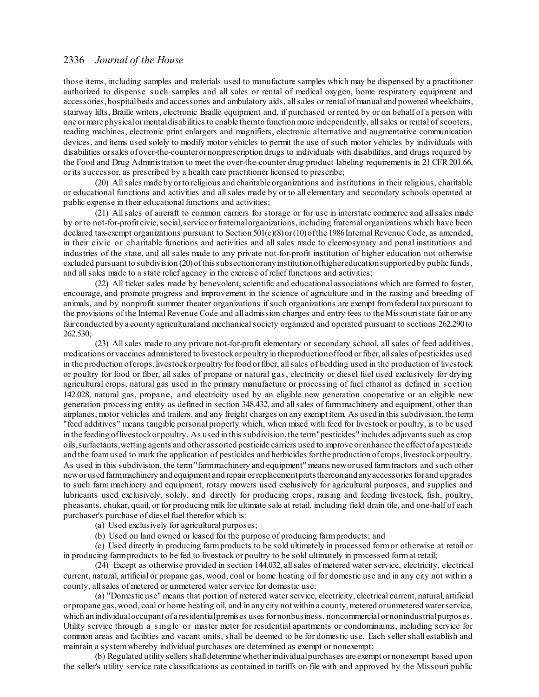those items, including samples and materials used to manufacture samples which may be dispensed by a practitioner authorized to dispense such samples and all sales or rental of medical oxygen, home respiratory equipment and accessories,hospitalbeds and accessories and ambulatory aids, allsales or rental of manual and powered wheelchairs, stairway lifts, Braille writers, electronic Braille equipment and, if purchased or rented by or on behalf of a person with one ormore physicalormentaldisabilities to enable themto function more independently, allsales or rental ofscooters, reading machines, electronic print enlargers and magnifiers, electronic alternative and augmentative communication devices, and items used solely to modify motor vehicles to permit the use of such motor vehicles by individuals with disabilities orsales ofover-the-counterornonprescription drugs to individuals with disabilities, and drugs required by the Food and Drug Administration to meet the over-the-counter drug product labeling requirements in 21 CFR 201.66, or its successor, as prescribed by a health care practitioner licensed to prescribe;

(20) Allsales made by orto religious and charitable organizations and institutions in their religious, charitable or educational functions and activities and allsales made by or to all elementary and secondary schools operated at public expense in their educational functions and activities;

(21) Allsales of aircraft to common carriers for storage or for use in interstate commerce and allsales made by or to not-for-profit civic, social, service or fraternal organizations, including fraternal organizations which have been declared tax-exempt organizations pursuant to Section 501(c)(8) or (10) of the 1986 Internal Revenue Code, as amended, in their civic or charitable functions and activities and all sales made to eleemosynary and penal institutions and industries of the state, and all sales made to any private not-for-profit institution of higher education not otherwise excluded pursuant to subdivision (20)ofthissubsectionoranyinstitutionofhighereducationsupportedby public funds, and allsales made to a state relief agency in the exercise of relief functions and activities;

(22) All ticket sales made by benevolent,scientific and educational associations which are formed to foster, encourage, and promote progress and improvement in the science of agriculture and in the raising and breeding of animals, and by nonprofit summer theater organizations ifsuch organizations are exempt fromfederal taxpursuant to the provisions of the Internal Revenue Code and all admission charges and entry fees to the Missouristate fair or any fair conducted by a county agriculturaland mechanicalsociety organized and operated pursuant to sections 262.290to 262.530;

(23) Allsales made to any private not-for-profit elementary or secondary school, all sales of feed additives, medications orvaccines administered to livestockorpoultry in theproductionoffood orfiber, allsales ofpesticides used in the production of crops, livestock or poultry for food or fiber, all sales of bedding used in the production of livestock or poultry for food or fiber, all sales of propane or natural gas, electricity or diesel fuel used exclusively for drying agricultural crops, natural gas used in the primary manufacture or processing of fuel ethanol as defined in s ection 142.028, natural gas, propane, and electricity used by an eligible new generation cooperative or an eligible new generation processing entity as defined in section 348.432, and allsales of farmmachinery and equipment, other than airplanes, motor vehicles and trailers, and any freight charges on any exempt item. As used in this subdivision,the term "feed additives" means tangible personal property which, when mixed with feed for livestock or poultry, is to be used in the feeding oflivestockorpoultry. As used in this subdivision,the term"pesticides" includes adjuvants such as crop oils,surfactants,wetting agents and other assorted pesticide carriers used to improve orenhance the effect of a pesticide and the foamused to mark the application of pesticides and herbicides for the production of crops, livestock or poultry. As used in this subdivision, the term"farmmachinery and equipment" means neworused farmtractors and such other neworused farmmachinery and equipment and repairorreplacementpartsthereonandanyaccessories for and upgrades to such farm machinery and equipment, rotary mowers used exclusively for agricultural purposes, and supplies and lubricants used exclusively, solely, and directly for producing crops, raising and feeding livestock, fish, poultry, pheasants, chukar, quail, or for producing milk for ultimate sale at retail, including field drain tile, and one-half of each purchaser's purchase of diesel fuel therefor which is:

(a) Used exclusively for agricultural purposes;

(b) Used on land owned or leased for the purpose of producing farmproducts; and

(c) Used directly in producing farmproducts to be sold ultimately in processed formor otherwise at retail or in producing farmproducts to be fed to livestock or poultry to be sold ultimately in processed format retail;

(24) Except as otherwise provided in section 144.032, allsales of metered water service, electricity, electrical current, natural, artificial or propane gas, wood, coal or home heating oil for domestic use and in any city not within a county, all sales of metered or unmetered water service for domestic use:

(a) "Domestic use" means that portion of metered waterservice, electricity, electrical current,natural, artificial orpropane gas,wood, coal or home heating oil, and in any city not within a county,metered orunmetered waterservice, which an individual occupant of a residential premises uses for nonbusiness, noncommercial or nonindustrial purposes. Utility service through a single or master meter for residential apartments or condominiums, including service for common areas and facilities and vacant units, shall be deemed to be for domestic use. Each sellershall establish and maintain a systemwhereby individual purchases are determined as exempt or nonexempt;

(b) Regulated utility sellers shalldetermine whetherindividualpurchases are exempt ornonexempt based upon the seller's utility service rate classifications as contained in tariffs on file with and approved by the Missouri public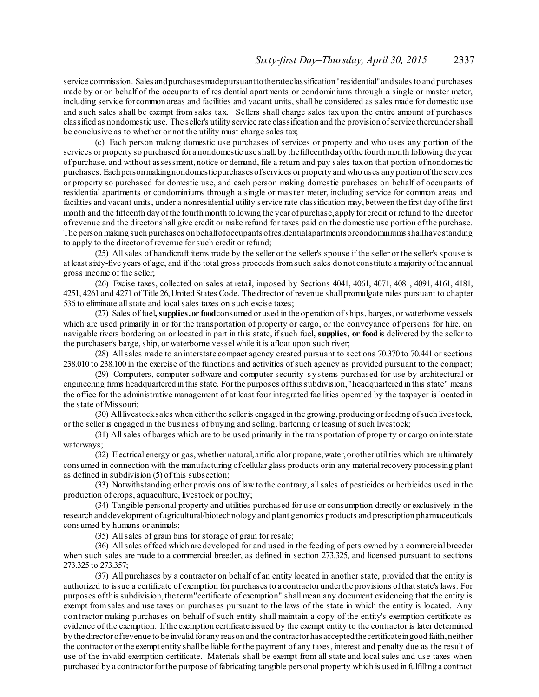service commission. Sales and purchases made pursuant to the rate classification "residential" and sales to and purchases made by or on behalf of the occupants of residential apartments or condominiums through a single or master meter, including service forcommon areas and facilities and vacant units, shall be considered as sales made for domestic use and such sales shall be exempt from sales tax. Sellers shall charge sales tax upon the entire amount of purchases classified as nondomestic use. The seller's utility service rate classification and the provision ofservice thereundershall be conclusive as to whether or not the utility must charge sales tax;

(c) Each person making domestic use purchases of services or property and who uses any portion of the services or property so purchased for a nondomestic use shall, by the fifteenthday of the fourth month following the year of purchase, and without assessment,notice or demand, file a return and pay sales taxon that portion of nondomestic purchases. Eachpersonmakingnondomesticpurchases ofservices orproperty and who uses any portion ofthe services or property so purchased for domestic use, and each person making domestic purchases on behalf of occupants of residential apartments or condominiums through a single or master meter, including service for common areas and facilities and vacant units, under a nonresidential utility service rate classification may,between the first day ofthe first month and the fifteenth day ofthe fourth month following the yearofpurchase, apply for credit or refund to the director ofrevenue and the directorshall give credit or make refund for taxes paid on the domestic use portion ofthe purchase. The person making such purchases on behalfofoccupants of residential apartments or condominiums shall have standing to apply to the director of revenue for such credit or refund;

(25) Allsales of handicraft items made by the seller or the seller's spouse if the seller or the seller's spouse is at leastsixty-five years of age, and if the total gross proceeds fromsuch sales do not constitute amajority ofthe annual gross income of the seller;

(26) Excise taxes, collected on sales at retail, imposed by Sections 4041, 4061, 4071, 4081, 4091, 4161, 4181, 4251, 4261 and 4271 of Title 26,United States Code. The director of revenue shall promulgate rules pursuant to chapter 536 to eliminate all state and local sales taxes on such excise taxes;

(27) Sales of fuel**, supplies,or food**consumed orused in the operation ofships, barges, or waterborne vessels which are used primarily in or for the transportation of property or cargo, or the conveyance of persons for hire, on navigable rivers bordering on or located in part in this state, ifsuch fuel**, supplies, or food**is delivered by the seller to the purchaser's barge, ship, or waterborne vessel while it is afloat upon such river;

(28) Allsales made to an interstate compact agency created pursuant to sections 70.370 to 70.441 orsections 238.010 to 238.100 in the exercise of the functions and activities ofsuch agency as provided pursuant to the compact;

(29) Computers, computer software and computer security s ystems purchased for use by architectural or engineering firms headquartered in this state. Forthe purposes ofthis subdivision, "headquartered in this state" means the office for the administrative management of at least four integrated facilities operated by the taxpayer is located in the state of Missouri;

(30) Alllivestocksales when eitherthe selleris engaged in the growing,producing orfeeding ofsuch livestock, or the seller is engaged in the business of buying and selling, bartering or leasing ofsuch livestock;

(31) Allsales of barges which are to be used primarily in the transportation of property or cargo on interstate waterways;

(32) Electrical energy or gas, whether natural, artificialorpropane,water,orother utilities which are ultimately consumed in connection with the manufacturing of cellularglass products orin any material recovery processing plant as defined in subdivision (5) of this subsection;

(33) Notwithstanding other provisions of law to the contrary, allsales of pesticides or herbicides used in the production of crops, aquaculture, livestock or poultry;

(34) Tangible personal property and utilities purchased for use or consumption directly or exclusively in the research anddevelopment ofagricultural/biotechnology and plant genomics products and prescription pharmaceuticals consumed by humans or animals;

(35) Allsales of grain bins forstorage of grain for resale;

(36) Allsales offeed which are developed for and used in the feeding of pets owned by a commercial breeder when such sales are made to a commercial breeder, as defined in section 273.325, and licensed pursuant to sections 273.325 to 273.357;

(37) All purchases by a contractor on behalf of an entity located in another state, provided that the entity is authorized to issue a certificate of exemption for purchases to a contractorunderthe provisions ofthatstate's laws. For purposes of this subdivision, the term"certificate of exemption" shall mean any document evidencing that the entity is exempt fromsales and use taxes on purchases pursuant to the laws of the state in which the entity is located. Any contractor making purchases on behalf of such entity shall maintain a copy of the entity's exemption certificate as evidence of the exemption. Ifthe exemption certificate issued by the exempt entity to the contractor is later determined by the director of revenue to be invalid for any reason and the contractor has accepted the certificate in good faith, neither the contractor orthe exempt entity shallbe liable for the payment of any taxes, interest and penalty due as the result of use of the invalid exemption certificate. Materials shall be exempt from all state and local sales and use taxes when purchased by a contractorforthe purpose of fabricating tangible personal property which is used in fulfilling a contract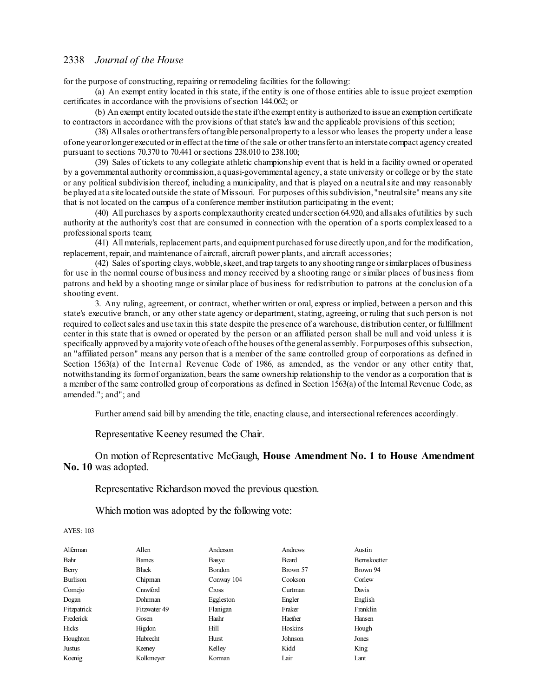for the purpose of constructing, repairing or remodeling facilities for the following:

(a) An exempt entity located in this state, if the entity is one of those entities able to issue project exemption certificates in accordance with the provisions of section 144.062; or

(b) An exempt entity located outside the state ifthe exempt entity is authorized to issue an exemption certificate to contractors in accordance with the provisions of that state's law and the applicable provisions of this section;

(38) Allsales orothertransfers oftangible personalproperty to a lessor who leases the property under a lease ofone yearorlonger executed orin effect at the time of the sale or other transferto an interstate compact agency created pursuant to sections 70.370 to 70.441 orsections 238.010 to 238.100;

(39) Sales of tickets to any collegiate athletic championship event that is held in a facility owned or operated by a governmental authority orcommission, a quasi-governmental agency, a state university or college or by the state or any political subdivision thereof, including a municipality, and that is played on a neutralsite and may reasonably be played at a site located outside the state of Missouri. For purposes ofthis subdivision, "neutralsite" means any site that is not located on the campus of a conference member institution participating in the event;

(40) All purchases by a sports complexauthority created undersection 64.920, and allsales ofutilities by such authority at the authority's cost that are consumed in connection with the operation of a sports complexleased to a professional sports team;

(41) All materials, replacement parts, and equipment purchased foruse directly upon, and for the modification, replacement, repair, and maintenance of aircraft, aircraft power plants, and aircraft accessories;

(42) Sales ofsporting clays,wobble,skeet, and trap targets to any shooting range orsimilarplaces ofbusiness for use in the normal course of business and money received by a shooting range or similar places of business from patrons and held by a shooting range orsimilar place of business for redistribution to patrons at the conclusion of a shooting event.

3. Any ruling, agreement, or contract, whether written or oral, express or implied, between a person and this state's executive branch, or any otherstate agency or department, stating, agreeing, or ruling that such person is not required to collectsales and use taxin this state despite the presence of a warehouse, distribution center, or fulfillment center in this state that is owned or operated by the person or an affiliated person shall be null and void unless it is specifically approved by amajority vote of each ofthe houses ofthe generalassembly. Forpurposes ofthis subsection, an "affiliated person" means any person that is a member of the same controlled group of corporations as defined in Section 1563(a) of the Internal Revenue Code of 1986, as amended, as the vendor or any other entity that, notwithstanding its formof organization, bears the same ownership relationship to the vendor as a corporation that is a member of the same controlled group of corporations as defined in Section 1563(a) of the Internal Revenue Code, as amended."; and"; and

Further amend said bill by amending the title, enacting clause, and intersectional references accordingly.

Representative Keeney resumed the Chair.

On motion of Representative McGaugh, **House Amendment No. 1 to House Amendment No. 10** was adopted.

Representative Richardson moved the previous question.

Which motion was adopted by the following vote:

| Alferman    | Allen          | Anderson   | Andrews  | Austin              |
|-------------|----------------|------------|----------|---------------------|
| Bahr        | <b>Barnes</b>  | Basye      | Beard    | <b>Bernskoetter</b> |
| Berry       | <b>Black</b>   | Bondon     | Brown 57 | Brown 94            |
| Burlison    | Chipman        | Conway 104 | Cookson  | Corlew              |
| Cornejo     | Crawford       | Cross      | Curtman  | Davis               |
| Dogan       | <b>Dohrman</b> | Eggleston  | Engler   | English             |
| Fitzpatrick | Fitzwater 49   | Flanigan   | Fraker   | Franklin            |
| Frederick   | Gosen          | Haahr      | Haefner  | Hansen              |
| Hicks       | Higdon         | Hill       | Hoskins  | Hough               |
| Houghton    | Hubrecht       | Hurst      | Johnson  | Jones               |
| Justus      | Keeney         | Kelley     | Kidd     | King                |
| Koenig      | Kolkmeyer      | Korman     | Lair     | Lant                |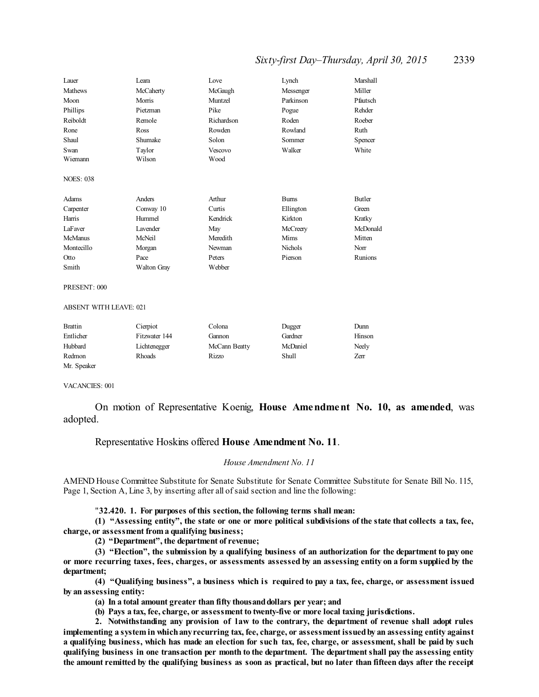# *Sixty-first Day–Thursday, April 30, 2015* 2339

| Lauer            | Leara              | Love       | Lynch          | Marshall |
|------------------|--------------------|------------|----------------|----------|
| <b>Mathews</b>   | McCaherty          | McGaugh    | Messenger      | Miller   |
| Moon             | Morris             | Muntzel    | Parkinson      | Pfautsch |
| Phillips         | Pietzman           | Pike       | Pogue          | Rehder   |
| Reiboldt         | Remole             | Richardson | Roden          | Roeber   |
| Rone             | Ross               | Rowden     | Rowland        | Ruth     |
| Shaul            | Shumake            | Solon      | Sommer         | Spencer  |
| Swan             | Taylor             | Vescovo    | Walker         | White    |
| Wiemann          | Wilson             | Wood       |                |          |
| <b>NOES: 038</b> |                    |            |                |          |
| Adams            | Anders             | Arthur     | <b>Burns</b>   | Butler   |
| Carpenter        | Conway 10          | Curtis     | Ellington      | Green    |
| Harris           | Hummel             | Kendrick   | Kirkton        | Kratky   |
| LaFaver          | Lavender           | May        | McCreery       | McDonald |
| <b>McManus</b>   | McNeil             | Meredith   | Mims           | Mitten   |
| Montecillo       | Morgan             | Newman     | <b>Nichols</b> | Norr     |
| Otto             | Pace               | Peters     | Pierson        | Runions  |
| Smith            | <b>Walton Gray</b> | Webber     |                |          |

PRESENT: 000

ABSENT WITH LEAVE: 021

| <b>Brattin</b> | Cierpiot      | Colona        | Dugger       | Dunn   |
|----------------|---------------|---------------|--------------|--------|
| Entlicher      | Fitzwater 144 | Gannon        | Gardner      | Hinson |
| Hubbard        | Lichtenegger  | McCann Beatty | McDaniel     | Neely  |
| Redmon         | Rhoads        | Rizzo         | <b>Shull</b> | Zerr   |
| Mr. Speaker    |               |               |              |        |

VACANCIES: 001

On motion of Representative Koenig, **House Amendment No. 10, as amended**, was adopted.

# Representative Hoskins offered **House Amendment No. 11**.

#### *House Amendment No. 11*

AMEND House Committee Substitute for Senate Substitute for Senate Committee Substitute for Senate Bill No. 115, Page 1, Section A, Line 3, by inserting after all of said section and line the following:

"**32.420. 1. For purposes of this section, the following terms shall mean:**

(1) "Assessing entity", the state or one or more political subdivisions of the state that collects a tax, fee, **charge, or assessment from a qualifying business;**

**(2) "Department", the department of revenue;**

**(3) "Election", the submission by a qualifying business of an authorization for the department to pay one** or more recurring taxes, fees, charges, or assessments assessed by an assessing entity on a form supplied by the **department;**

**(4) "Qualifying business", a business which is required to pay a tax, fee, charge, or assessment issued by an assessing entity:**

**(a) In a total amount greater than fifty thousanddollars per year; and**

**(b) Pays a tax, fee, charge, or assessment to twenty-five or more local taxing jurisdictions.**

**2. Notwithstanding any provision of law to the contrary, the department of revenue shall adopt rules implementing a system in whichanyrecurring tax, fee, charge, or assessment issuedby an assessing entity against** a qualifying business, which has made an election for such tax, fee, charge, or assessment, shall be paid by such **qualifying business in one transaction per month to the department. The departmentshall pay the assessing entity** the amount remitted by the qualifying business as soon as practical, but no later than fifteen days after the receipt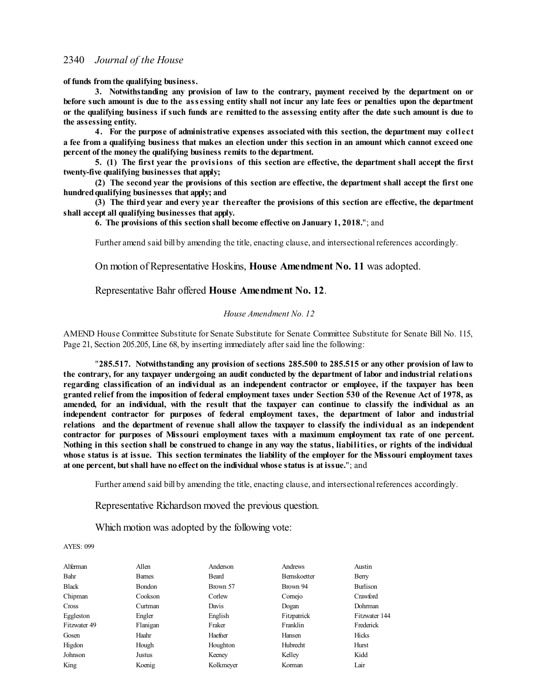**of funds from the qualifying business.**

**3. Notwithstanding any provision of law to the contrary, payment received by the department on or** before such amount is due to the assessing entity shall not incur any late fees or penalties upon the department or the qualifying business if such funds are remitted to the assessing entity after the date such amount is due to **the assessing entity.**

**4. For the purpose of administrative expenses associated with this section, the department may collect** a fee from a qualifying business that makes an election under this section in an amount which cannot exceed one **percent of the money the qualifying business remits to the department.**

5. (1) The first year the provisions of this section are effective, the department shall accept the first **twenty-five qualifying businesses that apply;**

(2) The second year the provisions of this section are effective, the department shall accept the first one **hundredqualifying businesses that apply; and**

**(3) The third year and every year thereafter the provisions of this section are effective, the department shall accept all qualifying businesses that apply.**

**6. The provisions of this section shall become effective on January 1, 2018.**"; and

Further amend said bill by amending the title, enacting clause, and intersectional references accordingly.

On motion of Representative Hoskins, **House Amendment No. 11** was adopted.

Representative Bahr offered **House Amendment No. 12**.

#### *House Amendment No. 12*

AMEND House Committee Substitute for Senate Substitute for Senate Committee Substitute for Senate Bill No. 115, Page 21, Section 205.205, Line 68, by inserting immediately after said line the following:

"**285.517. Notwithstanding any provision of sections 285.500 to 285.515 or any other provision of law to** the contrary, for any taxpayer undergoing an audit conducted by the department of labor and industrial relations **regarding classification of an individual as an independent contractor or employee, if the taxpayer has been** granted relief from the imposition of federal employment taxes under Section 530 of the Revenue Act of 1978, as amended, for an individual, with the result that the taxpayer can continue to classify the individual as an **independent contractor for purposes of federal employment taxes, the department of labor and industrial relations and the department of revenue shall allow the taxpayer to classify the individual as an independent contractor for purposes of Missouri employment taxes with a maximum employment tax rate of one percent.** Nothing in this section shall be construed to change in any way the status, liabilities, or rights of the individual whose status is at issue. This section terminates the liability of the employer for the Missouri employment taxes **at one percent, butshall have no effect on the individual whose status is at issue.**"; and

Further amend said bill by amending the title, enacting clause, and intersectional references accordingly.

Representative Richardson moved the previous question.

Which motion was adopted by the following vote:

| Alferman     | Allen         | Anderson  | Andrews            | Austin          |
|--------------|---------------|-----------|--------------------|-----------------|
| Bahr         | <b>Barnes</b> | Beard     | <b>Bemskoetter</b> | Berry           |
| <b>Black</b> | Bondon        | Brown 57  | Brown 94           | <b>Burlison</b> |
| Chipman      | Cookson       | Corlew    | Comejo             | Crawford        |
| Cross        | Curtman       | Davis     | Dogan              | Dohrman         |
| Eggleston    | Engler        | English   | Fitzpatrick        | Fitzwater 144   |
| Fitzwater 49 | Flanigan      | Fraker    | Franklin           | Frederick       |
| Gosen        | Haahr         | Haefner   | Hansen             | Hicks           |
| Higdon       | Hough         | Houghton  | Hubrecht           | Hurst           |
| Johnson      | Justus        | Keeney    | Kelley             | Kidd            |
| King         | Koenig        | Kolkmeyer | Korman             | Lair            |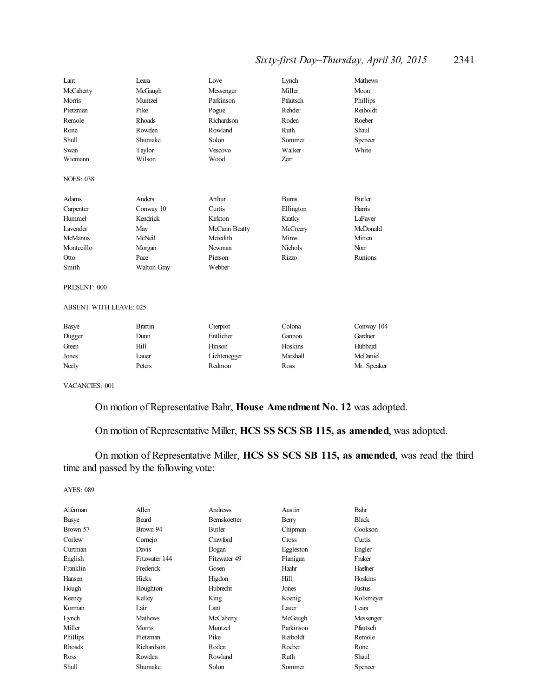# *Sixty-first Day–Thursday, April 30, 2015* 2341

| Lant             | I eara             | Love          | Lynch          | <b>Mathews</b> |
|------------------|--------------------|---------------|----------------|----------------|
| McCaherty        | McGaugh            | Messenger     | Miller         | Moon           |
| Morris           | Muntzel            | Parkinson     | Pfautsch       | Phillips       |
| Pietzman         | Pike               | Pogue         | Rehder         | Reiboldt       |
| Remole           | Rhoads             | Richardson    | Roden          | Roeber         |
| Rone             | Rowden             | Rowland       | Ruth           | Shaul          |
| <b>Shull</b>     | Shumake            | Solon         | Sommer         | Spencer        |
| Swan             | Taylor             | Vescovo       | Walker         | White          |
| Wiemann          | Wilson             | Wood          | Zerr           |                |
| <b>NOES: 038</b> |                    |               |                |                |
| Adams            | Anders             | Arthur        | <b>Burns</b>   | Butler         |
| Carpenter        | Conway 10          | Curtis        | Ellington      | Harris         |
| Hummel           | Kendrick           | Kirkton       | Kratky         | LaFaver        |
| Lavender         | May                | McCann Beatty | McCreery       | McDonald       |
| <b>McManus</b>   | McNeil             | Meredith      | Mims           | Mitten         |
| Montecillo       | Morgan             | Newman        | <b>Nichols</b> | Norr           |
| Otto             | Pace               | Pierson       | Rizzo          | Runions        |
| Smith            | <b>Walton Gray</b> | Webber        |                |                |

#### PRESENT: 000

#### ABSENT WITH LEAVE: 025

| Basye  | <b>Brattin</b> | Cierpiot     | Colona   | Conway 104  |
|--------|----------------|--------------|----------|-------------|
| Dugger | Dunn           | Entlicher    | Gannon   | Gardner     |
| Green  | Hill           | Hinson       | Hoskins  | Hubbard     |
| Jones  | Lauer          | Lichtenegger | Marshall | McDaniel    |
| Neely  | Peters         | Redmon       | Ross     | Mr. Speaker |

VACANCIES: 001

# On motion of Representative Bahr, **House Amendment No. 12** was adopted.

# On motion of Representative Miller, **HCS SS SCS SB 115, as amended**, was adopted.

On motion of Representative Miller, **HCS SS SCS SB 115, as amended**, was read the third time and passed by the following vote:

| Alferman | Allen          | Andrews      | Austin    | Bahr         |
|----------|----------------|--------------|-----------|--------------|
| Basye    | Beard          | Bernskoetter | Berry     | <b>Black</b> |
| Brown 57 | Brown 94       | Butler       | Chipman   | Cookson      |
| Corlew   | Comejo         | Crawford     | Cross     | Curtis       |
| Curtman  | Davis          | Dogan        | Eggleston | Engler       |
| English  | Fitzwater 144  | Fitzwater 49 | Flanigan  | Fraker       |
| Franklin | Frederick      | Gosen        | Haahr     | Haefner      |
| Hansen   | Hicks          | Higdon       | Hill      | Hoskins      |
| Hough    | Houghton       | Hubrecht     | Jones     | Justus       |
| Keeney   | Kelley         | King         | Koenig    | Kolkmeyer    |
| Korman   | Lair           | Lant         | Lauer     | Leara        |
| Lynch    | <b>Mathews</b> | McCaherty    | McGaugh   | Messenger    |
| Miller   | Morris         | Muntzel      | Parkinson | Pfautsch     |
| Phillips | Pietzman       | Pike         | Reiboldt  | Remole       |
| Rhoads   | Richardson     | Roden        | Roeber    | Rone         |
| Ross     | Rowden         | Rowland      | Ruth      | Shaul        |
| Shull    | Shumake        | Solon        | Sommer    | Spencer      |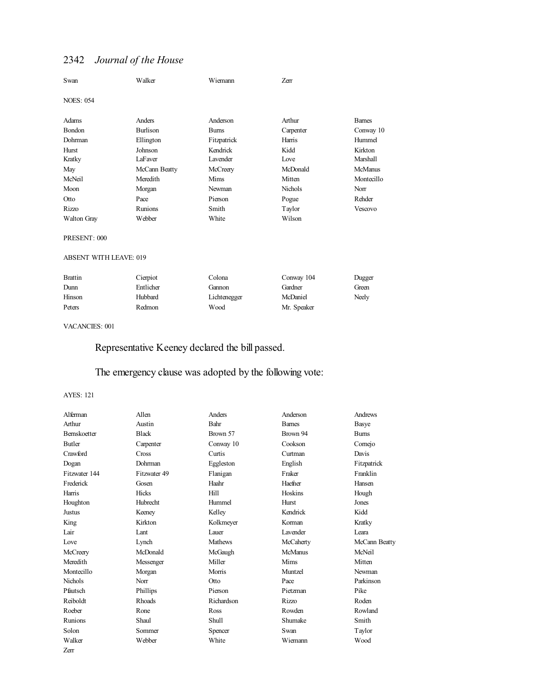| Swan                          | Walker          | Wiemann     | <b>Zerr</b> |                 |
|-------------------------------|-----------------|-------------|-------------|-----------------|
| <b>NOES: 054</b>              |                 |             |             |                 |
| Adams                         | Anders          | Anderson    | Arthur      | <b>Barnes</b>   |
| Bondon                        | <b>Burlison</b> | <b>Bums</b> | Carpenter   | Conway 10       |
| Dohrman                       | Ellington       | Fitzpatrick | Harris      | Hummel          |
| Hurst                         | Johnson         | Kendrick    | Kidd        | Kirkton         |
| Kratky                        | LaFaver         | Lavender    | Love        | <b>Marshall</b> |
| May                           | McCann Beatty   | McCreery    | McDonald    | <b>McManus</b>  |
| McNeil                        | Meredith        | Mims        | Mitten      | Montecillo      |
| Moon                          | Morgan          | Newman      | Nichols     | Norr            |
| Otto                          | Pace            | Pierson     | Pogue       | Rehder          |
| Rizzo                         | Runions         | Smith       | Taylor      | Vescovo         |
| <b>Walton Gray</b>            | Webber          | White       | Wilson      |                 |
| PRESENT: 000                  |                 |             |             |                 |
| <b>ABSENT WITH LEAVE: 019</b> |                 |             |             |                 |
| <b>Brattin</b>                | Cierpiot        | Colona      | Conway 104  | Dugger          |
| Dunn                          | Entlicher       | Gannon      | Gardner     | Green           |

#### VACANCIES: 001

Representative Keeney declared the bill passed.

Peters Redmon Wood Mr. Speaker

# The emergency clause was adopted by the following vote:

Hinson Hubbard Lichtenegger McDaniel Neely

| Alferman            | Allen        | Anders         | Anderson       | Andrews       |
|---------------------|--------------|----------------|----------------|---------------|
| Arthur              | Austin       | Bahr           | <b>Barnes</b>  | Basye         |
| <b>Bernskoetter</b> | <b>Black</b> | Brown 57       | Brown 94       | <b>Burns</b>  |
| <b>Butler</b>       | Carpenter    | Conway 10      | Cookson        | Comejo        |
| Crawford            | Cross        | Curtis         | Curtman        | Davis         |
| Dogan               | Dohrman      | Eggleston      | English        | Fitzpatrick   |
| Fitzwater 144       | Fitzwater 49 | Flanigan       | Fraker         | Franklin      |
| Frederick           | Gosen        | Haahr          | Haefner        | Hansen        |
| Harris              | Hicks        | Hill           | Hoskins        | Hough         |
| Houghton            | Hubrecht     | Hummel         | Hurst          | Jones         |
| <b>Justus</b>       | Keeney       | Kelley         | Kendrick       | Kidd          |
| King                | Kirkton      | Kolkmeyer      | Korman         | Kratky        |
| Lair                | Lant         | Lauer          | Lavender       | Leara         |
| Love                | Lynch        | <b>Mathews</b> | McCaherty      | McCann Beatty |
| McCreery            | McDonald     | McGaugh        | <b>McManus</b> | McNeil        |
| Meredith            | Messenger    | Miller         | Mims           | Mitten        |
| Montecillo          | Morgan       | Morris         | Muntzel        | Newman        |
| Nichols             | Norr         | <b>Otto</b>    | Pace           | Parkinson     |
| Pfautsch            | Phillips     | Pierson        | Pietzman       | Pike          |
| Reiboldt            | Rhoads       | Richardson     | Rizzo          | Roden         |
| Roeber              | Rone         | Ross           | Rowden         | Rowland       |
| Runions             | Shaul        | <b>Shull</b>   | Shumake        | Smith         |
| Solon               | Sommer       | Spencer        | Swan           | Taylor        |
| Walker              | Webber       | White          | Wiemann        | Wood          |
| Zerr                |              |                |                |               |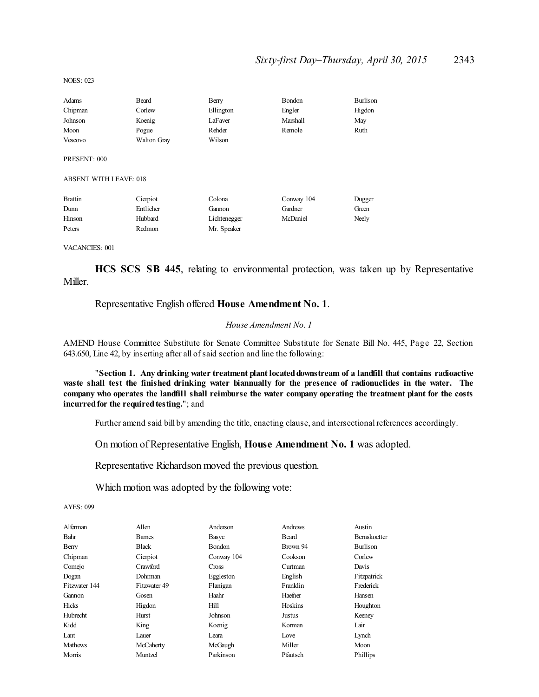NOES: 023

| Adams   | Beard       | Berry     | <b>Bondon</b> | Burlison |
|---------|-------------|-----------|---------------|----------|
| Chipman | Corlew      | Ellington | Engler        | Higdon   |
| Johnson | Koenig      | LaFaver   | Marshall      | May      |
| Moon    | Pogue       | Rehder    | Remole        | Ruth     |
| Vescovo | Walton Gray | Wilson    |               |          |

PRESENT: 000

ABSENT WITH LEAVE: 018

| <b>Brattin</b> | Cierpiot  | Colona       | Conway 104 | Dugger |
|----------------|-----------|--------------|------------|--------|
| Dunn           | Entlicher | Gannon       | Gardner    | Green  |
| Hinson         | Hubbard   | Lichtenegger | McDaniel   | Neely  |
| Peters         | Redmon    | Mr. Speaker  |            |        |

VACANCIES: 001

**HCS SCS SB 445**, relating to environmental protection, was taken up by Representative Miller.

# Representative English offered **House Amendment No. 1**.

#### *House Amendment No. 1*

AMEND House Committee Substitute for Senate Committee Substitute for Senate Bill No. 445, Page 22, Section 643.650, Line 42, by inserting after all ofsaid section and line the following:

"**Section 1. Any drinking water treatment plant locateddownstream of a landfill that contains radioactive waste shall test the finished drinking water biannually for the presence of radionuclides in the water. The** company who operates the landfill shall reimburse the water company operating the treatment plant for the costs **incurred for the required testing."**; and

Further amend said bill by amending the title, enacting clause, and intersectional references accordingly.

#### On motion of Representative English, **House Amendment No. 1** was adopted.

Representative Richardson moved the previous question.

Which motion was adopted by the following vote:

| Alferman       | Allen         | Anderson      | Andrews  | Austin              |
|----------------|---------------|---------------|----------|---------------------|
| Bahr           | <b>Barnes</b> | Basye         | Beard    | <b>Bernskoetter</b> |
| Berry          | <b>Black</b>  | <b>Bondon</b> | Brown 94 | <b>Burlison</b>     |
| Chipman        | Cierpiot      | Conway 104    | Cookson  | Corlew              |
| Cornejo        | Crawford      | <b>Cross</b>  | Curtman  | Davis               |
| Dogan          | Dohrman       | Eggleston     | English  | Fitzpatrick         |
| Fitzwater 144  | Fitzwater 49  | Flanigan      | Franklin | Frederick           |
| Gannon         | Gosen         | Haahr         | Haefner  | Hansen              |
| Hicks          | Higdon        | Hill          | Hoskins  | Houghton            |
| Hubrecht       | Hurst         | Johnson       | Justus   | Keeney              |
| Kidd           | King          | Koenig        | Korman   | Lair                |
| Lant           | Lauer         | Leara         | Love     | Lynch               |
| <b>Mathews</b> | McCaherty     | McGaugh       | Miller   | Moon                |
| Morris         | Muntzel       | Parkinson     | Pfautsch | Phillips            |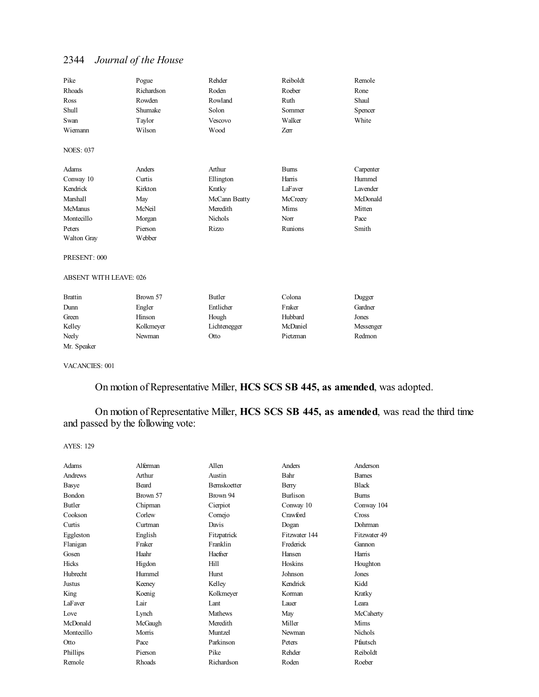| Pike             | Pogue      | Rehder         | Reiboldt     | Remole    |
|------------------|------------|----------------|--------------|-----------|
| Rhoads           | Richardson | Roden          | Roeber       | Rone      |
| Ross             | Rowden     | Rowland        | Ruth         | Shaul     |
| Shull            | Shumake    | Solon          | Sommer       | Spencer   |
| Swan             | Taylor     | Vescovo        | Walker       | White     |
| Wiemann          | Wilson     | Wood           | Zerr         |           |
| <b>NOES: 037</b> |            |                |              |           |
| Adams            | Anders     | Arthur         | <b>Burns</b> | Carpenter |
| Conway 10        | Curtis     | Ellington      | Harris       | Hummel    |
| Kendrick         | Kirkton    | Kratky         | LaFaver      | Lavender  |
| Marshall         | May        | McCann Beatty  | McCreery     | McDonald  |
| <b>McManus</b>   | McNeil     | Meredith       | Mims         | Mitten    |
| Montecillo       | Morgan     | <b>Nichols</b> | Norr         | Pace      |
| Peters           | Pierson    | Rizzo          | Runions      | Smith     |
| Walton Gray      | Webber     |                |              |           |
|                  |            |                |              |           |

PRESENT: 000

#### ABSENT WITH LEAVE: 026

| Brattin     | Brown 57  | Butler       | Colona   | Dugger    |
|-------------|-----------|--------------|----------|-----------|
| Dunn        | Engler    | Entlicher    | Fraker   | Gardner   |
| Green       | Hinson    | Hough        | Hubbard  | Jones     |
| Kelley      | Kolkmeyer | Lichtenegger | McDaniel | Messenger |
| Neely       | Newman    | Otto         | Pietzman | Redmon    |
| Mr. Speaker |           |              |          |           |

VACANCIES: 001

On motion of Representative Miller, **HCS SCS SB 445, as amended**, was adopted.

On motion of Representative Miller, **HCS SCS SB 445, as amended**, was read the third time and passed by the following vote:

| Adams         | Alferman | Allen          | Anders          | Anderson       |
|---------------|----------|----------------|-----------------|----------------|
| Andrews       | Arthur   | Austin         | Bahr            | <b>Barnes</b>  |
| Basye         | Beard    | Bernskoetter   | Berry           | <b>Black</b>   |
| <b>Bondon</b> | Brown 57 | Brown 94       | <b>Burlison</b> | <b>Burns</b>   |
| Butler        | Chipman  | Cierpiot       | Conway 10       | Conway 104     |
| Cookson       | Corlew   | Comejo         | Crawford        | Cross          |
| Curtis        | Curtman  | Davis          | Dogan           | Dohrman        |
| Eggleston     | English  | Fitzpatrick    | Fitzwater 144   | Fitzwater 49   |
| Flanigan      | Fraker   | Franklin       | Frederick       | Gannon         |
| Gosen         | Haahr    | Haefner        | Hansen          | Harris         |
| Hicks         | Higdon   | Hill           | Hoskins         | Houghton       |
| Hubrecht      | Hummel   | Hurst          | Johnson         | Jones          |
| Justus        | Keeney   | Kelley         | Kendrick        | Kidd           |
| King          | Koenig   | Kolkmeyer      | Korman          | Kratky         |
| LaFaver       | Lair     | Lant           | Lauer           | Leara          |
| Love          | Lynch    | <b>Mathews</b> | May             | McCaherty      |
| McDonald      | McGaugh  | Meredith       | Miller          | Mims           |
| Montecillo    | Morris   | Muntzel        | Newman          | <b>Nichols</b> |
| Otto          | Pace     | Parkinson      | Peters          | Pfautsch       |
| Phillips      | Pierson  | Pike           | Rehder          | Reiboldt       |
| Remole        | Rhoads   | Richardson     | Roden           | Roeber         |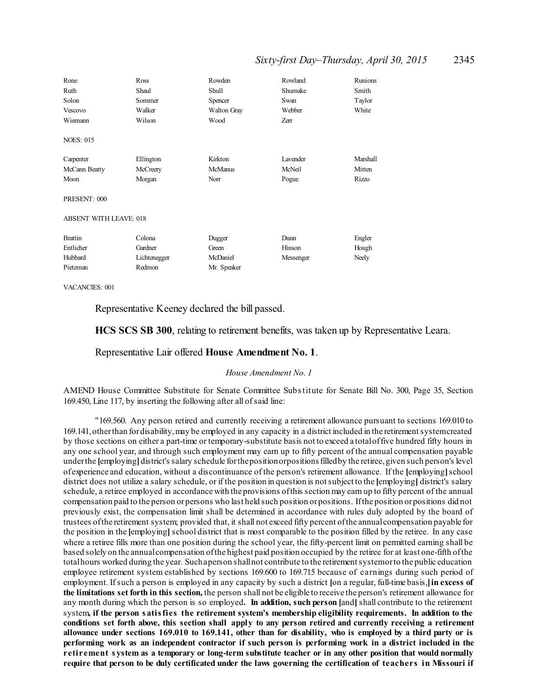# *Sixty-first Day–Thursday, April 30, 2015* 2345

| Rone<br>Ruth<br>Solon<br>Vescovo | Ross<br>Shaul<br>Sommer<br>Walker | Rowden<br>Shull<br>Spencer<br>Walton Gray | Rowland<br>Shumake<br>Swan<br>Webber | <b>Runions</b><br>Smith<br>Taylor<br>White |
|----------------------------------|-----------------------------------|-------------------------------------------|--------------------------------------|--------------------------------------------|
| Wiemann                          | Wilson                            | Wood                                      | Zerr                                 |                                            |
| <b>NOES: 015</b>                 |                                   |                                           |                                      |                                            |
| Carpenter                        | Ellington                         | Kirkton                                   | Lavender                             | Marshall                                   |
| McCann Beatty                    | McCreery                          | <b>McManus</b>                            | McNeil                               | Mitten                                     |
| Moon                             | Morgan                            | Norr                                      | Pogue                                | Rizzo                                      |
| PRESENT: 000                     |                                   |                                           |                                      |                                            |
| <b>ABSENT WITH LEAVE: 018</b>    |                                   |                                           |                                      |                                            |
| <b>Brattin</b>                   | Colona                            | Dugger                                    | Dunn                                 | Engler                                     |
| Entlicher                        | Gardner                           | Green                                     | Hinson                               | Hough                                      |
| Hubbard                          | Lichtenegger                      | McDaniel                                  | Messenger                            | Neely                                      |
| Pietzman                         | Redmon                            | Mr. Speaker                               |                                      |                                            |

VACANCIES: 001

Representative Keeney declared the bill passed.

**HCS SCS SB 300**, relating to retirement benefits, was taken up by Representative Leara.

#### Representative Lair offered **House Amendment No. 1**.

# *House Amendment No. 1*

AMEND House Committee Substitute for Senate Committee Substitute for Senate Bill No. 300, Page 35, Section 169.450, Line 117, by inserting the following after all ofsaid line:

"169.560. Any person retired and currently receiving a retirement allowance pursuant to sections 169.010 to 169.141,otherthan fordisability,may be employed in any capacity in a district included in the retirementsystemcreated by those sections on either a part-time or temporary-substitute basis not to exceed a totaloffive hundred fifty hours in any one school year, and through such employment may earn up to fifty percent of the annual compensation payable underthe **[**employing**]**district's salary schedule forthepositionorpositionsfilledby the retiree,given such person's level of experience and education, without a discontinuance of the person's retirement allowance. If the **[**employing**]**school district does not utilize a salary schedule, or if the position in question is notsubject to the **[**employing**]** district's salary schedule, a retiree employed in accordance with the provisions ofthis section may earn up to fifty percent of the annual compensation paid to the person orpersons who last held such position orpositions. Ifthe position orpositions did not previously exist, the compensation limit shall be determined in accordance with rules duly adopted by the board of trustees ofthe retirement system; provided that, it shall not exceed fifty percent ofthe annualcompensation payable for the position in the **[**employing**]**school district that is most comparable to the position filled by the retiree. In any case where a retiree fills more than one position during the school year, the fifty-percent limit on permitted earning shall be based solely on the annualcompensation ofthe highest paid position occupied by the retiree for at least one-fifth ofthe total hours worked during the year. Such aperson shall not contribute to the retirement systemor to the public education employee retirement system established by sections 169.600 to 169.715 because of earnings during such period of employment. Ifsuch a person is employed in any capacity by such a district **[**on a regular, full-time basis,**]in excess of the limitations set forth in this section,** the person shall not be eligible to receive the person's retirement allowance for any month during which the person is so employed**. In addition, such person [**and**]**shall contribute to the retirement system**, if the person s atisfies the retirement system's membership eligibility requirements. In addition to the** conditions set forth above, this section shall apply to any person retired and currently receiving a retirement allowance under sections 169.010 to 169.141, other than for disability, who is employed by a third party or is performing work as an independent contractor if such person is performing work in a district included in the retirement system as a temporary or long-term substitute teacher or in any other position that would normally require that person to be duly certificated under the laws governing the certification of teachers in Missouri if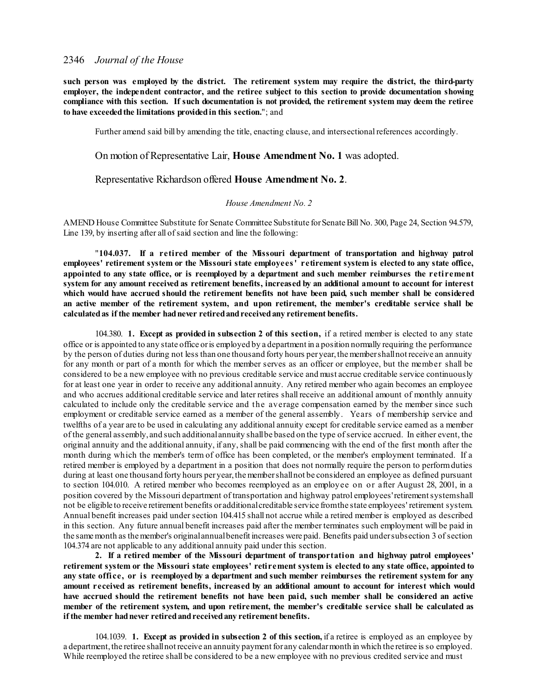**such person was employed by the district. The retirement system may require the district, the third-party employer, the independent contractor, and the retiree subject to this section to provide documentation showing** compliance with this section. If such documentation is not provided, the retirement system may deem the retiree **to have exceededthe limitations providedin this section.**"; and

Further amend said bill by amending the title, enacting clause, and intersectional references accordingly.

On motion of Representative Lair, **House Amendment No. 1** was adopted.

Representative Richardson offered **House Amendment No. 2**.

#### *House Amendment No. 2*

AMEND House Committee Substitute for Senate Committee Substitute for Senate Bill No. 300, Page 24, Section 94.579, Line 139, by inserting after all of said section and line the following:

"**104.037. If a retired member of the Missouri department of transportation and highway patrol employees' retirement system or the Missouri state employees' retirement system is elected to any state office, appointed to any state office, or is reemployed by a department and such member reimburses the retirement** system for any amount received as retirement benefits, increased by an additional amount to account for interest **which would have accrued should the retirement benefits not have been paid, such member shall be considered an active member of the retirement system, and upon retirement, the member's creditable service shall be calculatedas if the member hadnever retiredandreceivedany retirement benefits.**

104.380. **1. Except as provided in subsection 2 of this section,** if a retired member is elected to any state office or is appointed to any state office oris employed by a department in a position normally requiring the performance by the person of duties during not less than one thousand forty hours per year, the member shall not receive an annuity for any month or part of a month for which the member serves as an officer or employee, but the member shall be considered to be a new employee with no previous creditable service and must accrue creditable service continuously for at least one year in order to receive any additional annuity. Any retired member who again becomes an employee and who accrues additional creditable service and later retires shall receive an additional amount of monthly annuity calculated to include only the creditable service and the average compensation earned by the member since such employment or creditable service earned as a member of the general assembly. Years of membership service and twelfths of a year are to be used in calculating any additional annuity except for creditable service earned as a member of the general assembly, and such additionalannuity shallbe based on the type ofservice accrued. In either event, the original annuity and the additional annuity, if any, shall be paid commencing with the end of the first month after the month during which the member's term of office has been completed, or the member's employment terminated. If a retired member is employed by a department in a position that does not normally require the person to performduties during at least one thousand forty hours per year, the member shall not be considered an employee as defined pursuant to section 104.010. A retired member who becomes reemployed as an employee on or after August 28, 2001, in a position covered by the Missouri department of transportation and highway patrol employees'retirementsystemshall not be eligible to receive retirement benefits or additionalcreditable service fromthe state employees' retirement system. Annual benefit increases paid under section 104.415 shall not accrue while a retired member is employed as described in this section. Any future annual benefit increases paid after the member terminates such employment will be paid in the same month as the member's original annual benefit increases were paid. Benefits paid under subsection 3 of section 104.374 are not applicable to any additional annuity paid under this section.

**2. If a retired member of the Missouri department of transportation and highway patrol employees'** retirement system or the Missouri state employees' retirement system is elected to any state office, appointed to any state office, or is reemployed by a department and such member reimburses the retirement system for any **amount received as retirement benefits, increased by an additional amount to account for interest which would have accrued should the retirement benefits not have been paid, such member shall be considered an active member of the retirement system, and upon retirement, the member's creditable service shall be calculated as if the member hadnever retiredandreceivedany retirement benefits.**

104.1039. **1. Except as provided in subsection 2 of this section,** if a retiree is employed as an employee by a department, the retiree shall not receive an annuity payment for any calendarmonth in which the retiree is so employed. While reemployed the retiree shall be considered to be a new employee with no previous credited service and must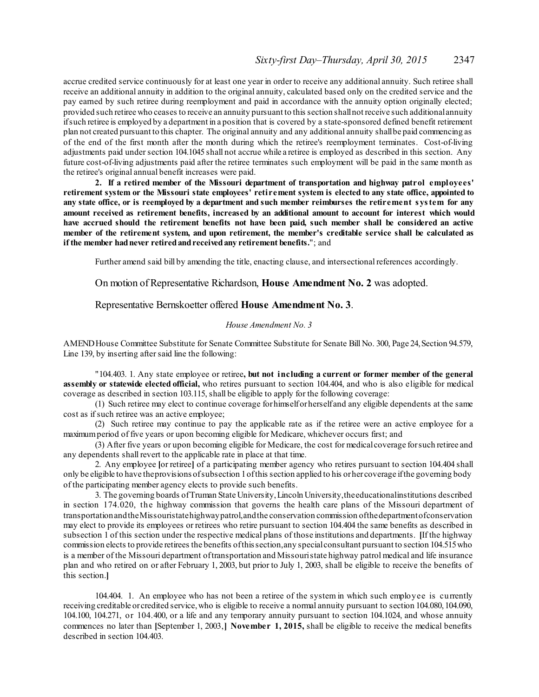accrue credited service continuously for at least one year in order to receive any additional annuity. Such retiree shall receive an additional annuity in addition to the original annuity, calculated based only on the credited service and the pay earned by such retiree during reemployment and paid in accordance with the annuity option originally elected; provided such retiree who ceases to receive an annuity pursuant to this section shallnot receive such additionalannuity ifsuch retiree is employed by a department in a position that is covered by a state-sponsored defined benefit retirement plan not created pursuant to this chapter. The original annuity and any additional annuity shallbe paid commencing as of the end of the first month after the month during which the retiree's reemployment terminates. Cost-of-living adjustments paid under section 104.1045 shall not accrue while a retiree is employed as described in this section. Any future cost-of-living adjustments paid after the retiree terminates such employment will be paid in the same month as the retiree's original annual benefit increases were paid.

**2. If a retired member of the Missouri department of transportation and highway patrol employees'** retirement system or the Missouri state employees' retirement system is elected to any state office, appointed to any state office, or is reemployed by a department and such member reimburses the retirement system for any **amount received as retirement benefits, increased by an additional amount to account for interest which would have accrued should the retirement benefits not have been paid, such member shall be considered an active member of the retirement system, and upon retirement, the member's creditable service shall be calculated as if the member hadnever retiredandreceivedany retirement benefits.**"; and

Further amend said bill by amending the title, enacting clause, and intersectional references accordingly.

On motion of Representative Richardson, **House Amendment No. 2** was adopted.

#### Representative Bernskoetter offered **House Amendment No. 3**.

#### *House Amendment No. 3*

AMEND House Committee Substitute for Senate Committee Substitute for Senate Bill No. 300, Page 24, Section 94.579, Line 139, by inserting after said line the following:

"104.403. 1. Any state employee or retiree**, but not including a current or former member of the general assembly or statewide elected official,** who retires pursuant to section 104.404, and who is also eligible for medical coverage as described in section 103.115, shall be eligible to apply for the following coverage:

(1) Such retiree may elect to continue coverage forhimselforherself and any eligible dependents at the same cost as ifsuch retiree was an active employee;

(2) Such retiree may continue to pay the applicable rate as if the retiree were an active employee for a maximumperiod of five years or upon becoming eligible for Medicare, whichever occurs first; and

(3) After five years or upon becoming eligible for Medicare, the cost for medicalcoverage forsuch retiree and any dependents shall revert to the applicable rate in place at that time.

2. Any employee **[**or retiree**]** of a participating member agency who retires pursuant to section 104.404 shall only be eligible to have theprovisions ofsubsection 1ofthis section applied to his orher coverage ifthe governing body of the participating member agency elects to provide such benefits.

3. The governing boards ofTruman State University,Lincoln University,the educationalinstitutions described in section 174.020, the highway commission that governs the health care plans of the Missouri department of transportationandtheMissouristatehighwaypatrol,andthe conservation commission ofthedepartmentofconservation may elect to provide its employees or retirees who retire pursuant to section 104.404 the same benefits as described in subsection 1 of this section under the respective medical plans of those institutions and departments. **[**If the highway commission elects to provide retirees the benefits ofthissection,any specialconsultant pursuant to section 104.515who is a member of the Missouri department oftransportation and Missouristate highway patrol medical and life insurance plan and who retired on or after February 1, 2003, but prior to July 1, 2003, shall be eligible to receive the benefits of this section.**]**

104.404. 1. An employee who has not been a retiree of the system in which such employee is currently receiving creditable orcredited service,who is eligible to receive a normal annuity pursuant to section 104.080,104.090, 104.100, 104.271, or 104.400, or a life and any temporary annuity pursuant to section 104.1024, and whose annuity commences no later than **[**September 1, 2003,**] November 1, 2015,** shall be eligible to receive the medical benefits described in section 104.403.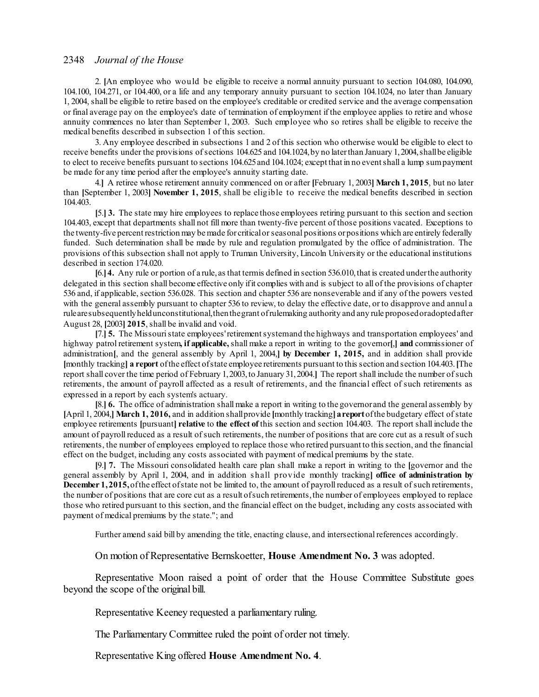2. **[**An employee who would be eligible to receive a normal annuity pursuant to section 104.080, 104.090, 104.100, 104.271, or 104.400, or a life and any temporary annuity pursuant to section 104.1024, no later than January 1, 2004, shall be eligible to retire based on the employee's creditable or credited service and the average compensation or final average pay on the employee's date of termination of employment if the employee applies to retire and whose annuity commences no later than September 1, 2003. Such employee who so retires shall be eligible to receive the medical benefits described in subsection 1 of this section.

3. Any employee described in subsections 1 and 2 of this section who otherwise would be eligible to elect to receive benefits under the provisions of sections 104.625 and 104.1024, by no later than January 1, 2004, shall be eligible to elect to receive benefits pursuant to sections 104.625and 104.1024; except that in no eventshall a lump sumpayment be made for any time period after the employee's annuity starting date.

4.**]** A retiree whose retirement annuity commenced on or after **[**February 1, 2003**] March 1, 2015**, but no later than **[**September 1, 2003**] November 1, 2015**, shall be eligible to receive the medical benefits described in section 104.403.

**[**5.**] 3.** The state may hire employees to replace those employees retiring pursuant to this section and section 104.403, except that departments shall not fill more than twenty-five percent of those positions vacated. Exceptions to the twenty-five percent restriction may bemade for criticalorseasonal positions orpositions which are entirely federally funded. Such determination shall be made by rule and regulation promulgated by the office of administration. The provisions of this subsection shall not apply to Truman University, Lincoln University or the educational institutions described in section 174.020.

**[**6.**]4.** Any rule or portion of a rule, as that termis defined in section 536.010,that is created underthe authority delegated in this section shall become effective only ifit complies with and is subject to all of the provisions of chapter 536 and, if applicable, section 536.028. This section and chapter 536 are nonseverable and if any of the powers vested with the general assembly pursuant to chapter 536 to review, to delay the effective date, or to disapprove and annul a rulearesubsequentlyheldunconstitutional,thenthegrant ofrulemaking authority and any rule proposedoradoptedafter August 28, **[**2003**] 2015**, shall be invalid and void.

**[**7.**] 5.** The Missouristate employees'retirementsystemand the highways and transportation employees' and highway patrol retirement system**, if applicable,** shall make a report in writing to the governor**[**,**] and** commissioner of administration**[**, and the general assembly by April 1, 2004,**] by December 1, 2015,** and in addition shall provide **[**monthly tracking**] a report** ofthe effect ofstate employee retirements pursuant to this section and section 104.403.**[**The report shall cover the time period of February 1,2003,to January 31,2004.**]** The report shall include the number ofsuch retirements, the amount of payroll affected as a result of retirements, and the financial effect of such retirements as expressed in a report by each system's actuary.

**[**8.**] 6.** The office of administration shall make a report in writing to the governor and the general assembly by **[**April 1, 2004,**] March 1, 2016,** and in addition shallprovide **[**monthly tracking**]areport**ofthe budgetary effect ofstate employee retirements **[**pursuant**] relative** to **the effect of** this section and section 104.403. The report shall include the amount of payroll reduced as a result ofsuch retirements, the number of positions that are core cut as a result ofsuch retirements, the number of employees employed to replace those who retired pursuant to this section, and the financial effect on the budget, including any costs associated with payment of medical premiums by the state.

**[**9.**] 7.** The Missouri consolidated health care plan shall make a report in writing to the **[**governor and the general assembly by April 1, 2004, and in addition s hall provide monthly tracking**] office of administration by December 1,2015,** of the effect of state not be limited to, the amount of payroll reduced as a result of such retirements, the number of positions that are core cut as a result of such retirements, the number of employees employed to replace those who retired pursuant to this section, and the financial effect on the budget, including any costs associated with payment of medical premiums by the state."; and

Further amend said bill by amending the title, enacting clause, and intersectional references accordingly.

On motion of Representative Bernskoetter, **House Amendment No. 3** was adopted.

Representative Moon raised a point of order that the House Committee Substitute goes beyond the scope of the original bill.

Representative Keeney requested a parliamentary ruling.

The Parliamentary Committee ruled the point of order not timely.

Representative King offered **House Amendment No. 4**.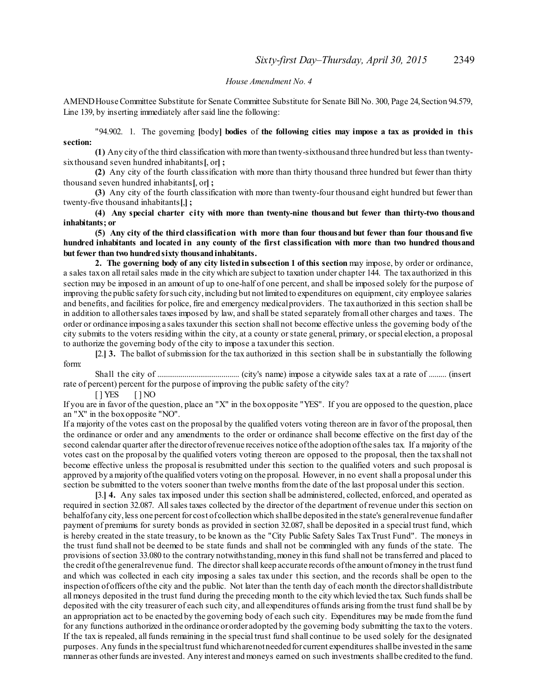#### *House Amendment No. 4*

AMEND House Committee Substitute for Senate Committee Substitute for Senate Bill No. 300, Page 24, Section 94.579, Line 139, by inserting immediately after said line the following:

"94.902. 1. The governing **[**body**] bodies** of **the following cities may impose a tax as provided in this section:**

**(1)** Any city of the third classification with more than twenty-sixthousand three hundred but less than twentysixthousand seven hundred inhabitants**[**, or**] ;**

**(2)** Any city of the fourth classification with more than thirty thousand three hundred but fewer than thirty thousand seven hundred inhabitants**[**, or**] ;**

**(3)** Any city of the fourth classification with more than twenty-four thousand eight hundred but fewer than twenty-five thousand inhabitants**[**,**] ;**

**(4) Any special charter city with more than twenty-nine thousand but fewer than thirty-two thousand inhabitants; or**

(5) Any city of the third classification with more than four thousand but fewer than four thousand five hundred inhabitants and located in any county of the first classification with more than two hundred thousand **but fewer than two hundredsixty thousandinhabitants.**

**2. The governing body of any city listedin subsection 1 of this section** may impose, by order or ordinance, a sales taxon all retailsales made in the city which are subject to taxation under chapter 144. The taxauthorized in this section may be imposed in an amount of up to one-half of one percent, and shall be imposed solely for the purpose of improving the public safety for such city, including but not limited to expenditures on equipment, city employee salaries and benefits, and facilities for police, fire and emergency medicalproviders. The taxauthorized in this section shall be in addition to allothersales taxes imposed by law, and shall be stated separately fromall other charges and taxes. The order or ordinance imposing a sales taxunder this section shall not become effective unless the governing body of the city submits to the voters residing within the city, at a county orstate general, primary, orspecial election, a proposal to authorize the governing body of the city to impose a taxunder this section.

**[**2.**] 3.** The ballot ofsubmission for the tax authorized in this section shall be in substantially the following form:

Shall the city of .......................................... (city's name) impose a citywide sales tax at a rate of ......... (insert rate of percent) percent for the purpose of improving the public safety of the city?

 $[ ] YES ] NO$ 

If you are in favor of the question, place an "X" in the boxopposite "YES". If you are opposed to the question, place an "X" in the boxopposite "NO".

If a majority of the votes cast on the proposal by the qualified voters voting thereon are in favor of the proposal, then the ordinance or order and any amendments to the order or ordinance shall become effective on the first day of the second calendar quarter after the directorofrevenue receives notice ofthe adoption ofthe sales tax. If a majority of the votes cast on the proposal by the qualified voters voting thereon are opposed to the proposal, then the taxshall not become effective unless the proposal is resubmitted under this section to the qualified voters and such proposal is approved by amajority ofthe qualified voters voting on the proposal. However, in no event shall a proposal under this section be submitted to the voters sooner than twelve months fromthe date of the last proposal under this section.

**[**3.**] 4.** Any sales tax imposed under this section shall be administered, collected, enforced, and operated as required in section 32.087. Allsales taxes collected by the director of the department of revenue under this section on behalfof any city, less one percent for cost of collection which shall be deposited in the state's general revenue fundafter payment of premiums for surety bonds as provided in section 32.087,shall be deposited in a special trust fund, which is hereby created in the state treasury, to be known as the "City Public Safety Sales TaxTrust Fund". The moneys in the trust fund shall not be deemed to be state funds and shall not be commingled with any funds of the state. The provisions ofsection 33.080 to the contrary notwithstanding,money in this fund shall not be transferred and placed to the credit ofthe generalrevenue fund. The directorshall keep accurate records ofthe amount ofmoney in the trust fund and which was collected in each city imposing a sales tax under this section, and the records shall be open to the inspection ofofficers ofthe city and the public. Not later than the tenth day of each month the directorshalldistribute all moneys deposited in the trust fund during the preceding month to the city which levied the tax. Such funds shall be deposited with the city treasurer of each such city, and allexpenditures offunds arising fromthe trust fund shall be by an appropriation act to be enacted by the governing body of each such city. Expenditures may be made fromthe fund for any functions authorized in the ordinance ororder adopted by the governing body submitting the taxto the voters. If the tax is repealed, all funds remaining in the special trust fund shall continue to be used solely for the designated purposes. Any funds in the specialtrust fund whicharenotneededfor current expenditures shallbe invested in the same manner as otherfunds are invested. Any interest and moneys earned on such investments shallbe credited to the fund.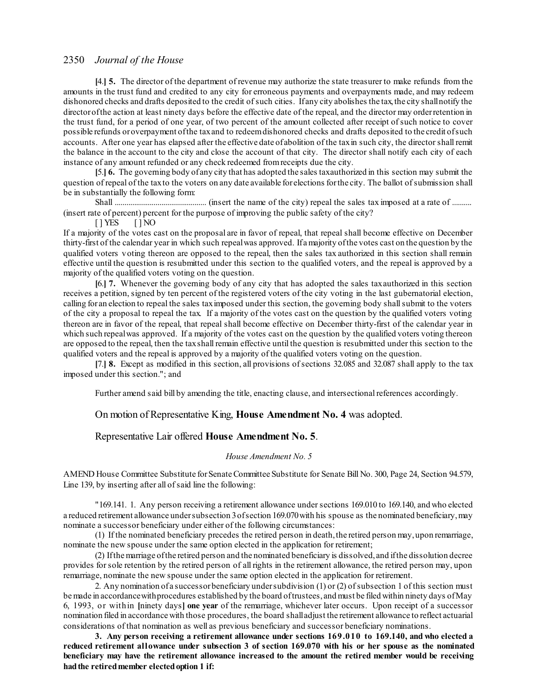**[**4.**] 5.** The director of the department of revenue may authorize the state treasurer to make refunds from the amounts in the trust fund and credited to any city for erroneous payments and overpayments made, and may redeem dishonored checks and drafts deposited to the credit of such cities. If any city abolishes the tax, the city shallnotify the directorofthe action at least ninety days before the effective date of the repeal, and the director may orderretention in the trust fund, for a period of one year, of two percent of the amount collected after receipt ofsuch notice to cover possible refunds oroverpayment ofthe taxand to redeemdishonored checks and drafts deposited to the credit ofsuch accounts. After one year has elapsed after the effective date ofabolition of the taxin such city, the directorshall remit the balance in the account to the city and close the account of that city. The director shall notify each city of each instance of any amount refunded or any check redeemed fromreceipts due the city.

**[**5.**] 6.** The governing body of any city that has adopted the sales taxauthorized in this section may submit the question of repeal of the taxto the voters on any date available for elections for the city. The ballot of submission shall be in substantially the following form:

Shall ............................................... (insert the name of the city) repeal the sales tax imposed at a rate of .......... (insert rate of percent) percent for the purpose of improving the public safety of the city?

 $[ ]$  YES  $[ ]$  NO

If a majority of the votes cast on the proposal are in favor of repeal, that repeal shall become effective on December thirty-first of the calendar year in which such repealwas approved. If amajority ofthe votes cast on the question by the qualified voters voting thereon are opposed to the repeal, then the sales tax authorized in this section shall remain effective until the question is resubmitted under this section to the qualified voters, and the repeal is approved by a majority of the qualified voters voting on the question.

**[**6.**] 7.** Whenever the governing body of any city that has adopted the sales taxauthorized in this section receives a petition, signed by ten percent of the registered voters of the city voting in the last gubernatorial election, calling for an election to repeal the sales tax imposed under this section, the governing body shall submit to the voters of the city a proposal to repeal the tax. If a majority of the votes cast on the question by the qualified voters voting thereon are in favor of the repeal, that repeal shall become effective on December thirty-first of the calendar year in which such repeal was approved. If a majority of the votes cast on the question by the qualified voters voting thereon are opposed to the repeal, then the taxshall remain effective until the question is resubmitted under this section to the qualified voters and the repeal is approved by a majority of the qualified voters voting on the question.

**[**7.**] 8.** Except as modified in this section, all provisions ofsections 32.085 and 32.087 shall apply to the tax imposed under this section."; and

Further amend said bill by amending the title, enacting clause, and intersectional references accordingly.

On motion of Representative King, **House Amendment No. 4** was adopted.

#### Representative Lair offered **House Amendment No. 5**.

#### *House Amendment No. 5*

AMEND House Committee Substitute for Senate Committee Substitute for Senate Bill No. 300, Page 24, Section 94.579, Line 139, by inserting after all of said line the following:

"169.141. 1. Any person receiving a retirement allowance undersections 169.010 to 169.140, and who elected a reduced retirement allowance under subsection 3 of section 169.070 with his spouse as the nominated beneficiary, may nominate a successor beneficiary under either of the following circumstances:

(1) If the nominated beneficiary precedes the retired person in death,the retired person may,upon remarriage, nominate the new spouse under the same option elected in the application for retirement;

(2) Ifthemarriage ofthe retired person and the nominated beneficiary is dissolved, and ifthe dissolution decree provides forsole retention by the retired person of all rights in the retirement allowance, the retired person may, upon remarriage, nominate the new spouse under the same option elected in the application for retirement.

2. Any nomination of a successorbeneficiary under subdivision (1) or (2) of subsection 1 of this section must bemade in accordancewithprocedures established by the board oftrustees, and must be filed within ninety days ofMay 6, 1993, or within **[**ninety days**] one year** of the remarriage, whichever later occurs. Upon receipt of a successor nomination filed in accordance with those procedures, the board shalladjust the retirement allowance to reflect actuarial considerations of that nomination as well as previous beneficiary and successor beneficiary nominations.

**3. Any person receiving a retirement allowance under sections 169.010 to 169.140, and who elected a** reduced retirement allowance under subsection 3 of section 169.070 with his or her spouse as the nominated **beneficiary may have the retirement allowance increased to the amount the retired member would be receiving hadthe retiredmember electedoption 1 if:**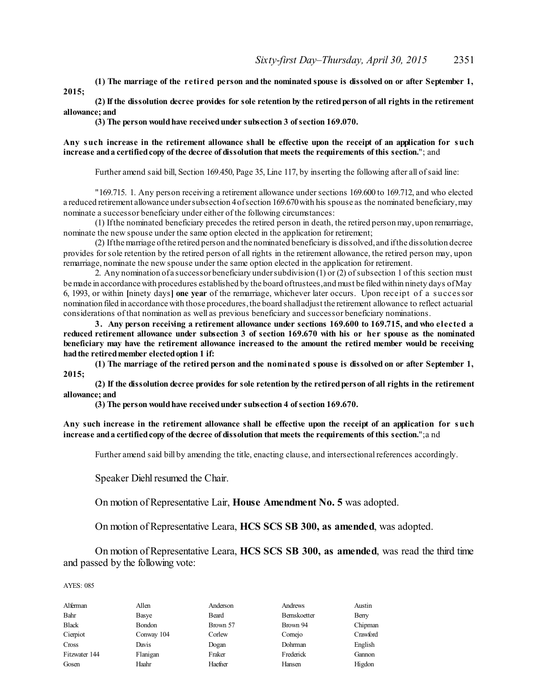**(1) The marriage of the retired person and the nominated spouse is dissolved on or after September 1, 2015;**

(2) If the dissolution decree provides for sole retention by the retired person of all rights in the retirement **allowance; and**

**(3) The person wouldhave receivedunder subsection 3 ofsection 169.070.**

#### Any such increase in the retirement allowance shall be effective upon the receipt of an application for such **increase anda certifiedcopy of the decree of dissolution that meets the requirements of this section.**"; and

Further amend said bill, Section 169.450, Page 35, Line 117, by inserting the following after all of said line:

"169.715. 1. Any person receiving a retirement allowance undersections 169.600 to 169.712, and who elected a reduced retirement allowance under subsection 4 of section 169.670 with his spouse as the nominated beneficiary, may nominate a successor beneficiary under either of the following circumstances:

(1) Ifthe nominated beneficiary precedes the retired person in death, the retired person may,upon remarriage, nominate the new spouse under the same option elected in the application for retirement;

(2) Ifthemarriage ofthe retired person and the nominated beneficiary is dissolved, and ifthe dissolution decree provides forsole retention by the retired person of all rights in the retirement allowance, the retired person may, upon remarriage, nominate the new spouse under the same option elected in the application for retirement.

2. Any nomination ofa successorbeneficiary undersubdivision (1) or (2) ofsubsection 1 of this section must bemade in accordance with procedures established by the board oftrustees,and must be filed within ninety days ofMay 6, 1993, or within **[**ninety days**] one year** of the remarriage, whichever later occurs. Upon receipt of a s uccessor nomination filed in accordance with those procedures, the board shall adjust the retirement allowance to reflect actuarial considerations of that nomination as well as previous beneficiary and successor beneficiary nominations.

**3. Any person receiving a retirement allowance under sections 169.600 to 169.715, and who elected a** reduced retirement allowance under subsection 3 of section 169.670 with his or her spouse as the nominated **beneficiary may have the retirement allowance increased to the amount the retired member would be receiving hadthe retiredmember electedoption 1 if:**

**(1) The marriage of the retired person and the nominated spouse is dissolved on or after September 1, 2015;**

(2) If the dissolution decree provides for sole retention by the retired person of all rights in the retirement **allowance; and**

**(3) The person wouldhave receivedunder subsection 4 ofsection 169.670.**

Any such increase in the retirement allowance shall be effective upon the receipt of an application for such **increase anda certifiedcopy of the decree of dissolution that meets the requirements of this section.**";a nd

Further amend said bill by amending the title, enacting clause, and intersectional references accordingly.

Speaker Diehl resumed the Chair.

On motion of Representative Lair, **House Amendment No. 5** was adopted.

On motion of Representative Leara, **HCS SCS SB 300, as amended**, was adopted.

On motion of Representative Leara, **HCS SCS SB 300, as amended**, was read the third time and passed by the following vote:

| Alferman      | Allen      | Anderson | Andrews      | Austin   |
|---------------|------------|----------|--------------|----------|
| Bahr          | Basye      | Beard    | Bernskoetter | Berry    |
| <b>Black</b>  | Bondon     | Brown 57 | Brown 94     | Chipman  |
| Cierpiot      | Conway 104 | Corlew   | Comejo       | Crawford |
| Cross         | Davis      | Dogan    | Dohrman      | English  |
| Fitzwater 144 | Flanigan   | Fraker   | Frederick    | Gannon   |
| Gosen         | Haahr      | Haefner  | Hansen       | Higdon   |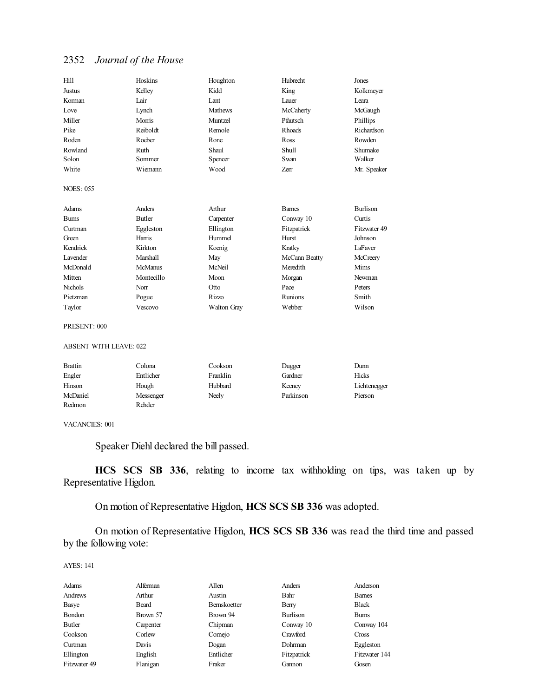| Hill             | Hoskins        | Houghton      | Hubrecht      | Jones           |
|------------------|----------------|---------------|---------------|-----------------|
| Justus           | Kelley         | Kidd          | King          | Kolkmeyer       |
| Korman           | Lair           | Lant          | Lauer         | Leara           |
| Love             | Lynch          | Mathews       | McCaherty     | McGaugh         |
| Miller           | Morris         | Muntzel       | Pfautsch      | Phillips        |
| Pike             | Reiboldt       | Remole        | <b>Rhoads</b> | Richardson      |
| Roden            | Roeber         | Rone          | <b>Ross</b>   | Rowden          |
| Rowland          | Ruth           | Shaul         | Shull         | Shumake         |
| Solon            | Sommer         | Spencer       | Swan          | Walker          |
| White            | Wiemann        | Wood          | Zerr          | Mr. Speaker     |
| <b>NOES: 055</b> |                |               |               |                 |
|                  |                |               |               |                 |
| Adams            | Anders         | Arthur        | <b>Barnes</b> | <b>Burlison</b> |
| <b>Burns</b>     | <b>Butler</b>  | Carpenter     | Conway 10     | Curtis          |
| Curtman          | Eggleston      | Ellington     | Fitzpatrick   | Fitzwater 49    |
| Green            | Harris         | Hummel        | Hurst         | Johnson         |
| Kendrick         | Kirkton        | Koenig        | Kratky        | LaFaver         |
| Lavender         | Marshall       | May           | McCann Beatty | McCreery        |
| McDonald         | <b>McManus</b> | <b>McNeil</b> | Meredith      | Mims            |
| Mitten           | Montecillo     | Moon          | Morgan        | Newman          |
| <b>Nichols</b>   | Norr           | Otto          | Pace          | Peters          |
| Pietzman         | Pogue          | <b>Rizzo</b>  | Runions       | Smith           |
| Taylor           | Vescovo        | Walton Gray   | Webber        | Wilson          |

#### ABSENT WITH LEAVE: 022

| Brattin  | Colona    | Cookson  | Dugger    | Dunn         |
|----------|-----------|----------|-----------|--------------|
| Engler   | Entlicher | Franklin | Gardner   | Hicks        |
| Hinson   | Hough     | Hubbard  | Keeney    | Lichtenegger |
| McDaniel | Messenger | Neely    | Parkinson | Pierson      |
| Redmon   | Rehder    |          |           |              |

#### VACANCIES: 001

Speaker Diehl declared the bill passed.

**HCS SCS SB 336**, relating to income tax withholding on tips, was taken up by Representative Higdon.

On motion of Representative Higdon, **HCS SCS SB 336** was adopted.

On motion of Representative Higdon, **HCS SCS SB 336** was read the third time and passed by the following vote:

| Adams        | Alferman  | Allen               | Anders         | Anderson      |
|--------------|-----------|---------------------|----------------|---------------|
| Andrews      | Arthur    | Austin              | Bahr           | <b>Barnes</b> |
| Basye        | Beard     | <b>Bernskoetter</b> | Berry          | <b>Black</b>  |
| Bondon       | Brown 57  | Brown 94            | Burlison       | <b>Bums</b>   |
| Butler       | Carpenter | Chipman             | Conway 10      | Conway 104    |
| Cookson      | Corlew    | Comejo              | Crawford       | <b>Cross</b>  |
| Curtman      | Davis     | Dogan               | <b>Dohrman</b> | Eggleston     |
| Ellington    | English   | Entlicher           | Fitzpatrick    | Fitzwater 144 |
| Fitzwater 49 | Flanigan  | Fraker              | Gannon         | Gosen         |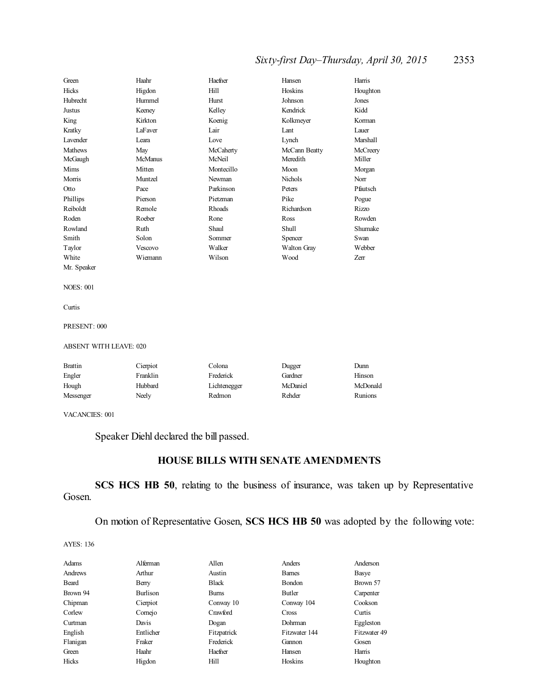# *Sixty-first Day–Thursday, April 30, 2015* 2353

| Green                         | Haahr                | Haefner    | Hansen        | Harris       |  |
|-------------------------------|----------------------|------------|---------------|--------------|--|
| Hicks                         | Higdon               | Hill       | Hoskins       | Houghton     |  |
| Hubrecht                      | Hummel               | Hurst      | Johnson       | Jones        |  |
| Justus                        | Keeney               | Kelley     | Kendrick      | Kidd         |  |
| King                          | Kirkton              | Koenig     | Kolkmeyer     | Korman       |  |
| Kratky                        | LaFaver              | Lair       | Lant          | Lauer        |  |
| Lavender                      | Leara                | Love       | Lynch         | Marshall     |  |
| Mathews                       | May                  | McCaherty  | McCann Beatty | McCreery     |  |
| McGaugh                       | <b>McManus</b>       | McNeil     | Meredith      | Miller       |  |
| Mims                          | Mitten               | Montecillo | Moon          | Morgan       |  |
| Morris                        | Muntzel              | Newman     | Nichols       | Norr         |  |
| Otto                          | Pace                 | Parkinson  | Peters        | Pfautsch     |  |
| Phillips                      | Pierson              | Pietzman   | Pike          | Pogue        |  |
| Reiboldt                      | Remole               | Rhoads     | Richardson    | Rizzo        |  |
| Roden                         | Roeber               | Rone       | Ross          | Rowden       |  |
| Rowland                       | Ruth                 | Shaul      | Shull         | Shumake      |  |
| Smith                         | Solon                | Sommer     | Spencer       | Swan         |  |
| Taylor                        | Vescovo              | Walker     | Walton Gray   | Webber       |  |
| White                         | Wiemann              | Wilson     | Wood          | Zerr         |  |
| Mr. Speaker                   |                      |            |               |              |  |
| <b>NOES: 001</b>              |                      |            |               |              |  |
| Curtis                        |                      |            |               |              |  |
| PRESENT: 000                  |                      |            |               |              |  |
| <b>ABSENT WITH LEAVE: 020</b> |                      |            |               |              |  |
| $D_{\text{max}}$              | $\sim$ $\sim$ $\sim$ | $C - 1 - $ |               | $\mathbf{L}$ |  |

| <b>Brattin</b> | Cierpiot | Colona       | Dugger   | Dunn     |
|----------------|----------|--------------|----------|----------|
| Engler         | Franklin | Frederick    | Gardner  | Hinson   |
| Hough          | Hubbard  | Lichtenegger | McDaniel | McDonald |
| Messenger      | Neely    | Redmon       | Rehder   | Runions  |

VACANCIES: 001

Speaker Diehl declared the bill passed.

# **HOUSE BILLS WITH SENATE AMENDMENTS**

**SCS HCS HB 50**, relating to the business of insurance, was taken up by Representative Gosen.

On motion of Representative Gosen, **SCS HCS HB 50** was adopted by the following vote:

| Adams    | Alferman  | Allen        | Anders        | Anderson     |
|----------|-----------|--------------|---------------|--------------|
| Andrews  | Arthur    | Austin       | <b>Barnes</b> | Basye        |
| Beard    | Berry     | <b>Black</b> | Bondon        | Brown 57     |
| Brown 94 | Burlison  | <b>Bums</b>  | Butler        | Carpenter    |
| Chipman  | Cierpiot  | Conway 10    | Conway 104    | Cookson      |
| Corlew   | Comejo    | Crawford     | Cross         | Curtis       |
| Curtman  | Davis     | Dogan        | Dohrman       | Eggleston    |
| English  | Entlicher | Fitzpatrick  | Fitzwater 144 | Fitzwater 49 |
| Flanigan | Fraker    | Frederick    | Gannon        | Gosen        |
| Green    | Haahr     | Haefner      | Hansen        | Harris       |
| Hicks    | Higdon    | Hill         | Hoskins       | Houghton     |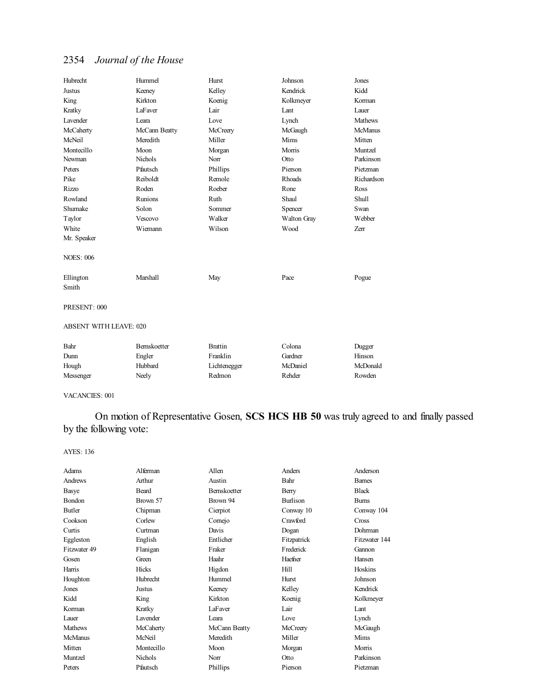| Hubrecht                      | Hummel        | Hurst          | Johnson       | Jones          |
|-------------------------------|---------------|----------------|---------------|----------------|
| <b>Justus</b>                 | Keeney        | Kelley         | Kendrick      | Kidd           |
| King                          | Kirkton       | Koenig         | Kolkmeyer     | Korman         |
| Kratky                        | LaFaver       | Lair           | Lant          | Lauer          |
| <b>Lavender</b>               | Leara         | Love           | Lynch         | <b>Mathews</b> |
| McCaherty                     | McCann Beatty | McCreery       | McGaugh       | <b>McManus</b> |
| McNeil                        | Meredith      | Miller         | Mims          | Mitten         |
| Montecillo                    | Moon          | Morgan         | Morris        | Muntzel        |
| Newman                        | Nichols       | Norr           | Otto          | Parkinson      |
| Peters                        | Pfautsch      | Phillips       | Pierson       | Pietzman       |
| Pike                          | Reiboldt      | Remole         | <b>Rhoads</b> | Richardson     |
| <b>Rizzo</b>                  | Roden         | Roeber         | Rone          | Ross           |
| Rowland                       | Runions       | Ruth           | Shaul         | Shull          |
| Shumake                       | Solon         | Sommer         | Spencer       | Swan           |
| Taylor                        | Vescovo       | Walker         | Walton Gray   | Webber         |
| White                         | Wiemann       | Wilson         | Wood          | Zerr           |
| Mr. Speaker                   |               |                |               |                |
| <b>NOES: 006</b>              |               |                |               |                |
| Ellington                     | Marshall      | May            | Pace          | Pogue          |
| Smith                         |               |                |               |                |
| PRESENT: 000                  |               |                |               |                |
| <b>ABSENT WITH LEAVE: 020</b> |               |                |               |                |
| Bahr                          | Bernskoetter  | <b>Brattin</b> | Colona        | Dugger         |
| Dunn                          | Engler        | Franklin       | Gardner       | Hinson         |
| Hough                         | Hubbard       | Lichtenegger   | McDaniel      | McDonald       |
| Messenger                     | Neely         | Redmon         | Rehder        | Rowden         |

VACANCIES: 001

On motion of Representative Gosen, **SCS HCS HB 50** was truly agreed to and finally passed by the following vote:

| Adams          | Alferman        | Allen               | Anders          | Anderson      |
|----------------|-----------------|---------------------|-----------------|---------------|
| Andrews        | Arthur          | Austin              | Bahr            | <b>Bames</b>  |
| <b>Basye</b>   | <b>Beard</b>    | <b>Bernskoetter</b> | Berry           | <b>Black</b>  |
| <b>Bondon</b>  | Brown 57        | Brown 94            | <b>Burlison</b> | <b>Burns</b>  |
| Butler         | Chipman         | Cierpiot            | Conway 10       | Conway 104    |
| Cookson        | Corlew          | Comejo              | Crawford        | Cross         |
| Curtis         | Curtman         | Davis               | Dogan           | Dohrman       |
| Eggleston      | English         | Entlicher           | Fitzpatrick     | Fitzwater 144 |
| Fitzwater 49   | Flanigan        | Fraker              | Frederick       | Gannon        |
| Gosen          | Green           | Haahr               | Haefner         | Hansen        |
| Harris         | Hicks           | Higdon              | Hill            | Hoskins       |
| Houghton       | Hubrecht        | Hummel              | Hurst           | Johnson       |
| Jones          | Justus          | Keeney              | Kelley          | Kendrick      |
| Kidd           | King            | Kirkton             | Koenig          | Kolkmeyer     |
| Korman         | Kratky          | LaFaver             | Lair            | Lant          |
| Lauer          | <b>Lavender</b> | Leara               | Love            | Lynch         |
| <b>Mathews</b> | McCaherty       | McCann Beatty       | McCreery        | McGaugh       |
| <b>McManus</b> | McNeil          | Meredith            | Miller          | Mims          |
| Mitten         | Montecillo      | Moon                | Morgan          | Morris        |
| Muntzel        | <b>Nichols</b>  | Norr                | Otto            | Parkinson     |
| Peters         | Pfautsch        | Phillips            | Pierson         | Pietzman      |
|                |                 |                     |                 |               |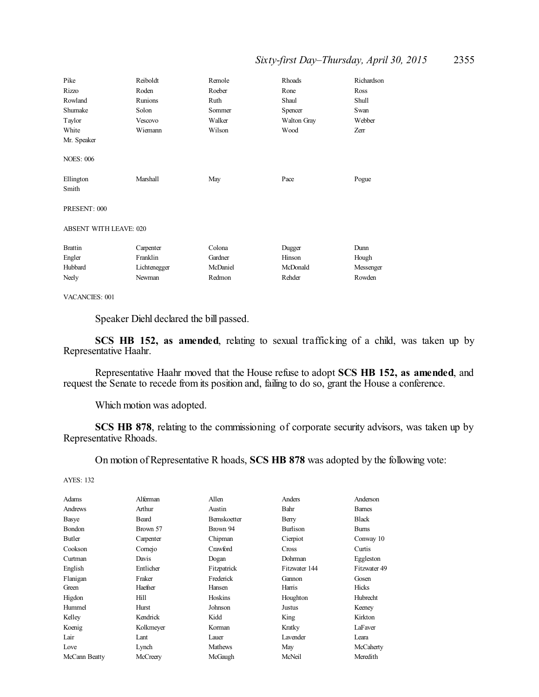# *Sixty-first Day–Thursday, April 30, 2015* 2355

| Pike                          | Reiboldt     | Remole   | <b>Rhoads</b>      | Richardson   |
|-------------------------------|--------------|----------|--------------------|--------------|
| Rizzo                         | Roden        | Roeber   | Rone               | Ross         |
| Rowland                       | Runions      | Ruth     | Shaul              | <b>Shull</b> |
| Shumake                       | Solon        | Sommer   | Spencer            | Swan         |
| Taylor                        | Vescovo      | Walker   | <b>Walton Gray</b> | Webber       |
| White                         | Wiemann      | Wilson   | Wood               | Zerr         |
| Mr. Speaker                   |              |          |                    |              |
| <b>NOES: 006</b>              |              |          |                    |              |
| Ellington<br>Smith            | Marshall     | May      | Pace               | Pogue        |
| PRESENT: 000                  |              |          |                    |              |
| <b>ABSENT WITH LEAVE: 020</b> |              |          |                    |              |
| <b>Brattin</b>                | Carpenter    | Colona   | Dugger             | Dunn         |
| Engler                        | Franklin     | Gardner  | Hinson             | Hough        |
| Hubbard                       | Lichtenegger | McDaniel | McDonald           | Messenger    |
|                               |              |          |                    |              |

#### VACANCIES: 001

Speaker Diehl declared the bill passed.

**SCS HB 152, as amended**, relating to sexual trafficking of a child, was taken up by Representative Haahr.

Representative Haahr moved that the House refuse to adopt **SCS HB 152, as amended**, and request the Senate to recede from its position and, failing to do so, grant the House a conference.

Which motion was adopted.

**SCS HB 878**, relating to the commissioning of corporate security advisors, was taken up by Representative Rhoads.

On motion of Representative R hoads, **SCS HB 878** was adopted by the following vote:

| Adams         | Alferman  | Allen               | Anders          | Anderson      |
|---------------|-----------|---------------------|-----------------|---------------|
| Andrews       | Arthur    | Austin              | Bahr            | <b>Barnes</b> |
| Basye         | Beard     | <b>Bernskoetter</b> | Berry           | <b>Black</b>  |
| Bondon        | Brown 57  | Brown 94            | <b>Burlison</b> | <b>Bums</b>   |
| Butler        | Carpenter | Chipman             | Cierpiot        | Conway 10     |
| Cookson       | Comejo    | Crawford            | Cross           | Curtis        |
| Curtman       | Davis     | Dogan               | Dohrman         | Eggleston     |
| English       | Entlicher | Fitzpatrick         | Fitzwater 144   | Fitzwater 49  |
| Flanigan      | Fraker    | Frederick           | Gannon          | Gosen         |
| Green         | Haefner   | Hansen              | Harris          | Hicks         |
| Higdon        | Hill      | Hoskins             | Houghton        | Hubrecht      |
| Hummel        | Hurst     | Johnson             | Justus          | Keeney        |
| Kelley        | Kendrick  | Kidd                | King            | Kirkton       |
| Koenig        | Kolkmeyer | Korman              | Kratky          | LaFaver       |
| Lair          | Lant      | Lauer               | Lavender        | Leara         |
| Love          | Lynch     | <b>Mathews</b>      | May             | McCaherty     |
| McCann Beatty | McCreery  | McGaugh             | McNeil          | Meredith      |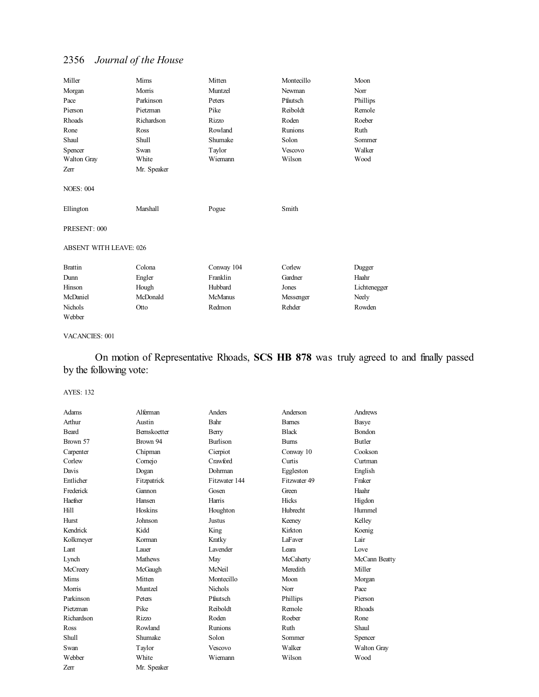| Miller                                        | Mims        | Mitten         | Montecillo     | Moon         |
|-----------------------------------------------|-------------|----------------|----------------|--------------|
| Morgan                                        | Morris      | Muntzel        | Newman         | Norr         |
| Pace                                          | Parkinson   | Peters         | Pfautsch       | Phillips     |
| Pierson                                       | Pietzman    | Pike           | Reiboldt       | Remole       |
| <b>Rhoads</b>                                 | Richardson  | <b>Rizzo</b>   | Roden          | Roeber       |
| Rone                                          | Ross        | Rowland        | <b>Runions</b> | Ruth         |
| Shaul                                         | Shull       | Shumake        | Solon          | Sommer       |
| Spencer                                       | Swan        | Taylor         | <b>Vescovo</b> | Walker       |
| Walton Gray                                   | White       | Wiemann        | Wilson         | Wood         |
| Zerr                                          | Mr. Speaker |                |                |              |
| <b>NOES: 004</b><br>Ellington<br>PRESENT: 000 | Marshall    | Pogue          | Smith          |              |
| <b>ABSENT WITH LEAVE: 026</b>                 |             |                |                |              |
| <b>Brattin</b>                                | Colona      | Conway 104     | Corlew         | Dugger       |
| Dunn                                          | Engler      | Franklin       | Gardner        | Haahr        |
| Hinson                                        | Hough       | Hubbard        | Jones          | Lichtenegger |
| McDaniel                                      | McDonald    | <b>McManus</b> | Messenger      | Neely        |
| Nichols                                       | Otto        | Redmon         | Rehder         | Rowden       |
| Webber                                        |             |                |                |              |

#### VACANCIES: 001

On motion of Representative Rhoads, **SCS HB 878** was truly agreed to and finally passed by the following vote:

| Adams        | Alferman            | Anders          | Anderson     | Andrews            |
|--------------|---------------------|-----------------|--------------|--------------------|
| Arthur       | Austin              | Bahr            | <b>Bames</b> | Basye              |
| <b>Beard</b> | <b>Bernskoetter</b> | Berry           | <b>Black</b> | <b>Bondon</b>      |
| Brown 57     | Brown 94            | <b>Burlison</b> | <b>Bums</b>  | Butler             |
| Carpenter    | Chipman             | Cierpiot        | Conway 10    | Cookson            |
| Corlew       | Comejo              | Crawford        | Curtis       | Curtman            |
| Davis        | Dogan               | Dohrman         | Eggleston    | English            |
| Entlicher    | Fitzpatrick         | Fitzwater 144   | Fitzwater 49 | Fraker             |
| Frederick    | Gannon              | Gosen           | Green        | Haahr              |
| Haefner      | Hansen              | Harris          | <b>Hicks</b> | Higdon             |
| Hill         | Hoskins             | Houghton        | Hubrecht     | Hummel             |
| <b>Hurst</b> | Johnson             | Justus          | Keeney       | Kelley             |
| Kendrick     | Kidd                | King            | Kirkton      | Koenig             |
| Kolkmeyer    | Korman              | Kratky          | LaFaver      | Lair               |
| Lant         | Lauer               | <b>Lavender</b> | Leara        | Love               |
| Lynch        | <b>Mathews</b>      | May             | McCaherty    | McCann Beatty      |
| McCreery     | McGaugh             | McNeil          | Meredith     | Miller             |
| Mims         | Mitten              | Montecillo      | Moon         | Morgan             |
| Morris       | Muntzel             | Nichols         | Norr         | Pace               |
| Parkinson    | Peters              | Pfautsch        | Phillips     | Pierson            |
| Pietzman     | Pike                | Reiboldt        | Remole       | <b>Rhoads</b>      |
| Richardson   | <b>Rizzo</b>        | Roden           | Roeber       | Rone               |
| Ross         | Rowland             | Runions         | Ruth         | Shaul              |
| Shull        | Shumake             | Solon           | Sommer       | Spencer            |
| Swan         | Taylor              | Vescovo         | Walker       | <b>Walton Gray</b> |
| Webber       | White               | Wiemann         | Wilson       | Wood               |
| Zerr         | Mr. Speaker         |                 |              |                    |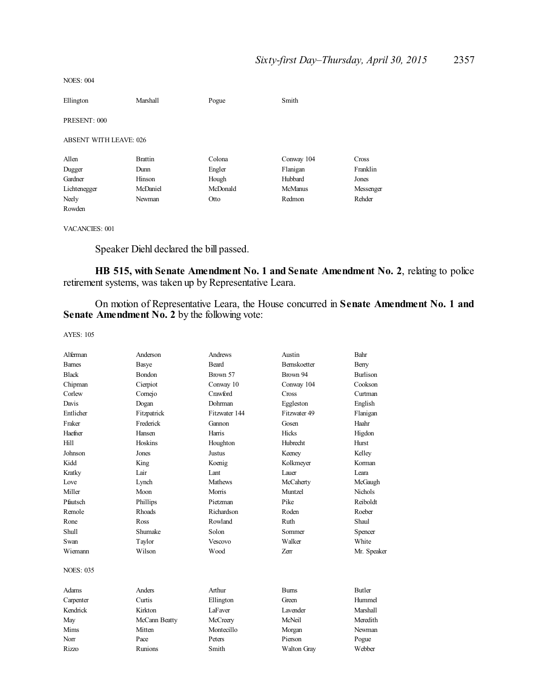| <b>NOES: 004</b> |  |
|------------------|--|
|------------------|--|

| Ellington                     | Marshall       | Pogue    | Smith          |           |
|-------------------------------|----------------|----------|----------------|-----------|
| PRESENT: 000                  |                |          |                |           |
| <b>ABSENT WITH LEAVE: 026</b> |                |          |                |           |
| Allen                         | <b>Brattin</b> | Colona   | Conway 104     | Cross     |
| Dugger                        | Dunn           | Engler   | Flanigan       | Franklin  |
| Gardner                       | Hinson         | Hough    | Hubbard        | Jones     |
| Lichtenegger                  | McDaniel       | McDonald | <b>McManus</b> | Messenger |
| Neely                         | Newman         | Otto     | Redmon         | Rehder    |
| Rowden                        |                |          |                |           |

VACANCIES: 001

Speaker Diehl declared the bill passed.

**HB 515, with Senate Amendment No. 1 and Senate Amendment No. 2**, relating to police retirement systems, was taken up by Representative Leara.

On motion of Representative Leara, the House concurred in **Senate Amendment No. 1 and Senate Amendment No. 2** by the following vote:

| Alferman         | Anderson      | Andrews       | Austin             | Bahr            |
|------------------|---------------|---------------|--------------------|-----------------|
| <b>Barnes</b>    | Basye         | Beard         | <b>Bemskoetter</b> | Berry           |
| <b>Black</b>     | <b>Bondon</b> | Brown 57      | Brown 94           | <b>Burlison</b> |
| Chipman          | Cierpiot      | Conway 10     | Conway 104         | Cookson         |
| Corlew           | Comejo        | Crawford      | Cross              | Curtman         |
| Davis            | Dogan         | Dohrman       | Eggleston          | English         |
| Entlicher        | Fitzpatrick   | Fitzwater 144 | Fitzwater 49       | Flanigan        |
| Fraker           | Frederick     | Gannon        | Gosen              | Haahr           |
| Haefner          | Hansen        | Harris        | <b>Hicks</b>       | Higdon          |
| Hill             | Hoskins       | Houghton      | <b>Hubrecht</b>    | Hurst           |
| Johnson          | Jones         | Justus        | Keeney             | Kelley          |
| Kidd             | King          | Koenig        | Kolkmeyer          | Korman          |
| Kratky           | Lair          | Lant          | Lauer              | I eara          |
| Love             | Lynch         | Mathews       | McCaherty          | McGaugh         |
| Miller           | Moon          | Morris        | Muntzel            | Nichols         |
| Pfautsch         | Phillips      | Pietzman      | Pike               | Reiboldt        |
| Remole           | <b>Rhoads</b> | Richardson    | Roden              | Roeber          |
| Rone             | Ross          | Rowland       | Ruth               | Shaul           |
| <b>Shull</b>     | Shumake       | Solon         | Sommer             | Spencer         |
| Swan             | Taylor        | Vescovo       | Walker             | White           |
| Wiemann          | Wilson        | Wood          | <b>Zerr</b>        | Mr. Speaker     |
| <b>NOES: 035</b> |               |               |                    |                 |
| Adams            | Anders        | Arthur        | <b>Burns</b>       | <b>Butler</b>   |
| Carpenter        | Curtis        | Ellington     | Green              | Hummel          |
| Kendrick         | Kirkton       | LaFaver       | <b>Lavender</b>    | <b>Marshall</b> |
| May              | McCann Beatty | McCreery      | McNeil             | Meredith        |
| Mims             | Mitten        | Montecillo    | Morgan             | Newman          |
| Norr             | Pace          | Peters        | Pierson            | Pogue           |
| <b>Rizzo</b>     | Runions       | Smith         | <b>Walton Gray</b> | Webber          |
|                  |               |               |                    |                 |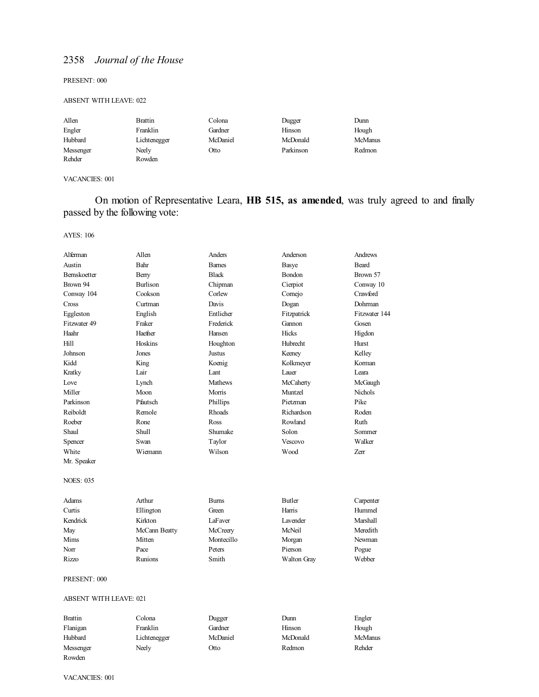PRESENT: 000

#### ABSENT WITH LEAVE: 022

| Allen     | Brattin      | Colona   | Dugger    | Dunn           |
|-----------|--------------|----------|-----------|----------------|
| Engler    | Franklin     | Gardner  | Hinson    | Hough          |
| Hubbard   | Lichtenegger | McDaniel | McDonald  | <b>McManus</b> |
| Messenger | Neely        | Otto     | Parkinson | Redmon         |
| Rehder    | Rowden       |          |           |                |

#### VACANCIES: 001

On motion of Representative Leara, **HB 515, as amended**, was truly agreed to and finally passed by the following vote:

AYES: 106

| Alferman                      | Allen          | Anders         | Anderson             | Andrews        |
|-------------------------------|----------------|----------------|----------------------|----------------|
| Austin                        | Bahr           | <b>Barnes</b>  | Basye                | <b>Beard</b>   |
| Bernskoetter                  | Berry          | <b>Black</b>   | Bondon               | Brown 57       |
| Brown 94                      | Burlison       | Chipman        | Cierpiot             | Conway 10      |
| Conway 104                    | Cookson        | Corlew         | Comejo               | Crawford       |
| Cross                         | Curtman        | Davis          | Dogan                | Dohrman        |
| Eggleston                     | English        | Entlicher      | Fitzpatrick          | Fitzwater 144  |
| Fitzwater 49                  | Fraker         | Frederick      | Gannon               | Gosen          |
| Haahr                         | Haefner        | Hansen         | Hicks                | Higdon         |
| Hill                          | Hoskins        | Houghton       | <b>Hubrecht</b>      | Hurst          |
| Johnson                       | Jones          | Justus         | Keeney               | Kelley         |
| Kidd                          | King           | Koenig         | Kolkmeyer            | Korman         |
| Kratky                        | Lair           | Lant           | Lauer                | Leara          |
| Love                          | Lynch          | <b>Mathews</b> | McCaherty            | McGaugh        |
| Miller                        | Moon           | Morris         | Muntzel              | <b>Nichols</b> |
| Parkinson                     | Pfautsch       | Phillips       | Pietzman             | Pike           |
| Reiboldt                      | Remole         | Rhoads         | Richardson           | Roden          |
| Roeber                        | Rone           | Ross           | Rowland              | Ruth           |
| Shaul                         | <b>Shull</b>   | Shumake        | Solon                | Sommer         |
| Spencer                       | Swan           | Taylor         | Vescovo              | Walker         |
| White                         | Wiemann        | Wilson         | Wood                 | Zerr           |
| Mr. Speaker                   |                |                |                      |                |
|                               |                |                |                      |                |
| <b>NOES: 035</b>              |                |                |                      |                |
| Adams                         | Arthur         | <b>Burns</b>   | <b>Butler</b>        | Carpenter      |
| Curtis                        | Ellington      | Green          | Harris               | Hummel         |
| Kendrick                      | Kirkton        | LaFaver        | L <sub>avender</sub> | Marshall       |
| May                           | McCann Beatty  | McCreery       | McNeil               | Meredith       |
| Mims                          | Mitten         | Montecillo     | Morgan               | Newman         |
| Norr                          | Pace           | Peters         | Pierson              | Pogue          |
| Rizzo                         | <b>Runions</b> | Smith          | Walton Gray          | Webber         |
| PRESENT: 000                  |                |                |                      |                |
| <b>ABSENT WITH LEAVE: 021</b> |                |                |                      |                |
| <b>Brattin</b>                | Colona         | Dugger         | Dunn                 | Engler         |
| Flanigan                      | Franklin       | Gardner        | Hinson               | Hough          |
| Hubbard                       | Lichtenegger   | McDaniel       | McDonald             | McManus        |

Messenger Neely Otto Redmon Rehder

Rowden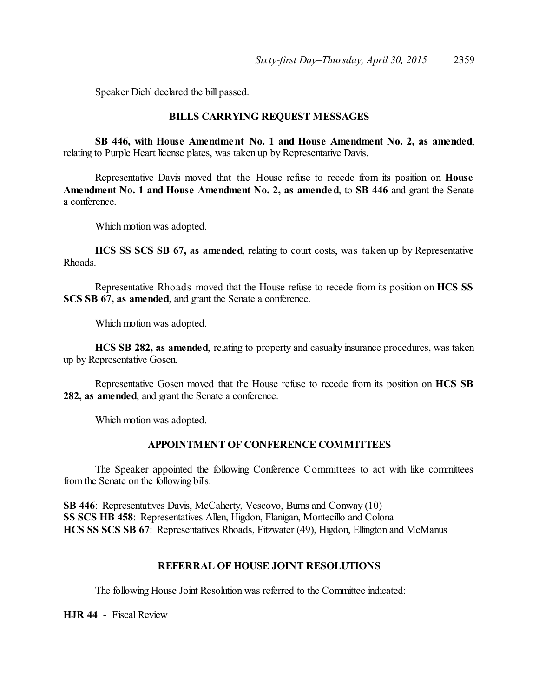Speaker Diehl declared the bill passed.

# **BILLS CARRYING REQUEST MESSAGES**

**SB 446, with House Amendment No. 1 and House Amendment No. 2, as amended**, relating to Purple Heart license plates, was taken up by Representative Davis.

Representative Davis moved that the House refuse to recede from its position on **House Amendment No. 1 and House Amendment No. 2, as amended**, to **SB 446** and grant the Senate a conference.

Which motion was adopted.

**HCS SS SCS SB 67, as amended**, relating to court costs, was taken up by Representative Rhoads.

Representative Rhoads moved that the House refuse to recede from its position on **HCS SS SCS SB 67, as amended**, and grant the Senate a conference.

Which motion was adopted.

**HCS SB 282, as amended**, relating to property and casualty insurance procedures, was taken up by Representative Gosen.

Representative Gosen moved that the House refuse to recede from its position on **HCS SB 282, as amended**, and grant the Senate a conference.

Which motion was adopted.

# **APPOINTMENT OF CONFERENCE COMMITTEES**

The Speaker appointed the following Conference Committees to act with like committees from the Senate on the following bills:

**SB 446**: Representatives Davis, McCaherty, Vescovo, Burns and Conway (10) **SS SCS HB 458**: Representatives Allen, Higdon, Flanigan, Montecillo and Colona **HCS SS SCS SB 67**: Representatives Rhoads, Fitzwater (49), Higdon, Ellington and McManus

# **REFERRAL OF HOUSE JOINT RESOLUTIONS**

The following House Joint Resolution was referred to the Committee indicated:

**HJR 44** - Fiscal Review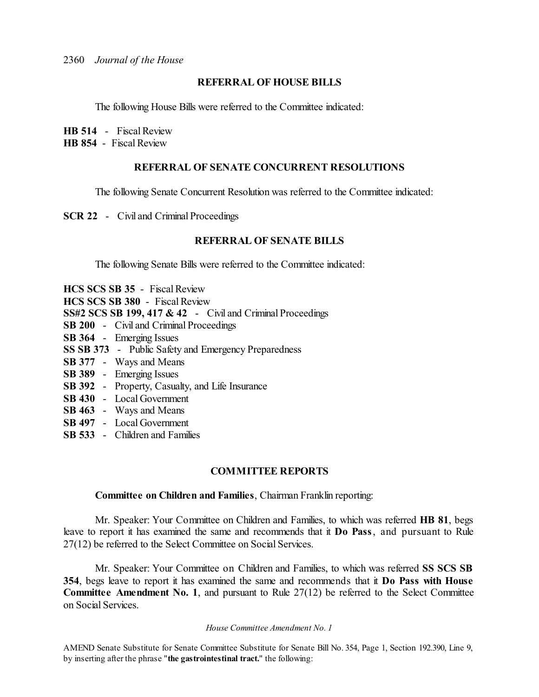# **REFERRAL OF HOUSE BILLS**

The following House Bills were referred to the Committee indicated:

**HB 514** - Fiscal Review

**HB 854** - Fiscal Review

# **REFERRAL OF SENATE CONCURRENT RESOLUTIONS**

The following Senate Concurrent Resolution was referred to the Committee indicated:

**SCR 22** - Civil and Criminal Proceedings

## **REFERRAL OF SENATE BILLS**

The following Senate Bills were referred to the Committee indicated:

|  | <b>HCS SCS SB 35</b> - Fiscal Review                       |
|--|------------------------------------------------------------|
|  | HCS SCS SB 380 - Fiscal Review                             |
|  | SS#2 SCS SB 199, 417 & 42 - Civil and Criminal Proceedings |
|  | SB 200 - Civil and Criminal Proceedings                    |
|  | SB 364 - Emerging Issues                                   |
|  | SS SB 373 - Public Safety and Emergency Preparedness       |
|  | <b>SB 377</b> - Ways and Means                             |
|  | SB 389 - Emerging Issues                                   |
|  | <b>SB 392</b> - Property, Casualty, and Life Insurance     |
|  | SB 430 - Local Government                                  |
|  | <b>SB 463</b> - Ways and Means                             |

- **SB 497** Local Government
- **SB 533** Children and Families

# **COMMITTEE REPORTS**

# **Committee on Children and Families**, Chairman Franklin reporting:

Mr. Speaker: Your Committee on Children and Families, to which was referred **HB 81**, begs leave to report it has examined the same and recommends that it **Do Pass**, and pursuant to Rule 27(12) be referred to the Select Committee on Social Services.

Mr. Speaker: Your Committee on Children and Families, to which was referred **SS SCS SB 354**, begs leave to report it has examined the same and recommends that it **Do Pass with House Committee Amendment No. 1**, and pursuant to Rule 27(12) be referred to the Select Committee on Social Services.

#### *House Committee Amendment No. 1*

AMEND Senate Substitute for Senate Committee Substitute for Senate Bill No. 354, Page 1, Section 192.390, Line 9, by inserting after the phrase "**the gastrointestinal tract.**" the following: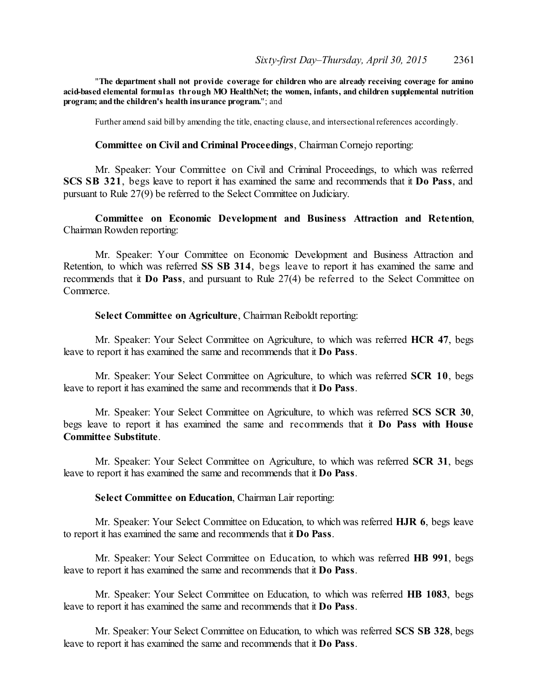"**The department shall not provide coverage for children who are already receiving coverage for amino acid-based elemental formulas through MO HealthNet; the women, infants, and children supplemental nutrition program;** and the children's health insurance program."; and

Further amend said bill by amending the title, enacting clause, and intersectional references accordingly.

# **Committee on Civil and Criminal Proceedings**, Chairman Cornejo reporting:

Mr. Speaker: Your Committee on Civil and Criminal Proceedings, to which was referred **SCS SB 321**, begs leave to report it has examined the same and recommends that it **Do Pass**, and pursuant to Rule 27(9) be referred to the Select Committee on Judiciary.

# **Committee on Economic Development and Business Attraction and Retention**, Chairman Rowden reporting:

Mr. Speaker: Your Committee on Economic Development and Business Attraction and Retention, to which was referred **SS SB 314**, begs leave to report it has examined the same and recommends that it **Do Pass**, and pursuant to Rule 27(4) be referred to the Select Committee on Commerce.

## **Select Committee on Agriculture**, Chairman Reiboldt reporting:

Mr. Speaker: Your Select Committee on Agriculture, to which was referred **HCR 47**, begs leave to report it has examined the same and recommends that it **Do Pass**.

Mr. Speaker: Your Select Committee on Agriculture, to which was referred **SCR 10**, begs leave to report it has examined the same and recommends that it **Do Pass**.

Mr. Speaker: Your Select Committee on Agriculture, to which was referred **SCS SCR 30**, begs leave to report it has examined the same and recommends that it **Do Pass with House Committee Substitute**.

Mr. Speaker: Your Select Committee on Agriculture, to which was referred **SCR 31**, begs leave to report it has examined the same and recommends that it **Do Pass**.

#### **Select Committee on Education**, Chairman Lair reporting:

Mr. Speaker: Your Select Committee on Education, to which was referred **HJR 6**, begs leave to report it has examined the same and recommends that it **Do Pass**.

Mr. Speaker: Your Select Committee on Education, to which was referred **HB 991**, begs leave to report it has examined the same and recommends that it **Do Pass**.

Mr. Speaker: Your Select Committee on Education, to which was referred **HB 1083**, begs leave to report it has examined the same and recommends that it **Do Pass**.

Mr. Speaker: Your Select Committee on Education, to which was referred **SCS SB 328**, begs leave to report it has examined the same and recommends that it **Do Pass**.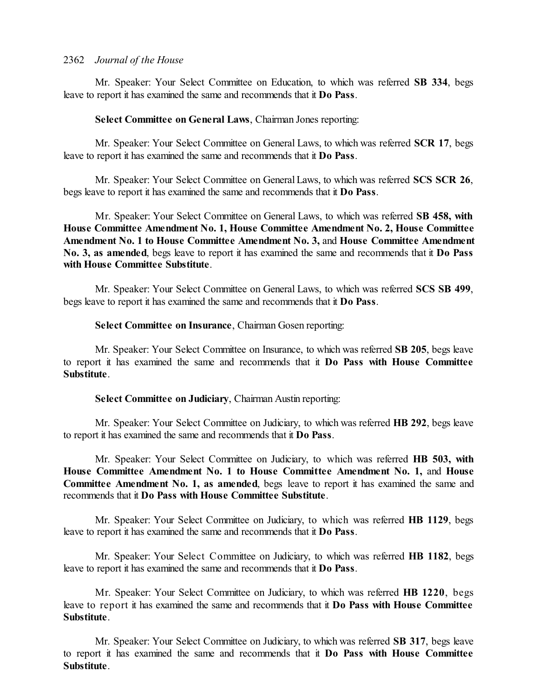Mr. Speaker: Your Select Committee on Education, to which was referred **SB 334**, begs leave to report it has examined the same and recommends that it **Do Pass**.

# **Select Committee on General Laws**, Chairman Jones reporting:

Mr. Speaker: Your Select Committee on General Laws, to which was referred **SCR 17**, begs leave to report it has examined the same and recommends that it **Do Pass**.

Mr. Speaker: Your Select Committee on General Laws, to which was referred **SCS SCR 26**, begs leave to report it has examined the same and recommends that it **Do Pass**.

Mr. Speaker: Your Select Committee on General Laws, to which was referred **SB 458, with House Committee Amendment No. 1, House Committee Amendment No. 2, House Committee Amendment No. 1 to House Committee Amendment No. 3,** and **House Committee Amendment No. 3, as amended**, begs leave to report it has examined the same and recommends that it **Do Pass with House Committee Substitute**.

Mr. Speaker: Your Select Committee on General Laws, to which was referred **SCS SB 499**, begs leave to report it has examined the same and recommends that it **Do Pass**.

# **Select Committee on Insurance**, Chairman Gosen reporting:

Mr. Speaker: Your Select Committee on Insurance, to which was referred **SB 205**, begs leave to report it has examined the same and recommends that it **Do Pass with House Committee Substitute**.

# **Select Committee on Judiciary**, Chairman Austin reporting:

Mr. Speaker: Your Select Committee on Judiciary, to which was referred **HB 292**, begs leave to report it has examined the same and recommends that it **Do Pass**.

Mr. Speaker: Your Select Committee on Judiciary, to which was referred **HB 503, with House Committee Amendment No. 1 to House Committee Amendment No. 1,** and **House Committee Amendment No. 1, as amended**, begs leave to report it has examined the same and recommends that it **Do Pass with House Committee Substitute**.

Mr. Speaker: Your Select Committee on Judiciary, to which was referred **HB 1129**, begs leave to report it has examined the same and recommends that it **Do Pass**.

Mr. Speaker: Your Select Committee on Judiciary, to which was referred **HB 1182**, begs leave to report it has examined the same and recommends that it **Do Pass**.

Mr. Speaker: Your Select Committee on Judiciary, to which was referred **HB 1220**, begs leave to report it has examined the same and recommends that it **Do Pass with House Committee Substitute**.

Mr. Speaker: Your Select Committee on Judiciary, to which was referred **SB 317**, begs leave to report it has examined the same and recommends that it **Do Pass with House Committee Substitute**.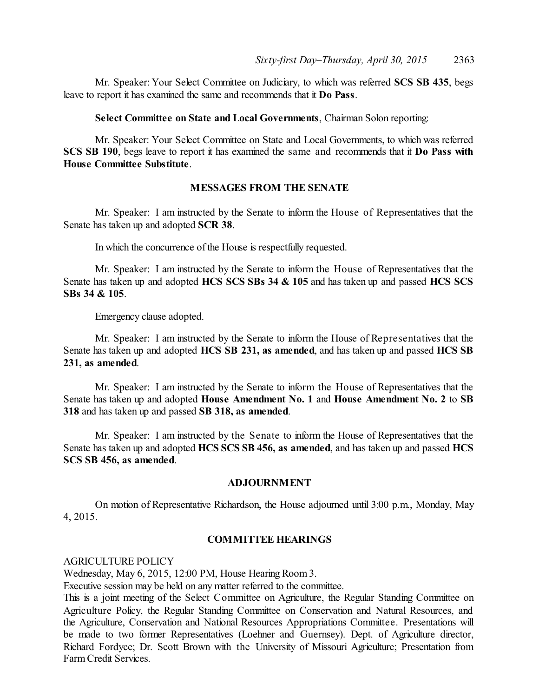Mr. Speaker: Your Select Committee on Judiciary, to which was referred **SCS SB 435**, begs leave to report it has examined the same and recommends that it **Do Pass**.

**Select Committee on State and Local Governments**, Chairman Solon reporting:

Mr. Speaker: Your Select Committee on State and Local Governments, to which was referred **SCS SB 190**, begs leave to report it has examined the same and recommends that it **Do Pass with House Committee Substitute**.

# **MESSAGES FROM THE SENATE**

Mr. Speaker: I am instructed by the Senate to inform the House of Representatives that the Senate has taken up and adopted **SCR 38**.

In which the concurrence of the House is respectfully requested.

Mr. Speaker: I am instructed by the Senate to inform the House of Representatives that the Senate has taken up and adopted **HCS SCS SBs 34 & 105** and has taken up and passed **HCS SCS SBs 34 & 105**.

Emergency clause adopted.

Mr. Speaker: I am instructed by the Senate to inform the House of Representatives that the Senate has taken up and adopted **HCS SB 231, as amended**, and has taken up and passed **HCS SB 231, as amended**.

Mr. Speaker: I am instructed by the Senate to inform the House of Representatives that the Senate has taken up and adopted **House Amendment No. 1** and **House Amendment No. 2** to **SB 318** and has taken up and passed **SB 318, as amended**.

Mr. Speaker: I am instructed by the Senate to inform the House of Representatives that the Senate has taken up and adopted **HCS SCS SB 456, as amended**, and has taken up and passed **HCS SCS SB 456, as amended**.

#### **ADJOURNMENT**

On motion of Representative Richardson, the House adjourned until 3:00 p.m., Monday, May 4, 2015.

# **COMMITTEE HEARINGS**

AGRICULTURE POLICY

Wednesday, May 6, 2015, 12:00 PM, House Hearing Room 3.

Executive session may be held on any matter referred to the committee.

This is a joint meeting of the Select Committee on Agriculture, the Regular Standing Committee on Agriculture Policy, the Regular Standing Committee on Conservation and Natural Resources, and the Agriculture, Conservation and National Resources Appropriations Committee. Presentations will be made to two former Representatives (Loehner and Guernsey). Dept. of Agriculture director, Richard Fordyce; Dr. Scott Brown with the University of Missouri Agriculture; Presentation from Farm Credit Services.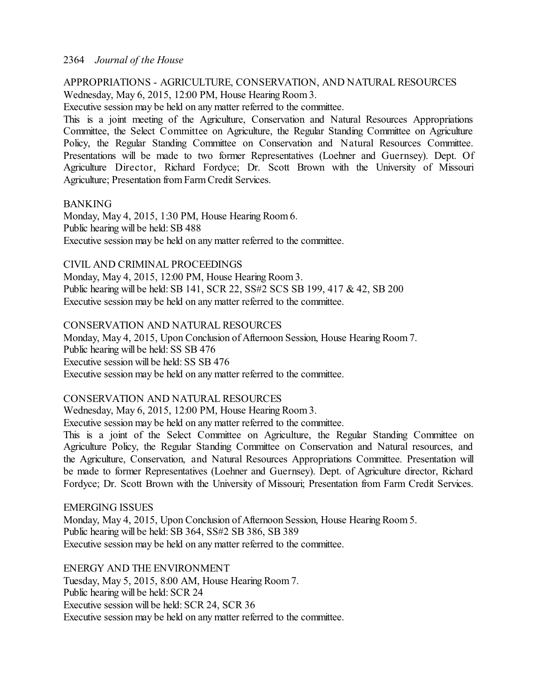# APPROPRIATIONS - AGRICULTURE, CONSERVATION, AND NATURAL RESOURCES Wednesday, May 6, 2015, 12:00 PM, House Hearing Room 3.

Executive session may be held on any matter referred to the committee.

This is a joint meeting of the Agriculture, Conservation and Natural Resources Appropriations Committee, the Select Committee on Agriculture, the Regular Standing Committee on Agriculture Policy, the Regular Standing Committee on Conservation and Natural Resources Committee. Presentations will be made to two former Representatives (Loehner and Guernsey). Dept. Of Agriculture Director, Richard Fordyce; Dr. Scott Brown with the University of Missouri Agriculture; Presentation from FarmCredit Services.

# BANKING

Monday, May 4, 2015, 1:30 PM, House Hearing Room 6. Public hearing will be held: SB 488 Executive session may be held on any matter referred to the committee.

# CIVIL AND CRIMINAL PROCEEDINGS

Monday, May 4, 2015, 12:00 PM, House Hearing Room 3. Public hearing will be held: SB 141, SCR 22, SS#2 SCS SB 199, 417 & 42, SB 200 Executive session may be held on any matter referred to the committee.

# CONSERVATION AND NATURAL RESOURCES

Monday, May 4, 2015, Upon Conclusion of Afternoon Session, House Hearing Room7. Public hearing will be held: SS SB 476 Executive session will be held: SS SB 476 Executive session may be held on any matter referred to the committee.

# CONSERVATION AND NATURAL RESOURCES

Wednesday, May 6, 2015, 12:00 PM, House Hearing Room 3.

Executive session may be held on any matter referred to the committee.

This is a joint of the Select Committee on Agriculture, the Regular Standing Committee on Agriculture Policy, the Regular Standing Committee on Conservation and Natural resources, and the Agriculture, Conservation, and Natural Resources Appropriations Committee. Presentation will be made to former Representatives (Loehner and Guernsey). Dept. of Agriculture director, Richard Fordyce; Dr. Scott Brown with the University of Missouri; Presentation from Farm Credit Services.

EMERGING ISSUES Monday, May 4, 2015, Upon Conclusion of Afternoon Session, House Hearing Room5. Public hearing will be held: SB 364, SS#2 SB 386, SB 389 Executive session may be held on any matter referred to the committee.

ENERGY AND THE ENVIRONMENT Tuesday, May 5, 2015, 8:00 AM, House Hearing Room 7. Public hearing will be held: SCR 24 Executive session will be held: SCR 24, SCR 36 Executive session may be held on any matter referred to the committee.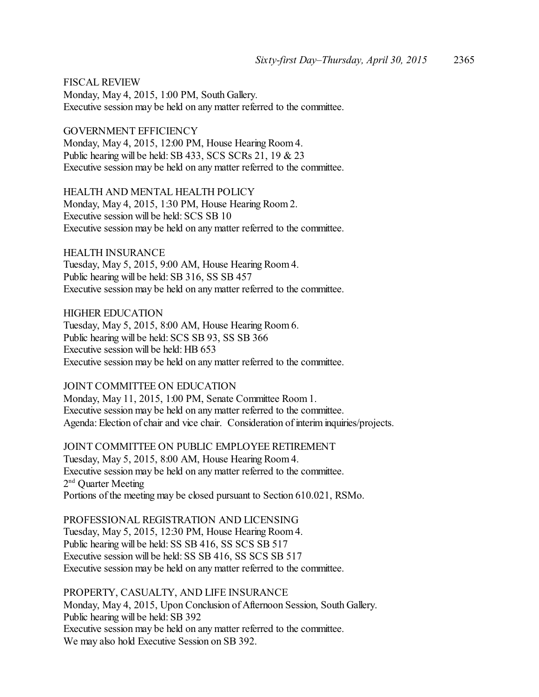FISCAL REVIEW Monday, May 4, 2015, 1:00 PM, South Gallery. Executive session may be held on any matter referred to the committee.

GOVERNMENT EFFICIENCY Monday, May 4, 2015, 12:00 PM, House Hearing Room 4. Public hearing will be held: SB 433, SCS SCRs 21, 19 & 23 Executive session may be held on any matter referred to the committee.

HEALTH AND MENTAL HEALTH POLICY Monday, May 4, 2015, 1:30 PM, House Hearing Room 2. Executive session will be held: SCS SB 10 Executive session may be held on any matter referred to the committee.

HEALTH INSURANCE Tuesday, May 5, 2015, 9:00 AM, House Hearing Room 4. Public hearing will be held: SB 316, SS SB 457 Executive session may be held on any matter referred to the committee.

HIGHER EDUCATION Tuesday, May 5, 2015, 8:00 AM, House Hearing Room 6. Public hearing will be held: SCS SB 93, SS SB 366 Executive session will be held: HB 653 Executive session may be held on any matter referred to the committee.

# JOINT COMMITTEE ON EDUCATION

Monday, May 11, 2015, 1:00 PM, Senate Committee Room 1. Executive session may be held on any matter referred to the committee. Agenda: Election of chair and vice chair. Consideration of interim inquiries/projects.

JOINT COMMITTEE ON PUBLIC EMPLOYEE RETIREMENT Tuesday, May 5, 2015, 8:00 AM, House Hearing Room 4. Executive session may be held on any matter referred to the committee. 2<sup>nd</sup> Quarter Meeting Portions of the meeting may be closed pursuant to Section 610.021, RSMo.

PROFESSIONAL REGISTRATION AND LICENSING Tuesday, May 5, 2015, 12:30 PM, House Hearing Room 4. Public hearing will be held: SS SB 416, SS SCS SB 517 Executive session will be held: SS SB 416, SS SCS SB 517 Executive session may be held on any matter referred to the committee.

PROPERTY, CASUALTY, AND LIFE INSURANCE Monday, May 4, 2015, Upon Conclusion of Afternoon Session, South Gallery. Public hearing will be held: SB 392 Executive session may be held on any matter referred to the committee. We may also hold Executive Session on SB 392.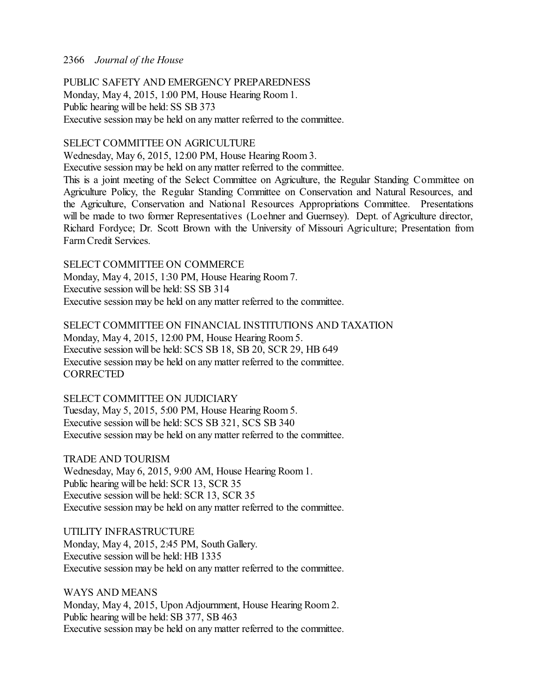PUBLIC SAFETY AND EMERGENCY PREPAREDNESS Monday, May 4, 2015, 1:00 PM, House Hearing Room 1. Public hearing will be held: SS SB 373 Executive session may be held on any matter referred to the committee.

# SELECT COMMITTEE ON AGRICULTURE

Wednesday, May 6, 2015, 12:00 PM, House Hearing Room 3.

Executive session may be held on any matter referred to the committee.

This is a joint meeting of the Select Committee on Agriculture, the Regular Standing Committee on Agriculture Policy, the Regular Standing Committee on Conservation and Natural Resources, and the Agriculture, Conservation and National Resources Appropriations Committee. Presentations will be made to two former Representatives (Loehner and Guernsey). Dept. of Agriculture director, Richard Fordyce; Dr. Scott Brown with the University of Missouri Agriculture; Presentation from Farm Credit Services.

SELECT COMMITTEE ON COMMERCE Monday, May 4, 2015, 1:30 PM, House Hearing Room 7. Executive session will be held: SS SB 314 Executive session may be held on any matter referred to the committee.

SELECT COMMITTEE ON FINANCIAL INSTITUTIONS AND TAXATION Monday, May 4, 2015, 12:00 PM, House Hearing Room 5. Executive session will be held: SCS SB 18, SB 20, SCR 29, HB 649 Executive session may be held on any matter referred to the committee. **CORRECTED** 

SELECT COMMITTEE ON JUDICIARY Tuesday, May 5, 2015, 5:00 PM, House Hearing Room 5. Executive session will be held: SCS SB 321, SCS SB 340 Executive session may be held on any matter referred to the committee.

TRADE AND TOURISM Wednesday, May 6, 2015, 9:00 AM, House Hearing Room 1. Public hearing will be held: SCR 13, SCR 35 Executive session will be held: SCR 13, SCR 35 Executive session may be held on any matter referred to the committee.

UTILITY INFRASTRUCTURE Monday, May 4, 2015, 2:45 PM, South Gallery. Executive session will be held: HB 1335 Executive session may be held on any matter referred to the committee.

WAYS AND MEANS Monday, May 4, 2015, Upon Adjournment, House Hearing Room 2. Public hearing will be held: SB 377, SB 463 Executive session may be held on any matter referred to the committee.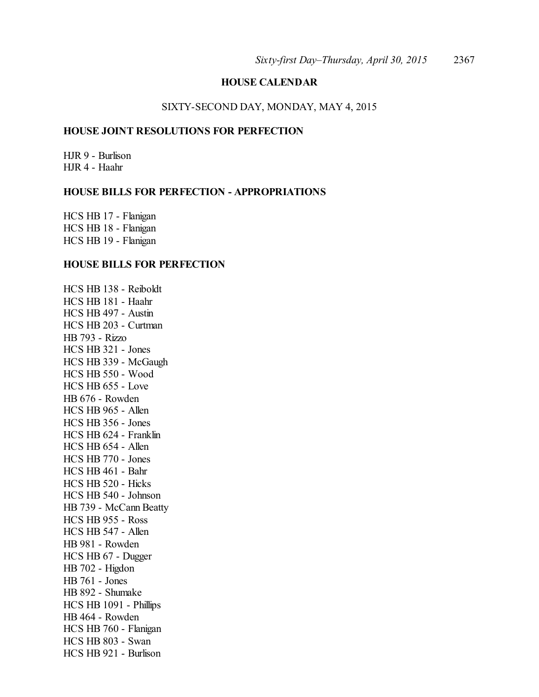# **HOUSE CALENDAR**

# SIXTY-SECOND DAY, MONDAY, MAY 4, 2015

# **HOUSE JOINT RESOLUTIONS FOR PERFECTION**

HJR 9 - Burlison HJR 4 - Haahr

## **HOUSE BILLS FOR PERFECTION - APPROPRIATIONS**

HCS HB 17 - Flanigan HCS HB 18 - Flanigan HCS HB 19 - Flanigan

#### **HOUSE BILLS FOR PERFECTION**

HCS HB 138 - Reiboldt HCS HB 181 - Haahr HCS HB 497 - Austin HCS HB 203 - Curtman HB 793 - Rizzo HCS HB 321 - Jones HCS HB 339 - McGaugh HCS HB 550 - Wood HCS HB 655 - Love HB 676 - Rowden HCS HB 965 - Allen HCS HB 356 - Jones HCS HB 624 - Franklin HCS HB 654 - Allen HCS HB 770 - Jones HCS HB 461 - Bahr HCS HB 520 - Hicks HCS HB 540 - Johnson HB 739 - McCann Beatty HCS HB 955 - Ross HCS HB 547 - Allen HB 981 - Rowden HCS HB 67 - Dugger HB 702 - Higdon HB 761 - Jones HB 892 - Shumake HCS HB 1091 - Phillips HB 464 - Rowden HCS HB 760 - Flanigan HCS HB 803 - Swan HCS HB 921 - Burlison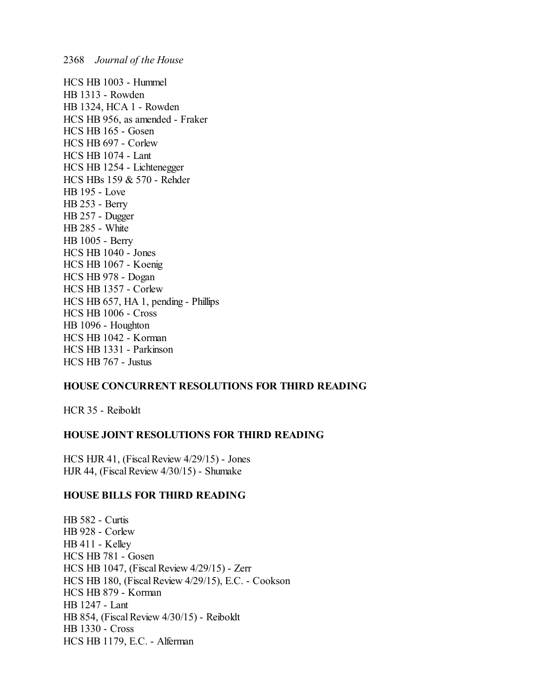HCS HB 1003 - Hummel HB 1313 - Rowden HB 1324, HCA 1 - Rowden HCS HB 956, as amended - Fraker HCS HB 165 - Gosen HCS HB 697 - Corlew HCS HB 1074 - Lant HCS HB 1254 - Lichtenegger HCS HBs 159 & 570 - Rehder HB 195 - Love HB 253 - Berry HB 257 - Dugger HB 285 - White HB 1005 - Berry HCS HB 1040 - Jones HCS HB 1067 - Koenig HCS HB 978 - Dogan HCS HB 1357 - Corlew HCS HB 657, HA 1, pending - Phillips HCS HB 1006 - Cross HB 1096 - Houghton HCS HB 1042 - Korman HCS HB 1331 - Parkinson HCS HB 767 - Justus

# **HOUSE CONCURRENT RESOLUTIONS FOR THIRD READING**

HCR 35 - Reiboldt

# **HOUSE JOINT RESOLUTIONS FOR THIRD READING**

HCS HJR 41, (Fiscal Review 4/29/15) - Jones HJR 44, (Fiscal Review 4/30/15) - Shumake

# **HOUSE BILLS FOR THIRD READING**

HB 582 - Curtis HB 928 - Corlew HB 411 - Kelley HCS HB 781 - Gosen HCS HB 1047, (Fiscal Review 4/29/15) - Zerr HCS HB 180, (Fiscal Review 4/29/15), E.C. - Cookson HCS HB 879 - Korman HB 1247 - Lant HB 854, (Fiscal Review 4/30/15) - Reiboldt HB 1330 - Cross HCS HB 1179, E.C. - Alferman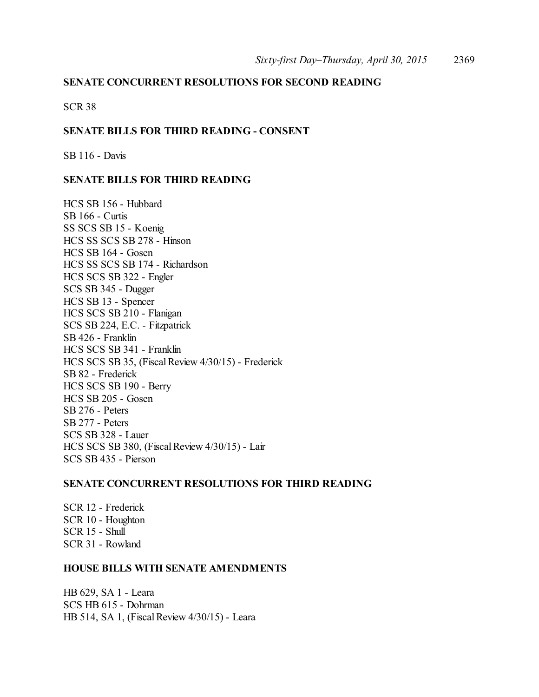# **SENATE CONCURRENT RESOLUTIONS FOR SECOND READING**

SCR 38

## **SENATE BILLS FOR THIRD READING - CONSENT**

SB 116 - Davis

### **SENATE BILLS FOR THIRD READING**

HCS SB 156 - Hubbard SB 166 - Curtis SS SCS SB 15 - Koenig HCS SS SCS SB 278 - Hinson HCS SB 164 - Gosen HCS SS SCS SB 174 - Richardson HCS SCS SB 322 - Engler SCS SB 345 - Dugger HCS SB 13 - Spencer HCS SCS SB 210 - Flanigan SCS SB 224, E.C. - Fitzpatrick SB 426 - Franklin HCS SCS SB 341 - Franklin HCS SCS SB 35, (Fiscal Review 4/30/15) - Frederick SB 82 - Frederick HCS SCS SB 190 - Berry HCS SB 205 - Gosen SB 276 - Peters SB 277 - Peters SCS SB 328 - Lauer HCS SCS SB 380, (FiscalReview 4/30/15) - Lair SCS SB 435 - Pierson

#### **SENATE CONCURRENT RESOLUTIONS FOR THIRD READING**

SCR 12 - Frederick SCR 10 - Houghton SCR 15 - Shull SCR 31 - Rowland

## **HOUSE BILLS WITH SENATE AMENDMENTS**

HB 629, SA 1 - Leara SCS HB 615 - Dohrman HB 514, SA 1, (Fiscal Review 4/30/15) - Leara